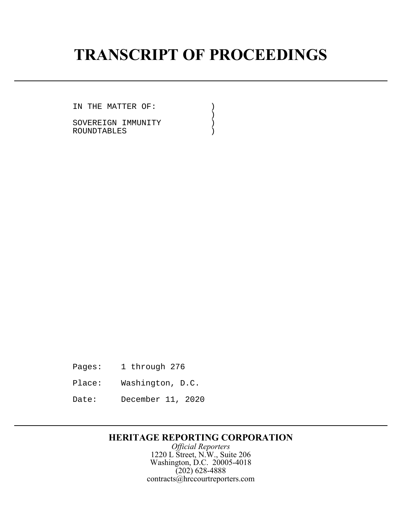# **TRANSCRIPT OF PROCEEDINGS**

IN THE MATTER OF: )<br>)

 $)$ SOVEREIGN IMMUNITY (1992) ROUNDTABLES )

Pages: 1 through 276

- Place: Washington, D.C.
- Date: December 11, 2020

## **HERITAGE REPORTING CORPORATION**

*Official Reporters* 1220 L Street, N.W., Suite 206 Washington, D.C. 20005-4018 (202) 628-4888 contracts@hrccourtreporters.com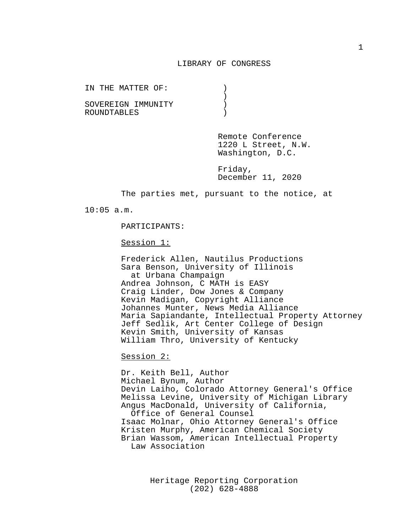#### LIBRARY OF CONGRESS

|             | IN THE MATTER OF: |  |  |                    |  |  |
|-------------|-------------------|--|--|--------------------|--|--|
|             |                   |  |  |                    |  |  |
|             |                   |  |  | SOVEREIGN IMMUNITY |  |  |
| ROUNDTABLES |                   |  |  |                    |  |  |

Remote Conference 1220 L Street, N.W. Washington, D.C.

Friday, December 11, 2020

The parties met, pursuant to the notice, at

10:05 a.m.

PARTICIPANTS:

Session 1:

Frederick Allen, Nautilus Productions Sara Benson, University of Illinois at Urbana Champaign Andrea Johnson, C MATH is EASY Craig Linder, Dow Jones & Company Kevin Madigan, Copyright Alliance Johannes Munter, News Media Alliance Maria Sapiandante, Intellectual Property Attorney Jeff Sedlik, Art Center College of Design Kevin Smith, University of Kansas William Thro, University of Kentucky

Session 2:

Dr. Keith Bell, Author Michael Bynum, Author Devin Laiho, Colorado Attorney General's Office Melissa Levine, University of Michigan Library Angus MacDonald, University of California, Office of General Counsel Isaac Molnar, Ohio Attorney General's Office Kristen Murphy, American Chemical Society Brian Wassom, American Intellectual Property Law Association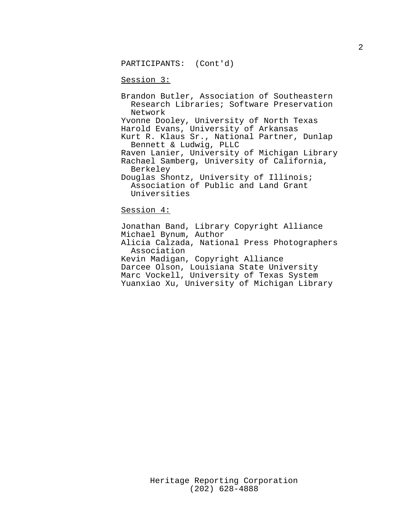PARTICIPANTS: (Cont'd)

#### Session 3:

Brandon Butler, Association of Southeastern Research Libraries; Software Preservation Network Yvonne Dooley, University of North Texas Harold Evans, University of Arkansas Kurt R. Klaus Sr., National Partner, Dunlap Bennett & Ludwig, PLLC Raven Lanier, University of Michigan Library Rachael Samberg, University of California, Berkeley Douglas Shontz, University of Illinois; Association of Public and Land Grant Universities

### Session 4:

Jonathan Band, Library Copyright Alliance Michael Bynum, Author Alicia Calzada, National Press Photographers Association Kevin Madigan, Copyright Alliance Darcee Olson, Louisiana State University Marc Vockell, University of Texas System Yuanxiao Xu, University of Michigan Library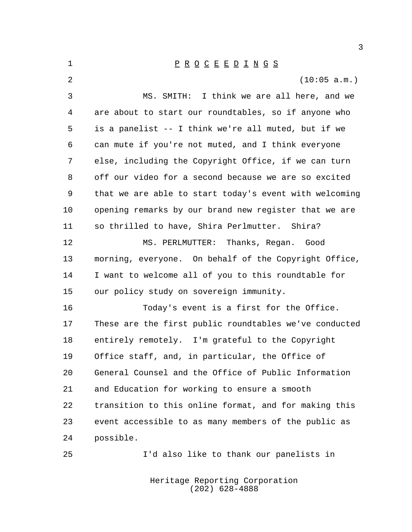1 P R O C E E D I N G S (10:05 a.m.) MS. SMITH: I think we are all here, and we are about to start our roundtables, so if anyone who is a panelist -- I think we're all muted, but if we can mute if you're not muted, and I think everyone else, including the Copyright Office, if we can turn off our video for a second because we are so excited that we are able to start today's event with welcoming opening remarks by our brand new register that we are so thrilled to have, Shira Perlmutter. Shira? MS. PERLMUTTER: Thanks, Regan. Good morning, everyone. On behalf of the Copyright Office, I want to welcome all of you to this roundtable for our policy study on sovereign immunity. Today's event is a first for the Office. These are the first public roundtables we've conducted entirely remotely. I'm grateful to the Copyright Office staff, and, in particular, the Office of General Counsel and the Office of Public Information and Education for working to ensure a smooth transition to this online format, and for making this event accessible to as many members of the public as possible. I'd also like to thank our panelists in

> Heritage Reporting Corporation (202) 628-4888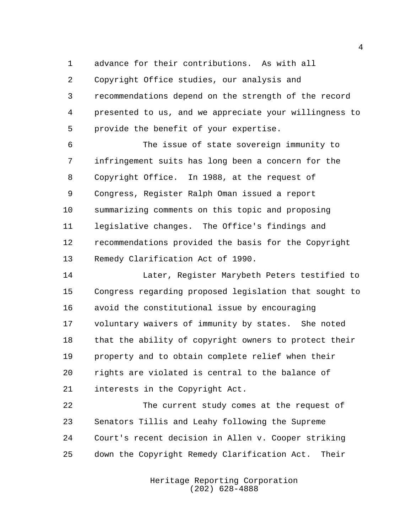advance for their contributions. As with all

 Copyright Office studies, our analysis and recommendations depend on the strength of the record presented to us, and we appreciate your willingness to provide the benefit of your expertise.

 The issue of state sovereign immunity to infringement suits has long been a concern for the Copyright Office. In 1988, at the request of Congress, Register Ralph Oman issued a report summarizing comments on this topic and proposing legislative changes. The Office's findings and recommendations provided the basis for the Copyright Remedy Clarification Act of 1990.

 Later, Register Marybeth Peters testified to Congress regarding proposed legislation that sought to avoid the constitutional issue by encouraging voluntary waivers of immunity by states. She noted that the ability of copyright owners to protect their property and to obtain complete relief when their rights are violated is central to the balance of interests in the Copyright Act.

 The current study comes at the request of Senators Tillis and Leahy following the Supreme Court's recent decision in Allen v. Cooper striking down the Copyright Remedy Clarification Act. Their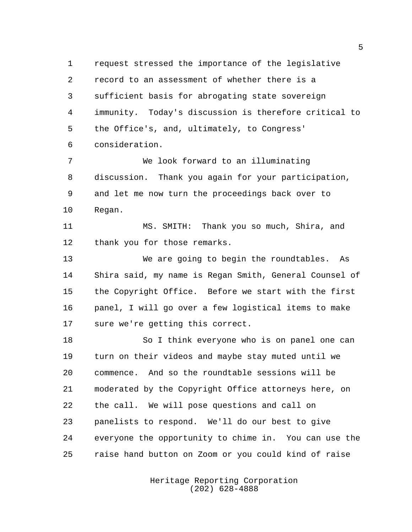request stressed the importance of the legislative record to an assessment of whether there is a sufficient basis for abrogating state sovereign immunity. Today's discussion is therefore critical to the Office's, and, ultimately, to Congress' consideration.

 We look forward to an illuminating discussion. Thank you again for your participation, and let me now turn the proceedings back over to Regan.

 MS. SMITH: Thank you so much, Shira, and thank you for those remarks.

 We are going to begin the roundtables. As Shira said, my name is Regan Smith, General Counsel of the Copyright Office. Before we start with the first panel, I will go over a few logistical items to make sure we're getting this correct.

18 So I think everyone who is on panel one can turn on their videos and maybe stay muted until we commence. And so the roundtable sessions will be moderated by the Copyright Office attorneys here, on the call. We will pose questions and call on panelists to respond. We'll do our best to give everyone the opportunity to chime in. You can use the raise hand button on Zoom or you could kind of raise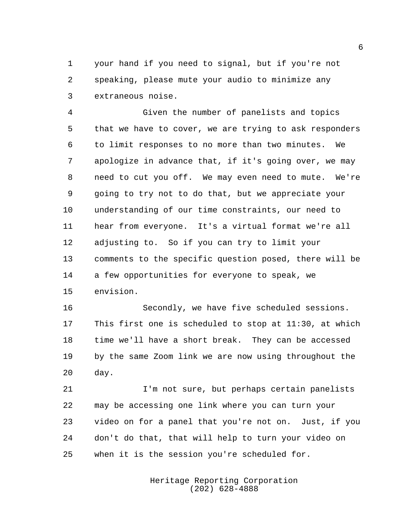your hand if you need to signal, but if you're not speaking, please mute your audio to minimize any extraneous noise.

 Given the number of panelists and topics that we have to cover, we are trying to ask responders to limit responses to no more than two minutes. We apologize in advance that, if it's going over, we may need to cut you off. We may even need to mute. We're going to try not to do that, but we appreciate your understanding of our time constraints, our need to hear from everyone. It's a virtual format we're all adjusting to. So if you can try to limit your comments to the specific question posed, there will be a few opportunities for everyone to speak, we envision.

 Secondly, we have five scheduled sessions. This first one is scheduled to stop at 11:30, at which time we'll have a short break. They can be accessed by the same Zoom link we are now using throughout the day.

 I'm not sure, but perhaps certain panelists may be accessing one link where you can turn your video on for a panel that you're not on. Just, if you don't do that, that will help to turn your video on when it is the session you're scheduled for.

> Heritage Reporting Corporation (202) 628-4888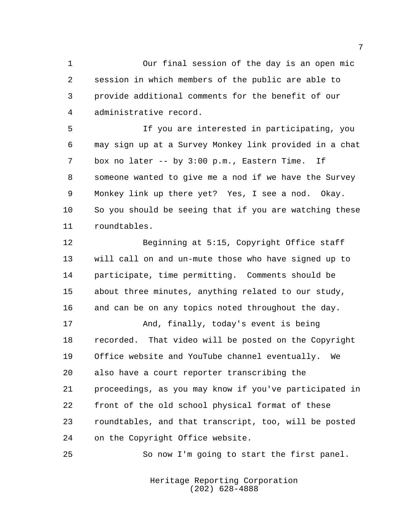Our final session of the day is an open mic session in which members of the public are able to provide additional comments for the benefit of our administrative record.

 If you are interested in participating, you may sign up at a Survey Monkey link provided in a chat box no later -- by 3:00 p.m., Eastern Time. If someone wanted to give me a nod if we have the Survey Monkey link up there yet? Yes, I see a nod. Okay. So you should be seeing that if you are watching these roundtables.

 Beginning at 5:15, Copyright Office staff will call on and un-mute those who have signed up to participate, time permitting. Comments should be about three minutes, anything related to our study, and can be on any topics noted throughout the day. And, finally, today's event is being recorded. That video will be posted on the Copyright Office website and YouTube channel eventually. We also have a court reporter transcribing the proceedings, as you may know if you've participated in

 front of the old school physical format of these roundtables, and that transcript, too, will be posted on the Copyright Office website.

So now I'm going to start the first panel.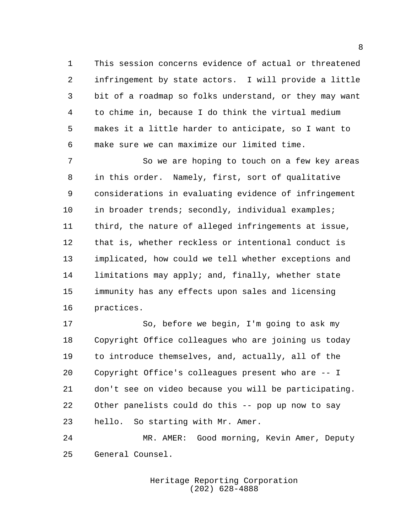This session concerns evidence of actual or threatened infringement by state actors. I will provide a little bit of a roadmap so folks understand, or they may want to chime in, because I do think the virtual medium makes it a little harder to anticipate, so I want to make sure we can maximize our limited time.

 So we are hoping to touch on a few key areas in this order. Namely, first, sort of qualitative considerations in evaluating evidence of infringement 10 in broader trends; secondly, individual examples; third, the nature of alleged infringements at issue, that is, whether reckless or intentional conduct is implicated, how could we tell whether exceptions and limitations may apply; and, finally, whether state immunity has any effects upon sales and licensing practices.

 So, before we begin, I'm going to ask my Copyright Office colleagues who are joining us today to introduce themselves, and, actually, all of the Copyright Office's colleagues present who are -- I don't see on video because you will be participating. Other panelists could do this -- pop up now to say hello. So starting with Mr. Amer.

 MR. AMER: Good morning, Kevin Amer, Deputy General Counsel.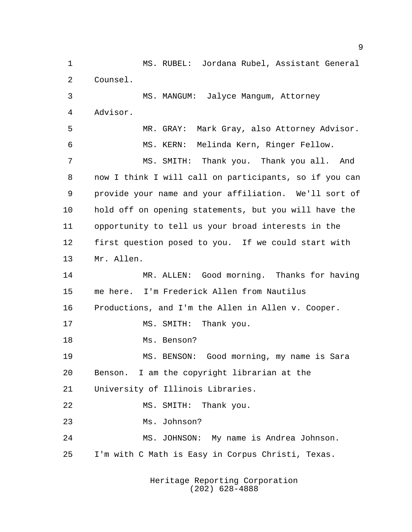MS. RUBEL: Jordana Rubel, Assistant General Counsel. MS. MANGUM: Jalyce Mangum, Attorney Advisor. MR. GRAY: Mark Gray, also Attorney Advisor. MS. KERN: Melinda Kern, Ringer Fellow. MS. SMITH: Thank you. Thank you all. And now I think I will call on participants, so if you can provide your name and your affiliation. We'll sort of hold off on opening statements, but you will have the opportunity to tell us your broad interests in the first question posed to you. If we could start with Mr. Allen. MR. ALLEN: Good morning. Thanks for having me here. I'm Frederick Allen from Nautilus Productions, and I'm the Allen in Allen v. Cooper. 17 MS. SMITH: Thank you. Ms. Benson? MS. BENSON: Good morning, my name is Sara Benson. I am the copyright librarian at the University of Illinois Libraries. MS. SMITH: Thank you. Ms. Johnson? MS. JOHNSON: My name is Andrea Johnson. I'm with C Math is Easy in Corpus Christi, Texas.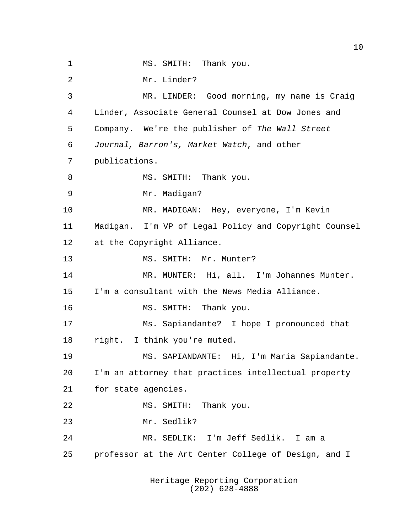1 MS. SMITH: Thank you. Mr. Linder? MR. LINDER: Good morning, my name is Craig Linder, Associate General Counsel at Dow Jones and Company. We're the publisher of The Wall Street Journal, Barron's, Market Watch, and other publications. 8 MS. SMITH: Thank you. Mr. Madigan? MR. MADIGAN: Hey, everyone, I'm Kevin Madigan. I'm VP of Legal Policy and Copyright Counsel at the Copyright Alliance. 13 MS. SMITH: Mr. Munter? MR. MUNTER: Hi, all. I'm Johannes Munter. I'm a consultant with the News Media Alliance. 16 MS. SMITH: Thank you. Ms. Sapiandante? I hope I pronounced that right. I think you're muted. MS. SAPIANDANTE: Hi, I'm Maria Sapiandante. I'm an attorney that practices intellectual property for state agencies. MS. SMITH: Thank you. Mr. Sedlik? MR. SEDLIK: I'm Jeff Sedlik. I am a professor at the Art Center College of Design, and I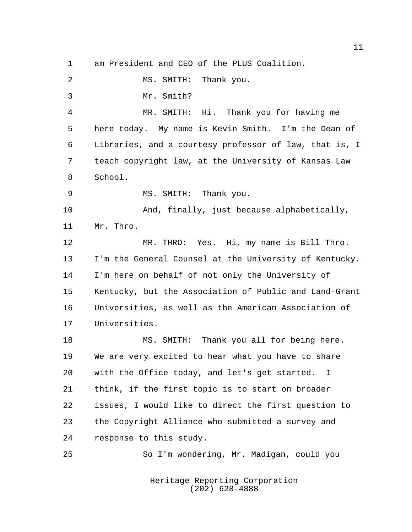am President and CEO of the PLUS Coalition.

MS. SMITH: Thank you.

Mr. Smith?

 MR. SMITH: Hi. Thank you for having me here today. My name is Kevin Smith. I'm the Dean of Libraries, and a courtesy professor of law, that is, I teach copyright law, at the University of Kansas Law School.

MS. SMITH: Thank you.

10 And, finally, just because alphabetically, Mr. Thro.

 MR. THRO: Yes. Hi, my name is Bill Thro. I'm the General Counsel at the University of Kentucky. I'm here on behalf of not only the University of Kentucky, but the Association of Public and Land-Grant Universities, as well as the American Association of Universities.

 MS. SMITH: Thank you all for being here. We are very excited to hear what you have to share with the Office today, and let's get started. I think, if the first topic is to start on broader issues, I would like to direct the first question to the Copyright Alliance who submitted a survey and response to this study.

So I'm wondering, Mr. Madigan, could you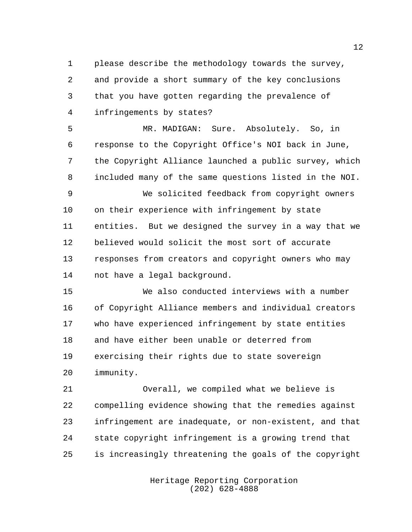please describe the methodology towards the survey, and provide a short summary of the key conclusions that you have gotten regarding the prevalence of infringements by states?

 MR. MADIGAN: Sure. Absolutely. So, in response to the Copyright Office's NOI back in June, the Copyright Alliance launched a public survey, which included many of the same questions listed in the NOI.

 We solicited feedback from copyright owners on their experience with infringement by state entities. But we designed the survey in a way that we believed would solicit the most sort of accurate responses from creators and copyright owners who may not have a legal background.

 We also conducted interviews with a number of Copyright Alliance members and individual creators who have experienced infringement by state entities and have either been unable or deterred from exercising their rights due to state sovereign immunity.

 Overall, we compiled what we believe is compelling evidence showing that the remedies against infringement are inadequate, or non-existent, and that state copyright infringement is a growing trend that is increasingly threatening the goals of the copyright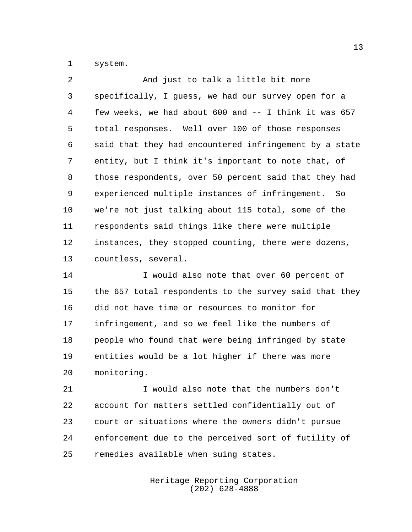system.

| 2  | And just to talk a little bit more                     |
|----|--------------------------------------------------------|
| 3  | specifically, I guess, we had our survey open for a    |
| 4  | few weeks, we had about 600 and -- I think it was 657  |
| 5  | total responses. Well over 100 of those responses      |
| 6  | said that they had encountered infringement by a state |
| 7  | entity, but I think it's important to note that, of    |
| 8  | those respondents, over 50 percent said that they had  |
| 9  | experienced multiple instances of infringement. So     |
| 10 | we're not just talking about 115 total, some of the    |
| 11 | respondents said things like there were multiple       |
| 12 | instances, they stopped counting, there were dozens,   |
| 13 | countless, several.                                    |

14 I would also note that over 60 percent of the 657 total respondents to the survey said that they did not have time or resources to monitor for infringement, and so we feel like the numbers of people who found that were being infringed by state entities would be a lot higher if there was more monitoring.

 I would also note that the numbers don't account for matters settled confidentially out of court or situations where the owners didn't pursue enforcement due to the perceived sort of futility of remedies available when suing states.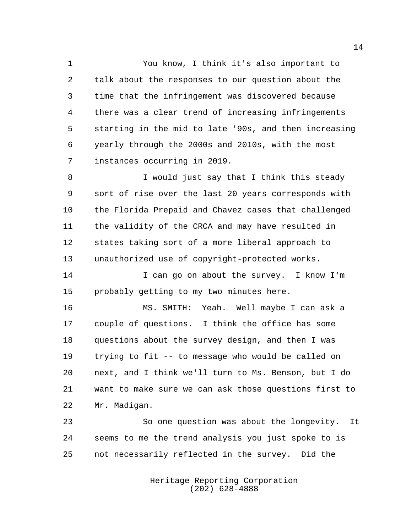You know, I think it's also important to talk about the responses to our question about the time that the infringement was discovered because there was a clear trend of increasing infringements starting in the mid to late '90s, and then increasing yearly through the 2000s and 2010s, with the most instances occurring in 2019.

8 I would just say that I think this steady sort of rise over the last 20 years corresponds with the Florida Prepaid and Chavez cases that challenged the validity of the CRCA and may have resulted in states taking sort of a more liberal approach to unauthorized use of copyright-protected works.

 I can go on about the survey. I know I'm probably getting to my two minutes here.

 MS. SMITH: Yeah. Well maybe I can ask a couple of questions. I think the office has some questions about the survey design, and then I was trying to fit -- to message who would be called on next, and I think we'll turn to Ms. Benson, but I do want to make sure we can ask those questions first to Mr. Madigan.

 So one question was about the longevity. It seems to me the trend analysis you just spoke to is not necessarily reflected in the survey. Did the

> Heritage Reporting Corporation (202) 628-4888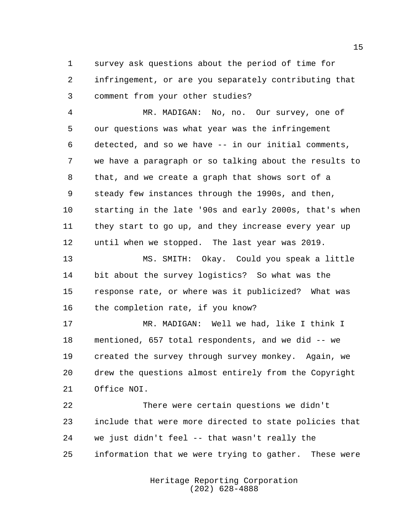survey ask questions about the period of time for infringement, or are you separately contributing that comment from your other studies?

 MR. MADIGAN: No, no. Our survey, one of our questions was what year was the infringement detected, and so we have -- in our initial comments, we have a paragraph or so talking about the results to that, and we create a graph that shows sort of a steady few instances through the 1990s, and then, starting in the late '90s and early 2000s, that's when they start to go up, and they increase every year up until when we stopped. The last year was 2019.

 MS. SMITH: Okay. Could you speak a little bit about the survey logistics? So what was the response rate, or where was it publicized? What was the completion rate, if you know?

 MR. MADIGAN: Well we had, like I think I mentioned, 657 total respondents, and we did -- we created the survey through survey monkey. Again, we drew the questions almost entirely from the Copyright Office NOI.

 There were certain questions we didn't include that were more directed to state policies that we just didn't feel -- that wasn't really the information that we were trying to gather. These were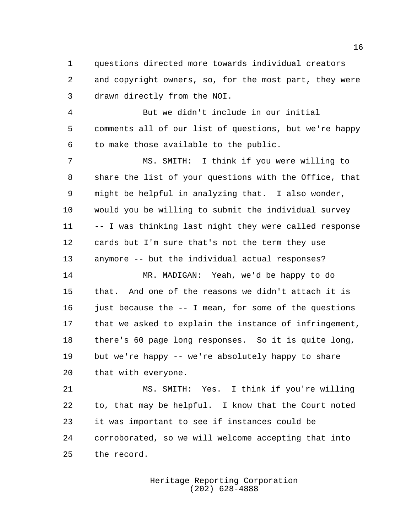questions directed more towards individual creators and copyright owners, so, for the most part, they were drawn directly from the NOI.

 But we didn't include in our initial comments all of our list of questions, but we're happy to make those available to the public.

 MS. SMITH: I think if you were willing to share the list of your questions with the Office, that might be helpful in analyzing that. I also wonder, would you be willing to submit the individual survey -- I was thinking last night they were called response cards but I'm sure that's not the term they use anymore -- but the individual actual responses?

 MR. MADIGAN: Yeah, we'd be happy to do that. And one of the reasons we didn't attach it is 16 just because the  $-$  I mean, for some of the questions that we asked to explain the instance of infringement, there's 60 page long responses. So it is quite long, but we're happy -- we're absolutely happy to share that with everyone.

 MS. SMITH: Yes. I think if you're willing to, that may be helpful. I know that the Court noted it was important to see if instances could be corroborated, so we will welcome accepting that into the record.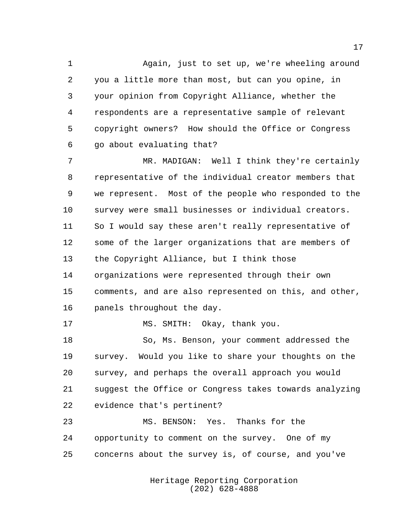Again, just to set up, we're wheeling around you a little more than most, but can you opine, in your opinion from Copyright Alliance, whether the respondents are a representative sample of relevant copyright owners? How should the Office or Congress go about evaluating that?

 MR. MADIGAN: Well I think they're certainly representative of the individual creator members that we represent. Most of the people who responded to the survey were small businesses or individual creators. So I would say these aren't really representative of some of the larger organizations that are members of the Copyright Alliance, but I think those organizations were represented through their own comments, and are also represented on this, and other, panels throughout the day.

17 MS. SMITH: Okay, thank you.

 So, Ms. Benson, your comment addressed the survey. Would you like to share your thoughts on the survey, and perhaps the overall approach you would suggest the Office or Congress takes towards analyzing evidence that's pertinent?

 MS. BENSON: Yes. Thanks for the opportunity to comment on the survey. One of my concerns about the survey is, of course, and you've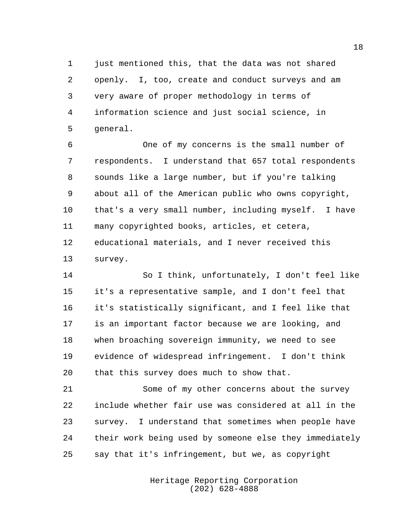just mentioned this, that the data was not shared openly. I, too, create and conduct surveys and am very aware of proper methodology in terms of information science and just social science, in general.

 One of my concerns is the small number of respondents. I understand that 657 total respondents sounds like a large number, but if you're talking about all of the American public who owns copyright, that's a very small number, including myself. I have many copyrighted books, articles, et cetera, educational materials, and I never received this survey.

 So I think, unfortunately, I don't feel like it's a representative sample, and I don't feel that it's statistically significant, and I feel like that is an important factor because we are looking, and when broaching sovereign immunity, we need to see evidence of widespread infringement. I don't think that this survey does much to show that.

 Some of my other concerns about the survey include whether fair use was considered at all in the survey. I understand that sometimes when people have their work being used by someone else they immediately say that it's infringement, but we, as copyright

> Heritage Reporting Corporation (202) 628-4888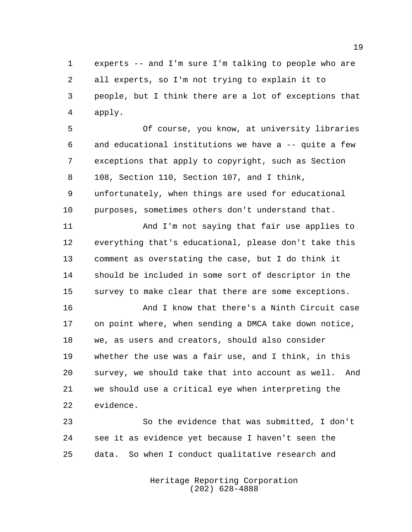experts -- and I'm sure I'm talking to people who are all experts, so I'm not trying to explain it to people, but I think there are a lot of exceptions that apply.

 Of course, you know, at university libraries and educational institutions we have a -- quite a few exceptions that apply to copyright, such as Section 108, Section 110, Section 107, and I think, unfortunately, when things are used for educational purposes, sometimes others don't understand that.

 And I'm not saying that fair use applies to everything that's educational, please don't take this comment as overstating the case, but I do think it should be included in some sort of descriptor in the survey to make clear that there are some exceptions.

 And I know that there's a Ninth Circuit case on point where, when sending a DMCA take down notice, we, as users and creators, should also consider whether the use was a fair use, and I think, in this survey, we should take that into account as well. And we should use a critical eye when interpreting the evidence.

 So the evidence that was submitted, I don't see it as evidence yet because I haven't seen the data. So when I conduct qualitative research and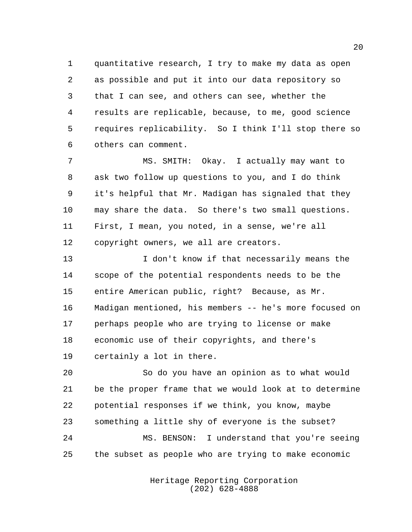quantitative research, I try to make my data as open as possible and put it into our data repository so that I can see, and others can see, whether the results are replicable, because, to me, good science requires replicability. So I think I'll stop there so others can comment.

 MS. SMITH: Okay. I actually may want to ask two follow up questions to you, and I do think it's helpful that Mr. Madigan has signaled that they may share the data. So there's two small questions. First, I mean, you noted, in a sense, we're all copyright owners, we all are creators.

13 I don't know if that necessarily means the scope of the potential respondents needs to be the entire American public, right? Because, as Mr. Madigan mentioned, his members -- he's more focused on perhaps people who are trying to license or make economic use of their copyrights, and there's certainly a lot in there.

 So do you have an opinion as to what would be the proper frame that we would look at to determine potential responses if we think, you know, maybe something a little shy of everyone is the subset? MS. BENSON: I understand that you're seeing the subset as people who are trying to make economic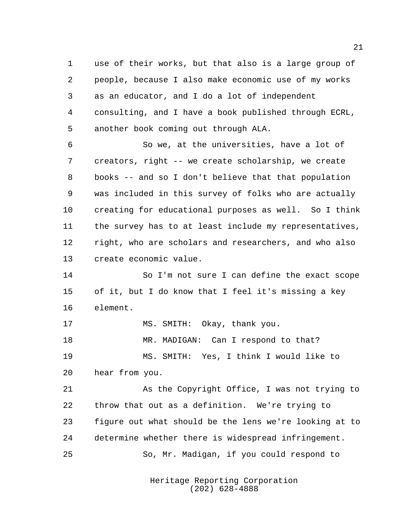use of their works, but that also is a large group of people, because I also make economic use of my works as an educator, and I do a lot of independent consulting, and I have a book published through ECRL, another book coming out through ALA.

 So we, at the universities, have a lot of creators, right -- we create scholarship, we create books -- and so I don't believe that that population was included in this survey of folks who are actually creating for educational purposes as well. So I think the survey has to at least include my representatives, right, who are scholars and researchers, and who also create economic value.

 So I'm not sure I can define the exact scope of it, but I do know that I feel it's missing a key element.

17 MS. SMITH: Okay, thank you. 18 MR. MADIGAN: Can I respond to that? MS. SMITH: Yes, I think I would like to hear from you.

 As the Copyright Office, I was not trying to throw that out as a definition. We're trying to figure out what should be the lens we're looking at to determine whether there is widespread infringement. So, Mr. Madigan, if you could respond to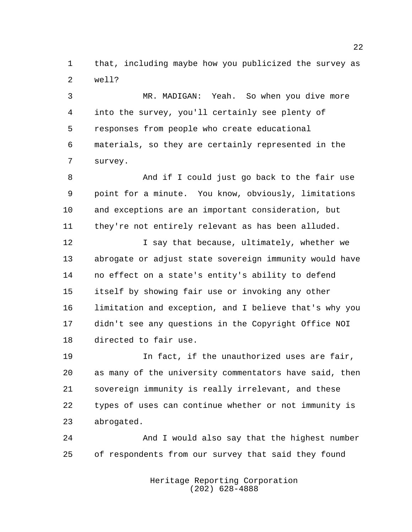that, including maybe how you publicized the survey as well?

 MR. MADIGAN: Yeah. So when you dive more into the survey, you'll certainly see plenty of responses from people who create educational materials, so they are certainly represented in the survey.

 And if I could just go back to the fair use point for a minute. You know, obviously, limitations and exceptions are an important consideration, but they're not entirely relevant as has been alluded.

**I** say that because, ultimately, whether we abrogate or adjust state sovereign immunity would have no effect on a state's entity's ability to defend itself by showing fair use or invoking any other limitation and exception, and I believe that's why you didn't see any questions in the Copyright Office NOI directed to fair use.

 In fact, if the unauthorized uses are fair, as many of the university commentators have said, then sovereign immunity is really irrelevant, and these types of uses can continue whether or not immunity is abrogated.

 And I would also say that the highest number of respondents from our survey that said they found

> Heritage Reporting Corporation (202) 628-4888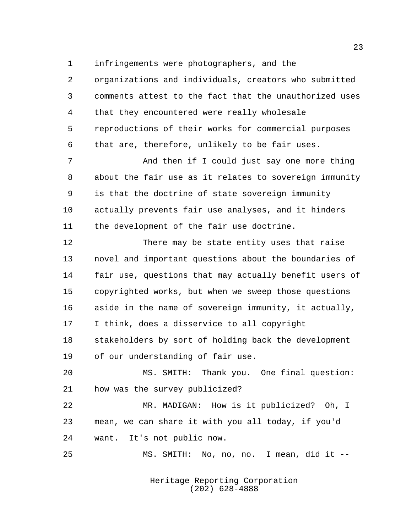infringements were photographers, and the

 organizations and individuals, creators who submitted comments attest to the fact that the unauthorized uses that they encountered were really wholesale reproductions of their works for commercial purposes that are, therefore, unlikely to be fair uses.

 And then if I could just say one more thing about the fair use as it relates to sovereign immunity is that the doctrine of state sovereign immunity actually prevents fair use analyses, and it hinders the development of the fair use doctrine.

 There may be state entity uses that raise novel and important questions about the boundaries of fair use, questions that may actually benefit users of copyrighted works, but when we sweep those questions aside in the name of sovereign immunity, it actually, I think, does a disservice to all copyright stakeholders by sort of holding back the development of our understanding of fair use.

 MS. SMITH: Thank you. One final question: how was the survey publicized?

 MR. MADIGAN: How is it publicized? Oh, I mean, we can share it with you all today, if you'd want. It's not public now.

MS. SMITH: No, no, no. I mean, did it --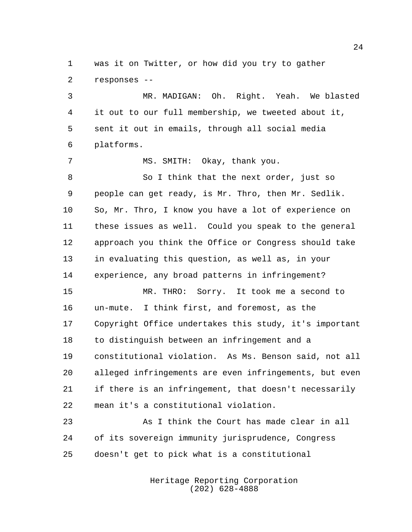was it on Twitter, or how did you try to gather responses --

 MR. MADIGAN: Oh. Right. Yeah. We blasted it out to our full membership, we tweeted about it, sent it out in emails, through all social media platforms.

7 MS. SMITH: Okay, thank you.

 So I think that the next order, just so people can get ready, is Mr. Thro, then Mr. Sedlik. So, Mr. Thro, I know you have a lot of experience on these issues as well. Could you speak to the general approach you think the Office or Congress should take in evaluating this question, as well as, in your experience, any broad patterns in infringement?

 MR. THRO: Sorry. It took me a second to un-mute. I think first, and foremost, as the Copyright Office undertakes this study, it's important to distinguish between an infringement and a constitutional violation. As Ms. Benson said, not all alleged infringements are even infringements, but even if there is an infringement, that doesn't necessarily mean it's a constitutional violation.

 As I think the Court has made clear in all of its sovereign immunity jurisprudence, Congress doesn't get to pick what is a constitutional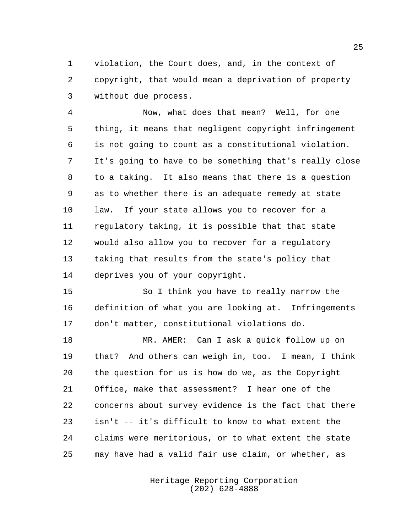violation, the Court does, and, in the context of copyright, that would mean a deprivation of property without due process.

 Now, what does that mean? Well, for one thing, it means that negligent copyright infringement is not going to count as a constitutional violation. It's going to have to be something that's really close to a taking. It also means that there is a question as to whether there is an adequate remedy at state law. If your state allows you to recover for a regulatory taking, it is possible that that state would also allow you to recover for a regulatory taking that results from the state's policy that deprives you of your copyright.

 So I think you have to really narrow the definition of what you are looking at. Infringements don't matter, constitutional violations do.

 MR. AMER: Can I ask a quick follow up on that? And others can weigh in, too. I mean, I think the question for us is how do we, as the Copyright Office, make that assessment? I hear one of the concerns about survey evidence is the fact that there isn't -- it's difficult to know to what extent the claims were meritorious, or to what extent the state may have had a valid fair use claim, or whether, as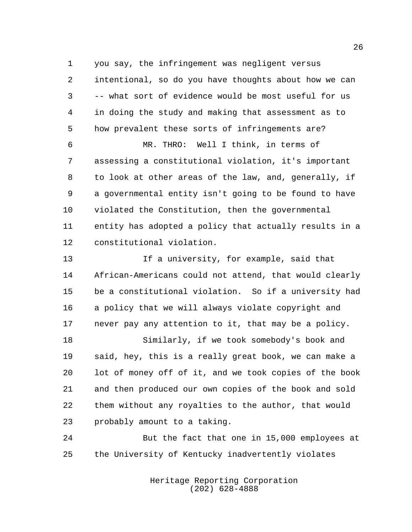you say, the infringement was negligent versus intentional, so do you have thoughts about how we can -- what sort of evidence would be most useful for us in doing the study and making that assessment as to how prevalent these sorts of infringements are?

 MR. THRO: Well I think, in terms of assessing a constitutional violation, it's important to look at other areas of the law, and, generally, if a governmental entity isn't going to be found to have violated the Constitution, then the governmental entity has adopted a policy that actually results in a constitutional violation.

 If a university, for example, said that African-Americans could not attend, that would clearly be a constitutional violation. So if a university had a policy that we will always violate copyright and never pay any attention to it, that may be a policy.

 Similarly, if we took somebody's book and said, hey, this is a really great book, we can make a lot of money off of it, and we took copies of the book and then produced our own copies of the book and sold them without any royalties to the author, that would probably amount to a taking.

 But the fact that one in 15,000 employees at the University of Kentucky inadvertently violates

> Heritage Reporting Corporation (202) 628-4888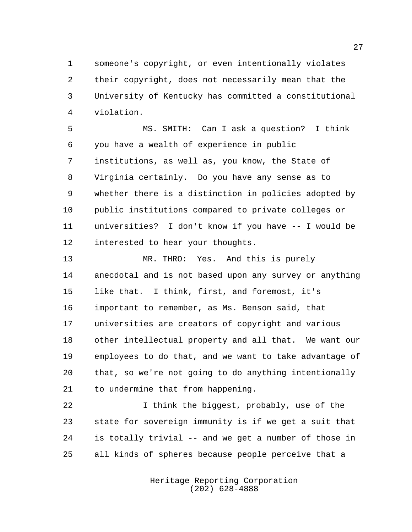someone's copyright, or even intentionally violates their copyright, does not necessarily mean that the University of Kentucky has committed a constitutional violation.

 MS. SMITH: Can I ask a question? I think you have a wealth of experience in public institutions, as well as, you know, the State of Virginia certainly. Do you have any sense as to whether there is a distinction in policies adopted by public institutions compared to private colleges or universities? I don't know if you have -- I would be interested to hear your thoughts.

 MR. THRO: Yes. And this is purely anecdotal and is not based upon any survey or anything like that. I think, first, and foremost, it's important to remember, as Ms. Benson said, that universities are creators of copyright and various other intellectual property and all that. We want our employees to do that, and we want to take advantage of that, so we're not going to do anything intentionally to undermine that from happening.

 I think the biggest, probably, use of the state for sovereign immunity is if we get a suit that is totally trivial -- and we get a number of those in all kinds of spheres because people perceive that a

> Heritage Reporting Corporation (202) 628-4888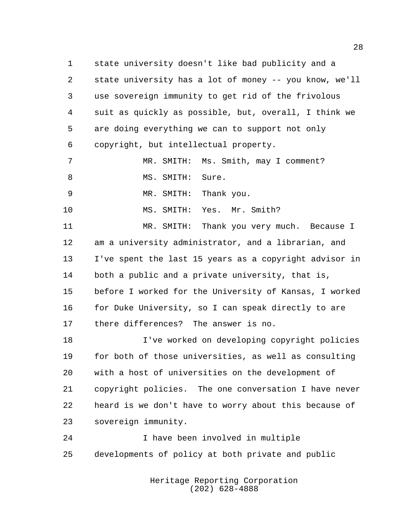state university doesn't like bad publicity and a state university has a lot of money -- you know, we'll use sovereign immunity to get rid of the frivolous suit as quickly as possible, but, overall, I think we are doing everything we can to support not only copyright, but intellectual property.

|     |                  | MR. SMITH: Ms. Smith, may I comment? |
|-----|------------------|--------------------------------------|
| - 8 | MS. SMITH: Sure. |                                      |
| - 9 |                  | MR. SMITH: Thank you.                |

MS. SMITH: Yes. Mr. Smith?

 MR. SMITH: Thank you very much. Because I am a university administrator, and a librarian, and I've spent the last 15 years as a copyright advisor in both a public and a private university, that is, before I worked for the University of Kansas, I worked 16 for Duke University, so I can speak directly to are there differences? The answer is no.

 I've worked on developing copyright policies for both of those universities, as well as consulting with a host of universities on the development of copyright policies. The one conversation I have never heard is we don't have to worry about this because of sovereign immunity.

 I have been involved in multiple developments of policy at both private and public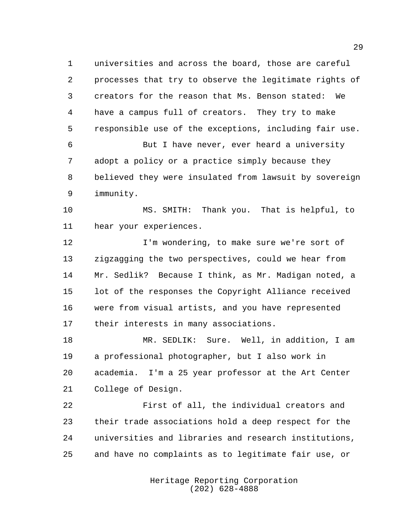universities and across the board, those are careful processes that try to observe the legitimate rights of creators for the reason that Ms. Benson stated: We have a campus full of creators. They try to make responsible use of the exceptions, including fair use.

 But I have never, ever heard a university adopt a policy or a practice simply because they believed they were insulated from lawsuit by sovereign immunity.

 MS. SMITH: Thank you. That is helpful, to hear your experiences.

**I'm wondering, to make sure we're sort of**  zigzagging the two perspectives, could we hear from Mr. Sedlik? Because I think, as Mr. Madigan noted, a lot of the responses the Copyright Alliance received were from visual artists, and you have represented their interests in many associations.

 MR. SEDLIK: Sure. Well, in addition, I am a professional photographer, but I also work in academia. I'm a 25 year professor at the Art Center College of Design.

 First of all, the individual creators and their trade associations hold a deep respect for the universities and libraries and research institutions, and have no complaints as to legitimate fair use, or

> Heritage Reporting Corporation (202) 628-4888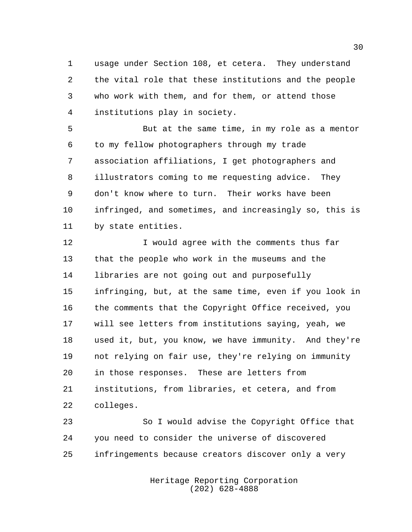usage under Section 108, et cetera. They understand the vital role that these institutions and the people who work with them, and for them, or attend those institutions play in society.

 But at the same time, in my role as a mentor to my fellow photographers through my trade association affiliations, I get photographers and illustrators coming to me requesting advice. They don't know where to turn. Their works have been infringed, and sometimes, and increasingly so, this is by state entities.

**I** would agree with the comments thus far that the people who work in the museums and the libraries are not going out and purposefully infringing, but, at the same time, even if you look in the comments that the Copyright Office received, you will see letters from institutions saying, yeah, we used it, but, you know, we have immunity. And they're not relying on fair use, they're relying on immunity in those responses. These are letters from institutions, from libraries, et cetera, and from colleges.

 So I would advise the Copyright Office that you need to consider the universe of discovered infringements because creators discover only a very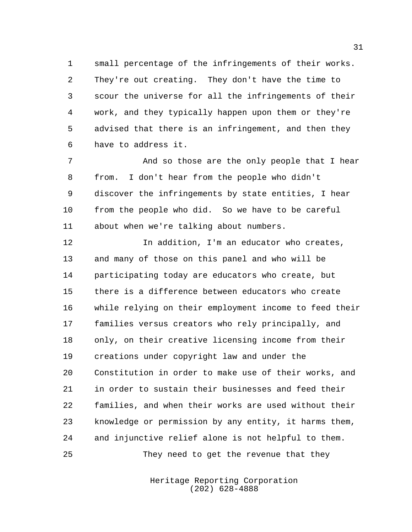small percentage of the infringements of their works. They're out creating. They don't have the time to scour the universe for all the infringements of their work, and they typically happen upon them or they're advised that there is an infringement, and then they have to address it.

 And so those are the only people that I hear from. I don't hear from the people who didn't discover the infringements by state entities, I hear from the people who did. So we have to be careful about when we're talking about numbers.

**In addition, I'm an educator who creates,**  and many of those on this panel and who will be participating today are educators who create, but there is a difference between educators who create while relying on their employment income to feed their families versus creators who rely principally, and only, on their creative licensing income from their creations under copyright law and under the Constitution in order to make use of their works, and in order to sustain their businesses and feed their families, and when their works are used without their knowledge or permission by any entity, it harms them, and injunctive relief alone is not helpful to them.

25 They need to get the revenue that they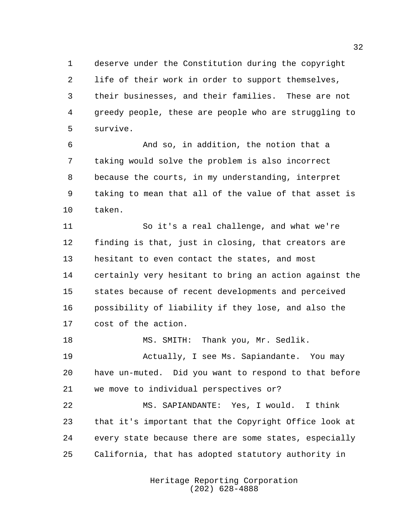deserve under the Constitution during the copyright life of their work in order to support themselves, their businesses, and their families. These are not greedy people, these are people who are struggling to survive.

 And so, in addition, the notion that a taking would solve the problem is also incorrect because the courts, in my understanding, interpret taking to mean that all of the value of that asset is taken.

 So it's a real challenge, and what we're finding is that, just in closing, that creators are hesitant to even contact the states, and most certainly very hesitant to bring an action against the states because of recent developments and perceived possibility of liability if they lose, and also the cost of the action.

18 MS. SMITH: Thank you, Mr. Sedlik. Actually, I see Ms. Sapiandante. You may have un-muted. Did you want to respond to that before we move to individual perspectives or?

 MS. SAPIANDANTE: Yes, I would. I think that it's important that the Copyright Office look at every state because there are some states, especially California, that has adopted statutory authority in

> Heritage Reporting Corporation (202) 628-4888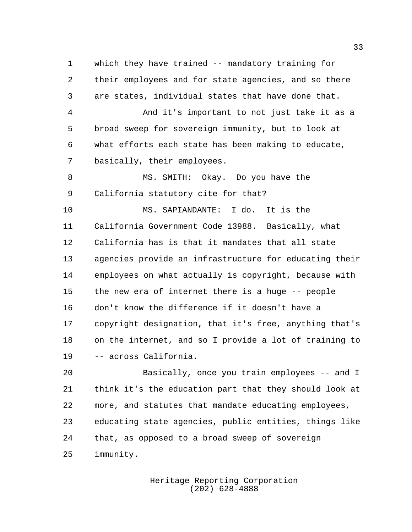which they have trained -- mandatory training for their employees and for state agencies, and so there are states, individual states that have done that.

 And it's important to not just take it as a broad sweep for sovereign immunity, but to look at what efforts each state has been making to educate, basically, their employees.

8 MS. SMITH: Okay. Do you have the California statutory cite for that?

 MS. SAPIANDANTE: I do. It is the California Government Code 13988. Basically, what California has is that it mandates that all state agencies provide an infrastructure for educating their employees on what actually is copyright, because with the new era of internet there is a huge -- people don't know the difference if it doesn't have a copyright designation, that it's free, anything that's on the internet, and so I provide a lot of training to -- across California.

 Basically, once you train employees -- and I think it's the education part that they should look at more, and statutes that mandate educating employees, educating state agencies, public entities, things like that, as opposed to a broad sweep of sovereign immunity.

> Heritage Reporting Corporation (202) 628-4888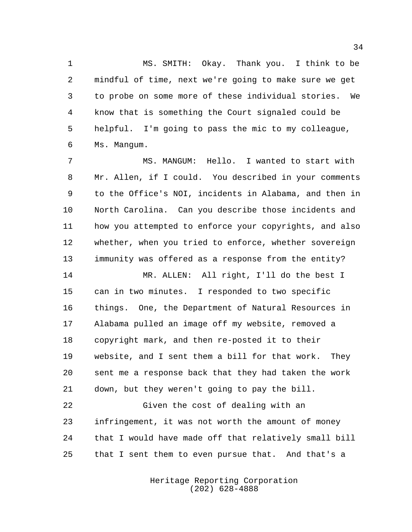MS. SMITH: Okay. Thank you. I think to be mindful of time, next we're going to make sure we get to probe on some more of these individual stories. We know that is something the Court signaled could be helpful. I'm going to pass the mic to my colleague, Ms. Mangum.

 MS. MANGUM: Hello. I wanted to start with Mr. Allen, if I could. You described in your comments to the Office's NOI, incidents in Alabama, and then in North Carolina. Can you describe those incidents and how you attempted to enforce your copyrights, and also whether, when you tried to enforce, whether sovereign immunity was offered as a response from the entity?

 MR. ALLEN: All right, I'll do the best I can in two minutes. I responded to two specific things. One, the Department of Natural Resources in Alabama pulled an image off my website, removed a copyright mark, and then re-posted it to their website, and I sent them a bill for that work. They sent me a response back that they had taken the work down, but they weren't going to pay the bill.

 Given the cost of dealing with an infringement, it was not worth the amount of money that I would have made off that relatively small bill that I sent them to even pursue that. And that's a

> Heritage Reporting Corporation (202) 628-4888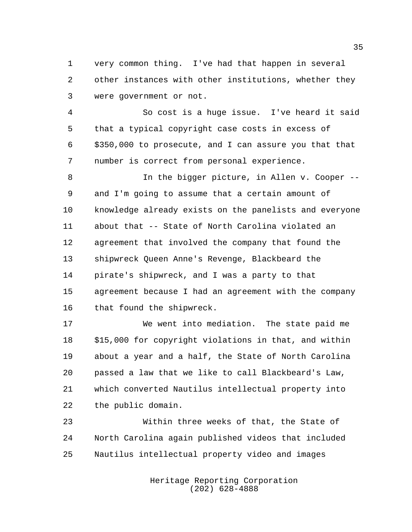very common thing. I've had that happen in several other instances with other institutions, whether they were government or not.

 So cost is a huge issue. I've heard it said that a typical copyright case costs in excess of \$350,000 to prosecute, and I can assure you that that number is correct from personal experience.

8 In the bigger picture, in Allen v. Cooper -- and I'm going to assume that a certain amount of knowledge already exists on the panelists and everyone about that -- State of North Carolina violated an agreement that involved the company that found the shipwreck Queen Anne's Revenge, Blackbeard the pirate's shipwreck, and I was a party to that agreement because I had an agreement with the company that found the shipwreck.

 We went into mediation. The state paid me \$15,000 for copyright violations in that, and within about a year and a half, the State of North Carolina passed a law that we like to call Blackbeard's Law, which converted Nautilus intellectual property into the public domain.

 Within three weeks of that, the State of North Carolina again published videos that included Nautilus intellectual property video and images

> Heritage Reporting Corporation (202) 628-4888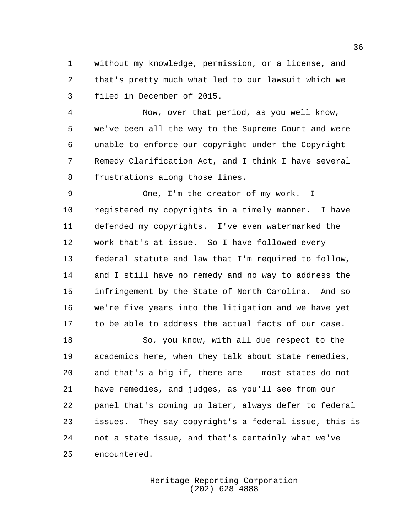without my knowledge, permission, or a license, and that's pretty much what led to our lawsuit which we filed in December of 2015.

 Now, over that period, as you well know, we've been all the way to the Supreme Court and were unable to enforce our copyright under the Copyright Remedy Clarification Act, and I think I have several frustrations along those lines.

 One, I'm the creator of my work. I registered my copyrights in a timely manner. I have defended my copyrights. I've even watermarked the work that's at issue. So I have followed every federal statute and law that I'm required to follow, and I still have no remedy and no way to address the infringement by the State of North Carolina. And so we're five years into the litigation and we have yet to be able to address the actual facts of our case.

 So, you know, with all due respect to the academics here, when they talk about state remedies, and that's a big if, there are -- most states do not have remedies, and judges, as you'll see from our panel that's coming up later, always defer to federal issues. They say copyright's a federal issue, this is not a state issue, and that's certainly what we've encountered.

> Heritage Reporting Corporation (202) 628-4888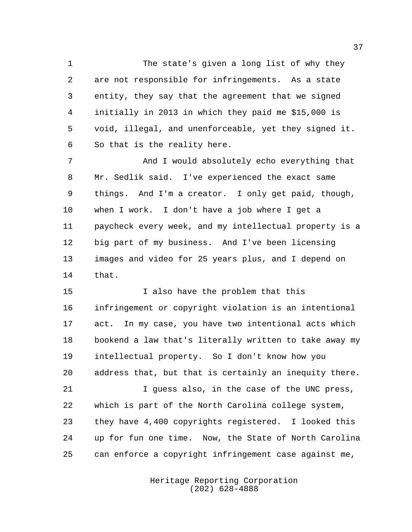The state's given a long list of why they are not responsible for infringements. As a state entity, they say that the agreement that we signed initially in 2013 in which they paid me \$15,000 is void, illegal, and unenforceable, yet they signed it. So that is the reality here.

 And I would absolutely echo everything that Mr. Sedlik said. I've experienced the exact same things. And I'm a creator. I only get paid, though, when I work. I don't have a job where I get a paycheck every week, and my intellectual property is a big part of my business. And I've been licensing images and video for 25 years plus, and I depend on that.

15 I also have the problem that this infringement or copyright violation is an intentional act. In my case, you have two intentional acts which bookend a law that's literally written to take away my intellectual property. So I don't know how you address that, but that is certainly an inequity there.

 I guess also, in the case of the UNC press, which is part of the North Carolina college system, they have 4,400 copyrights registered. I looked this up for fun one time. Now, the State of North Carolina can enforce a copyright infringement case against me,

> Heritage Reporting Corporation (202) 628-4888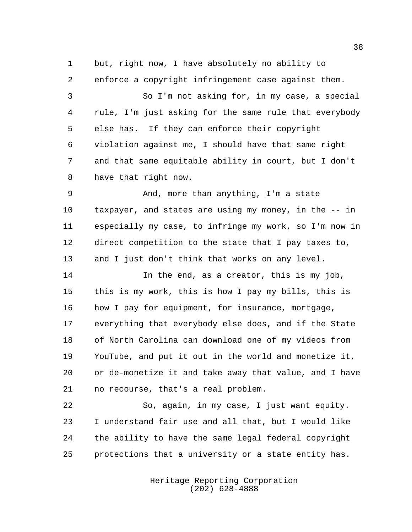but, right now, I have absolutely no ability to enforce a copyright infringement case against them.

 So I'm not asking for, in my case, a special rule, I'm just asking for the same rule that everybody else has. If they can enforce their copyright violation against me, I should have that same right and that same equitable ability in court, but I don't have that right now.

 And, more than anything, I'm a state taxpayer, and states are using my money, in the -- in especially my case, to infringe my work, so I'm now in direct competition to the state that I pay taxes to, and I just don't think that works on any level.

 In the end, as a creator, this is my job, this is my work, this is how I pay my bills, this is 16 how I pay for equipment, for insurance, mortgage, everything that everybody else does, and if the State of North Carolina can download one of my videos from YouTube, and put it out in the world and monetize it, or de-monetize it and take away that value, and I have no recourse, that's a real problem.

 So, again, in my case, I just want equity. I understand fair use and all that, but I would like the ability to have the same legal federal copyright protections that a university or a state entity has.

> Heritage Reporting Corporation (202) 628-4888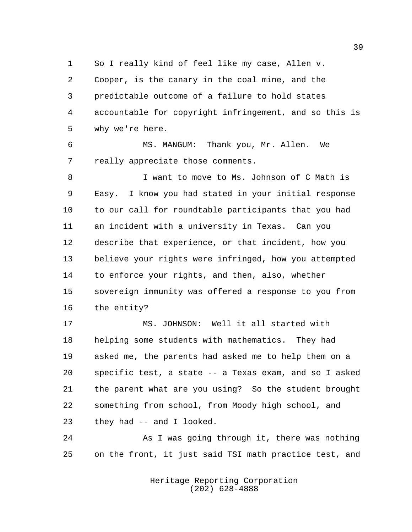So I really kind of feel like my case, Allen v. Cooper, is the canary in the coal mine, and the predictable outcome of a failure to hold states accountable for copyright infringement, and so this is why we're here.

 MS. MANGUM: Thank you, Mr. Allen. We really appreciate those comments.

8 I want to move to Ms. Johnson of C Math is Easy. I know you had stated in your initial response to our call for roundtable participants that you had an incident with a university in Texas. Can you describe that experience, or that incident, how you believe your rights were infringed, how you attempted to enforce your rights, and then, also, whether sovereign immunity was offered a response to you from the entity?

 MS. JOHNSON: Well it all started with helping some students with mathematics. They had asked me, the parents had asked me to help them on a specific test, a state -- a Texas exam, and so I asked the parent what are you using? So the student brought something from school, from Moody high school, and they had -- and I looked.

24 As I was going through it, there was nothing on the front, it just said TSI math practice test, and

> Heritage Reporting Corporation (202) 628-4888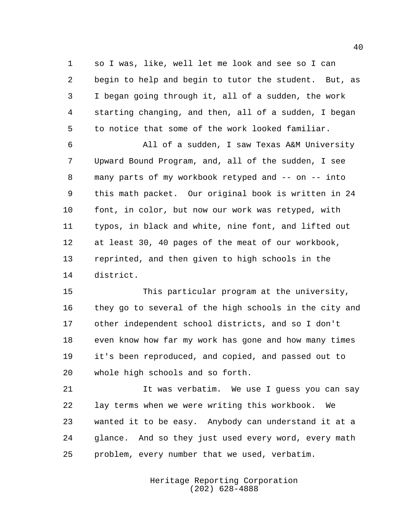so I was, like, well let me look and see so I can begin to help and begin to tutor the student. But, as I began going through it, all of a sudden, the work starting changing, and then, all of a sudden, I began to notice that some of the work looked familiar.

 All of a sudden, I saw Texas A&M University Upward Bound Program, and, all of the sudden, I see many parts of my workbook retyped and -- on -- into this math packet. Our original book is written in 24 font, in color, but now our work was retyped, with typos, in black and white, nine font, and lifted out at least 30, 40 pages of the meat of our workbook, reprinted, and then given to high schools in the district.

 This particular program at the university, they go to several of the high schools in the city and other independent school districts, and so I don't even know how far my work has gone and how many times it's been reproduced, and copied, and passed out to whole high schools and so forth.

 It was verbatim. We use I guess you can say lay terms when we were writing this workbook. We wanted it to be easy. Anybody can understand it at a glance. And so they just used every word, every math problem, every number that we used, verbatim.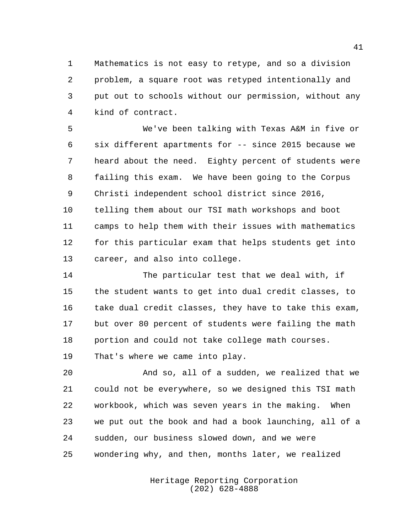Mathematics is not easy to retype, and so a division problem, a square root was retyped intentionally and put out to schools without our permission, without any kind of contract.

 We've been talking with Texas A&M in five or six different apartments for -- since 2015 because we heard about the need. Eighty percent of students were failing this exam. We have been going to the Corpus Christi independent school district since 2016, telling them about our TSI math workshops and boot camps to help them with their issues with mathematics for this particular exam that helps students get into career, and also into college.

 The particular test that we deal with, if the student wants to get into dual credit classes, to take dual credit classes, they have to take this exam, but over 80 percent of students were failing the math portion and could not take college math courses. That's where we came into play.

 And so, all of a sudden, we realized that we could not be everywhere, so we designed this TSI math workbook, which was seven years in the making. When we put out the book and had a book launching, all of a sudden, our business slowed down, and we were wondering why, and then, months later, we realized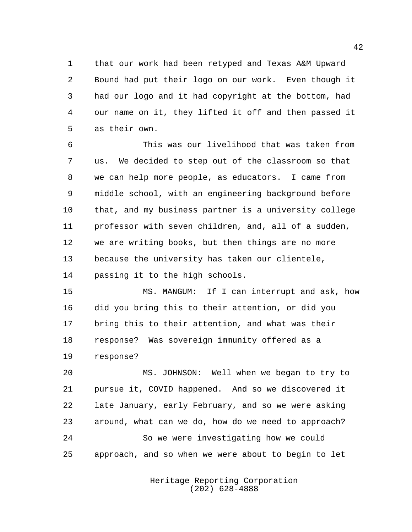that our work had been retyped and Texas A&M Upward Bound had put their logo on our work. Even though it had our logo and it had copyright at the bottom, had our name on it, they lifted it off and then passed it as their own.

 This was our livelihood that was taken from us. We decided to step out of the classroom so that we can help more people, as educators. I came from middle school, with an engineering background before that, and my business partner is a university college professor with seven children, and, all of a sudden, we are writing books, but then things are no more because the university has taken our clientele, passing it to the high schools.

 MS. MANGUM: If I can interrupt and ask, how did you bring this to their attention, or did you bring this to their attention, and what was their response? Was sovereign immunity offered as a response?

 MS. JOHNSON: Well when we began to try to pursue it, COVID happened. And so we discovered it late January, early February, and so we were asking around, what can we do, how do we need to approach? So we were investigating how we could approach, and so when we were about to begin to let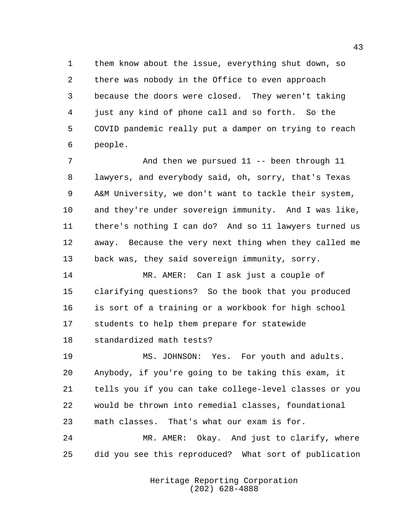them know about the issue, everything shut down, so there was nobody in the Office to even approach because the doors were closed. They weren't taking just any kind of phone call and so forth. So the COVID pandemic really put a damper on trying to reach people.

 And then we pursued 11 -- been through 11 lawyers, and everybody said, oh, sorry, that's Texas A&M University, we don't want to tackle their system, and they're under sovereign immunity. And I was like, there's nothing I can do? And so 11 lawyers turned us away. Because the very next thing when they called me back was, they said sovereign immunity, sorry.

 MR. AMER: Can I ask just a couple of clarifying questions? So the book that you produced is sort of a training or a workbook for high school students to help them prepare for statewide standardized math tests?

 MS. JOHNSON: Yes. For youth and adults. Anybody, if you're going to be taking this exam, it tells you if you can take college-level classes or you would be thrown into remedial classes, foundational math classes. That's what our exam is for.

 MR. AMER: Okay. And just to clarify, where did you see this reproduced? What sort of publication

> Heritage Reporting Corporation (202) 628-4888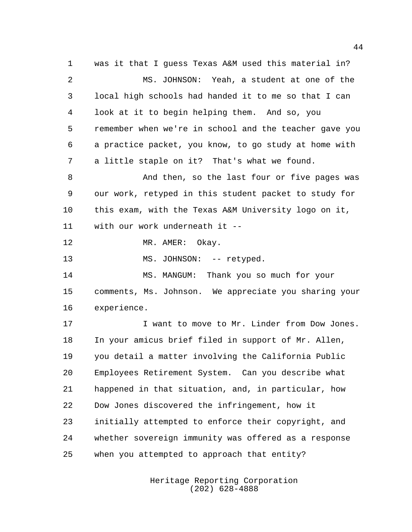was it that I guess Texas A&M used this material in? MS. JOHNSON: Yeah, a student at one of the local high schools had handed it to me so that I can look at it to begin helping them. And so, you remember when we're in school and the teacher gave you a practice packet, you know, to go study at home with a little staple on it? That's what we found. And then, so the last four or five pages was our work, retyped in this student packet to study for this exam, with the Texas A&M University logo on it, with our work underneath it -- 12 MR. AMER: Okay. 13 MS. JOHNSON: -- retyped. MS. MANGUM: Thank you so much for your comments, Ms. Johnson. We appreciate you sharing your experience. I want to move to Mr. Linder from Dow Jones. In your amicus brief filed in support of Mr. Allen, you detail a matter involving the California Public Employees Retirement System. Can you describe what happened in that situation, and, in particular, how Dow Jones discovered the infringement, how it initially attempted to enforce their copyright, and

when you attempted to approach that entity?

whether sovereign immunity was offered as a response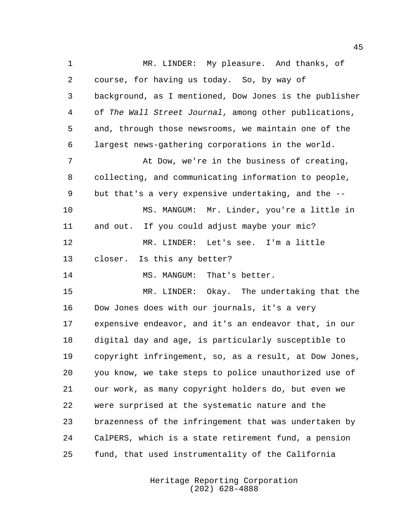MR. LINDER: My pleasure. And thanks, of course, for having us today. So, by way of background, as I mentioned, Dow Jones is the publisher of The Wall Street Journal, among other publications, and, through those newsrooms, we maintain one of the largest news-gathering corporations in the world. At Dow, we're in the business of creating, collecting, and communicating information to people, but that's a very expensive undertaking, and the -- MS. MANGUM: Mr. Linder, you're a little in and out. If you could adjust maybe your mic? MR. LINDER: Let's see. I'm a little closer. Is this any better? MS. MANGUM: That's better. MR. LINDER: Okay. The undertaking that the Dow Jones does with our journals, it's a very expensive endeavor, and it's an endeavor that, in our digital day and age, is particularly susceptible to copyright infringement, so, as a result, at Dow Jones, you know, we take steps to police unauthorized use of our work, as many copyright holders do, but even we were surprised at the systematic nature and the brazenness of the infringement that was undertaken by CalPERS, which is a state retirement fund, a pension fund, that used instrumentality of the California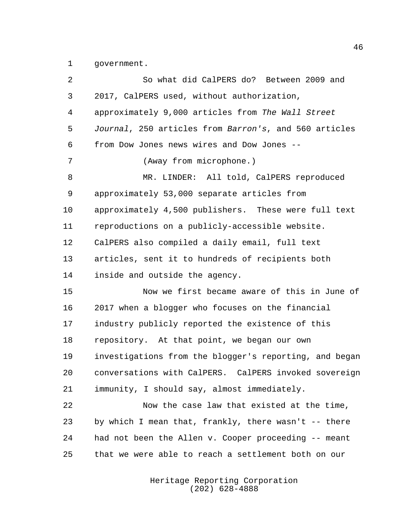government.

| 2  | So what did CalPERS do? Between 2009 and               |
|----|--------------------------------------------------------|
| 3  | 2017, CalPERS used, without authorization,             |
| 4  | approximately 9,000 articles from The Wall Street      |
| 5  | Journal, 250 articles from Barron's, and 560 articles  |
| 6  | from Dow Jones news wires and Dow Jones --             |
| 7  | (Away from microphone.)                                |
| 8  | MR. LINDER: All told, CalPERS reproduced               |
| 9  | approximately 53,000 separate articles from            |
| 10 | approximately 4,500 publishers. These were full text   |
| 11 | reproductions on a publicly-accessible website.        |
| 12 | CalPERS also compiled a daily email, full text         |
| 13 | articles, sent it to hundreds of recipients both       |
| 14 | inside and outside the agency.                         |
| 15 | Now we first became aware of this in June of           |
| 16 | 2017 when a blogger who focuses on the financial       |
| 17 | industry publicly reported the existence of this       |
| 18 | repository. At that point, we began our own            |
| 19 | investigations from the blogger's reporting, and began |
| 20 | conversations with CalPERS. CalPERS invoked sovereign  |
| 21 | immunity, I should say, almost immediately.            |
| 22 | Now the case law that existed at the time,             |
| 23 | by which I mean that, frankly, there wasn't -- there   |
| 24 | had not been the Allen v. Cooper proceeding -- meant   |
| 25 | that we were able to reach a settlement both on our    |
|    |                                                        |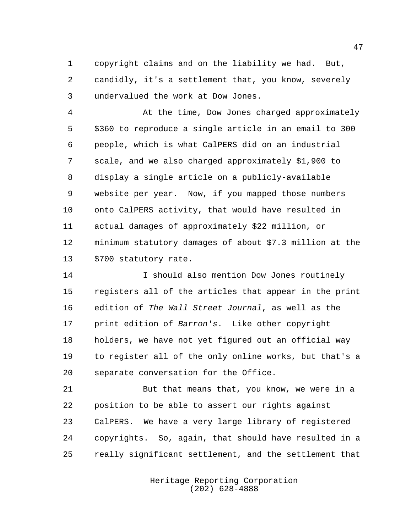copyright claims and on the liability we had. But, candidly, it's a settlement that, you know, severely undervalued the work at Dow Jones.

 At the time, Dow Jones charged approximately \$360 to reproduce a single article in an email to 300 people, which is what CalPERS did on an industrial scale, and we also charged approximately \$1,900 to display a single article on a publicly-available website per year. Now, if you mapped those numbers onto CalPERS activity, that would have resulted in actual damages of approximately \$22 million, or minimum statutory damages of about \$7.3 million at the \$700 statutory rate.

 I should also mention Dow Jones routinely registers all of the articles that appear in the print 16 edition of The Wall Street Journal, as well as the print edition of Barron's. Like other copyright holders, we have not yet figured out an official way to register all of the only online works, but that's a separate conversation for the Office.

 But that means that, you know, we were in a position to be able to assert our rights against CalPERS. We have a very large library of registered copyrights. So, again, that should have resulted in a really significant settlement, and the settlement that

> Heritage Reporting Corporation (202) 628-4888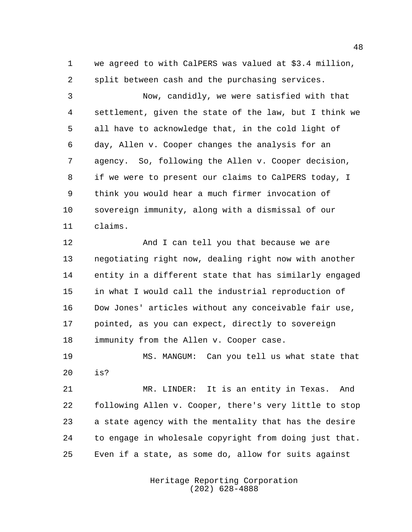we agreed to with CalPERS was valued at \$3.4 million, split between cash and the purchasing services.

 Now, candidly, we were satisfied with that settlement, given the state of the law, but I think we all have to acknowledge that, in the cold light of day, Allen v. Cooper changes the analysis for an agency. So, following the Allen v. Cooper decision, if we were to present our claims to CalPERS today, I think you would hear a much firmer invocation of sovereign immunity, along with a dismissal of our claims.

12 And I can tell you that because we are negotiating right now, dealing right now with another entity in a different state that has similarly engaged in what I would call the industrial reproduction of Dow Jones' articles without any conceivable fair use, pointed, as you can expect, directly to sovereign 18 immunity from the Allen v. Cooper case.

 MS. MANGUM: Can you tell us what state that is?

 MR. LINDER: It is an entity in Texas. And following Allen v. Cooper, there's very little to stop a state agency with the mentality that has the desire to engage in wholesale copyright from doing just that. Even if a state, as some do, allow for suits against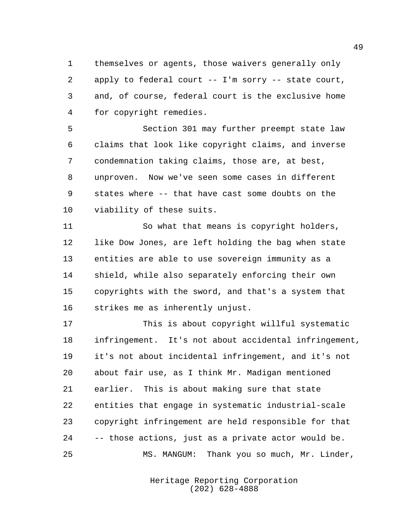themselves or agents, those waivers generally only apply to federal court -- I'm sorry -- state court, and, of course, federal court is the exclusive home for copyright remedies.

 Section 301 may further preempt state law claims that look like copyright claims, and inverse condemnation taking claims, those are, at best, unproven. Now we've seen some cases in different states where -- that have cast some doubts on the viability of these suits.

 So what that means is copyright holders, like Dow Jones, are left holding the bag when state entities are able to use sovereign immunity as a shield, while also separately enforcing their own copyrights with the sword, and that's a system that strikes me as inherently unjust.

 This is about copyright willful systematic infringement. It's not about accidental infringement, it's not about incidental infringement, and it's not about fair use, as I think Mr. Madigan mentioned earlier. This is about making sure that state entities that engage in systematic industrial-scale copyright infringement are held responsible for that -- those actions, just as a private actor would be. MS. MANGUM: Thank you so much, Mr. Linder,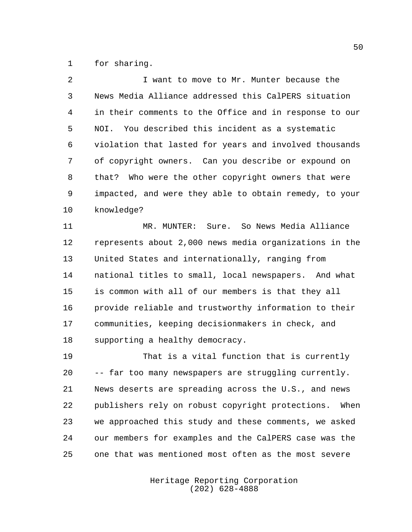for sharing.

| 2  | I want to move to Mr. Munter because the               |
|----|--------------------------------------------------------|
| 3  | News Media Alliance addressed this CalPERS situation   |
| 4  | in their comments to the Office and in response to our |
| 5  | NOI. You described this incident as a systematic       |
| 6  | violation that lasted for years and involved thousands |
| 7  | of copyright owners. Can you describe or expound on    |
| 8  | that? Who were the other copyright owners that were    |
| 9  | impacted, and were they able to obtain remedy, to your |
| 10 | knowledge?                                             |
|    |                                                        |

 MR. MUNTER: Sure. So News Media Alliance represents about 2,000 news media organizations in the United States and internationally, ranging from national titles to small, local newspapers. And what is common with all of our members is that they all provide reliable and trustworthy information to their communities, keeping decisionmakers in check, and supporting a healthy democracy.

 That is a vital function that is currently -- far too many newspapers are struggling currently. News deserts are spreading across the U.S., and news publishers rely on robust copyright protections. When we approached this study and these comments, we asked our members for examples and the CalPERS case was the one that was mentioned most often as the most severe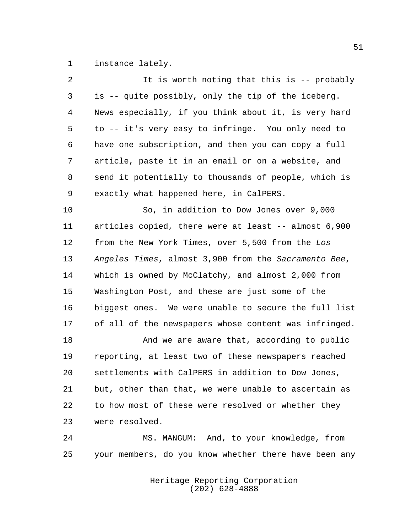instance lately.

| 2              | It is worth noting that this is -- probably           |
|----------------|-------------------------------------------------------|
| 3              | is -- quite possibly, only the tip of the iceberg.    |
| $\overline{4}$ | News especially, if you think about it, is very hard  |
| 5              | to -- it's very easy to infringe. You only need to    |
| 6              | have one subscription, and then you can copy a full   |
| 7              | article, paste it in an email or on a website, and    |
| 8              | send it potentially to thousands of people, which is  |
| 9              | exactly what happened here, in CalPERS.               |
| 10             | So, in addition to Dow Jones over 9,000               |
| 11             | articles copied, there were at least -- almost 6,900  |
| 12             | from the New York Times, over 5,500 from the Los      |
| 13             | Angeles Times, almost 3,900 from the Sacramento Bee,  |
| 14             | which is owned by McClatchy, and almost 2,000 from    |
| 15             | Washington Post, and these are just some of the       |
| 16             | biggest ones. We were unable to secure the full list  |
| 17             | of all of the newspapers whose content was infringed. |
| 18             | And we are aware that, according to public            |
| 19             | reporting, at least two of these newspapers reached   |
| 20             | settlements with CalPERS in addition to Dow Jones,    |
| 21             | but, other than that, we were unable to ascertain as  |
| 22             | to how most of these were resolved or whether they    |
| 23             | were resolved.                                        |
| 24             | MS. MANGUM: And, to your knowledge, from              |
|                |                                                       |

Heritage Reporting Corporation (202) 628-4888

your members, do you know whether there have been any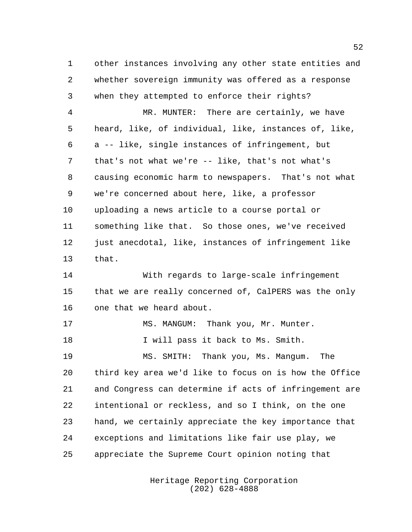other instances involving any other state entities and whether sovereign immunity was offered as a response when they attempted to enforce their rights?

 MR. MUNTER: There are certainly, we have heard, like, of individual, like, instances of, like, a -- like, single instances of infringement, but that's not what we're -- like, that's not what's causing economic harm to newspapers. That's not what we're concerned about here, like, a professor uploading a news article to a course portal or something like that. So those ones, we've received just anecdotal, like, instances of infringement like that.

 With regards to large-scale infringement that we are really concerned of, CalPERS was the only one that we heard about.

17 MS. MANGUM: Thank you, Mr. Munter. 18 I will pass it back to Ms. Smith.

 MS. SMITH: Thank you, Ms. Mangum. The third key area we'd like to focus on is how the Office and Congress can determine if acts of infringement are intentional or reckless, and so I think, on the one hand, we certainly appreciate the key importance that exceptions and limitations like fair use play, we appreciate the Supreme Court opinion noting that

> Heritage Reporting Corporation (202) 628-4888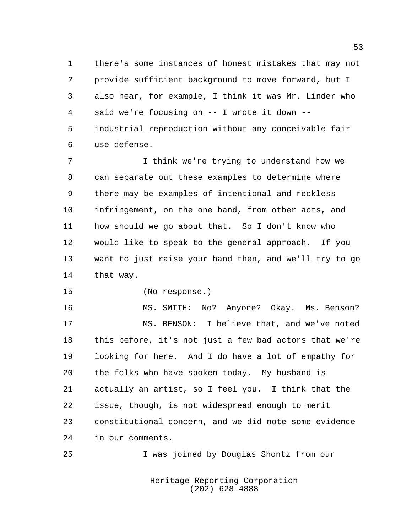there's some instances of honest mistakes that may not provide sufficient background to move forward, but I also hear, for example, I think it was Mr. Linder who said we're focusing on -- I wrote it down -- industrial reproduction without any conceivable fair use defense.

 I think we're trying to understand how we can separate out these examples to determine where there may be examples of intentional and reckless infringement, on the one hand, from other acts, and how should we go about that. So I don't know who would like to speak to the general approach. If you want to just raise your hand then, and we'll try to go that way.

(No response.)

 MS. SMITH: No? Anyone? Okay. Ms. Benson? MS. BENSON: I believe that, and we've noted this before, it's not just a few bad actors that we're looking for here. And I do have a lot of empathy for the folks who have spoken today. My husband is actually an artist, so I feel you. I think that the issue, though, is not widespread enough to merit constitutional concern, and we did note some evidence in our comments.

I was joined by Douglas Shontz from our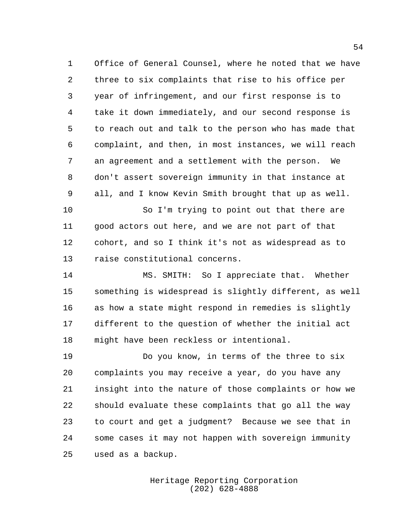Office of General Counsel, where he noted that we have three to six complaints that rise to his office per year of infringement, and our first response is to take it down immediately, and our second response is to reach out and talk to the person who has made that complaint, and then, in most instances, we will reach an agreement and a settlement with the person. We don't assert sovereign immunity in that instance at all, and I know Kevin Smith brought that up as well.

 So I'm trying to point out that there are good actors out here, and we are not part of that cohort, and so I think it's not as widespread as to raise constitutional concerns.

 MS. SMITH: So I appreciate that. Whether something is widespread is slightly different, as well as how a state might respond in remedies is slightly different to the question of whether the initial act might have been reckless or intentional.

 Do you know, in terms of the three to six complaints you may receive a year, do you have any insight into the nature of those complaints or how we should evaluate these complaints that go all the way to court and get a judgment? Because we see that in some cases it may not happen with sovereign immunity used as a backup.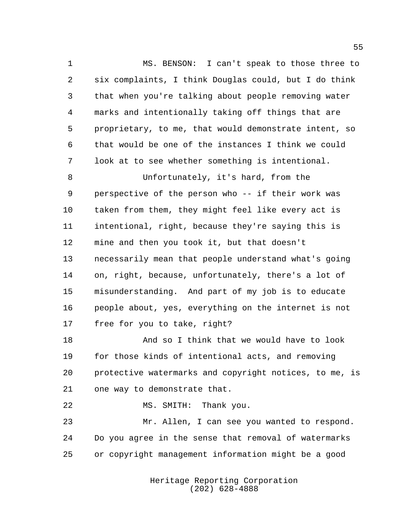MS. BENSON: I can't speak to those three to six complaints, I think Douglas could, but I do think that when you're talking about people removing water marks and intentionally taking off things that are proprietary, to me, that would demonstrate intent, so that would be one of the instances I think we could look at to see whether something is intentional.

 Unfortunately, it's hard, from the perspective of the person who -- if their work was taken from them, they might feel like every act is intentional, right, because they're saying this is mine and then you took it, but that doesn't necessarily mean that people understand what's going on, right, because, unfortunately, there's a lot of misunderstanding. And part of my job is to educate people about, yes, everything on the internet is not free for you to take, right?

 And so I think that we would have to look for those kinds of intentional acts, and removing protective watermarks and copyright notices, to me, is one way to demonstrate that.

MS. SMITH: Thank you.

 Mr. Allen, I can see you wanted to respond. Do you agree in the sense that removal of watermarks or copyright management information might be a good

> Heritage Reporting Corporation (202) 628-4888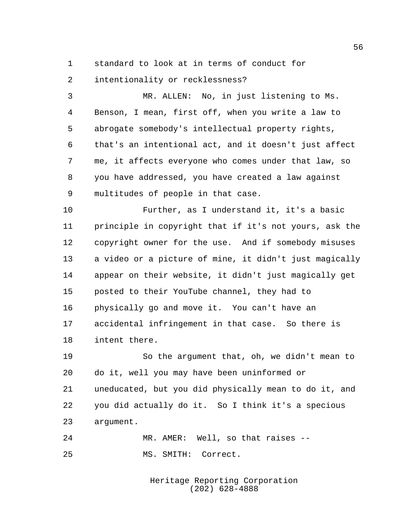standard to look at in terms of conduct for

intentionality or recklessness?

 MR. ALLEN: No, in just listening to Ms. Benson, I mean, first off, when you write a law to abrogate somebody's intellectual property rights, that's an intentional act, and it doesn't just affect me, it affects everyone who comes under that law, so you have addressed, you have created a law against multitudes of people in that case.

 Further, as I understand it, it's a basic principle in copyright that if it's not yours, ask the copyright owner for the use. And if somebody misuses a video or a picture of mine, it didn't just magically appear on their website, it didn't just magically get posted to their YouTube channel, they had to physically go and move it. You can't have an accidental infringement in that case. So there is intent there.

 So the argument that, oh, we didn't mean to do it, well you may have been uninformed or uneducated, but you did physically mean to do it, and you did actually do it. So I think it's a specious argument.

 MR. AMER: Well, so that raises -- MS. SMITH: Correct.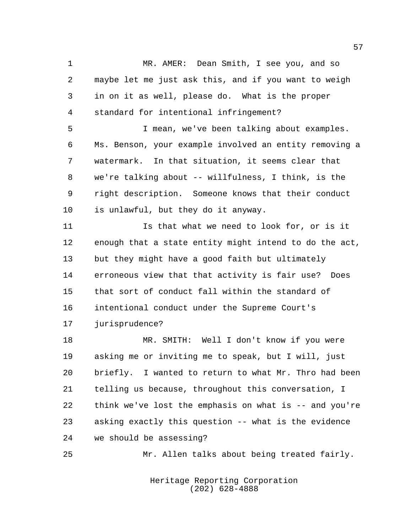MR. AMER: Dean Smith, I see you, and so maybe let me just ask this, and if you want to weigh in on it as well, please do. What is the proper standard for intentional infringement? I mean, we've been talking about examples. Ms. Benson, your example involved an entity removing a watermark. In that situation, it seems clear that we're talking about -- willfulness, I think, is the right description. Someone knows that their conduct is unlawful, but they do it anyway. Is that what we need to look for, or is it enough that a state entity might intend to do the act, but they might have a good faith but ultimately erroneous view that that activity is fair use? Does that sort of conduct fall within the standard of intentional conduct under the Supreme Court's jurisprudence? MR. SMITH: Well I don't know if you were asking me or inviting me to speak, but I will, just briefly. I wanted to return to what Mr. Thro had been telling us because, throughout this conversation, I think we've lost the emphasis on what is -- and you're asking exactly this question -- what is the evidence we should be assessing? Mr. Allen talks about being treated fairly.

> Heritage Reporting Corporation (202) 628-4888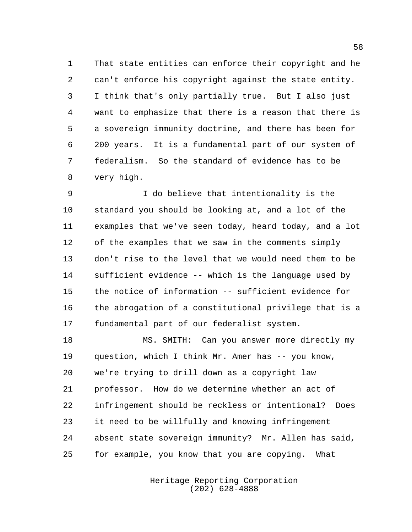That state entities can enforce their copyright and he can't enforce his copyright against the state entity. I think that's only partially true. But I also just want to emphasize that there is a reason that there is a sovereign immunity doctrine, and there has been for 200 years. It is a fundamental part of our system of federalism. So the standard of evidence has to be very high.

 I do believe that intentionality is the standard you should be looking at, and a lot of the examples that we've seen today, heard today, and a lot of the examples that we saw in the comments simply don't rise to the level that we would need them to be sufficient evidence -- which is the language used by the notice of information -- sufficient evidence for the abrogation of a constitutional privilege that is a fundamental part of our federalist system.

 MS. SMITH: Can you answer more directly my question, which I think Mr. Amer has -- you know, we're trying to drill down as a copyright law professor. How do we determine whether an act of infringement should be reckless or intentional? Does it need to be willfully and knowing infringement absent state sovereign immunity? Mr. Allen has said, for example, you know that you are copying. What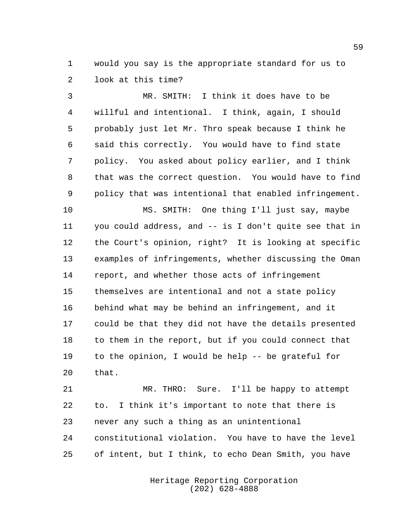would you say is the appropriate standard for us to look at this time?

 MR. SMITH: I think it does have to be willful and intentional. I think, again, I should probably just let Mr. Thro speak because I think he said this correctly. You would have to find state policy. You asked about policy earlier, and I think that was the correct question. You would have to find policy that was intentional that enabled infringement.

 MS. SMITH: One thing I'll just say, maybe you could address, and -- is I don't quite see that in the Court's opinion, right? It is looking at specific examples of infringements, whether discussing the Oman report, and whether those acts of infringement themselves are intentional and not a state policy behind what may be behind an infringement, and it could be that they did not have the details presented to them in the report, but if you could connect that to the opinion, I would be help -- be grateful for that.

 MR. THRO: Sure. I'll be happy to attempt to. I think it's important to note that there is never any such a thing as an unintentional constitutional violation. You have to have the level of intent, but I think, to echo Dean Smith, you have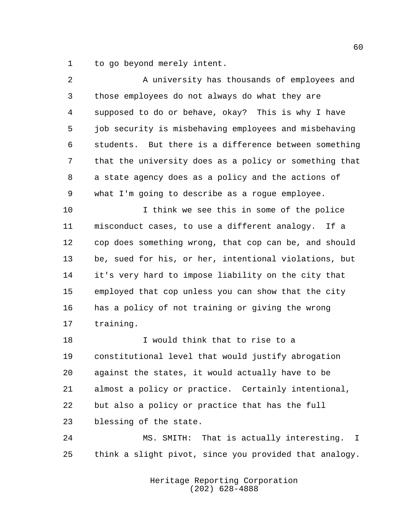to go beyond merely intent.

| $\overline{a}$ | A university has thousands of employees and            |
|----------------|--------------------------------------------------------|
| 3              | those employees do not always do what they are         |
| 4              | supposed to do or behave, okay? This is why I have     |
| 5              | job security is misbehaving employees and misbehaving  |
| 6              | students. But there is a difference between something  |
| 7              | that the university does as a policy or something that |
| 8              | a state agency does as a policy and the actions of     |
| 9              | what I'm going to describe as a rogue employee.        |
| 10             | I think we see this in some of the police              |
| 11             | misconduct cases, to use a different analogy. If a     |
| 12             | cop does something wrong, that cop can be, and should  |
| 13             | be, sued for his, or her, intentional violations, but  |
| 14             | it's very hard to impose liability on the city that    |
| 15             | employed that cop unless you can show that the city    |
| 16             | has a policy of not training or giving the wrong       |
| 17             | training.                                              |
| 18             | I would think that to rise to a                        |
| 19             | constitutional level that would justify abrogation     |

 constitutional level that would justify abrogation against the states, it would actually have to be almost a policy or practice. Certainly intentional, but also a policy or practice that has the full blessing of the state.

 MS. SMITH: That is actually interesting. I think a slight pivot, since you provided that analogy.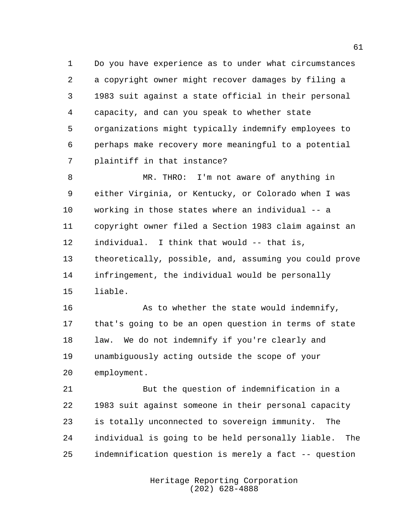Do you have experience as to under what circumstances a copyright owner might recover damages by filing a 1983 suit against a state official in their personal capacity, and can you speak to whether state organizations might typically indemnify employees to perhaps make recovery more meaningful to a potential plaintiff in that instance?

 MR. THRO: I'm not aware of anything in either Virginia, or Kentucky, or Colorado when I was working in those states where an individual -- a copyright owner filed a Section 1983 claim against an individual. I think that would -- that is, theoretically, possible, and, assuming you could prove infringement, the individual would be personally liable.

16 As to whether the state would indemnify, that's going to be an open question in terms of state 18 law. We do not indemnify if you're clearly and unambiguously acting outside the scope of your employment.

 But the question of indemnification in a 1983 suit against someone in their personal capacity is totally unconnected to sovereign immunity. The individual is going to be held personally liable. The indemnification question is merely a fact -- question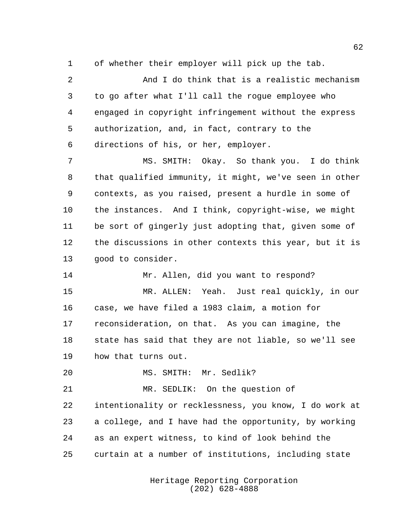of whether their employer will pick up the tab.

 And I do think that is a realistic mechanism to go after what I'll call the rogue employee who engaged in copyright infringement without the express authorization, and, in fact, contrary to the directions of his, or her, employer.

 MS. SMITH: Okay. So thank you. I do think that qualified immunity, it might, we've seen in other contexts, as you raised, present a hurdle in some of the instances. And I think, copyright-wise, we might be sort of gingerly just adopting that, given some of the discussions in other contexts this year, but it is good to consider.

Mr. Allen, did you want to respond?

 MR. ALLEN: Yeah. Just real quickly, in our case, we have filed a 1983 claim, a motion for reconsideration, on that. As you can imagine, the state has said that they are not liable, so we'll see how that turns out.

MS. SMITH: Mr. Sedlik?

 MR. SEDLIK: On the question of intentionality or recklessness, you know, I do work at a college, and I have had the opportunity, by working as an expert witness, to kind of look behind the curtain at a number of institutions, including state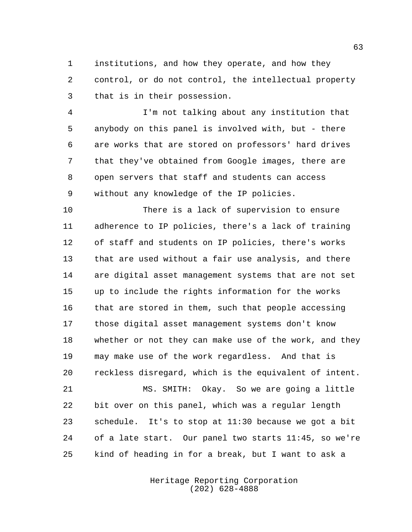institutions, and how they operate, and how they control, or do not control, the intellectual property that is in their possession.

 I'm not talking about any institution that anybody on this panel is involved with, but - there are works that are stored on professors' hard drives that they've obtained from Google images, there are open servers that staff and students can access without any knowledge of the IP policies.

 There is a lack of supervision to ensure adherence to IP policies, there's a lack of training of staff and students on IP policies, there's works that are used without a fair use analysis, and there are digital asset management systems that are not set up to include the rights information for the works that are stored in them, such that people accessing those digital asset management systems don't know whether or not they can make use of the work, and they may make use of the work regardless. And that is reckless disregard, which is the equivalent of intent.

 MS. SMITH: Okay. So we are going a little bit over on this panel, which was a regular length schedule. It's to stop at 11:30 because we got a bit of a late start. Our panel two starts 11:45, so we're kind of heading in for a break, but I want to ask a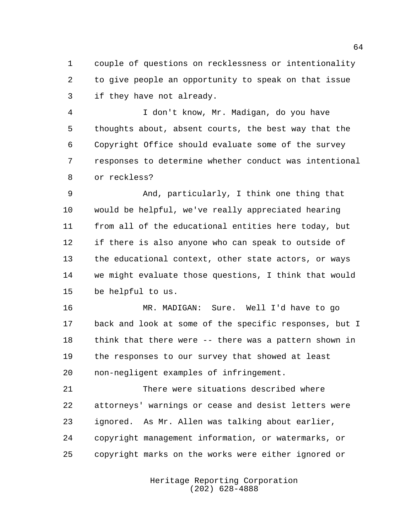couple of questions on recklessness or intentionality to give people an opportunity to speak on that issue if they have not already.

 I don't know, Mr. Madigan, do you have thoughts about, absent courts, the best way that the Copyright Office should evaluate some of the survey responses to determine whether conduct was intentional or reckless?

 And, particularly, I think one thing that would be helpful, we've really appreciated hearing from all of the educational entities here today, but if there is also anyone who can speak to outside of the educational context, other state actors, or ways we might evaluate those questions, I think that would be helpful to us.

 MR. MADIGAN: Sure. Well I'd have to go back and look at some of the specific responses, but I think that there were -- there was a pattern shown in the responses to our survey that showed at least non-negligent examples of infringement.

 There were situations described where attorneys' warnings or cease and desist letters were ignored. As Mr. Allen was talking about earlier, copyright management information, or watermarks, or copyright marks on the works were either ignored or

> Heritage Reporting Corporation (202) 628-4888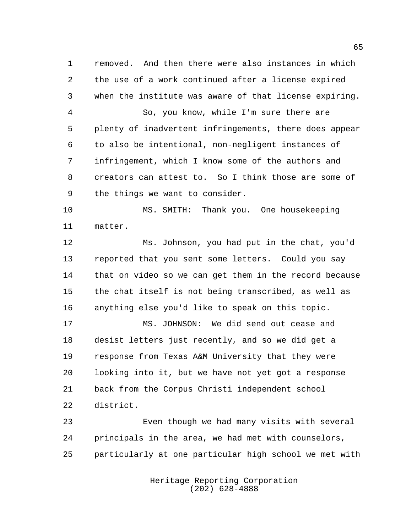removed. And then there were also instances in which the use of a work continued after a license expired when the institute was aware of that license expiring.

 So, you know, while I'm sure there are plenty of inadvertent infringements, there does appear to also be intentional, non-negligent instances of infringement, which I know some of the authors and creators can attest to. So I think those are some of the things we want to consider.

 MS. SMITH: Thank you. One housekeeping matter.

 Ms. Johnson, you had put in the chat, you'd reported that you sent some letters. Could you say that on video so we can get them in the record because the chat itself is not being transcribed, as well as anything else you'd like to speak on this topic.

 MS. JOHNSON: We did send out cease and desist letters just recently, and so we did get a response from Texas A&M University that they were looking into it, but we have not yet got a response back from the Corpus Christi independent school district.

 Even though we had many visits with several principals in the area, we had met with counselors, particularly at one particular high school we met with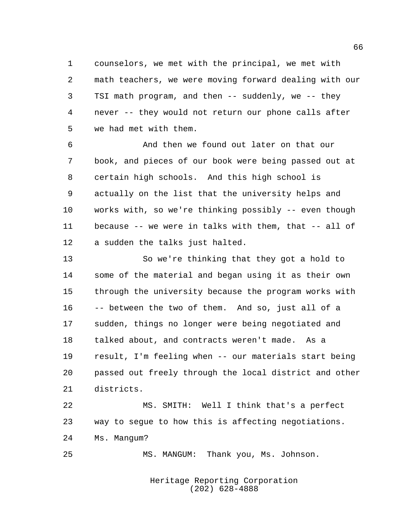counselors, we met with the principal, we met with math teachers, we were moving forward dealing with our TSI math program, and then -- suddenly, we -- they never -- they would not return our phone calls after we had met with them.

 And then we found out later on that our book, and pieces of our book were being passed out at certain high schools. And this high school is actually on the list that the university helps and works with, so we're thinking possibly -- even though because -- we were in talks with them, that -- all of a sudden the talks just halted.

 So we're thinking that they got a hold to some of the material and began using it as their own through the university because the program works with -- between the two of them. And so, just all of a sudden, things no longer were being negotiated and talked about, and contracts weren't made. As a result, I'm feeling when -- our materials start being passed out freely through the local district and other districts.

 MS. SMITH: Well I think that's a perfect way to segue to how this is affecting negotiations. Ms. Mangum?

MS. MANGUM: Thank you, Ms. Johnson.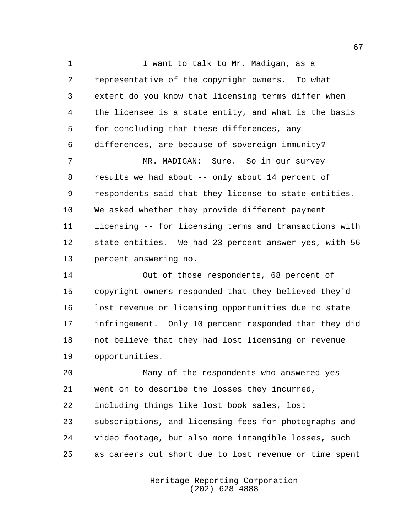1 I want to talk to Mr. Madigan, as a representative of the copyright owners. To what extent do you know that licensing terms differ when the licensee is a state entity, and what is the basis for concluding that these differences, any differences, are because of sovereign immunity? MR. MADIGAN: Sure. So in our survey results we had about -- only about 14 percent of respondents said that they license to state entities. We asked whether they provide different payment licensing -- for licensing terms and transactions with state entities. We had 23 percent answer yes, with 56 percent answering no.

 Out of those respondents, 68 percent of copyright owners responded that they believed they'd lost revenue or licensing opportunities due to state infringement. Only 10 percent responded that they did not believe that they had lost licensing or revenue opportunities.

 Many of the respondents who answered yes went on to describe the losses they incurred, including things like lost book sales, lost subscriptions, and licensing fees for photographs and video footage, but also more intangible losses, such as careers cut short due to lost revenue or time spent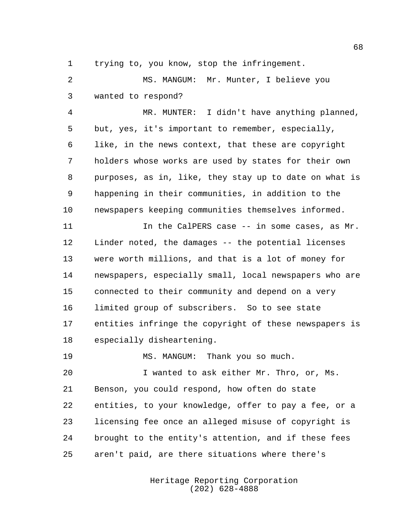trying to, you know, stop the infringement.

 MS. MANGUM: Mr. Munter, I believe you wanted to respond?

 MR. MUNTER: I didn't have anything planned, but, yes, it's important to remember, especially, like, in the news context, that these are copyright holders whose works are used by states for their own purposes, as in, like, they stay up to date on what is happening in their communities, in addition to the newspapers keeping communities themselves informed.

11 11 In the CalPERS case -- in some cases, as Mr. Linder noted, the damages -- the potential licenses were worth millions, and that is a lot of money for newspapers, especially small, local newspapers who are connected to their community and depend on a very limited group of subscribers. So to see state entities infringe the copyright of these newspapers is especially disheartening.

19 MS. MANGUM: Thank you so much.

 I wanted to ask either Mr. Thro, or, Ms. Benson, you could respond, how often do state entities, to your knowledge, offer to pay a fee, or a licensing fee once an alleged misuse of copyright is brought to the entity's attention, and if these fees aren't paid, are there situations where there's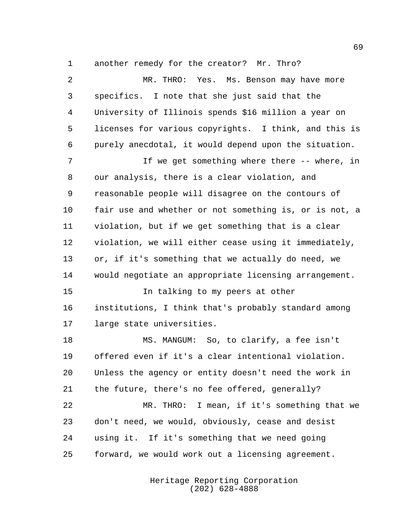another remedy for the creator? Mr. Thro?

 MR. THRO: Yes. Ms. Benson may have more specifics. I note that she just said that the University of Illinois spends \$16 million a year on licenses for various copyrights. I think, and this is purely anecdotal, it would depend upon the situation. If we get something where there -- where, in our analysis, there is a clear violation, and reasonable people will disagree on the contours of fair use and whether or not something is, or is not, a violation, but if we get something that is a clear violation, we will either cease using it immediately, or, if it's something that we actually do need, we would negotiate an appropriate licensing arrangement. In talking to my peers at other institutions, I think that's probably standard among large state universities. MS. MANGUM: So, to clarify, a fee isn't offered even if it's a clear intentional violation. Unless the agency or entity doesn't need the work in the future, there's no fee offered, generally? MR. THRO: I mean, if it's something that we don't need, we would, obviously, cease and desist using it. If it's something that we need going forward, we would work out a licensing agreement.

> Heritage Reporting Corporation (202) 628-4888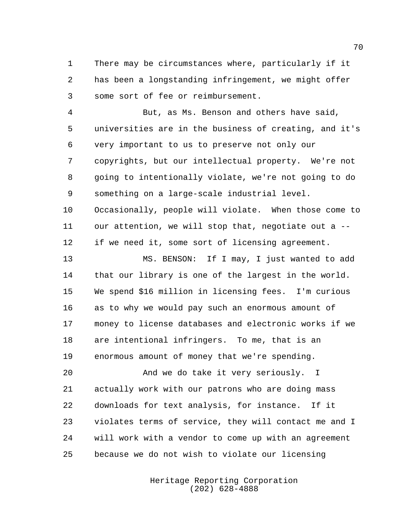There may be circumstances where, particularly if it has been a longstanding infringement, we might offer some sort of fee or reimbursement.

 But, as Ms. Benson and others have said, universities are in the business of creating, and it's very important to us to preserve not only our copyrights, but our intellectual property. We're not going to intentionally violate, we're not going to do something on a large-scale industrial level. Occasionally, people will violate. When those come to our attention, we will stop that, negotiate out a -- if we need it, some sort of licensing agreement.

 MS. BENSON: If I may, I just wanted to add that our library is one of the largest in the world. We spend \$16 million in licensing fees. I'm curious as to why we would pay such an enormous amount of money to license databases and electronic works if we are intentional infringers. To me, that is an enormous amount of money that we're spending.

20 And we do take it very seriously. I actually work with our patrons who are doing mass downloads for text analysis, for instance. If it violates terms of service, they will contact me and I will work with a vendor to come up with an agreement because we do not wish to violate our licensing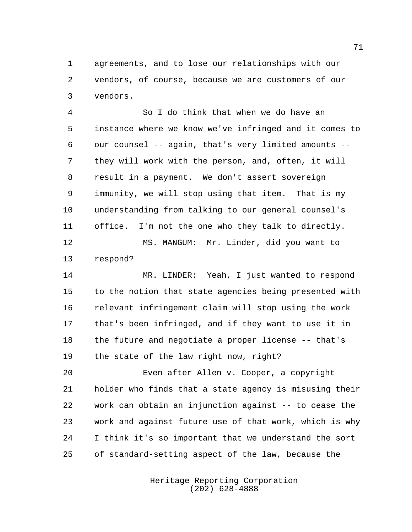agreements, and to lose our relationships with our vendors, of course, because we are customers of our vendors.

 So I do think that when we do have an instance where we know we've infringed and it comes to our counsel -- again, that's very limited amounts -- they will work with the person, and, often, it will result in a payment. We don't assert sovereign immunity, we will stop using that item. That is my understanding from talking to our general counsel's office. I'm not the one who they talk to directly.

 MS. MANGUM: Mr. Linder, did you want to respond?

 MR. LINDER: Yeah, I just wanted to respond to the notion that state agencies being presented with relevant infringement claim will stop using the work that's been infringed, and if they want to use it in the future and negotiate a proper license -- that's the state of the law right now, right?

 Even after Allen v. Cooper, a copyright holder who finds that a state agency is misusing their work can obtain an injunction against -- to cease the work and against future use of that work, which is why I think it's so important that we understand the sort of standard-setting aspect of the law, because the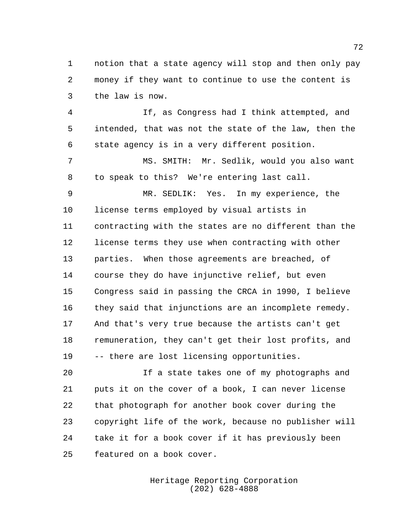notion that a state agency will stop and then only pay money if they want to continue to use the content is the law is now.

 If, as Congress had I think attempted, and intended, that was not the state of the law, then the state agency is in a very different position.

 MS. SMITH: Mr. Sedlik, would you also want to speak to this? We're entering last call.

 MR. SEDLIK: Yes. In my experience, the license terms employed by visual artists in contracting with the states are no different than the license terms they use when contracting with other parties. When those agreements are breached, of course they do have injunctive relief, but even Congress said in passing the CRCA in 1990, I believe they said that injunctions are an incomplete remedy. And that's very true because the artists can't get remuneration, they can't get their lost profits, and -- there are lost licensing opportunities.

 If a state takes one of my photographs and puts it on the cover of a book, I can never license that photograph for another book cover during the copyright life of the work, because no publisher will take it for a book cover if it has previously been featured on a book cover.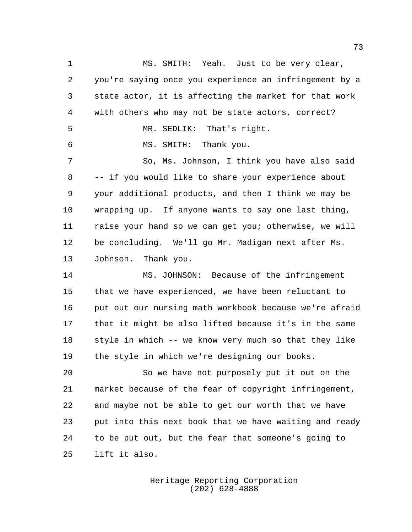MS. SMITH: Yeah. Just to be very clear, you're saying once you experience an infringement by a state actor, it is affecting the market for that work with others who may not be state actors, correct? MR. SEDLIK: That's right. MS. SMITH: Thank you. 7 So, Ms. Johnson, I think you have also said -- if you would like to share your experience about your additional products, and then I think we may be wrapping up. If anyone wants to say one last thing, raise your hand so we can get you; otherwise, we will be concluding. We'll go Mr. Madigan next after Ms. Johnson. Thank you.

 MS. JOHNSON: Because of the infringement that we have experienced, we have been reluctant to put out our nursing math workbook because we're afraid that it might be also lifted because it's in the same style in which -- we know very much so that they like the style in which we're designing our books.

 So we have not purposely put it out on the market because of the fear of copyright infringement, and maybe not be able to get our worth that we have put into this next book that we have waiting and ready to be put out, but the fear that someone's going to lift it also.

> Heritage Reporting Corporation (202) 628-4888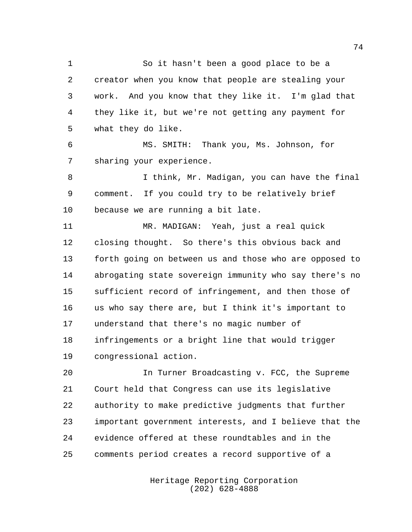So it hasn't been a good place to be a creator when you know that people are stealing your work. And you know that they like it. I'm glad that they like it, but we're not getting any payment for what they do like.

 MS. SMITH: Thank you, Ms. Johnson, for sharing your experience.

8 I think, Mr. Madigan, you can have the final comment. If you could try to be relatively brief because we are running a bit late.

 MR. MADIGAN: Yeah, just a real quick closing thought. So there's this obvious back and forth going on between us and those who are opposed to abrogating state sovereign immunity who say there's no sufficient record of infringement, and then those of us who say there are, but I think it's important to understand that there's no magic number of infringements or a bright line that would trigger congressional action.

 In Turner Broadcasting v. FCC, the Supreme Court held that Congress can use its legislative authority to make predictive judgments that further important government interests, and I believe that the evidence offered at these roundtables and in the comments period creates a record supportive of a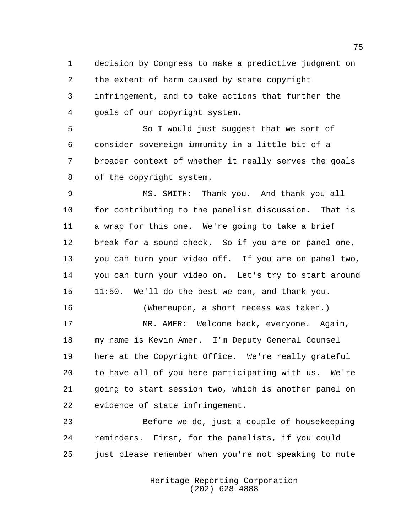decision by Congress to make a predictive judgment on the extent of harm caused by state copyright infringement, and to take actions that further the goals of our copyright system.

 So I would just suggest that we sort of consider sovereign immunity in a little bit of a broader context of whether it really serves the goals of the copyright system.

 MS. SMITH: Thank you. And thank you all for contributing to the panelist discussion. That is a wrap for this one. We're going to take a brief break for a sound check. So if you are on panel one, you can turn your video off. If you are on panel two, you can turn your video on. Let's try to start around 11:50. We'll do the best we can, and thank you.

 MR. AMER: Welcome back, everyone. Again, my name is Kevin Amer. I'm Deputy General Counsel here at the Copyright Office. We're really grateful to have all of you here participating with us. We're going to start session two, which is another panel on evidence of state infringement.

(Whereupon, a short recess was taken.)

 Before we do, just a couple of housekeeping reminders. First, for the panelists, if you could just please remember when you're not speaking to mute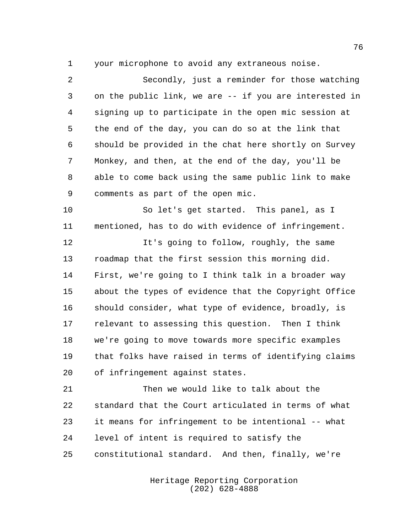your microphone to avoid any extraneous noise.

 Secondly, just a reminder for those watching on the public link, we are -- if you are interested in signing up to participate in the open mic session at the end of the day, you can do so at the link that should be provided in the chat here shortly on Survey Monkey, and then, at the end of the day, you'll be able to come back using the same public link to make comments as part of the open mic.

 So let's get started. This panel, as I mentioned, has to do with evidence of infringement.

 It's going to follow, roughly, the same roadmap that the first session this morning did. First, we're going to I think talk in a broader way about the types of evidence that the Copyright Office should consider, what type of evidence, broadly, is relevant to assessing this question. Then I think we're going to move towards more specific examples that folks have raised in terms of identifying claims of infringement against states.

 Then we would like to talk about the standard that the Court articulated in terms of what it means for infringement to be intentional -- what level of intent is required to satisfy the constitutional standard. And then, finally, we're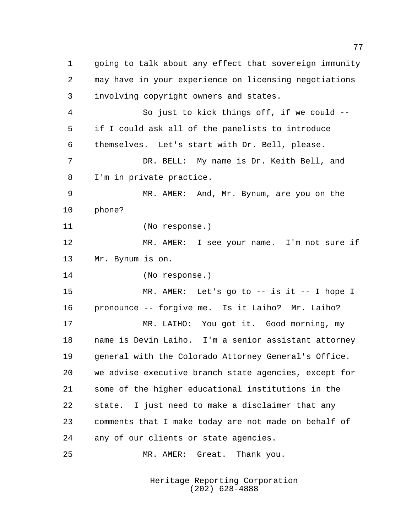going to talk about any effect that sovereign immunity may have in your experience on licensing negotiations involving copyright owners and states. So just to kick things off, if we could -- if I could ask all of the panelists to introduce themselves. Let's start with Dr. Bell, please. DR. BELL: My name is Dr. Keith Bell, and I'm in private practice. MR. AMER: And, Mr. Bynum, are you on the phone? (No response.) MR. AMER: I see your name. I'm not sure if Mr. Bynum is on. (No response.) MR. AMER: Let's go to -- is it -- I hope I pronounce -- forgive me. Is it Laiho? Mr. Laiho? MR. LAIHO: You got it. Good morning, my name is Devin Laiho. I'm a senior assistant attorney general with the Colorado Attorney General's Office. we advise executive branch state agencies, except for some of the higher educational institutions in the state. I just need to make a disclaimer that any comments that I make today are not made on behalf of any of our clients or state agencies. MR. AMER: Great. Thank you.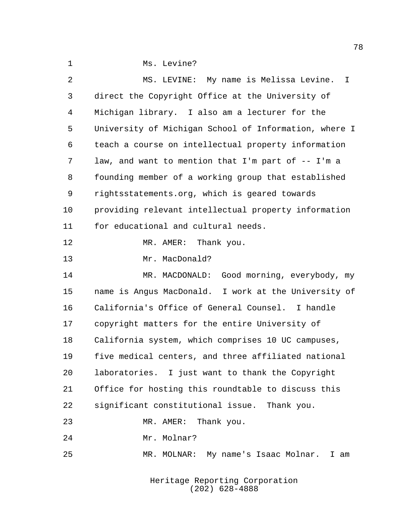|  | Ms. Levine? |
|--|-------------|
|  |             |

| 2  | MS. LEVINE: My name is Melissa Levine.<br>T.          |
|----|-------------------------------------------------------|
| 3  | direct the Copyright Office at the University of      |
| 4  | Michigan library. I also am a lecturer for the        |
| 5  | University of Michigan School of Information, where I |
| 6  | teach a course on intellectual property information   |
| 7  | law, and want to mention that I'm part of -- I'm a    |
| 8  | founding member of a working group that established   |
| 9  | rightsstatements.org, which is geared towards         |
| 10 | providing relevant intellectual property information  |
| 11 | for educational and cultural needs.                   |
| 12 | MR. AMER: Thank you.                                  |
| 13 | Mr. MacDonald?                                        |
| 14 | MR. MACDONALD: Good morning, everybody, my            |
| 15 | name is Angus MacDonald. I work at the University of  |
| 16 | California's Office of General Counsel. I handle      |
| 17 | copyright matters for the entire University of        |
| 18 | California system, which comprises 10 UC campuses,    |
| 19 | five medical centers, and three affiliated national   |
| 20 | laboratories. I just want to thank the Copyright      |
| 21 | Office for hosting this roundtable to discuss this    |
| 22 | significant constitutional issue. Thank you.          |
| 23 | Thank you.<br>MR. AMER:                               |
| 24 | Mr. Molnar?                                           |
| 25 | MR. MOLNAR: My name's Isaac Molnar. I am              |
|    |                                                       |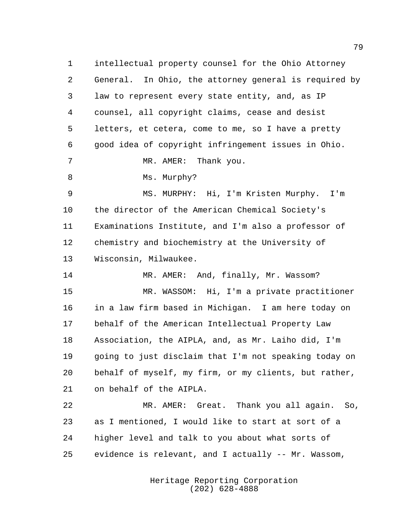intellectual property counsel for the Ohio Attorney General. In Ohio, the attorney general is required by law to represent every state entity, and, as IP counsel, all copyright claims, cease and desist letters, et cetera, come to me, so I have a pretty good idea of copyright infringement issues in Ohio. MR. AMER: Thank you. 8 Ms. Murphy? MS. MURPHY: Hi, I'm Kristen Murphy. I'm the director of the American Chemical Society's Examinations Institute, and I'm also a professor of chemistry and biochemistry at the University of Wisconsin, Milwaukee. 14 MR. AMER: And, finally, Mr. Wassom? MR. WASSOM: Hi, I'm a private practitioner in a law firm based in Michigan. I am here today on behalf of the American Intellectual Property Law Association, the AIPLA, and, as Mr. Laiho did, I'm going to just disclaim that I'm not speaking today on behalf of myself, my firm, or my clients, but rather, on behalf of the AIPLA. MR. AMER: Great. Thank you all again. So, as I mentioned, I would like to start at sort of a higher level and talk to you about what sorts of evidence is relevant, and I actually -- Mr. Wassom,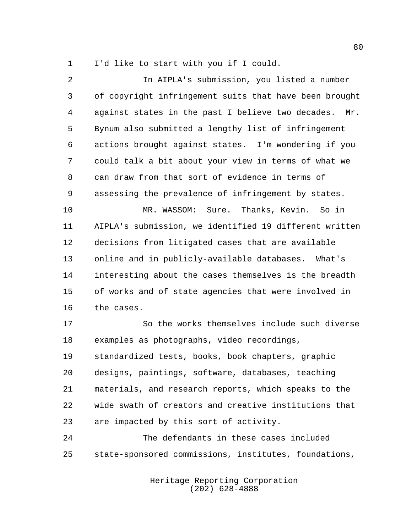I'd like to start with you if I could.

 In AIPLA's submission, you listed a number of copyright infringement suits that have been brought against states in the past I believe two decades. Mr. Bynum also submitted a lengthy list of infringement actions brought against states. I'm wondering if you could talk a bit about your view in terms of what we can draw from that sort of evidence in terms of assessing the prevalence of infringement by states. MR. WASSOM: Sure. Thanks, Kevin. So in AIPLA's submission, we identified 19 different written decisions from litigated cases that are available online and in publicly-available databases. What's interesting about the cases themselves is the breadth of works and of state agencies that were involved in the cases. So the works themselves include such diverse examples as photographs, video recordings, standardized tests, books, book chapters, graphic designs, paintings, software, databases, teaching materials, and research reports, which speaks to the

 wide swath of creators and creative institutions that are impacted by this sort of activity.

 The defendants in these cases included state-sponsored commissions, institutes, foundations,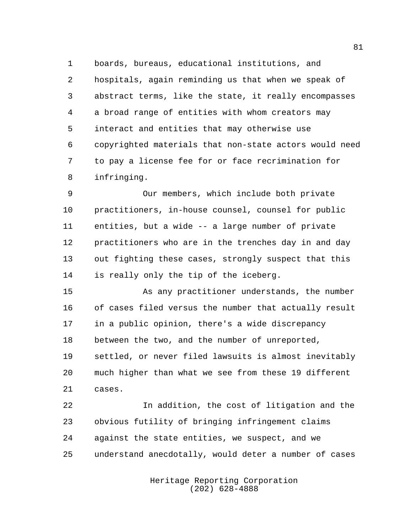boards, bureaus, educational institutions, and hospitals, again reminding us that when we speak of abstract terms, like the state, it really encompasses a broad range of entities with whom creators may interact and entities that may otherwise use copyrighted materials that non-state actors would need to pay a license fee for or face recrimination for infringing.

 Our members, which include both private practitioners, in-house counsel, counsel for public entities, but a wide -- a large number of private practitioners who are in the trenches day in and day out fighting these cases, strongly suspect that this is really only the tip of the iceberg.

 As any practitioner understands, the number of cases filed versus the number that actually result in a public opinion, there's a wide discrepancy between the two, and the number of unreported, settled, or never filed lawsuits is almost inevitably much higher than what we see from these 19 different cases.

 In addition, the cost of litigation and the obvious futility of bringing infringement claims against the state entities, we suspect, and we understand anecdotally, would deter a number of cases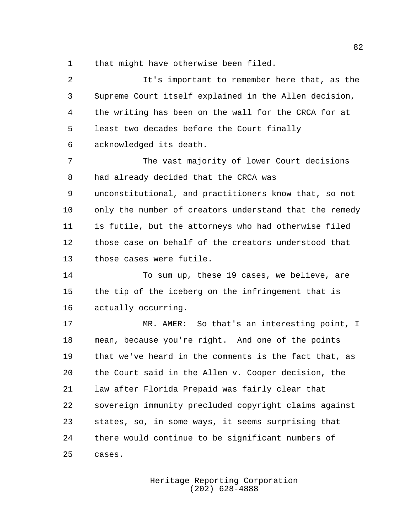that might have otherwise been filed.

| 2  | It's important to remember here that, as the           |
|----|--------------------------------------------------------|
| 3  | Supreme Court itself explained in the Allen decision,  |
| 4  | the writing has been on the wall for the CRCA for at   |
| 5  | least two decades before the Court finally             |
| 6  | acknowledged its death.                                |
| 7  | The vast majority of lower Court decisions             |
| 8  | had already decided that the CRCA was                  |
| 9  | unconstitutional, and practitioners know that, so not  |
| 10 | only the number of creators understand that the remedy |
| 11 | is futile, but the attorneys who had otherwise filed   |
| 12 | those case on behalf of the creators understood that   |
| 13 | those cases were futile.                               |
| 14 | To sum up, these 19 cases, we believe, are             |
| 15 | the tip of the iceberg on the infringement that is     |
| 16 | actually occurring.                                    |
| 17 | MR. AMER: So that's an interesting point, I            |
| 18 | mean, because you're right. And one of the points      |
| 19 | that we've heard in the comments is the fact that, as  |
| 20 | the Court said in the Allen v. Cooper decision, the    |
| 21 | law after Florida Prepaid was fairly clear that        |
| 22 | sovereign immunity precluded copyright claims against  |
| 23 | states, so, in some ways, it seems surprising that     |
| 24 | there would continue to be significant numbers of      |
| 25 | cases.                                                 |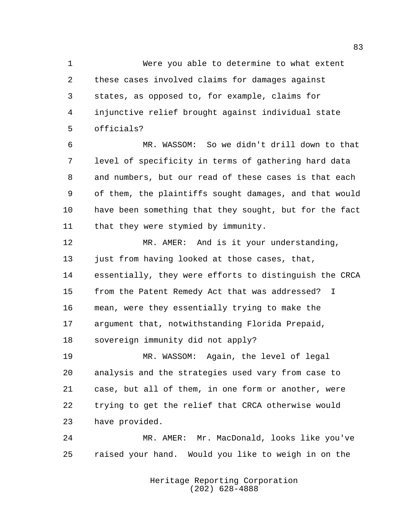Were you able to determine to what extent these cases involved claims for damages against states, as opposed to, for example, claims for injunctive relief brought against individual state officials?

 MR. WASSOM: So we didn't drill down to that level of specificity in terms of gathering hard data and numbers, but our read of these cases is that each of them, the plaintiffs sought damages, and that would have been something that they sought, but for the fact 11 that they were stymied by immunity.

 MR. AMER: And is it your understanding, 13 just from having looked at those cases, that, essentially, they were efforts to distinguish the CRCA from the Patent Remedy Act that was addressed? I mean, were they essentially trying to make the argument that, notwithstanding Florida Prepaid, sovereign immunity did not apply?

 MR. WASSOM: Again, the level of legal analysis and the strategies used vary from case to case, but all of them, in one form or another, were trying to get the relief that CRCA otherwise would have provided.

 MR. AMER: Mr. MacDonald, looks like you've raised your hand. Would you like to weigh in on the

> Heritage Reporting Corporation (202) 628-4888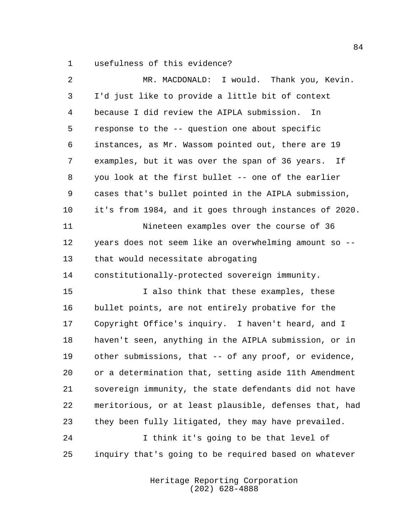usefulness of this evidence?

| 2  | MR. MACDONALD: I would. Thank you, Kevin.              |
|----|--------------------------------------------------------|
| 3  | I'd just like to provide a little bit of context       |
| 4  | because I did review the AIPLA submission.<br>In.      |
| 5  | response to the -- question one about specific         |
| 6  | instances, as Mr. Wassom pointed out, there are 19     |
| 7  | examples, but it was over the span of 36 years.<br>If  |
| 8  | you look at the first bullet -- one of the earlier     |
| 9  | cases that's bullet pointed in the AIPLA submission,   |
| 10 | it's from 1984, and it goes through instances of 2020. |
| 11 | Nineteen examples over the course of 36                |
| 12 | years does not seem like an overwhelming amount so --  |
| 13 | that would necessitate abrogating                      |
| 14 | constitutionally-protected sovereign immunity.         |
| 15 | I also think that these examples, these                |
| 16 | bullet points, are not entirely probative for the      |
| 17 | Copyright Office's inquiry. I haven't heard, and I     |
| 18 | haven't seen, anything in the AIPLA submission, or in  |
| 19 | other submissions, that -- of any proof, or evidence,  |
| 20 | or a determination that, setting aside 11th Amendment  |
| 21 | sovereign immunity, the state defendants did not have  |
| 22 | meritorious, or at least plausible, defenses that, had |
| 23 | they been fully litigated, they may have prevailed.    |
| 24 | I think it's going to be that level of                 |
| 25 | inquiry that's going to be required based on whatever  |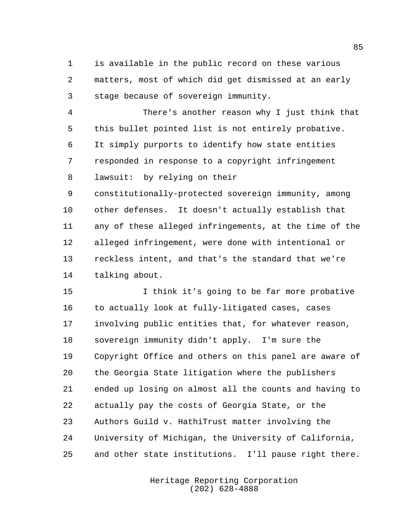is available in the public record on these various matters, most of which did get dismissed at an early stage because of sovereign immunity.

 There's another reason why I just think that this bullet pointed list is not entirely probative. It simply purports to identify how state entities responded in response to a copyright infringement lawsuit: by relying on their

 constitutionally-protected sovereign immunity, among other defenses. It doesn't actually establish that any of these alleged infringements, at the time of the alleged infringement, were done with intentional or reckless intent, and that's the standard that we're talking about.

 I think it's going to be far more probative 16 to actually look at fully-litigated cases, cases involving public entities that, for whatever reason, sovereign immunity didn't apply. I'm sure the Copyright Office and others on this panel are aware of the Georgia State litigation where the publishers ended up losing on almost all the counts and having to actually pay the costs of Georgia State, or the Authors Guild v. HathiTrust matter involving the University of Michigan, the University of California, and other state institutions. I'll pause right there.

> Heritage Reporting Corporation (202) 628-4888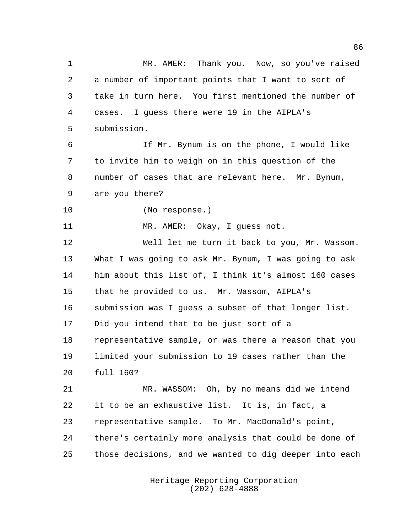MR. AMER: Thank you. Now, so you've raised a number of important points that I want to sort of take in turn here. You first mentioned the number of cases. I guess there were 19 in the AIPLA's submission. If Mr. Bynum is on the phone, I would like to invite him to weigh on in this question of the number of cases that are relevant here. Mr. Bynum, are you there? (No response.) MR. AMER: Okay, I guess not. Well let me turn it back to you, Mr. Wassom. What I was going to ask Mr. Bynum, I was going to ask him about this list of, I think it's almost 160 cases that he provided to us. Mr. Wassom, AIPLA's submission was I guess a subset of that longer list. Did you intend that to be just sort of a representative sample, or was there a reason that you limited your submission to 19 cases rather than the full 160? MR. WASSOM: Oh, by no means did we intend it to be an exhaustive list. It is, in fact, a representative sample. To Mr. MacDonald's point, there's certainly more analysis that could be done of

> Heritage Reporting Corporation (202) 628-4888

those decisions, and we wanted to dig deeper into each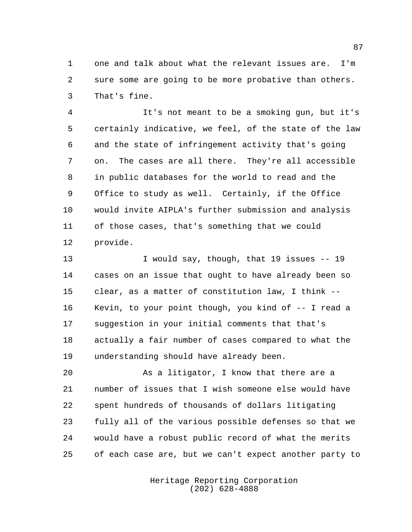one and talk about what the relevant issues are. I'm sure some are going to be more probative than others. That's fine.

 It's not meant to be a smoking gun, but it's certainly indicative, we feel, of the state of the law and the state of infringement activity that's going on. The cases are all there. They're all accessible in public databases for the world to read and the Office to study as well. Certainly, if the Office would invite AIPLA's further submission and analysis of those cases, that's something that we could provide.

13 I would say, though, that 19 issues -- 19 cases on an issue that ought to have already been so clear, as a matter of constitution law, I think -- Kevin, to your point though, you kind of -- I read a suggestion in your initial comments that that's actually a fair number of cases compared to what the understanding should have already been.

 As a litigator, I know that there are a number of issues that I wish someone else would have spent hundreds of thousands of dollars litigating fully all of the various possible defenses so that we would have a robust public record of what the merits of each case are, but we can't expect another party to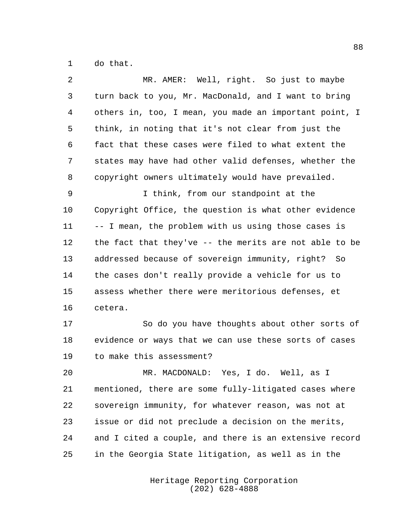do that.

| 2  | MR. AMER: Well, right. So just to maybe                |
|----|--------------------------------------------------------|
| 3  | turn back to you, Mr. MacDonald, and I want to bring   |
| 4  | others in, too, I mean, you made an important point, I |
| 5  | think, in noting that it's not clear from just the     |
| 6  | fact that these cases were filed to what extent the    |
| 7  | states may have had other valid defenses, whether the  |
| 8  | copyright owners ultimately would have prevailed.      |
| 9  | I think, from our standpoint at the                    |
| 10 | Copyright Office, the question is what other evidence  |
| 11 | -- I mean, the problem with us using those cases is    |
| 12 | the fact that they've -- the merits are not able to be |
| 13 | addressed because of sovereign immunity, right? So     |
| 14 | the cases don't really provide a vehicle for us to     |
| 15 | assess whether there were meritorious defenses, et     |
| 16 | cetera.                                                |
| 17 | So do you have thoughts about other sorts of           |
| 18 | evidence or ways that we can use these sorts of cases  |
| 19 | to make this assessment?                               |
| 20 | MR. MACDONALD: Yes, I do. Well, as I                   |
| 21 | mentioned, there are some fully-litigated cases where  |
| 22 | sovereign immunity, for whatever reason, was not at    |
| 23 | issue or did not preclude a decision on the merits,    |
| 24 | and I cited a couple, and there is an extensive record |
| 25 | in the Georgia State litigation, as well as in the     |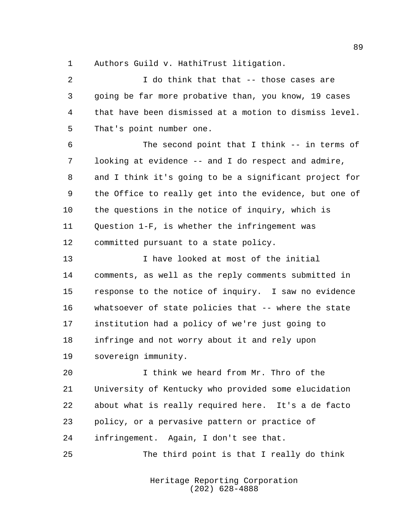Authors Guild v. HathiTrust litigation.

 I do think that that -- those cases are going be far more probative than, you know, 19 cases that have been dismissed at a motion to dismiss level. That's point number one. The second point that I think -- in terms of looking at evidence -- and I do respect and admire, and I think it's going to be a significant project for the Office to really get into the evidence, but one of the questions in the notice of inquiry, which is Question 1-F, is whether the infringement was committed pursuant to a state policy. I have looked at most of the initial comments, as well as the reply comments submitted in response to the notice of inquiry. I saw no evidence whatsoever of state policies that -- where the state institution had a policy of we're just going to infringe and not worry about it and rely upon sovereign immunity. I think we heard from Mr. Thro of the University of Kentucky who provided some elucidation about what is really required here. It's a de facto policy, or a pervasive pattern or practice of infringement. Again, I don't see that. The third point is that I really do think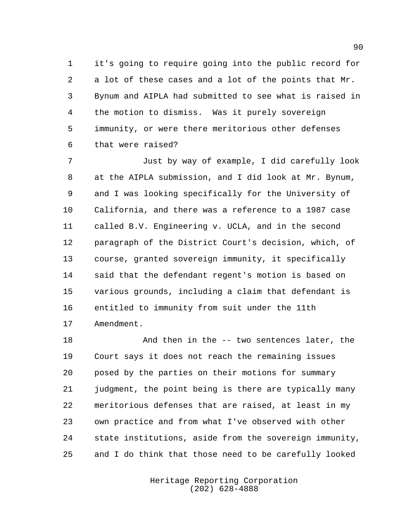it's going to require going into the public record for a lot of these cases and a lot of the points that Mr. Bynum and AIPLA had submitted to see what is raised in the motion to dismiss. Was it purely sovereign immunity, or were there meritorious other defenses that were raised?

 Just by way of example, I did carefully look at the AIPLA submission, and I did look at Mr. Bynum, and I was looking specifically for the University of California, and there was a reference to a 1987 case called B.V. Engineering v. UCLA, and in the second paragraph of the District Court's decision, which, of course, granted sovereign immunity, it specifically said that the defendant regent's motion is based on various grounds, including a claim that defendant is entitled to immunity from suit under the 11th Amendment.

 And then in the -- two sentences later, the Court says it does not reach the remaining issues posed by the parties on their motions for summary judgment, the point being is there are typically many meritorious defenses that are raised, at least in my own practice and from what I've observed with other state institutions, aside from the sovereign immunity, and I do think that those need to be carefully looked

> Heritage Reporting Corporation (202) 628-4888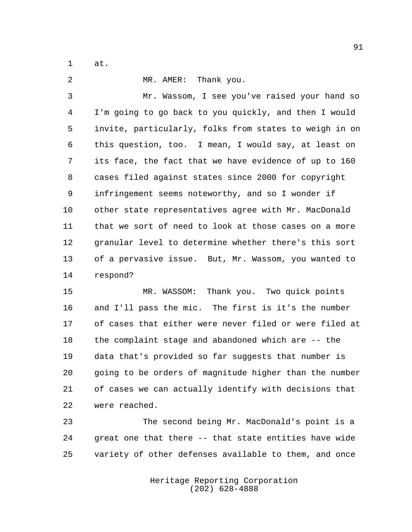at.

 MR. AMER: Thank you. Mr. Wassom, I see you've raised your hand so I'm going to go back to you quickly, and then I would invite, particularly, folks from states to weigh in on this question, too. I mean, I would say, at least on its face, the fact that we have evidence of up to 160 cases filed against states since 2000 for copyright infringement seems noteworthy, and so I wonder if other state representatives agree with Mr. MacDonald that we sort of need to look at those cases on a more granular level to determine whether there's this sort of a pervasive issue. But, Mr. Wassom, you wanted to respond?

 MR. WASSOM: Thank you. Two quick points and I'll pass the mic. The first is it's the number of cases that either were never filed or were filed at the complaint stage and abandoned which are -- the data that's provided so far suggests that number is going to be orders of magnitude higher than the number of cases we can actually identify with decisions that were reached.

 The second being Mr. MacDonald's point is a great one that there -- that state entities have wide variety of other defenses available to them, and once

> Heritage Reporting Corporation (202) 628-4888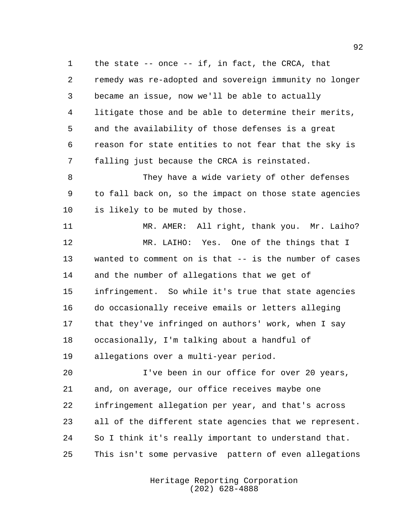the state -- once -- if, in fact, the CRCA, that remedy was re-adopted and sovereign immunity no longer became an issue, now we'll be able to actually litigate those and be able to determine their merits, and the availability of those defenses is a great reason for state entities to not fear that the sky is falling just because the CRCA is reinstated.

 They have a wide variety of other defenses to fall back on, so the impact on those state agencies is likely to be muted by those.

 MR. AMER: All right, thank you. Mr. Laiho? 12 MR. LAIHO: Yes. One of the things that I wanted to comment on is that -- is the number of cases and the number of allegations that we get of infringement. So while it's true that state agencies do occasionally receive emails or letters alleging that they've infringed on authors' work, when I say occasionally, I'm talking about a handful of allegations over a multi-year period.

 I've been in our office for over 20 years, and, on average, our office receives maybe one infringement allegation per year, and that's across all of the different state agencies that we represent. So I think it's really important to understand that. This isn't some pervasive pattern of even allegations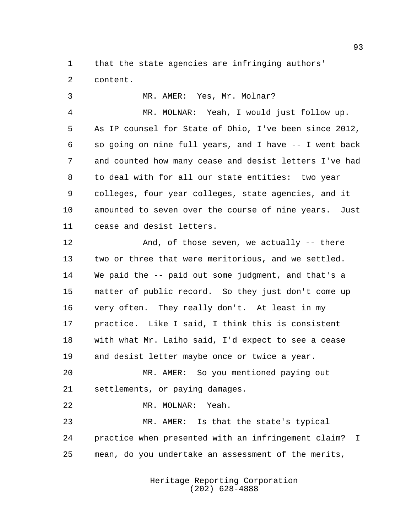that the state agencies are infringing authors'

content.

3 MR. AMER: Yes, Mr. Molnar?

 MR. MOLNAR: Yeah, I would just follow up. As IP counsel for State of Ohio, I've been since 2012, so going on nine full years, and I have -- I went back and counted how many cease and desist letters I've had to deal with for all our state entities: two year colleges, four year colleges, state agencies, and it amounted to seven over the course of nine years. Just cease and desist letters.

 And, of those seven, we actually -- there two or three that were meritorious, and we settled. We paid the -- paid out some judgment, and that's a matter of public record. So they just don't come up very often. They really don't. At least in my practice. Like I said, I think this is consistent with what Mr. Laiho said, I'd expect to see a cease and desist letter maybe once or twice a year.

 MR. AMER: So you mentioned paying out settlements, or paying damages.

MR. MOLNAR: Yeah.

 MR. AMER: Is that the state's typical practice when presented with an infringement claim? I mean, do you undertake an assessment of the merits,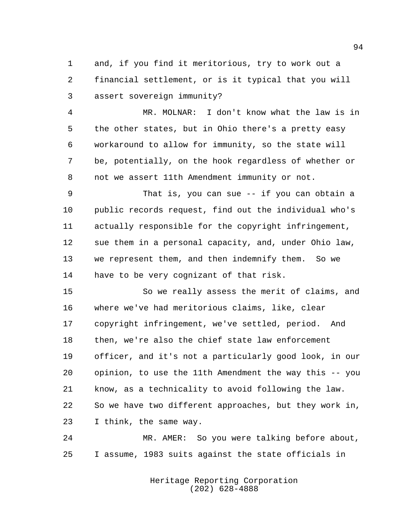and, if you find it meritorious, try to work out a financial settlement, or is it typical that you will assert sovereign immunity?

 MR. MOLNAR: I don't know what the law is in the other states, but in Ohio there's a pretty easy workaround to allow for immunity, so the state will be, potentially, on the hook regardless of whether or not we assert 11th Amendment immunity or not.

 That is, you can sue -- if you can obtain a public records request, find out the individual who's actually responsible for the copyright infringement, sue them in a personal capacity, and, under Ohio law, we represent them, and then indemnify them. So we have to be very cognizant of that risk.

 So we really assess the merit of claims, and where we've had meritorious claims, like, clear copyright infringement, we've settled, period. And then, we're also the chief state law enforcement officer, and it's not a particularly good look, in our opinion, to use the 11th Amendment the way this -- you know, as a technicality to avoid following the law. So we have two different approaches, but they work in, I think, the same way.

 MR. AMER: So you were talking before about, I assume, 1983 suits against the state officials in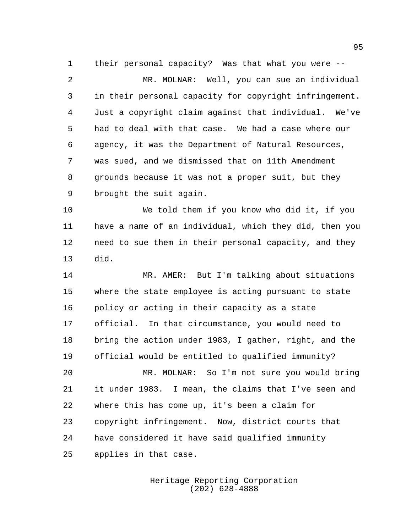their personal capacity? Was that what you were --

 MR. MOLNAR: Well, you can sue an individual in their personal capacity for copyright infringement. Just a copyright claim against that individual. We've had to deal with that case. We had a case where our agency, it was the Department of Natural Resources, was sued, and we dismissed that on 11th Amendment grounds because it was not a proper suit, but they brought the suit again.

 We told them if you know who did it, if you have a name of an individual, which they did, then you need to sue them in their personal capacity, and they did.

 MR. AMER: But I'm talking about situations where the state employee is acting pursuant to state policy or acting in their capacity as a state official. In that circumstance, you would need to bring the action under 1983, I gather, right, and the official would be entitled to qualified immunity?

 MR. MOLNAR: So I'm not sure you would bring it under 1983. I mean, the claims that I've seen and where this has come up, it's been a claim for copyright infringement. Now, district courts that have considered it have said qualified immunity applies in that case.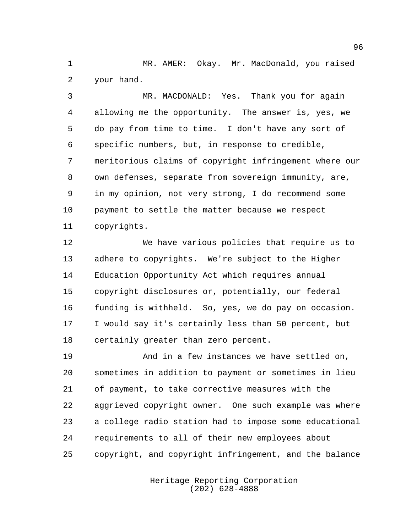MR. AMER: Okay. Mr. MacDonald, you raised your hand.

 MR. MACDONALD: Yes. Thank you for again allowing me the opportunity. The answer is, yes, we do pay from time to time. I don't have any sort of specific numbers, but, in response to credible, meritorious claims of copyright infringement where our own defenses, separate from sovereign immunity, are, in my opinion, not very strong, I do recommend some payment to settle the matter because we respect copyrights.

 We have various policies that require us to adhere to copyrights. We're subject to the Higher Education Opportunity Act which requires annual copyright disclosures or, potentially, our federal funding is withheld. So, yes, we do pay on occasion. I would say it's certainly less than 50 percent, but certainly greater than zero percent.

19 And in a few instances we have settled on, sometimes in addition to payment or sometimes in lieu of payment, to take corrective measures with the aggrieved copyright owner. One such example was where a college radio station had to impose some educational requirements to all of their new employees about copyright, and copyright infringement, and the balance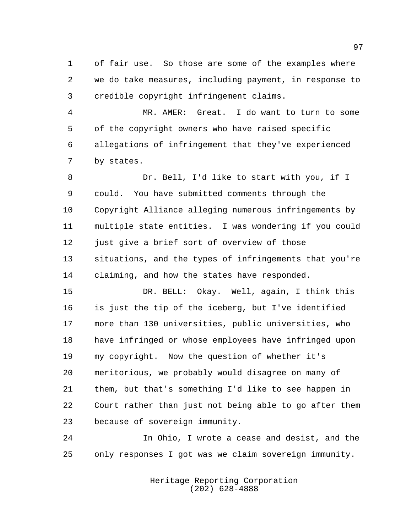of fair use. So those are some of the examples where we do take measures, including payment, in response to credible copyright infringement claims.

 MR. AMER: Great. I do want to turn to some of the copyright owners who have raised specific allegations of infringement that they've experienced by states.

 Dr. Bell, I'd like to start with you, if I could. You have submitted comments through the Copyright Alliance alleging numerous infringements by multiple state entities. I was wondering if you could just give a brief sort of overview of those situations, and the types of infringements that you're claiming, and how the states have responded.

 DR. BELL: Okay. Well, again, I think this is just the tip of the iceberg, but I've identified more than 130 universities, public universities, who have infringed or whose employees have infringed upon my copyright. Now the question of whether it's meritorious, we probably would disagree on many of them, but that's something I'd like to see happen in Court rather than just not being able to go after them because of sovereign immunity.

 In Ohio, I wrote a cease and desist, and the only responses I got was we claim sovereign immunity.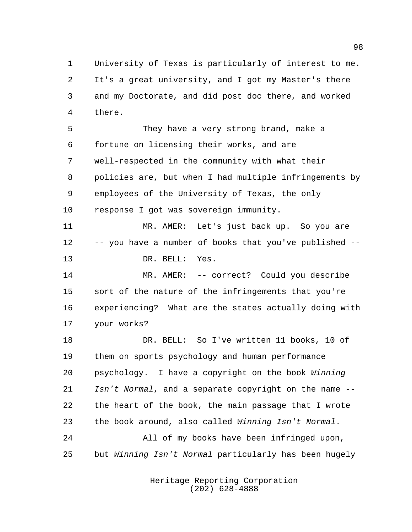University of Texas is particularly of interest to me. It's a great university, and I got my Master's there and my Doctorate, and did post doc there, and worked there.

 They have a very strong brand, make a fortune on licensing their works, and are well-respected in the community with what their policies are, but when I had multiple infringements by employees of the University of Texas, the only response I got was sovereign immunity.

 MR. AMER: Let's just back up. So you are -- you have a number of books that you've published -- DR. BELL: Yes.

 MR. AMER: -- correct? Could you describe sort of the nature of the infringements that you're experiencing? What are the states actually doing with your works?

 DR. BELL: So I've written 11 books, 10 of them on sports psychology and human performance psychology. I have a copyright on the book Winning 21 Isn't Normal, and a separate copyright on the name -- the heart of the book, the main passage that I wrote the book around, also called Winning Isn't Normal. All of my books have been infringed upon,

but Winning Isn't Normal particularly has been hugely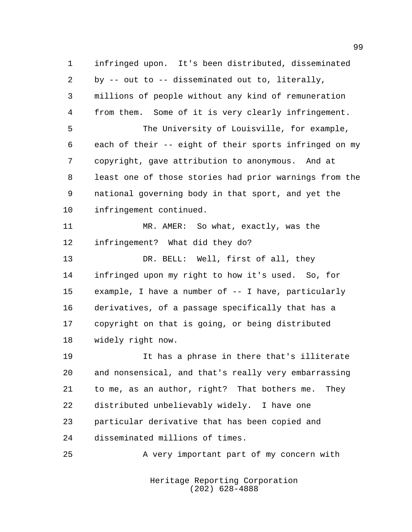infringed upon. It's been distributed, disseminated by -- out to -- disseminated out to, literally, millions of people without any kind of remuneration from them. Some of it is very clearly infringement. The University of Louisville, for example, each of their -- eight of their sports infringed on my copyright, gave attribution to anonymous. And at least one of those stories had prior warnings from the national governing body in that sport, and yet the infringement continued. MR. AMER: So what, exactly, was the infringement? What did they do? 13 DR. BELL: Well, first of all, they infringed upon my right to how it's used. So, for example, I have a number of -- I have, particularly derivatives, of a passage specifically that has a copyright on that is going, or being distributed widely right now. It has a phrase in there that's illiterate and nonsensical, and that's really very embarrassing to me, as an author, right? That bothers me. They distributed unbelievably widely. I have one particular derivative that has been copied and

disseminated millions of times.

A very important part of my concern with

Heritage Reporting Corporation (202) 628-4888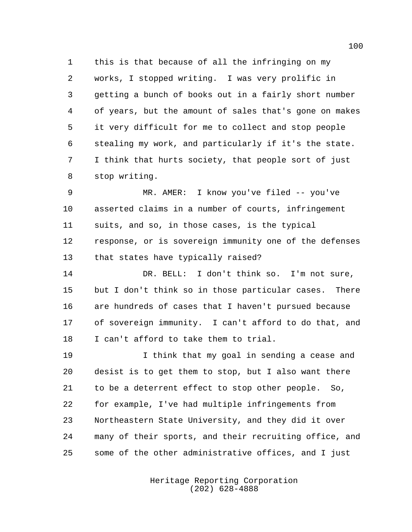this is that because of all the infringing on my works, I stopped writing. I was very prolific in getting a bunch of books out in a fairly short number of years, but the amount of sales that's gone on makes it very difficult for me to collect and stop people stealing my work, and particularly if it's the state. I think that hurts society, that people sort of just stop writing.

 MR. AMER: I know you've filed -- you've asserted claims in a number of courts, infringement suits, and so, in those cases, is the typical response, or is sovereign immunity one of the defenses that states have typically raised?

 DR. BELL: I don't think so. I'm not sure, but I don't think so in those particular cases. There are hundreds of cases that I haven't pursued because of sovereign immunity. I can't afford to do that, and I can't afford to take them to trial.

 I think that my goal in sending a cease and desist is to get them to stop, but I also want there to be a deterrent effect to stop other people. So, for example, I've had multiple infringements from Northeastern State University, and they did it over many of their sports, and their recruiting office, and some of the other administrative offices, and I just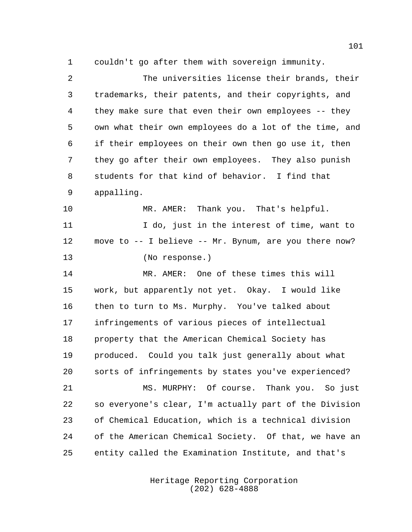couldn't go after them with sovereign immunity.

 The universities license their brands, their trademarks, their patents, and their copyrights, and they make sure that even their own employees -- they own what their own employees do a lot of the time, and if their employees on their own then go use it, then they go after their own employees. They also punish students for that kind of behavior. I find that appalling. MR. AMER: Thank you. That's helpful. 11 100, just in the interest of time, want to move to -- I believe -- Mr. Bynum, are you there now? (No response.) MR. AMER: One of these times this will work, but apparently not yet. Okay. I would like then to turn to Ms. Murphy. You've talked about infringements of various pieces of intellectual property that the American Chemical Society has produced. Could you talk just generally about what sorts of infringements by states you've experienced? MS. MURPHY: Of course. Thank you. So just so everyone's clear, I'm actually part of the Division of Chemical Education, which is a technical division of the American Chemical Society. Of that, we have an entity called the Examination Institute, and that's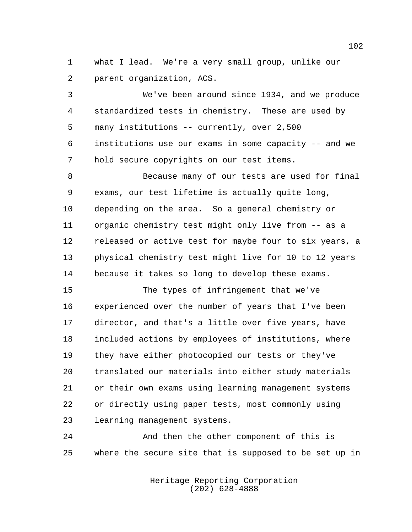what I lead. We're a very small group, unlike our parent organization, ACS.

 We've been around since 1934, and we produce standardized tests in chemistry. These are used by many institutions -- currently, over 2,500 institutions use our exams in some capacity -- and we hold secure copyrights on our test items.

 Because many of our tests are used for final exams, our test lifetime is actually quite long, depending on the area. So a general chemistry or organic chemistry test might only live from -- as a released or active test for maybe four to six years, a physical chemistry test might live for 10 to 12 years because it takes so long to develop these exams.

 The types of infringement that we've experienced over the number of years that I've been director, and that's a little over five years, have included actions by employees of institutions, where they have either photocopied our tests or they've translated our materials into either study materials or their own exams using learning management systems or directly using paper tests, most commonly using learning management systems.

 And then the other component of this is where the secure site that is supposed to be set up in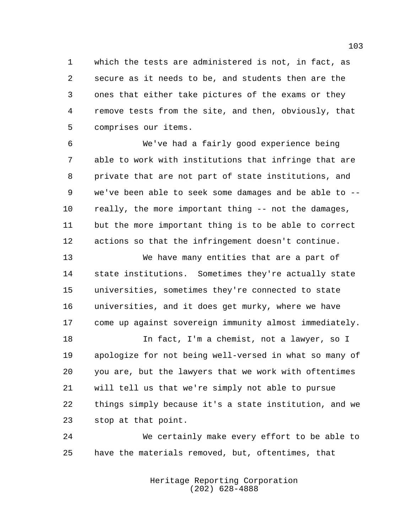which the tests are administered is not, in fact, as secure as it needs to be, and students then are the ones that either take pictures of the exams or they remove tests from the site, and then, obviously, that comprises our items.

 We've had a fairly good experience being able to work with institutions that infringe that are private that are not part of state institutions, and we've been able to seek some damages and be able to -- really, the more important thing -- not the damages, but the more important thing is to be able to correct actions so that the infringement doesn't continue.

 We have many entities that are a part of state institutions. Sometimes they're actually state universities, sometimes they're connected to state universities, and it does get murky, where we have come up against sovereign immunity almost immediately.

 In fact, I'm a chemist, not a lawyer, so I apologize for not being well-versed in what so many of you are, but the lawyers that we work with oftentimes will tell us that we're simply not able to pursue things simply because it's a state institution, and we stop at that point.

 We certainly make every effort to be able to have the materials removed, but, oftentimes, that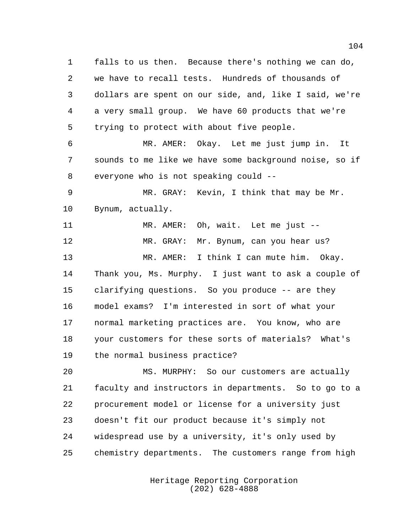falls to us then. Because there's nothing we can do, we have to recall tests. Hundreds of thousands of dollars are spent on our side, and, like I said, we're a very small group. We have 60 products that we're trying to protect with about five people. MR. AMER: Okay. Let me just jump in. It sounds to me like we have some background noise, so if everyone who is not speaking could -- MR. GRAY: Kevin, I think that may be Mr. Bynum, actually. MR. AMER: Oh, wait. Let me just -- MR. GRAY: Mr. Bynum, can you hear us? MR. AMER: I think I can mute him. Okay. Thank you, Ms. Murphy. I just want to ask a couple of clarifying questions. So you produce -- are they model exams? I'm interested in sort of what your normal marketing practices are. You know, who are your customers for these sorts of materials? What's the normal business practice? MS. MURPHY: So our customers are actually faculty and instructors in departments. So to go to a procurement model or license for a university just doesn't fit our product because it's simply not

 widespread use by a university, it's only used by chemistry departments. The customers range from high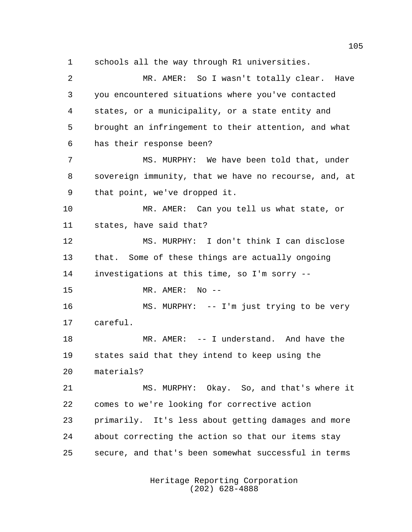schools all the way through R1 universities.

 MR. AMER: So I wasn't totally clear. Have you encountered situations where you've contacted states, or a municipality, or a state entity and brought an infringement to their attention, and what has their response been? MS. MURPHY: We have been told that, under sovereign immunity, that we have no recourse, and, at that point, we've dropped it. MR. AMER: Can you tell us what state, or states, have said that? MS. MURPHY: I don't think I can disclose that. Some of these things are actually ongoing investigations at this time, so I'm sorry -- MR. AMER: No -- MS. MURPHY: -- I'm just trying to be very careful. MR. AMER: -- I understand. And have the states said that they intend to keep using the materials? MS. MURPHY: Okay. So, and that's where it comes to we're looking for corrective action primarily. It's less about getting damages and more about correcting the action so that our items stay secure, and that's been somewhat successful in terms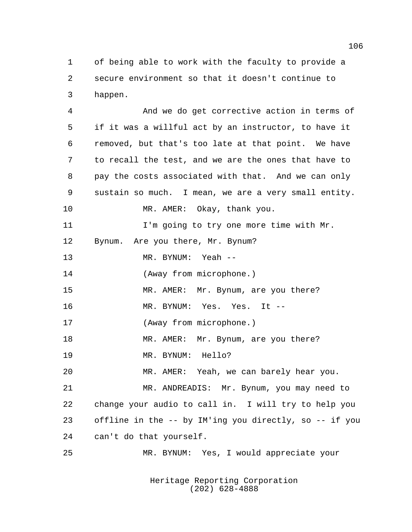of being able to work with the faculty to provide a secure environment so that it doesn't continue to happen.

 And we do get corrective action in terms of if it was a willful act by an instructor, to have it removed, but that's too late at that point. We have to recall the test, and we are the ones that have to pay the costs associated with that. And we can only sustain so much. I mean, we are a very small entity. MR. AMER: Okay, thank you. 11 I'm going to try one more time with Mr. Bynum. Are you there, Mr. Bynum? MR. BYNUM: Yeah -- (Away from microphone.) MR. AMER: Mr. Bynum, are you there? MR. BYNUM: Yes. Yes. It -- (Away from microphone.) 18 MR. AMER: Mr. Bynum, are you there? MR. BYNUM: Hello? MR. AMER: Yeah, we can barely hear you. MR. ANDREADIS: Mr. Bynum, you may need to change your audio to call in. I will try to help you offline in the -- by IM'ing you directly, so -- if you can't do that yourself. MR. BYNUM: Yes, I would appreciate your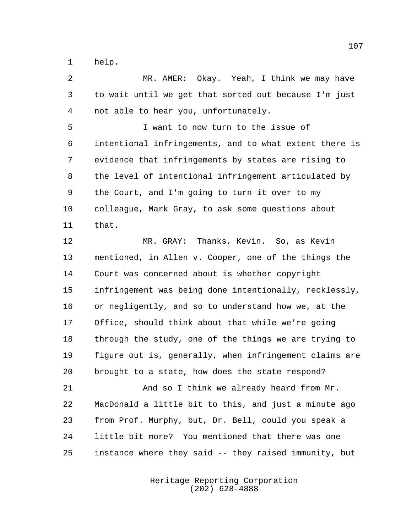help.

 MR. AMER: Okay. Yeah, I think we may have to wait until we get that sorted out because I'm just not able to hear you, unfortunately.

 I want to now turn to the issue of intentional infringements, and to what extent there is evidence that infringements by states are rising to the level of intentional infringement articulated by the Court, and I'm going to turn it over to my colleague, Mark Gray, to ask some questions about that.

 MR. GRAY: Thanks, Kevin. So, as Kevin mentioned, in Allen v. Cooper, one of the things the Court was concerned about is whether copyright infringement was being done intentionally, recklessly, or negligently, and so to understand how we, at the Office, should think about that while we're going through the study, one of the things we are trying to figure out is, generally, when infringement claims are brought to a state, how does the state respond?

 And so I think we already heard from Mr. MacDonald a little bit to this, and just a minute ago from Prof. Murphy, but, Dr. Bell, could you speak a little bit more? You mentioned that there was one instance where they said -- they raised immunity, but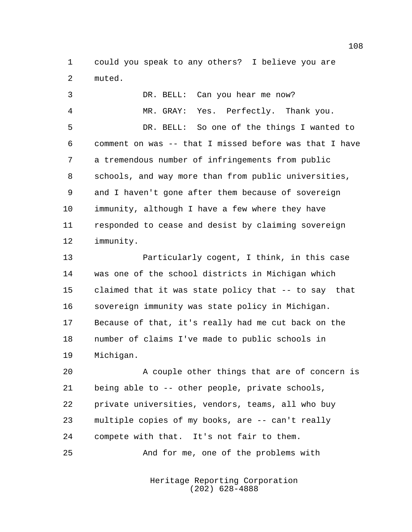could you speak to any others? I believe you are muted.

| 3              | DR. BELL: Can you hear me now?                         |
|----------------|--------------------------------------------------------|
| $\overline{4}$ | MR. GRAY: Yes. Perfectly. Thank you.                   |
| 5              | DR. BELL: So one of the things I wanted to             |
| 6              | comment on was -- that I missed before was that I have |
| 7              | a tremendous number of infringements from public       |
| 8              | schools, and way more than from public universities,   |
| 9              | and I haven't gone after them because of sovereign     |
| 10             | immunity, although I have a few where they have        |
| 11             | responded to cease and desist by claiming sovereign    |
| $12 \,$        | immunity.                                              |
| 13             | Particularly cogent, I think, in this case             |
| 14             | was one of the school districts in Michigan which      |
| 15             | claimed that it was state policy that -- to say that   |
| 16             | sovereign immunity was state policy in Michigan.       |

 Because of that, it's really had me cut back on the number of claims I've made to public schools in Michigan.

 A couple other things that are of concern is being able to -- other people, private schools, private universities, vendors, teams, all who buy multiple copies of my books, are -- can't really compete with that. It's not fair to them. And for me, one of the problems with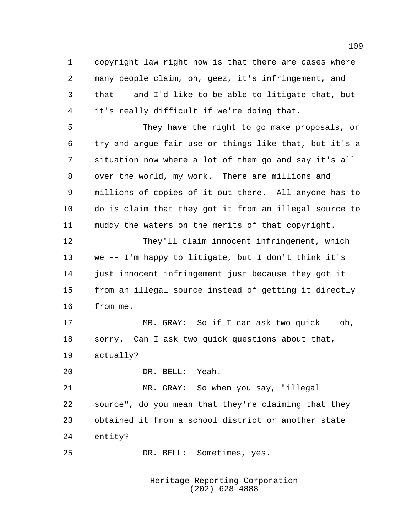copyright law right now is that there are cases where many people claim, oh, geez, it's infringement, and that -- and I'd like to be able to litigate that, but it's really difficult if we're doing that. They have the right to go make proposals, or try and argue fair use or things like that, but it's a situation now where a lot of them go and say it's all over the world, my work. There are millions and millions of copies of it out there. All anyone has to do is claim that they got it from an illegal source to muddy the waters on the merits of that copyright. They'll claim innocent infringement, which we -- I'm happy to litigate, but I don't think it's just innocent infringement just because they got it from an illegal source instead of getting it directly from me. MR. GRAY: So if I can ask two quick -- oh, sorry. Can I ask two quick questions about that, actually? DR. BELL: Yeah. MR. GRAY: So when you say, "illegal source", do you mean that they're claiming that they obtained it from a school district or another state entity? DR. BELL: Sometimes, yes.

> Heritage Reporting Corporation (202) 628-4888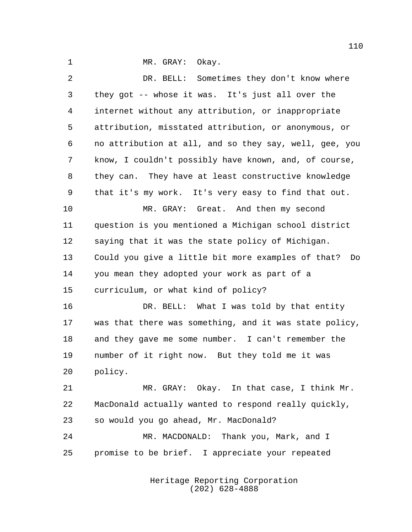1 MR. GRAY: Okay.

| 2              | DR. BELL: Sometimes they don't know where              |
|----------------|--------------------------------------------------------|
| 3              | they got -- whose it was. It's just all over the       |
| $\overline{4}$ | internet without any attribution, or inappropriate     |
| 5              | attribution, misstated attribution, or anonymous, or   |
| 6              | no attribution at all, and so they say, well, gee, you |
| 7              | know, I couldn't possibly have known, and, of course,  |
| 8              | they can. They have at least constructive knowledge    |
| 9              | that it's my work. It's very easy to find that out.    |
| 10             | MR. GRAY: Great. And then my second                    |
| 11             | question is you mentioned a Michigan school district   |
| 12             | saying that it was the state policy of Michigan.       |
| 13             | Could you give a little bit more examples of that? Do  |
| 14             | you mean they adopted your work as part of a           |
| 15             | curriculum, or what kind of policy?                    |
| 16             | DR. BELL: What I was told by that entity               |
| 17             | was that there was something, and it was state policy, |
| 18             | and they gave me some number. I can't remember the     |
| 19             | number of it right now. But they told me it was        |
| 20             | policy.                                                |
| 21             | MR. GRAY: Okay. In that case, I think Mr.              |
| 22             | MacDonald actually wanted to respond really quickly,   |
| 23             | so would you go ahead, Mr. MacDonald?                  |
| 24             | MR. MACDONALD: Thank you, Mark, and I                  |
| 25             | promise to be brief. I appreciate your repeated        |
|                |                                                        |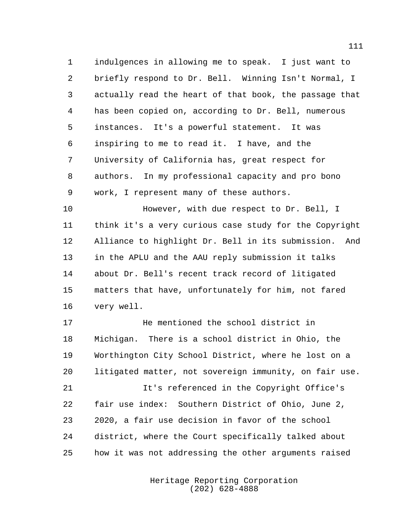indulgences in allowing me to speak. I just want to briefly respond to Dr. Bell. Winning Isn't Normal, I actually read the heart of that book, the passage that has been copied on, according to Dr. Bell, numerous instances. It's a powerful statement. It was inspiring to me to read it. I have, and the University of California has, great respect for authors. In my professional capacity and pro bono work, I represent many of these authors.

 However, with due respect to Dr. Bell, I think it's a very curious case study for the Copyright Alliance to highlight Dr. Bell in its submission. And in the APLU and the AAU reply submission it talks about Dr. Bell's recent track record of litigated matters that have, unfortunately for him, not fared very well.

 He mentioned the school district in Michigan. There is a school district in Ohio, the Worthington City School District, where he lost on a litigated matter, not sovereign immunity, on fair use.

**It's referenced in the Copyright Office's**  fair use index: Southern District of Ohio, June 2, 2020, a fair use decision in favor of the school district, where the Court specifically talked about how it was not addressing the other arguments raised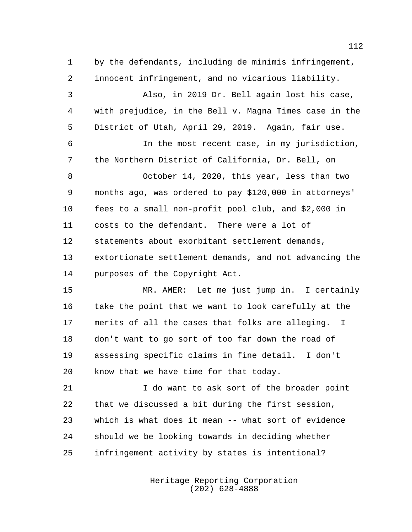by the defendants, including de minimis infringement, innocent infringement, and no vicarious liability. Also, in 2019 Dr. Bell again lost his case, with prejudice, in the Bell v. Magna Times case in the District of Utah, April 29, 2019. Again, fair use. In the most recent case, in my jurisdiction, the Northern District of California, Dr. Bell, on October 14, 2020, this year, less than two months ago, was ordered to pay \$120,000 in attorneys' fees to a small non-profit pool club, and \$2,000 in costs to the defendant. There were a lot of statements about exorbitant settlement demands, extortionate settlement demands, and not advancing the purposes of the Copyright Act. MR. AMER: Let me just jump in. I certainly take the point that we want to look carefully at the merits of all the cases that folks are alleging. I don't want to go sort of too far down the road of assessing specific claims in fine detail. I don't know that we have time for that today.

 I do want to ask sort of the broader point that we discussed a bit during the first session, which is what does it mean -- what sort of evidence should we be looking towards in deciding whether infringement activity by states is intentional?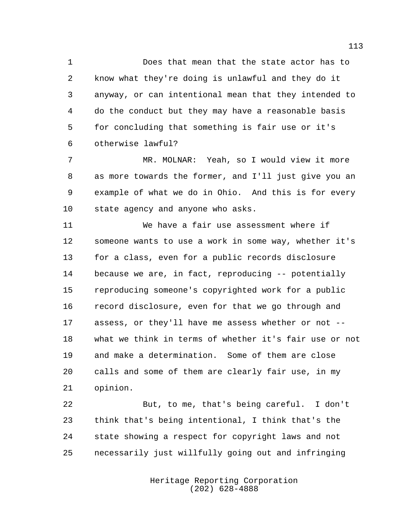Does that mean that the state actor has to know what they're doing is unlawful and they do it anyway, or can intentional mean that they intended to do the conduct but they may have a reasonable basis for concluding that something is fair use or it's otherwise lawful?

 MR. MOLNAR: Yeah, so I would view it more as more towards the former, and I'll just give you an example of what we do in Ohio. And this is for every state agency and anyone who asks.

 We have a fair use assessment where if someone wants to use a work in some way, whether it's for a class, even for a public records disclosure because we are, in fact, reproducing -- potentially reproducing someone's copyrighted work for a public record disclosure, even for that we go through and assess, or they'll have me assess whether or not -- what we think in terms of whether it's fair use or not and make a determination. Some of them are close calls and some of them are clearly fair use, in my opinion.

 But, to me, that's being careful. I don't think that's being intentional, I think that's the state showing a respect for copyright laws and not necessarily just willfully going out and infringing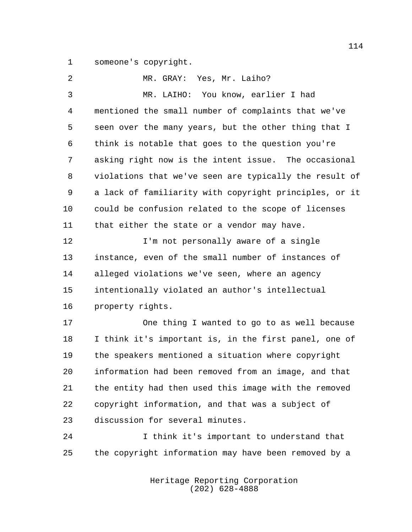someone's copyright.

| 2              | MR. GRAY: Yes, Mr. Laiho?                              |
|----------------|--------------------------------------------------------|
| 3              | MR. LAIHO: You know, earlier I had                     |
| $\overline{4}$ | mentioned the small number of complaints that we've    |
| 5              | seen over the many years, but the other thing that I   |
| 6              | think is notable that goes to the question you're      |
| 7              | asking right now is the intent issue. The occasional   |
| 8              | violations that we've seen are typically the result of |
| 9              | a lack of familiarity with copyright principles, or it |
| 10             | could be confusion related to the scope of licenses    |
| 11             | that either the state or a vendor may have.            |
| 12             | I'm not personally aware of a single                   |
| 13             | instance, even of the small number of instances of     |
| 14             | alleged violations we've seen, where an agency         |
| 15             | intentionally violated an author's intellectual        |
| 16             | property rights.                                       |
| 17             | One thing I wanted to go to as well because            |
| 18             | I think it's important is, in the first panel, one of  |
| 19             | the speakers mentioned a situation where copyright     |
| 20             | information had been removed from an image, and that   |
| 21             | the entity had then used this image with the removed   |
| 22             | copyright information, and that was a subject of       |
| 23             | discussion for several minutes.                        |
| 24             | I think it's important to understand that              |
| 25             | the copyright information may have been removed by a   |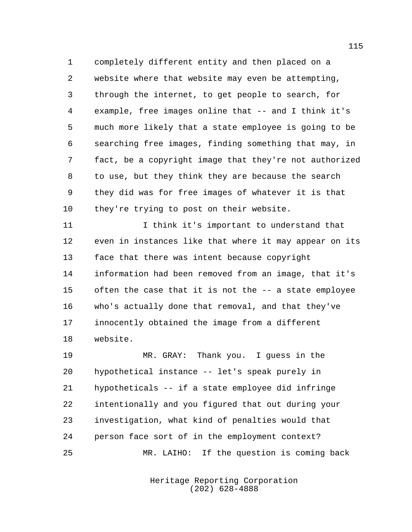completely different entity and then placed on a website where that website may even be attempting, through the internet, to get people to search, for example, free images online that -- and I think it's much more likely that a state employee is going to be searching free images, finding something that may, in fact, be a copyright image that they're not authorized to use, but they think they are because the search they did was for free images of whatever it is that 10 they're trying to post on their website.

 I think it's important to understand that even in instances like that where it may appear on its face that there was intent because copyright information had been removed from an image, that it's often the case that it is not the -- a state employee who's actually done that removal, and that they've innocently obtained the image from a different website.

 MR. GRAY: Thank you. I guess in the hypothetical instance -- let's speak purely in hypotheticals -- if a state employee did infringe intentionally and you figured that out during your investigation, what kind of penalties would that person face sort of in the employment context? MR. LAIHO: If the question is coming back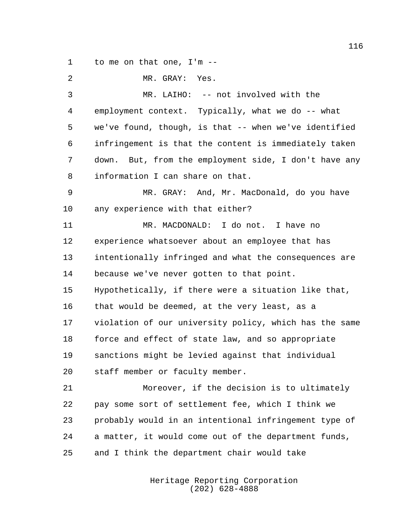to me on that one, I'm --

| 2       | MR. GRAY: Yes.                                         |
|---------|--------------------------------------------------------|
| 3       | MR. LAIHO: -- not involved with the                    |
| 4       | employment context. Typically, what we do -- what      |
| 5       | we've found, though, is that -- when we've identified  |
| 6       | infringement is that the content is immediately taken  |
| 7       | down. But, from the employment side, I don't have any  |
| 8       | information I can share on that.                       |
| 9       | MR. GRAY: And, Mr. MacDonald, do you have              |
| $10 \,$ | any experience with that either?                       |
| 11      | MR. MACDONALD: I do not. I have no                     |
| 12      | experience whatsoever about an employee that has       |
| 13      | intentionally infringed and what the consequences are  |
| 14      | because we've never gotten to that point.              |
| 15      | Hypothetically, if there were a situation like that,   |
| 16      | that would be deemed, at the very least, as a          |
| 17      | violation of our university policy, which has the same |
| 18      | force and effect of state law, and so appropriate      |
| 19      | sanctions might be levied against that individual      |
| 20      | staff member or faculty member.                        |
| 21      | Moreover, if the decision is to ultimately             |
| 22      | pay some sort of settlement fee, which I think we      |
| 23      | probably would in an intentional infringement type of  |
| 24      | a matter, it would come out of the department funds,   |
| 25      | and I think the department chair would take            |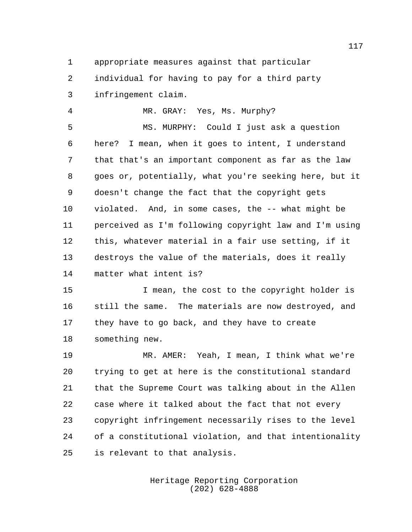appropriate measures against that particular individual for having to pay for a third party

infringement claim.

MR. GRAY: Yes, Ms. Murphy?

 MS. MURPHY: Could I just ask a question here? I mean, when it goes to intent, I understand that that's an important component as far as the law goes or, potentially, what you're seeking here, but it doesn't change the fact that the copyright gets violated. And, in some cases, the -- what might be perceived as I'm following copyright law and I'm using this, whatever material in a fair use setting, if it destroys the value of the materials, does it really matter what intent is?

 I mean, the cost to the copyright holder is still the same. The materials are now destroyed, and they have to go back, and they have to create something new.

 MR. AMER: Yeah, I mean, I think what we're trying to get at here is the constitutional standard that the Supreme Court was talking about in the Allen case where it talked about the fact that not every copyright infringement necessarily rises to the level of a constitutional violation, and that intentionality is relevant to that analysis.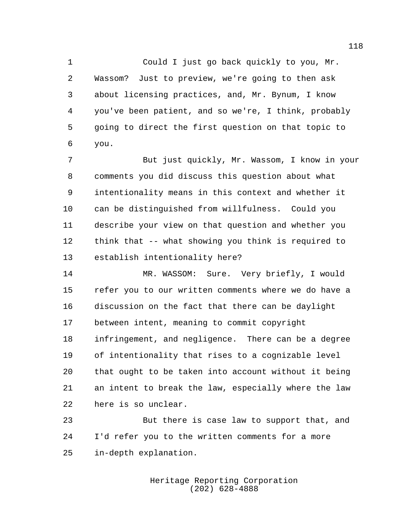Could I just go back quickly to you, Mr. Wassom? Just to preview, we're going to then ask about licensing practices, and, Mr. Bynum, I know you've been patient, and so we're, I think, probably going to direct the first question on that topic to you.

 But just quickly, Mr. Wassom, I know in your comments you did discuss this question about what intentionality means in this context and whether it can be distinguished from willfulness. Could you describe your view on that question and whether you think that -- what showing you think is required to establish intentionality here?

 MR. WASSOM: Sure. Very briefly, I would refer you to our written comments where we do have a discussion on the fact that there can be daylight between intent, meaning to commit copyright infringement, and negligence. There can be a degree of intentionality that rises to a cognizable level that ought to be taken into account without it being an intent to break the law, especially where the law here is so unclear.

 But there is case law to support that, and I'd refer you to the written comments for a more in-depth explanation.

> Heritage Reporting Corporation (202) 628-4888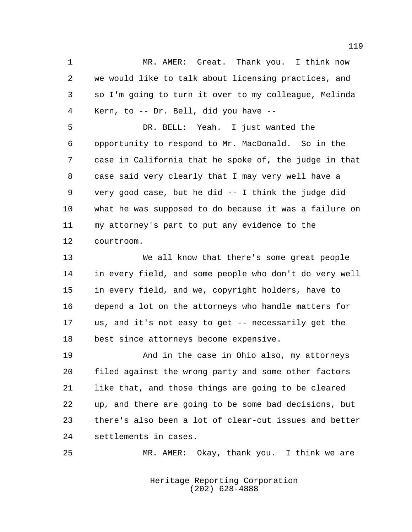MR. AMER: Great. Thank you. I think now we would like to talk about licensing practices, and so I'm going to turn it over to my colleague, Melinda Kern, to -- Dr. Bell, did you have --

 DR. BELL: Yeah. I just wanted the opportunity to respond to Mr. MacDonald. So in the case in California that he spoke of, the judge in that case said very clearly that I may very well have a very good case, but he did -- I think the judge did what he was supposed to do because it was a failure on my attorney's part to put any evidence to the courtroom.

 We all know that there's some great people in every field, and some people who don't do very well in every field, and we, copyright holders, have to depend a lot on the attorneys who handle matters for us, and it's not easy to get -- necessarily get the best since attorneys become expensive.

 And in the case in Ohio also, my attorneys filed against the wrong party and some other factors like that, and those things are going to be cleared up, and there are going to be some bad decisions, but there's also been a lot of clear-cut issues and better settlements in cases.

MR. AMER: Okay, thank you. I think we are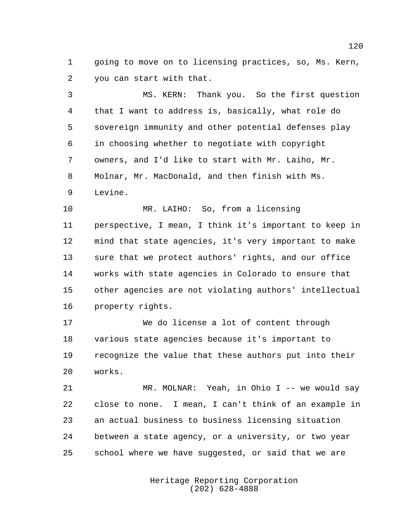going to move on to licensing practices, so, Ms. Kern, you can start with that.

 MS. KERN: Thank you. So the first question that I want to address is, basically, what role do sovereign immunity and other potential defenses play in choosing whether to negotiate with copyright owners, and I'd like to start with Mr. Laiho, Mr. Molnar, Mr. MacDonald, and then finish with Ms. Levine.

 MR. LAIHO: So, from a licensing perspective, I mean, I think it's important to keep in mind that state agencies, it's very important to make sure that we protect authors' rights, and our office works with state agencies in Colorado to ensure that other agencies are not violating authors' intellectual property rights.

 We do license a lot of content through various state agencies because it's important to recognize the value that these authors put into their works.

 MR. MOLNAR: Yeah, in Ohio I -- we would say close to none. I mean, I can't think of an example in an actual business to business licensing situation between a state agency, or a university, or two year school where we have suggested, or said that we are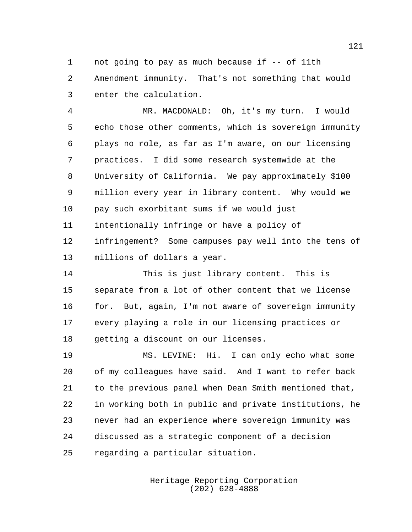1 not going to pay as much because if -- of 11th Amendment immunity. That's not something that would enter the calculation.

 MR. MACDONALD: Oh, it's my turn. I would echo those other comments, which is sovereign immunity plays no role, as far as I'm aware, on our licensing practices. I did some research systemwide at the University of California. We pay approximately \$100 million every year in library content. Why would we pay such exorbitant sums if we would just intentionally infringe or have a policy of infringement? Some campuses pay well into the tens of millions of dollars a year.

 This is just library content. This is separate from a lot of other content that we license 16 for. But, again, I'm not aware of sovereign immunity every playing a role in our licensing practices or getting a discount on our licenses.

 MS. LEVINE: Hi. I can only echo what some of my colleagues have said. And I want to refer back to the previous panel when Dean Smith mentioned that, in working both in public and private institutions, he never had an experience where sovereign immunity was discussed as a strategic component of a decision regarding a particular situation.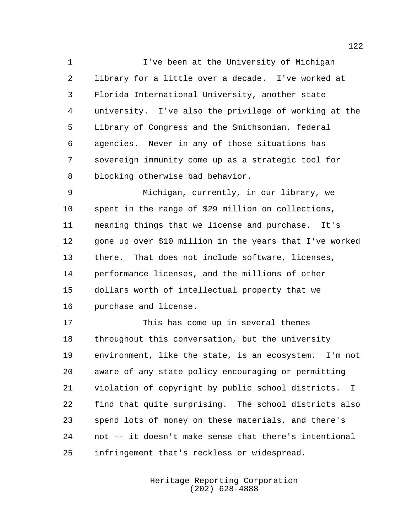I've been at the University of Michigan library for a little over a decade. I've worked at Florida International University, another state university. I've also the privilege of working at the Library of Congress and the Smithsonian, federal agencies. Never in any of those situations has sovereign immunity come up as a strategic tool for blocking otherwise bad behavior.

 Michigan, currently, in our library, we spent in the range of \$29 million on collections, meaning things that we license and purchase. It's gone up over \$10 million in the years that I've worked there. That does not include software, licenses, performance licenses, and the millions of other dollars worth of intellectual property that we purchase and license.

 This has come up in several themes throughout this conversation, but the university environment, like the state, is an ecosystem. I'm not aware of any state policy encouraging or permitting violation of copyright by public school districts. I find that quite surprising. The school districts also spend lots of money on these materials, and there's not -- it doesn't make sense that there's intentional infringement that's reckless or widespread.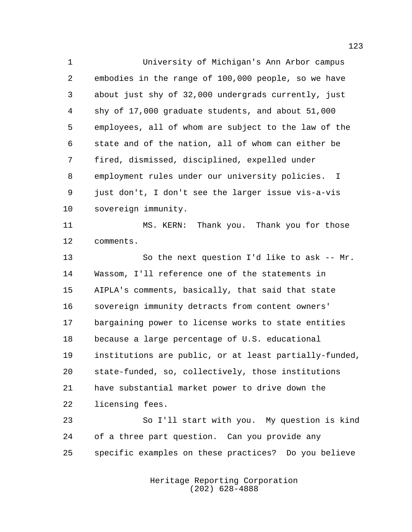University of Michigan's Ann Arbor campus embodies in the range of 100,000 people, so we have about just shy of 32,000 undergrads currently, just shy of 17,000 graduate students, and about 51,000 employees, all of whom are subject to the law of the state and of the nation, all of whom can either be fired, dismissed, disciplined, expelled under employment rules under our university policies. I just don't, I don't see the larger issue vis-a-vis sovereign immunity.

 MS. KERN: Thank you. Thank you for those comments.

13 So the next question I'd like to ask -- Mr. Wassom, I'll reference one of the statements in AIPLA's comments, basically, that said that state sovereign immunity detracts from content owners' bargaining power to license works to state entities because a large percentage of U.S. educational institutions are public, or at least partially-funded, state-funded, so, collectively, those institutions have substantial market power to drive down the licensing fees.

 So I'll start with you. My question is kind of a three part question. Can you provide any specific examples on these practices? Do you believe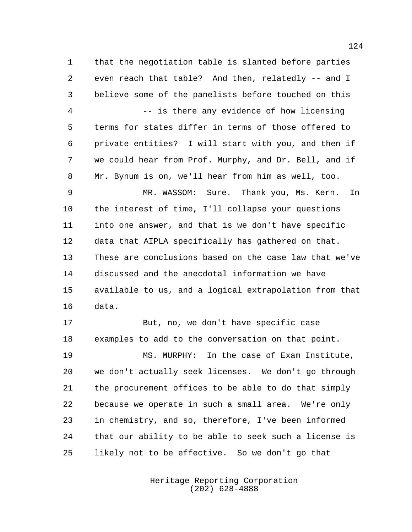that the negotiation table is slanted before parties even reach that table? And then, relatedly -- and I believe some of the panelists before touched on this -- is there any evidence of how licensing

 terms for states differ in terms of those offered to private entities? I will start with you, and then if we could hear from Prof. Murphy, and Dr. Bell, and if Mr. Bynum is on, we'll hear from him as well, too.

 MR. WASSOM: Sure. Thank you, Ms. Kern. In the interest of time, I'll collapse your questions into one answer, and that is we don't have specific data that AIPLA specifically has gathered on that. These are conclusions based on the case law that we've discussed and the anecdotal information we have available to us, and a logical extrapolation from that data.

 But, no, we don't have specific case examples to add to the conversation on that point.

 MS. MURPHY: In the case of Exam Institute, we don't actually seek licenses. We don't go through the procurement offices to be able to do that simply because we operate in such a small area. We're only in chemistry, and so, therefore, I've been informed that our ability to be able to seek such a license is likely not to be effective. So we don't go that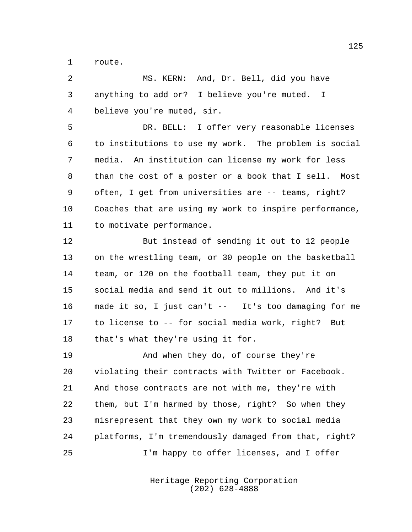route.

 MS. KERN: And, Dr. Bell, did you have anything to add or? I believe you're muted. I believe you're muted, sir.

 DR. BELL: I offer very reasonable licenses to institutions to use my work. The problem is social media. An institution can license my work for less than the cost of a poster or a book that I sell. Most often, I get from universities are -- teams, right? Coaches that are using my work to inspire performance, to motivate performance.

 But instead of sending it out to 12 people on the wrestling team, or 30 people on the basketball team, or 120 on the football team, they put it on social media and send it out to millions. And it's made it so, I just can't -- It's too damaging for me to license to -- for social media work, right? But that's what they're using it for.

 And when they do, of course they're violating their contracts with Twitter or Facebook. And those contracts are not with me, they're with them, but I'm harmed by those, right? So when they misrepresent that they own my work to social media platforms, I'm tremendously damaged from that, right? I'm happy to offer licenses, and I offer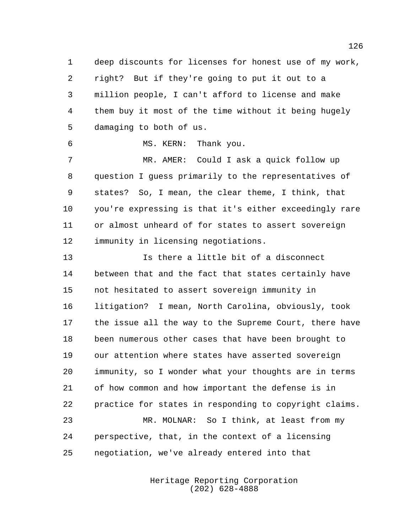deep discounts for licenses for honest use of my work, right? But if they're going to put it out to a million people, I can't afford to license and make them buy it most of the time without it being hugely damaging to both of us.

MS. KERN: Thank you.

 MR. AMER: Could I ask a quick follow up question I guess primarily to the representatives of states? So, I mean, the clear theme, I think, that you're expressing is that it's either exceedingly rare or almost unheard of for states to assert sovereign immunity in licensing negotiations.

 Is there a little bit of a disconnect between that and the fact that states certainly have not hesitated to assert sovereign immunity in litigation? I mean, North Carolina, obviously, took the issue all the way to the Supreme Court, there have been numerous other cases that have been brought to our attention where states have asserted sovereign immunity, so I wonder what your thoughts are in terms of how common and how important the defense is in practice for states in responding to copyright claims. MR. MOLNAR: So I think, at least from my perspective, that, in the context of a licensing

negotiation, we've already entered into that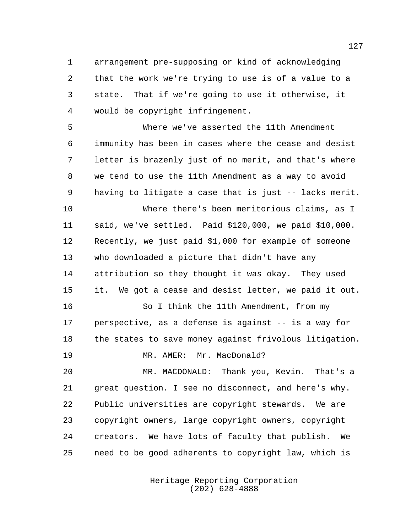arrangement pre-supposing or kind of acknowledging that the work we're trying to use is of a value to a state. That if we're going to use it otherwise, it would be copyright infringement.

 Where we've asserted the 11th Amendment immunity has been in cases where the cease and desist letter is brazenly just of no merit, and that's where we tend to use the 11th Amendment as a way to avoid having to litigate a case that is just -- lacks merit.

 Where there's been meritorious claims, as I said, we've settled. Paid \$120,000, we paid \$10,000. Recently, we just paid \$1,000 for example of someone who downloaded a picture that didn't have any attribution so they thought it was okay. They used it. We got a cease and desist letter, we paid it out.

 So I think the 11th Amendment, from my perspective, as a defense is against -- is a way for 18 the states to save money against frivolous litigation.

19 MR. AMER: Mr. MacDonald?

 MR. MACDONALD: Thank you, Kevin. That's a great question. I see no disconnect, and here's why. Public universities are copyright stewards. We are copyright owners, large copyright owners, copyright creators. We have lots of faculty that publish. We need to be good adherents to copyright law, which is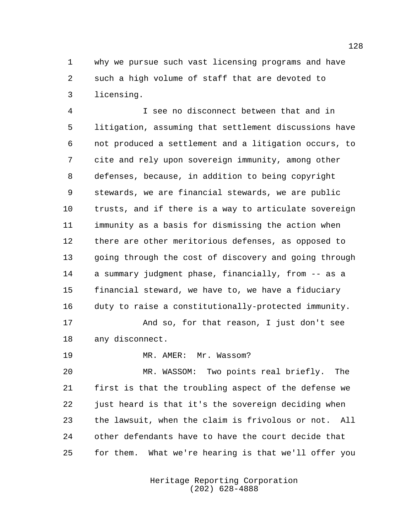why we pursue such vast licensing programs and have such a high volume of staff that are devoted to licensing.

 I see no disconnect between that and in litigation, assuming that settlement discussions have not produced a settlement and a litigation occurs, to cite and rely upon sovereign immunity, among other defenses, because, in addition to being copyright stewards, we are financial stewards, we are public trusts, and if there is a way to articulate sovereign immunity as a basis for dismissing the action when there are other meritorious defenses, as opposed to going through the cost of discovery and going through a summary judgment phase, financially, from -- as a financial steward, we have to, we have a fiduciary duty to raise a constitutionally-protected immunity.

 And so, for that reason, I just don't see any disconnect.

19 MR. AMER: Mr. Wassom?

 MR. WASSOM: Two points real briefly. The first is that the troubling aspect of the defense we just heard is that it's the sovereign deciding when the lawsuit, when the claim is frivolous or not. All other defendants have to have the court decide that for them. What we're hearing is that we'll offer you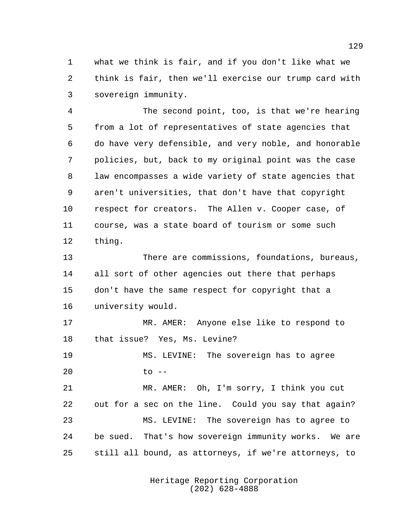what we think is fair, and if you don't like what we think is fair, then we'll exercise our trump card with sovereign immunity.

 The second point, too, is that we're hearing from a lot of representatives of state agencies that do have very defensible, and very noble, and honorable policies, but, back to my original point was the case law encompasses a wide variety of state agencies that aren't universities, that don't have that copyright respect for creators. The Allen v. Cooper case, of course, was a state board of tourism or some such thing.

 There are commissions, foundations, bureaus, all sort of other agencies out there that perhaps don't have the same respect for copyright that a university would.

 MR. AMER: Anyone else like to respond to that issue? Yes, Ms. Levine?

 MS. LEVINE: The sovereign has to agree to --

 MR. AMER: Oh, I'm sorry, I think you cut out for a sec on the line. Could you say that again? MS. LEVINE: The sovereign has to agree to be sued. That's how sovereign immunity works. We are still all bound, as attorneys, if we're attorneys, to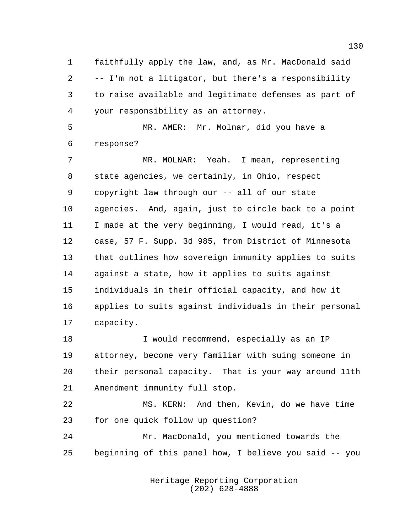faithfully apply the law, and, as Mr. MacDonald said -- I'm not a litigator, but there's a responsibility to raise available and legitimate defenses as part of your responsibility as an attorney.

 MR. AMER: Mr. Molnar, did you have a response?

 MR. MOLNAR: Yeah. I mean, representing state agencies, we certainly, in Ohio, respect copyright law through our -- all of our state agencies. And, again, just to circle back to a point I made at the very beginning, I would read, it's a case, 57 F. Supp. 3d 985, from District of Minnesota that outlines how sovereign immunity applies to suits against a state, how it applies to suits against individuals in their official capacity, and how it applies to suits against individuals in their personal capacity.

 I would recommend, especially as an IP attorney, become very familiar with suing someone in their personal capacity. That is your way around 11th Amendment immunity full stop.

 MS. KERN: And then, Kevin, do we have time for one quick follow up question?

 Mr. MacDonald, you mentioned towards the beginning of this panel how, I believe you said -- you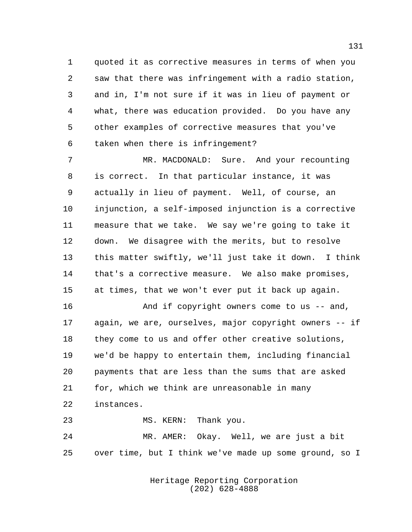quoted it as corrective measures in terms of when you saw that there was infringement with a radio station, and in, I'm not sure if it was in lieu of payment or what, there was education provided. Do you have any other examples of corrective measures that you've taken when there is infringement?

 MR. MACDONALD: Sure. And your recounting is correct. In that particular instance, it was actually in lieu of payment. Well, of course, an injunction, a self-imposed injunction is a corrective measure that we take. We say we're going to take it down. We disagree with the merits, but to resolve this matter swiftly, we'll just take it down. I think that's a corrective measure. We also make promises, at times, that we won't ever put it back up again.

 And if copyright owners come to us -- and, again, we are, ourselves, major copyright owners -- if they come to us and offer other creative solutions, we'd be happy to entertain them, including financial payments that are less than the sums that are asked for, which we think are unreasonable in many instances. MS. KERN: Thank you.

 MR. AMER: Okay. Well, we are just a bit over time, but I think we've made up some ground, so I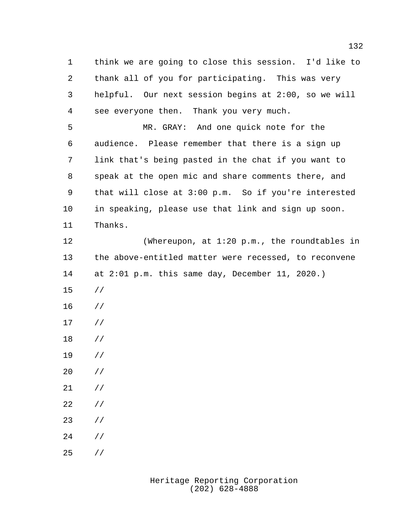think we are going to close this session. I'd like to thank all of you for participating. This was very helpful. Our next session begins at 2:00, so we will see everyone then. Thank you very much. MR. GRAY: And one quick note for the

 audience. Please remember that there is a sign up link that's being pasted in the chat if you want to speak at the open mic and share comments there, and that will close at 3:00 p.m. So if you're interested in speaking, please use that link and sign up soon. Thanks.

 (Whereupon, at 1:20 p.m., the roundtables in the above-entitled matter were recessed, to reconvene at 2:01 p.m. this same day, December 11, 2020.)

- //
- //
- //
- //
- //
- //
- //
- //
- //
- //
- 
- //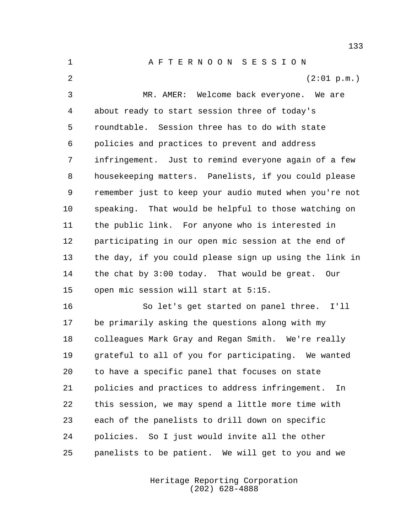A F T E R N O O N S E S S I O N  $(2:01 \text{ p.m.})$  MR. AMER: Welcome back everyone. We are about ready to start session three of today's roundtable. Session three has to do with state policies and practices to prevent and address infringement. Just to remind everyone again of a few housekeeping matters. Panelists, if you could please remember just to keep your audio muted when you're not speaking. That would be helpful to those watching on the public link. For anyone who is interested in participating in our open mic session at the end of the day, if you could please sign up using the link in the chat by 3:00 today. That would be great. Our open mic session will start at 5:15. So let's get started on panel three. I'll

 be primarily asking the questions along with my colleagues Mark Gray and Regan Smith. We're really grateful to all of you for participating. We wanted to have a specific panel that focuses on state policies and practices to address infringement. In this session, we may spend a little more time with each of the panelists to drill down on specific policies. So I just would invite all the other panelists to be patient. We will get to you and we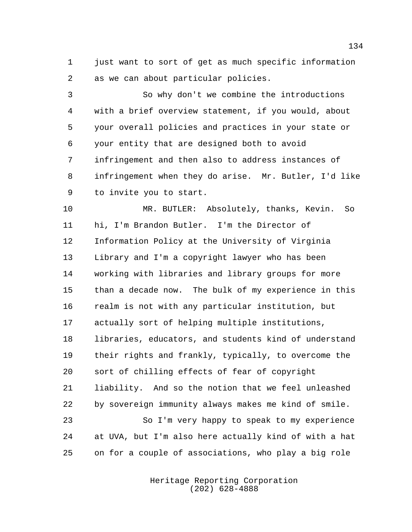just want to sort of get as much specific information as we can about particular policies.

 So why don't we combine the introductions with a brief overview statement, if you would, about your overall policies and practices in your state or your entity that are designed both to avoid infringement and then also to address instances of infringement when they do arise. Mr. Butler, I'd like to invite you to start.

 MR. BUTLER: Absolutely, thanks, Kevin. So hi, I'm Brandon Butler. I'm the Director of Information Policy at the University of Virginia Library and I'm a copyright lawyer who has been working with libraries and library groups for more than a decade now. The bulk of my experience in this realm is not with any particular institution, but actually sort of helping multiple institutions, libraries, educators, and students kind of understand their rights and frankly, typically, to overcome the sort of chilling effects of fear of copyright liability. And so the notion that we feel unleashed by sovereign immunity always makes me kind of smile. So I'm very happy to speak to my experience at UVA, but I'm also here actually kind of with a hat

> Heritage Reporting Corporation (202) 628-4888

on for a couple of associations, who play a big role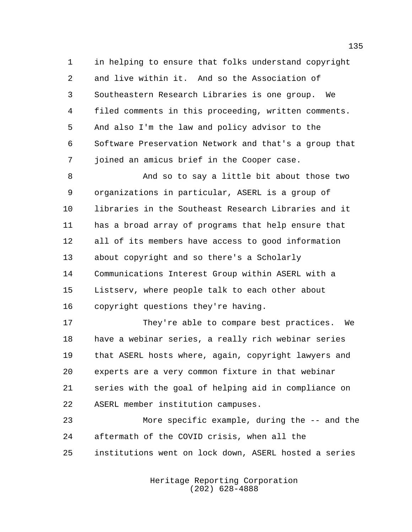in helping to ensure that folks understand copyright and live within it. And so the Association of Southeastern Research Libraries is one group. We filed comments in this proceeding, written comments. And also I'm the law and policy advisor to the Software Preservation Network and that's a group that joined an amicus brief in the Cooper case.

 And so to say a little bit about those two organizations in particular, ASERL is a group of libraries in the Southeast Research Libraries and it has a broad array of programs that help ensure that all of its members have access to good information about copyright and so there's a Scholarly Communications Interest Group within ASERL with a Listserv, where people talk to each other about copyright questions they're having.

17 They're able to compare best practices. We have a webinar series, a really rich webinar series that ASERL hosts where, again, copyright lawyers and experts are a very common fixture in that webinar series with the goal of helping aid in compliance on ASERL member institution campuses.

 More specific example, during the -- and the aftermath of the COVID crisis, when all the institutions went on lock down, ASERL hosted a series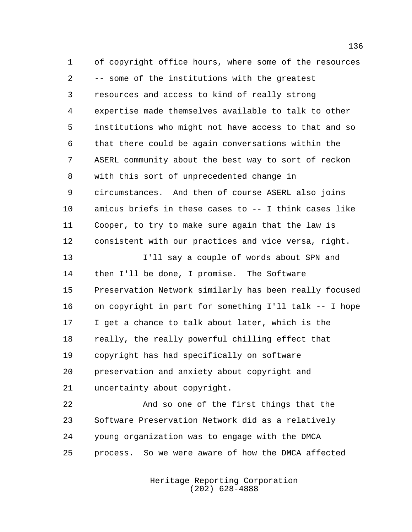of copyright office hours, where some of the resources -- some of the institutions with the greatest resources and access to kind of really strong expertise made themselves available to talk to other institutions who might not have access to that and so that there could be again conversations within the ASERL community about the best way to sort of reckon with this sort of unprecedented change in circumstances. And then of course ASERL also joins amicus briefs in these cases to -- I think cases like Cooper, to try to make sure again that the law is consistent with our practices and vice versa, right. I'll say a couple of words about SPN and then I'll be done, I promise. The Software Preservation Network similarly has been really focused on copyright in part for something I'll talk -- I hope I get a chance to talk about later, which is the really, the really powerful chilling effect that copyright has had specifically on software

 preservation and anxiety about copyright and uncertainty about copyright.

 And so one of the first things that the Software Preservation Network did as a relatively young organization was to engage with the DMCA process. So we were aware of how the DMCA affected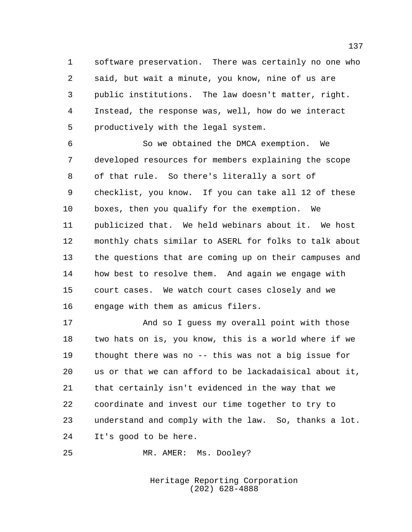software preservation. There was certainly no one who said, but wait a minute, you know, nine of us are public institutions. The law doesn't matter, right. Instead, the response was, well, how do we interact productively with the legal system.

 So we obtained the DMCA exemption. We developed resources for members explaining the scope of that rule. So there's literally a sort of checklist, you know. If you can take all 12 of these boxes, then you qualify for the exemption. We publicized that. We held webinars about it. We host monthly chats similar to ASERL for folks to talk about the questions that are coming up on their campuses and how best to resolve them. And again we engage with court cases. We watch court cases closely and we engage with them as amicus filers.

 And so I guess my overall point with those two hats on is, you know, this is a world where if we thought there was no -- this was not a big issue for us or that we can afford to be lackadaisical about it, that certainly isn't evidenced in the way that we coordinate and invest our time together to try to understand and comply with the law. So, thanks a lot. It's good to be here.

MR. AMER: Ms. Dooley?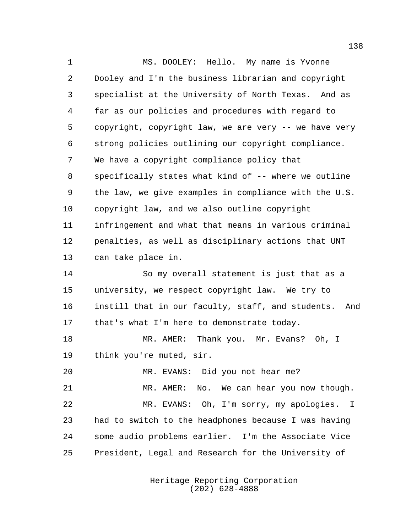MS. DOOLEY: Hello. My name is Yvonne Dooley and I'm the business librarian and copyright specialist at the University of North Texas. And as far as our policies and procedures with regard to copyright, copyright law, we are very -- we have very strong policies outlining our copyright compliance. We have a copyright compliance policy that specifically states what kind of -- where we outline the law, we give examples in compliance with the U.S. copyright law, and we also outline copyright infringement and what that means in various criminal penalties, as well as disciplinary actions that UNT can take place in. So my overall statement is just that as a university, we respect copyright law. We try to instill that in our faculty, staff, and students. And that's what I'm here to demonstrate today. MR. AMER: Thank you. Mr. Evans? Oh, I think you're muted, sir. MR. EVANS: Did you not hear me? MR. AMER: No. We can hear you now though. MR. EVANS: Oh, I'm sorry, my apologies. I had to switch to the headphones because I was having some audio problems earlier. I'm the Associate Vice President, Legal and Research for the University of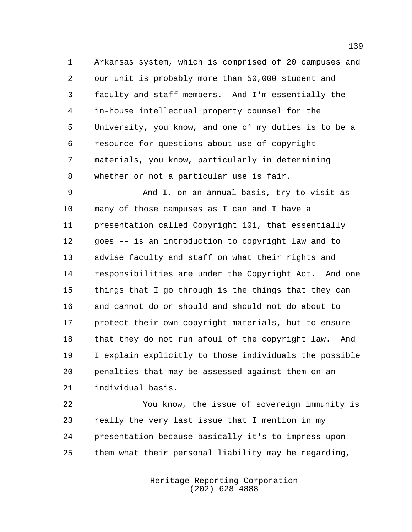Arkansas system, which is comprised of 20 campuses and our unit is probably more than 50,000 student and faculty and staff members. And I'm essentially the in-house intellectual property counsel for the University, you know, and one of my duties is to be a resource for questions about use of copyright materials, you know, particularly in determining whether or not a particular use is fair.

 And I, on an annual basis, try to visit as many of those campuses as I can and I have a presentation called Copyright 101, that essentially goes -- is an introduction to copyright law and to advise faculty and staff on what their rights and responsibilities are under the Copyright Act. And one things that I go through is the things that they can and cannot do or should and should not do about to protect their own copyright materials, but to ensure that they do not run afoul of the copyright law. And I explain explicitly to those individuals the possible penalties that may be assessed against them on an individual basis.

 You know, the issue of sovereign immunity is really the very last issue that I mention in my presentation because basically it's to impress upon them what their personal liability may be regarding,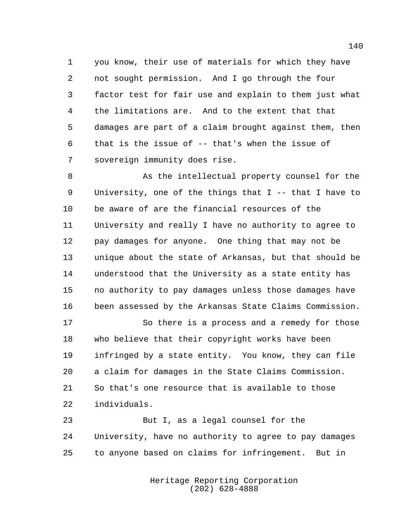you know, their use of materials for which they have not sought permission. And I go through the four factor test for fair use and explain to them just what the limitations are. And to the extent that that damages are part of a claim brought against them, then that is the issue of -- that's when the issue of sovereign immunity does rise.

8 As the intellectual property counsel for the University, one of the things that I -- that I have to be aware of are the financial resources of the University and really I have no authority to agree to pay damages for anyone. One thing that may not be unique about the state of Arkansas, but that should be understood that the University as a state entity has no authority to pay damages unless those damages have been assessed by the Arkansas State Claims Commission.

17 So there is a process and a remedy for those who believe that their copyright works have been infringed by a state entity. You know, they can file a claim for damages in the State Claims Commission. So that's one resource that is available to those individuals.

 But I, as a legal counsel for the University, have no authority to agree to pay damages to anyone based on claims for infringement. But in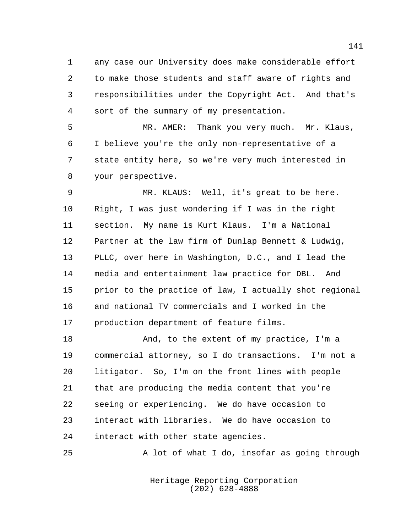any case our University does make considerable effort to make those students and staff aware of rights and responsibilities under the Copyright Act. And that's sort of the summary of my presentation.

 MR. AMER: Thank you very much. Mr. Klaus, I believe you're the only non-representative of a state entity here, so we're very much interested in your perspective.

 MR. KLAUS: Well, it's great to be here. Right, I was just wondering if I was in the right section. My name is Kurt Klaus. I'm a National Partner at the law firm of Dunlap Bennett & Ludwig, PLLC, over here in Washington, D.C., and I lead the media and entertainment law practice for DBL. And prior to the practice of law, I actually shot regional and national TV commercials and I worked in the production department of feature films.

 And, to the extent of my practice, I'm a commercial attorney, so I do transactions. I'm not a litigator. So, I'm on the front lines with people that are producing the media content that you're seeing or experiencing. We do have occasion to interact with libraries. We do have occasion to interact with other state agencies.

A lot of what I do, insofar as going through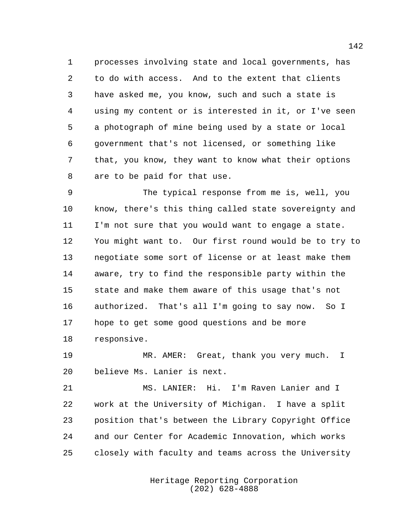processes involving state and local governments, has to do with access. And to the extent that clients have asked me, you know, such and such a state is using my content or is interested in it, or I've seen a photograph of mine being used by a state or local government that's not licensed, or something like that, you know, they want to know what their options are to be paid for that use.

 The typical response from me is, well, you know, there's this thing called state sovereignty and I'm not sure that you would want to engage a state. You might want to. Our first round would be to try to negotiate some sort of license or at least make them aware, try to find the responsible party within the state and make them aware of this usage that's not authorized. That's all I'm going to say now. So I hope to get some good questions and be more responsive.

 MR. AMER: Great, thank you very much. I believe Ms. Lanier is next.

 MS. LANIER: Hi. I'm Raven Lanier and I work at the University of Michigan. I have a split position that's between the Library Copyright Office and our Center for Academic Innovation, which works closely with faculty and teams across the University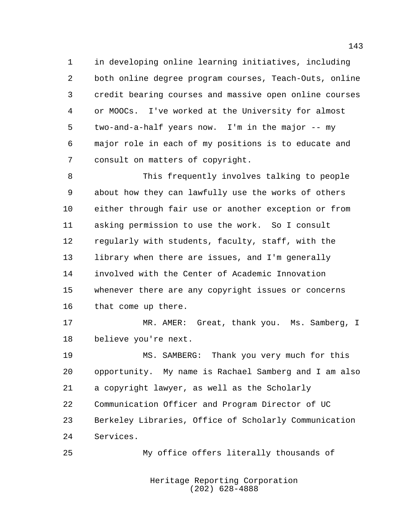in developing online learning initiatives, including both online degree program courses, Teach-Outs, online credit bearing courses and massive open online courses or MOOCs. I've worked at the University for almost two-and-a-half years now. I'm in the major -- my major role in each of my positions is to educate and consult on matters of copyright.

 This frequently involves talking to people about how they can lawfully use the works of others either through fair use or another exception or from asking permission to use the work. So I consult regularly with students, faculty, staff, with the library when there are issues, and I'm generally involved with the Center of Academic Innovation whenever there are any copyright issues or concerns that come up there.

 MR. AMER: Great, thank you. Ms. Samberg, I believe you're next.

 MS. SAMBERG: Thank you very much for this opportunity. My name is Rachael Samberg and I am also a copyright lawyer, as well as the Scholarly Communication Officer and Program Director of UC Berkeley Libraries, Office of Scholarly Communication Services.

My office offers literally thousands of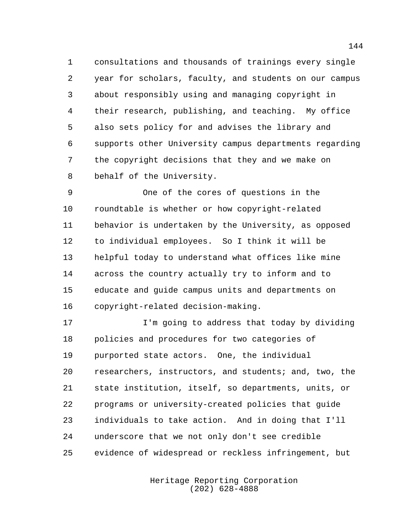consultations and thousands of trainings every single year for scholars, faculty, and students on our campus about responsibly using and managing copyright in their research, publishing, and teaching. My office also sets policy for and advises the library and supports other University campus departments regarding the copyright decisions that they and we make on behalf of the University.

 One of the cores of questions in the roundtable is whether or how copyright-related behavior is undertaken by the University, as opposed to individual employees. So I think it will be helpful today to understand what offices like mine across the country actually try to inform and to educate and guide campus units and departments on copyright-related decision-making.

 I'm going to address that today by dividing policies and procedures for two categories of purported state actors. One, the individual researchers, instructors, and students; and, two, the state institution, itself, so departments, units, or programs or university-created policies that guide individuals to take action. And in doing that I'll underscore that we not only don't see credible evidence of widespread or reckless infringement, but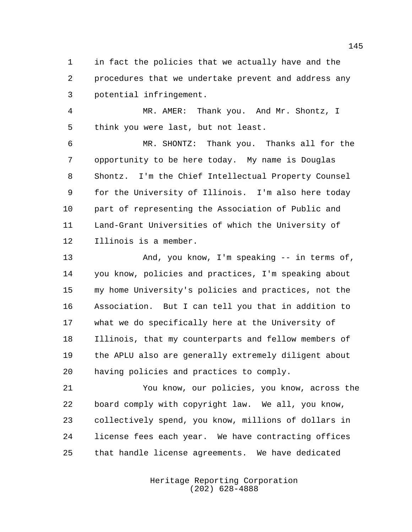in fact the policies that we actually have and the procedures that we undertake prevent and address any potential infringement.

 MR. AMER: Thank you. And Mr. Shontz, I think you were last, but not least.

 MR. SHONTZ: Thank you. Thanks all for the opportunity to be here today. My name is Douglas Shontz. I'm the Chief Intellectual Property Counsel for the University of Illinois. I'm also here today part of representing the Association of Public and Land-Grant Universities of which the University of Illinois is a member.

 And, you know, I'm speaking -- in terms of, you know, policies and practices, I'm speaking about my home University's policies and practices, not the Association. But I can tell you that in addition to what we do specifically here at the University of Illinois, that my counterparts and fellow members of the APLU also are generally extremely diligent about having policies and practices to comply.

 You know, our policies, you know, across the board comply with copyright law. We all, you know, collectively spend, you know, millions of dollars in license fees each year. We have contracting offices that handle license agreements. We have dedicated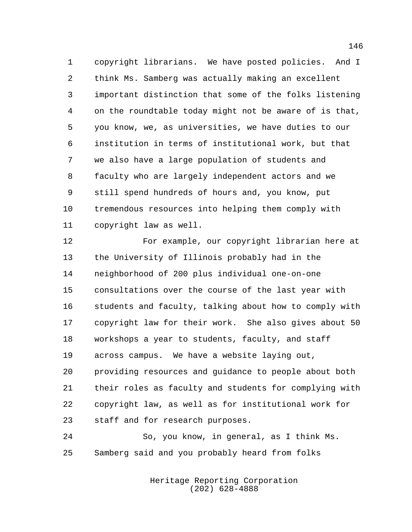copyright librarians. We have posted policies. And I think Ms. Samberg was actually making an excellent important distinction that some of the folks listening on the roundtable today might not be aware of is that, you know, we, as universities, we have duties to our institution in terms of institutional work, but that we also have a large population of students and faculty who are largely independent actors and we still spend hundreds of hours and, you know, put tremendous resources into helping them comply with copyright law as well.

 For example, our copyright librarian here at the University of Illinois probably had in the neighborhood of 200 plus individual one-on-one consultations over the course of the last year with students and faculty, talking about how to comply with copyright law for their work. She also gives about 50 workshops a year to students, faculty, and staff across campus. We have a website laying out, providing resources and guidance to people about both their roles as faculty and students for complying with copyright law, as well as for institutional work for staff and for research purposes.

 So, you know, in general, as I think Ms. Samberg said and you probably heard from folks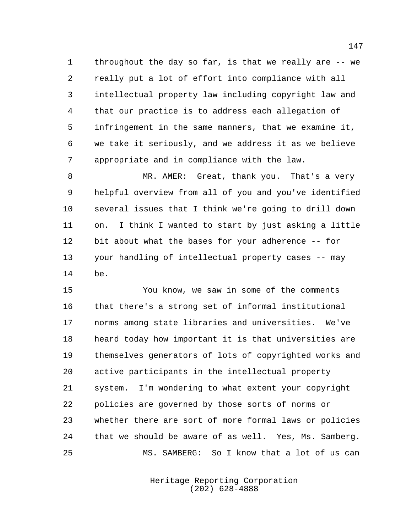throughout the day so far, is that we really are -- we really put a lot of effort into compliance with all intellectual property law including copyright law and that our practice is to address each allegation of infringement in the same manners, that we examine it, we take it seriously, and we address it as we believe appropriate and in compliance with the law.

 MR. AMER: Great, thank you. That's a very helpful overview from all of you and you've identified several issues that I think we're going to drill down on. I think I wanted to start by just asking a little bit about what the bases for your adherence -- for your handling of intellectual property cases -- may be.

 You know, we saw in some of the comments that there's a strong set of informal institutional norms among state libraries and universities. We've heard today how important it is that universities are themselves generators of lots of copyrighted works and active participants in the intellectual property system. I'm wondering to what extent your copyright policies are governed by those sorts of norms or whether there are sort of more formal laws or policies that we should be aware of as well. Yes, Ms. Samberg. MS. SAMBERG: So I know that a lot of us can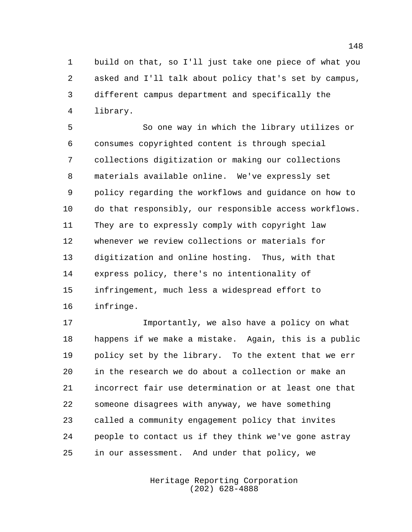build on that, so I'll just take one piece of what you asked and I'll talk about policy that's set by campus, different campus department and specifically the library.

 So one way in which the library utilizes or consumes copyrighted content is through special collections digitization or making our collections materials available online. We've expressly set policy regarding the workflows and guidance on how to do that responsibly, our responsible access workflows. They are to expressly comply with copyright law whenever we review collections or materials for digitization and online hosting. Thus, with that express policy, there's no intentionality of infringement, much less a widespread effort to infringe.

 Importantly, we also have a policy on what happens if we make a mistake. Again, this is a public policy set by the library. To the extent that we err in the research we do about a collection or make an incorrect fair use determination or at least one that someone disagrees with anyway, we have something called a community engagement policy that invites people to contact us if they think we've gone astray in our assessment. And under that policy, we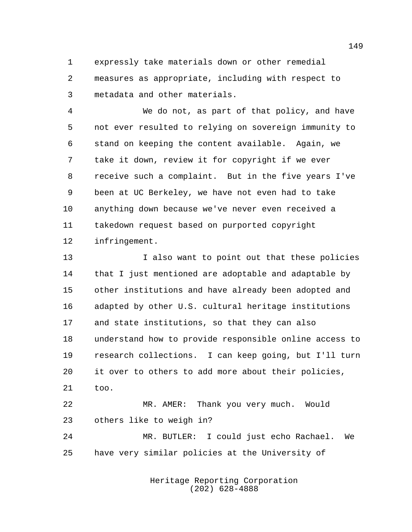expressly take materials down or other remedial measures as appropriate, including with respect to metadata and other materials.

 We do not, as part of that policy, and have not ever resulted to relying on sovereign immunity to stand on keeping the content available. Again, we take it down, review it for copyright if we ever receive such a complaint. But in the five years I've been at UC Berkeley, we have not even had to take anything down because we've never even received a takedown request based on purported copyright infringement.

 I also want to point out that these policies that I just mentioned are adoptable and adaptable by other institutions and have already been adopted and adapted by other U.S. cultural heritage institutions and state institutions, so that they can also understand how to provide responsible online access to research collections. I can keep going, but I'll turn it over to others to add more about their policies, too.

 MR. AMER: Thank you very much. Would others like to weigh in?

 MR. BUTLER: I could just echo Rachael. We have very similar policies at the University of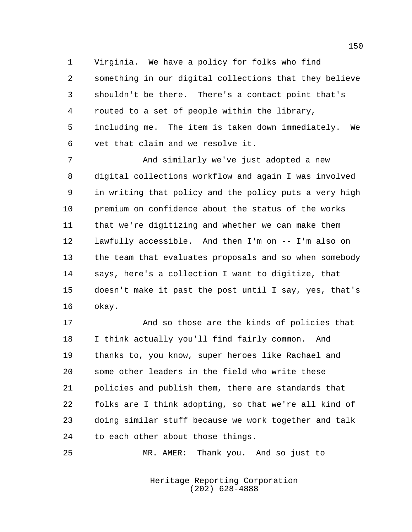Virginia. We have a policy for folks who find something in our digital collections that they believe shouldn't be there. There's a contact point that's routed to a set of people within the library, including me. The item is taken down immediately. We vet that claim and we resolve it.

 And similarly we've just adopted a new digital collections workflow and again I was involved in writing that policy and the policy puts a very high premium on confidence about the status of the works that we're digitizing and whether we can make them lawfully accessible. And then I'm on -- I'm also on the team that evaluates proposals and so when somebody says, here's a collection I want to digitize, that doesn't make it past the post until I say, yes, that's okay.

 And so those are the kinds of policies that I think actually you'll find fairly common. And thanks to, you know, super heroes like Rachael and some other leaders in the field who write these policies and publish them, there are standards that folks are I think adopting, so that we're all kind of doing similar stuff because we work together and talk to each other about those things.

MR. AMER: Thank you. And so just to

Heritage Reporting Corporation (202) 628-4888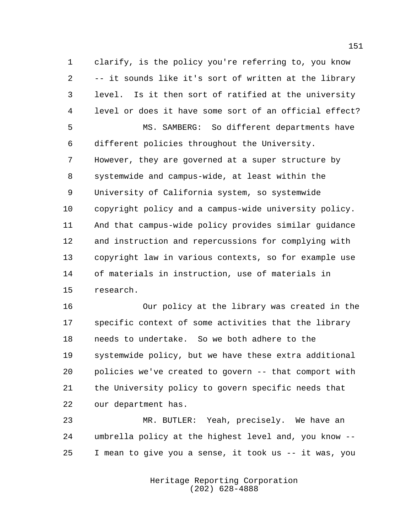clarify, is the policy you're referring to, you know -- it sounds like it's sort of written at the library level. Is it then sort of ratified at the university level or does it have some sort of an official effect? MS. SAMBERG: So different departments have different policies throughout the University. However, they are governed at a super structure by systemwide and campus-wide, at least within the University of California system, so systemwide copyright policy and a campus-wide university policy. And that campus-wide policy provides similar guidance and instruction and repercussions for complying with copyright law in various contexts, so for example use of materials in instruction, use of materials in research.

 Our policy at the library was created in the specific context of some activities that the library needs to undertake. So we both adhere to the systemwide policy, but we have these extra additional policies we've created to govern -- that comport with the University policy to govern specific needs that our department has.

 MR. BUTLER: Yeah, precisely. We have an umbrella policy at the highest level and, you know -- I mean to give you a sense, it took us -- it was, you

> Heritage Reporting Corporation (202) 628-4888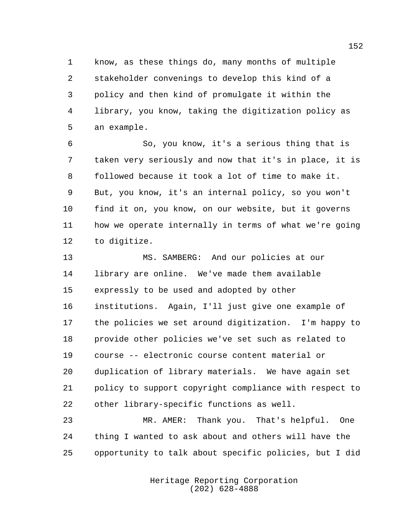know, as these things do, many months of multiple stakeholder convenings to develop this kind of a policy and then kind of promulgate it within the library, you know, taking the digitization policy as an example.

 So, you know, it's a serious thing that is taken very seriously and now that it's in place, it is followed because it took a lot of time to make it. But, you know, it's an internal policy, so you won't find it on, you know, on our website, but it governs how we operate internally in terms of what we're going to digitize.

 MS. SAMBERG: And our policies at our library are online. We've made them available expressly to be used and adopted by other institutions. Again, I'll just give one example of the policies we set around digitization. I'm happy to provide other policies we've set such as related to course -- electronic course content material or duplication of library materials. We have again set policy to support copyright compliance with respect to other library-specific functions as well.

 MR. AMER: Thank you. That's helpful. One thing I wanted to ask about and others will have the opportunity to talk about specific policies, but I did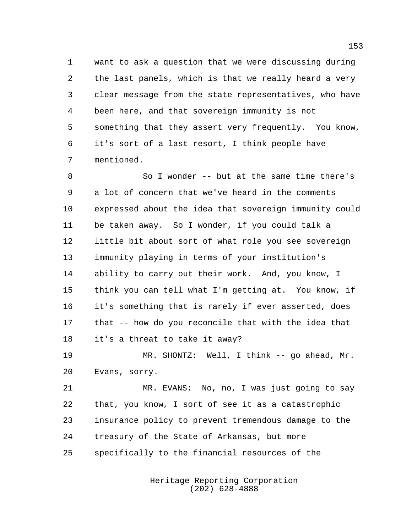want to ask a question that we were discussing during the last panels, which is that we really heard a very clear message from the state representatives, who have been here, and that sovereign immunity is not something that they assert very frequently. You know, it's sort of a last resort, I think people have mentioned.

 So I wonder -- but at the same time there's a lot of concern that we've heard in the comments expressed about the idea that sovereign immunity could be taken away. So I wonder, if you could talk a little bit about sort of what role you see sovereign immunity playing in terms of your institution's ability to carry out their work. And, you know, I think you can tell what I'm getting at. You know, if it's something that is rarely if ever asserted, does that -- how do you reconcile that with the idea that it's a threat to take it away?

 MR. SHONTZ: Well, I think -- go ahead, Mr. Evans, sorry.

 MR. EVANS: No, no, I was just going to say that, you know, I sort of see it as a catastrophic insurance policy to prevent tremendous damage to the treasury of the State of Arkansas, but more specifically to the financial resources of the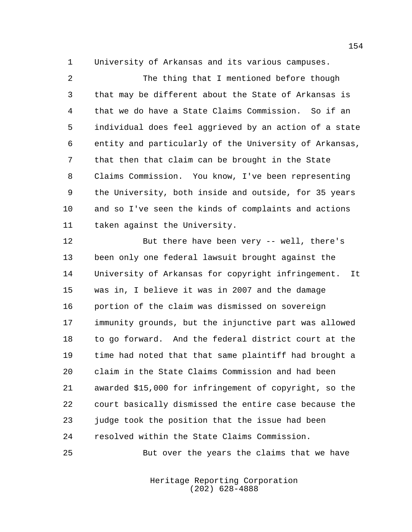University of Arkansas and its various campuses.

 The thing that I mentioned before though that may be different about the State of Arkansas is that we do have a State Claims Commission. So if an individual does feel aggrieved by an action of a state entity and particularly of the University of Arkansas, that then that claim can be brought in the State Claims Commission. You know, I've been representing the University, both inside and outside, for 35 years and so I've seen the kinds of complaints and actions taken against the University.

 But there have been very -- well, there's been only one federal lawsuit brought against the University of Arkansas for copyright infringement. It was in, I believe it was in 2007 and the damage portion of the claim was dismissed on sovereign immunity grounds, but the injunctive part was allowed to go forward. And the federal district court at the time had noted that that same plaintiff had brought a claim in the State Claims Commission and had been awarded \$15,000 for infringement of copyright, so the court basically dismissed the entire case because the judge took the position that the issue had been resolved within the State Claims Commission.

But over the years the claims that we have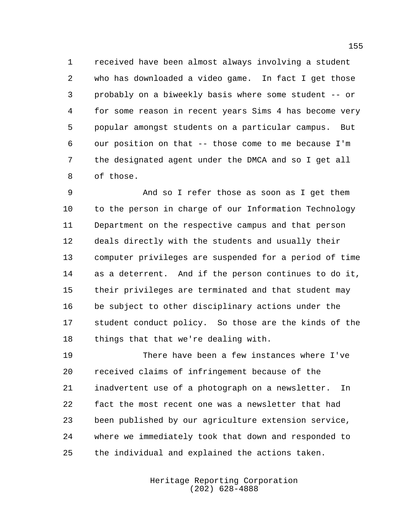received have been almost always involving a student who has downloaded a video game. In fact I get those probably on a biweekly basis where some student -- or for some reason in recent years Sims 4 has become very popular amongst students on a particular campus. But our position on that -- those come to me because I'm the designated agent under the DMCA and so I get all of those.

 And so I refer those as soon as I get them to the person in charge of our Information Technology Department on the respective campus and that person deals directly with the students and usually their computer privileges are suspended for a period of time as a deterrent. And if the person continues to do it, their privileges are terminated and that student may be subject to other disciplinary actions under the student conduct policy. So those are the kinds of the things that that we're dealing with.

 There have been a few instances where I've received claims of infringement because of the inadvertent use of a photograph on a newsletter. In fact the most recent one was a newsletter that had been published by our agriculture extension service, where we immediately took that down and responded to the individual and explained the actions taken.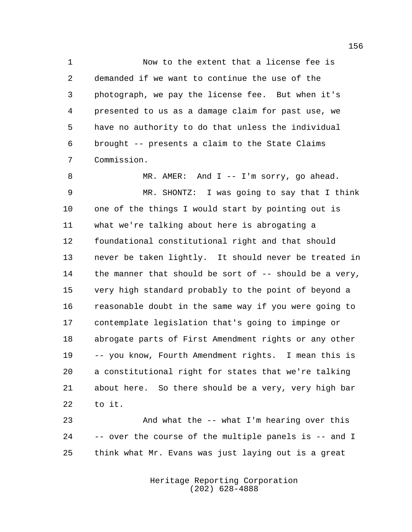Now to the extent that a license fee is demanded if we want to continue the use of the photograph, we pay the license fee. But when it's presented to us as a damage claim for past use, we have no authority to do that unless the individual brought -- presents a claim to the State Claims Commission.

8 MR. AMER: And I -- I'm sorry, go ahead. MR. SHONTZ: I was going to say that I think one of the things I would start by pointing out is what we're talking about here is abrogating a foundational constitutional right and that should never be taken lightly. It should never be treated in 14 the manner that should be sort of -- should be a very, very high standard probably to the point of beyond a reasonable doubt in the same way if you were going to contemplate legislation that's going to impinge or abrogate parts of First Amendment rights or any other -- you know, Fourth Amendment rights. I mean this is a constitutional right for states that we're talking about here. So there should be a very, very high bar to it.

 And what the -- what I'm hearing over this -- over the course of the multiple panels is -- and I think what Mr. Evans was just laying out is a great

> Heritage Reporting Corporation (202) 628-4888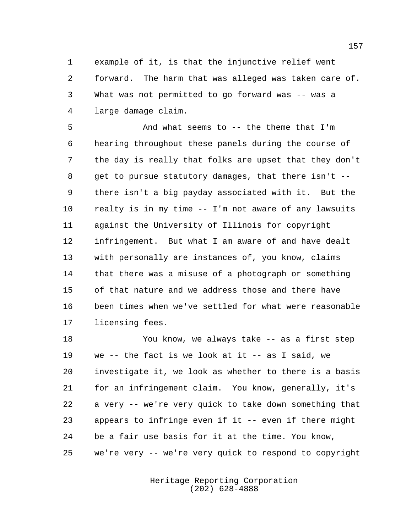example of it, is that the injunctive relief went forward. The harm that was alleged was taken care of. What was not permitted to go forward was -- was a large damage claim.

 And what seems to -- the theme that I'm hearing throughout these panels during the course of the day is really that folks are upset that they don't get to pursue statutory damages, that there isn't -- there isn't a big payday associated with it. But the realty is in my time -- I'm not aware of any lawsuits against the University of Illinois for copyright infringement. But what I am aware of and have dealt with personally are instances of, you know, claims that there was a misuse of a photograph or something of that nature and we address those and there have been times when we've settled for what were reasonable licensing fees.

 You know, we always take -- as a first step we -- the fact is we look at it -- as I said, we investigate it, we look as whether to there is a basis for an infringement claim. You know, generally, it's a very -- we're very quick to take down something that appears to infringe even if it -- even if there might be a fair use basis for it at the time. You know, we're very -- we're very quick to respond to copyright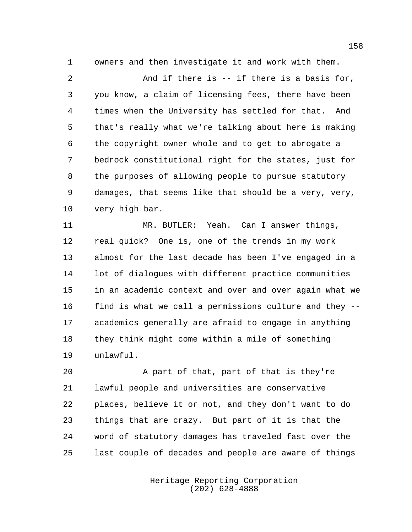owners and then investigate it and work with them.

 And if there is -- if there is a basis for, you know, a claim of licensing fees, there have been times when the University has settled for that. And that's really what we're talking about here is making the copyright owner whole and to get to abrogate a bedrock constitutional right for the states, just for the purposes of allowing people to pursue statutory damages, that seems like that should be a very, very, very high bar.

 MR. BUTLER: Yeah. Can I answer things, real quick? One is, one of the trends in my work almost for the last decade has been I've engaged in a lot of dialogues with different practice communities in an academic context and over and over again what we find is what we call a permissions culture and they -- academics generally are afraid to engage in anything they think might come within a mile of something unlawful.

 A part of that, part of that is they're lawful people and universities are conservative places, believe it or not, and they don't want to do things that are crazy. But part of it is that the word of statutory damages has traveled fast over the last couple of decades and people are aware of things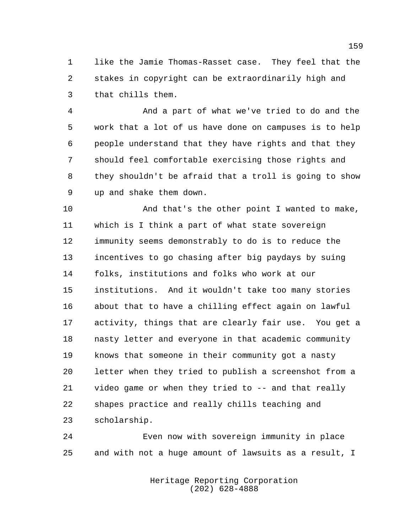like the Jamie Thomas-Rasset case. They feel that the stakes in copyright can be extraordinarily high and that chills them.

 And a part of what we've tried to do and the work that a lot of us have done on campuses is to help people understand that they have rights and that they should feel comfortable exercising those rights and they shouldn't be afraid that a troll is going to show up and shake them down.

 And that's the other point I wanted to make, which is I think a part of what state sovereign immunity seems demonstrably to do is to reduce the incentives to go chasing after big paydays by suing folks, institutions and folks who work at our institutions. And it wouldn't take too many stories about that to have a chilling effect again on lawful activity, things that are clearly fair use. You get a nasty letter and everyone in that academic community knows that someone in their community got a nasty letter when they tried to publish a screenshot from a video game or when they tried to -- and that really shapes practice and really chills teaching and scholarship.

 Even now with sovereign immunity in place and with not a huge amount of lawsuits as a result, I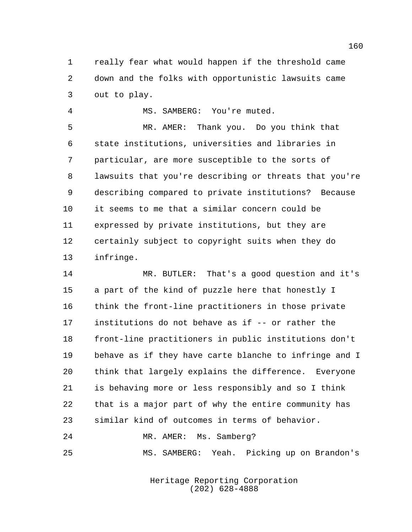really fear what would happen if the threshold came down and the folks with opportunistic lawsuits came out to play.

MS. SAMBERG: You're muted.

 MR. AMER: Thank you. Do you think that state institutions, universities and libraries in particular, are more susceptible to the sorts of lawsuits that you're describing or threats that you're describing compared to private institutions? Because it seems to me that a similar concern could be expressed by private institutions, but they are certainly subject to copyright suits when they do infringe.

 MR. BUTLER: That's a good question and it's a part of the kind of puzzle here that honestly I think the front-line practitioners in those private institutions do not behave as if -- or rather the front-line practitioners in public institutions don't behave as if they have carte blanche to infringe and I think that largely explains the difference. Everyone is behaving more or less responsibly and so I think that is a major part of why the entire community has similar kind of outcomes in terms of behavior.

MR. AMER: Ms. Samberg?

MS. SAMBERG: Yeah. Picking up on Brandon's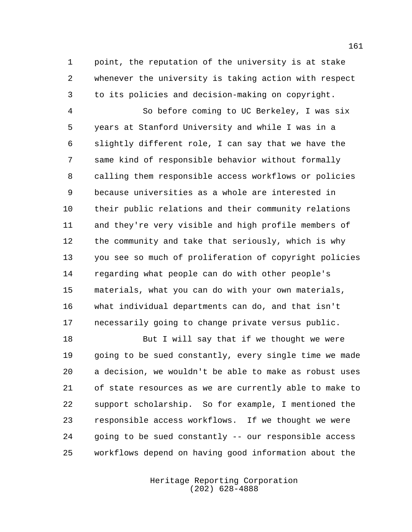point, the reputation of the university is at stake whenever the university is taking action with respect to its policies and decision-making on copyright.

 So before coming to UC Berkeley, I was six years at Stanford University and while I was in a slightly different role, I can say that we have the same kind of responsible behavior without formally calling them responsible access workflows or policies because universities as a whole are interested in their public relations and their community relations and they're very visible and high profile members of the community and take that seriously, which is why you see so much of proliferation of copyright policies regarding what people can do with other people's materials, what you can do with your own materials, what individual departments can do, and that isn't necessarily going to change private versus public.

18 But I will say that if we thought we were going to be sued constantly, every single time we made a decision, we wouldn't be able to make as robust uses of state resources as we are currently able to make to support scholarship. So for example, I mentioned the responsible access workflows. If we thought we were going to be sued constantly -- our responsible access workflows depend on having good information about the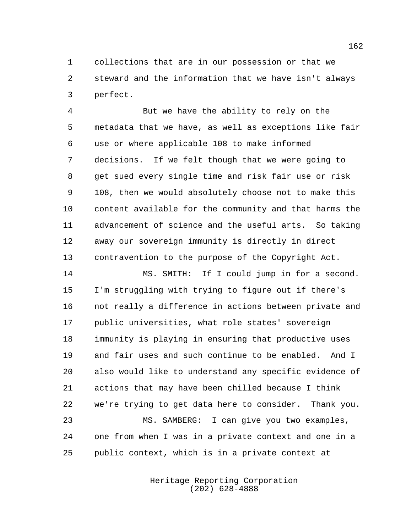collections that are in our possession or that we steward and the information that we have isn't always perfect.

 But we have the ability to rely on the metadata that we have, as well as exceptions like fair use or where applicable 108 to make informed decisions. If we felt though that we were going to get sued every single time and risk fair use or risk 108, then we would absolutely choose not to make this content available for the community and that harms the advancement of science and the useful arts. So taking away our sovereign immunity is directly in direct contravention to the purpose of the Copyright Act.

 MS. SMITH: If I could jump in for a second. I'm struggling with trying to figure out if there's not really a difference in actions between private and public universities, what role states' sovereign immunity is playing in ensuring that productive uses and fair uses and such continue to be enabled. And I also would like to understand any specific evidence of actions that may have been chilled because I think we're trying to get data here to consider. Thank you. MS. SAMBERG: I can give you two examples, one from when I was in a private context and one in a public context, which is in a private context at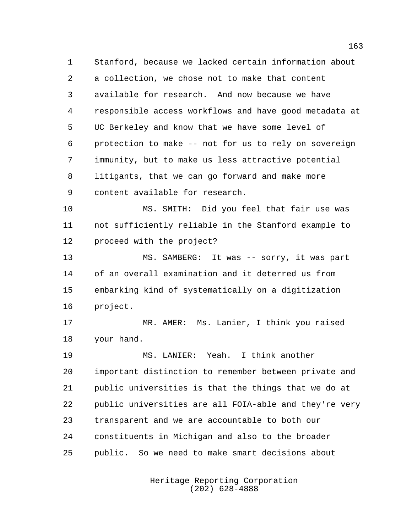Stanford, because we lacked certain information about a collection, we chose not to make that content available for research. And now because we have responsible access workflows and have good metadata at UC Berkeley and know that we have some level of protection to make -- not for us to rely on sovereign immunity, but to make us less attractive potential litigants, that we can go forward and make more content available for research.

 MS. SMITH: Did you feel that fair use was not sufficiently reliable in the Stanford example to proceed with the project?

 MS. SAMBERG: It was -- sorry, it was part of an overall examination and it deterred us from embarking kind of systematically on a digitization project.

 MR. AMER: Ms. Lanier, I think you raised your hand.

 MS. LANIER: Yeah. I think another important distinction to remember between private and public universities is that the things that we do at public universities are all FOIA-able and they're very transparent and we are accountable to both our constituents in Michigan and also to the broader public. So we need to make smart decisions about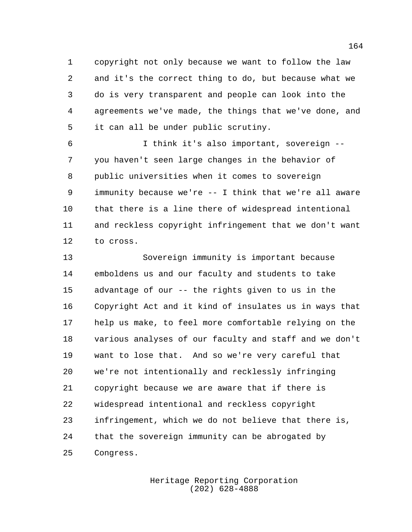copyright not only because we want to follow the law and it's the correct thing to do, but because what we do is very transparent and people can look into the agreements we've made, the things that we've done, and it can all be under public scrutiny.

 I think it's also important, sovereign -- you haven't seen large changes in the behavior of public universities when it comes to sovereign immunity because we're -- I think that we're all aware that there is a line there of widespread intentional and reckless copyright infringement that we don't want to cross.

 Sovereign immunity is important because emboldens us and our faculty and students to take advantage of our -- the rights given to us in the Copyright Act and it kind of insulates us in ways that help us make, to feel more comfortable relying on the various analyses of our faculty and staff and we don't want to lose that. And so we're very careful that we're not intentionally and recklessly infringing copyright because we are aware that if there is widespread intentional and reckless copyright infringement, which we do not believe that there is, that the sovereign immunity can be abrogated by Congress.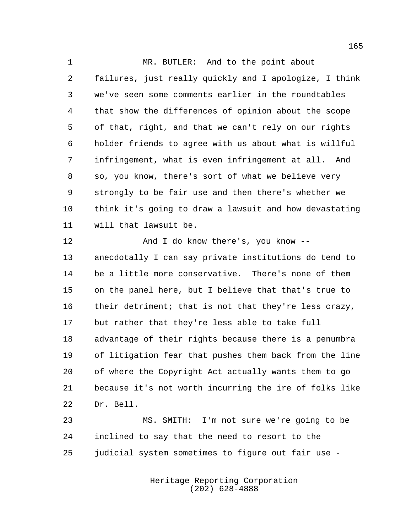1 MR. BUTLER: And to the point about failures, just really quickly and I apologize, I think we've seen some comments earlier in the roundtables that show the differences of opinion about the scope of that, right, and that we can't rely on our rights holder friends to agree with us about what is willful infringement, what is even infringement at all. And so, you know, there's sort of what we believe very strongly to be fair use and then there's whether we think it's going to draw a lawsuit and how devastating will that lawsuit be.

12 And I do know there's, you know -- anecdotally I can say private institutions do tend to be a little more conservative. There's none of them on the panel here, but I believe that that's true to 16 their detriment; that is not that they're less crazy, but rather that they're less able to take full advantage of their rights because there is a penumbra of litigation fear that pushes them back from the line of where the Copyright Act actually wants them to go because it's not worth incurring the ire of folks like Dr. Bell.

 MS. SMITH: I'm not sure we're going to be inclined to say that the need to resort to the judicial system sometimes to figure out fair use -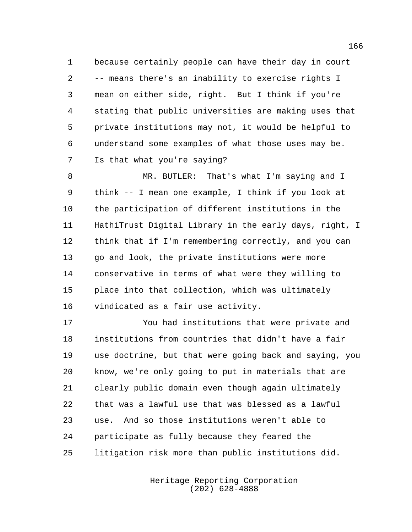because certainly people can have their day in court -- means there's an inability to exercise rights I mean on either side, right. But I think if you're stating that public universities are making uses that private institutions may not, it would be helpful to understand some examples of what those uses may be. Is that what you're saying?

 MR. BUTLER: That's what I'm saying and I think -- I mean one example, I think if you look at the participation of different institutions in the HathiTrust Digital Library in the early days, right, I think that if I'm remembering correctly, and you can go and look, the private institutions were more conservative in terms of what were they willing to place into that collection, which was ultimately vindicated as a fair use activity.

 You had institutions that were private and institutions from countries that didn't have a fair use doctrine, but that were going back and saying, you know, we're only going to put in materials that are clearly public domain even though again ultimately that was a lawful use that was blessed as a lawful use. And so those institutions weren't able to participate as fully because they feared the litigation risk more than public institutions did.

> Heritage Reporting Corporation (202) 628-4888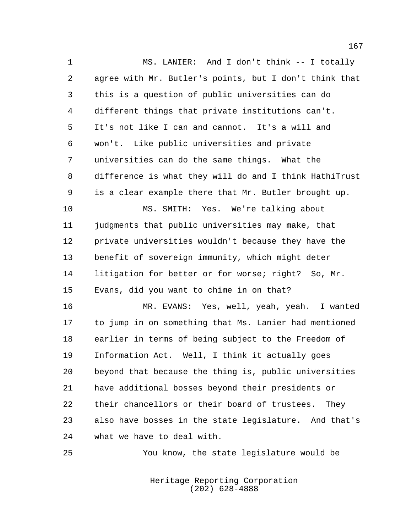MS. LANIER: And I don't think -- I totally agree with Mr. Butler's points, but I don't think that this is a question of public universities can do different things that private institutions can't. It's not like I can and cannot. It's a will and won't. Like public universities and private universities can do the same things. What the difference is what they will do and I think HathiTrust is a clear example there that Mr. Butler brought up. MS. SMITH: Yes. We're talking about judgments that public universities may make, that private universities wouldn't because they have the benefit of sovereign immunity, which might deter

 litigation for better or for worse; right? So, Mr. Evans, did you want to chime in on that?

 MR. EVANS: Yes, well, yeah, yeah. I wanted to jump in on something that Ms. Lanier had mentioned earlier in terms of being subject to the Freedom of Information Act. Well, I think it actually goes beyond that because the thing is, public universities have additional bosses beyond their presidents or their chancellors or their board of trustees. They also have bosses in the state legislature. And that's what we have to deal with.

You know, the state legislature would be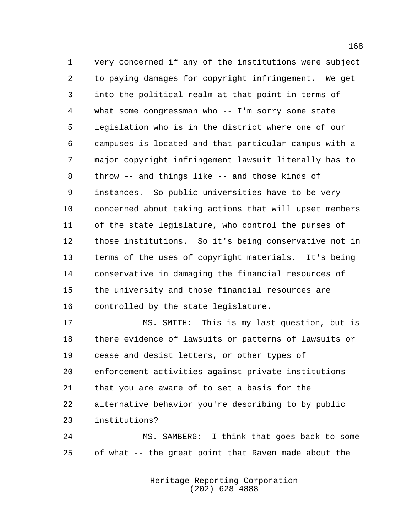very concerned if any of the institutions were subject to paying damages for copyright infringement. We get into the political realm at that point in terms of what some congressman who -- I'm sorry some state legislation who is in the district where one of our campuses is located and that particular campus with a major copyright infringement lawsuit literally has to throw -- and things like -- and those kinds of instances. So public universities have to be very concerned about taking actions that will upset members of the state legislature, who control the purses of those institutions. So it's being conservative not in terms of the uses of copyright materials. It's being conservative in damaging the financial resources of the university and those financial resources are controlled by the state legislature.

 MS. SMITH: This is my last question, but is there evidence of lawsuits or patterns of lawsuits or cease and desist letters, or other types of enforcement activities against private institutions that you are aware of to set a basis for the alternative behavior you're describing to by public institutions?

 MS. SAMBERG: I think that goes back to some of what -- the great point that Raven made about the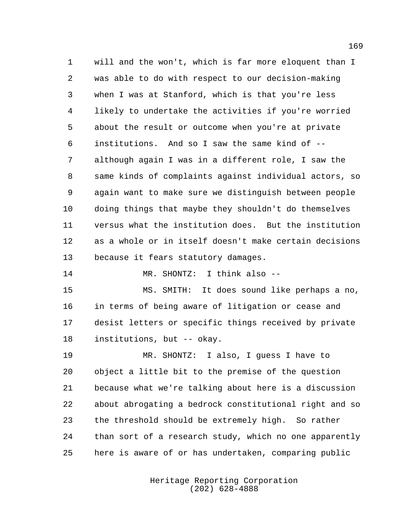will and the won't, which is far more eloquent than I was able to do with respect to our decision-making when I was at Stanford, which is that you're less likely to undertake the activities if you're worried about the result or outcome when you're at private institutions. And so I saw the same kind of -- although again I was in a different role, I saw the same kinds of complaints against individual actors, so again want to make sure we distinguish between people doing things that maybe they shouldn't do themselves versus what the institution does. But the institution as a whole or in itself doesn't make certain decisions because it fears statutory damages.

MR. SHONTZ: I think also --

 MS. SMITH: It does sound like perhaps a no, in terms of being aware of litigation or cease and desist letters or specific things received by private institutions, but -- okay.

 MR. SHONTZ: I also, I guess I have to object a little bit to the premise of the question because what we're talking about here is a discussion about abrogating a bedrock constitutional right and so the threshold should be extremely high. So rather than sort of a research study, which no one apparently here is aware of or has undertaken, comparing public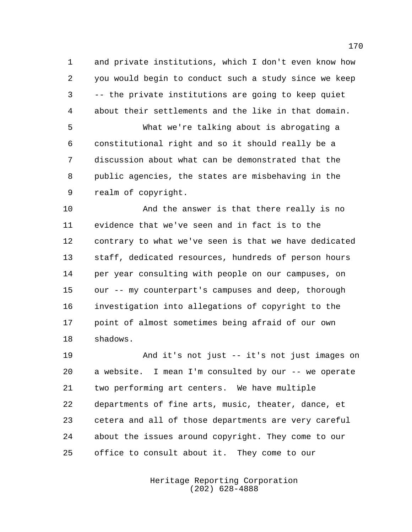and private institutions, which I don't even know how you would begin to conduct such a study since we keep -- the private institutions are going to keep quiet about their settlements and the like in that domain.

 What we're talking about is abrogating a constitutional right and so it should really be a discussion about what can be demonstrated that the public agencies, the states are misbehaving in the realm of copyright.

 And the answer is that there really is no evidence that we've seen and in fact is to the contrary to what we've seen is that we have dedicated staff, dedicated resources, hundreds of person hours per year consulting with people on our campuses, on our -- my counterpart's campuses and deep, thorough investigation into allegations of copyright to the point of almost sometimes being afraid of our own shadows.

 And it's not just -- it's not just images on a website. I mean I'm consulted by our -- we operate two performing art centers. We have multiple departments of fine arts, music, theater, dance, et cetera and all of those departments are very careful about the issues around copyright. They come to our office to consult about it. They come to our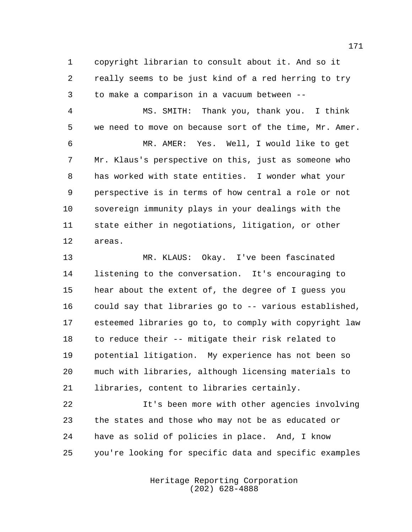copyright librarian to consult about it. And so it really seems to be just kind of a red herring to try to make a comparison in a vacuum between --

 MS. SMITH: Thank you, thank you. I think we need to move on because sort of the time, Mr. Amer. MR. AMER: Yes. Well, I would like to get Mr. Klaus's perspective on this, just as someone who has worked with state entities. I wonder what your perspective is in terms of how central a role or not sovereign immunity plays in your dealings with the state either in negotiations, litigation, or other areas.

 MR. KLAUS: Okay. I've been fascinated listening to the conversation. It's encouraging to hear about the extent of, the degree of I guess you could say that libraries go to -- various established, esteemed libraries go to, to comply with copyright law to reduce their -- mitigate their risk related to potential litigation. My experience has not been so much with libraries, although licensing materials to libraries, content to libraries certainly.

 It's been more with other agencies involving the states and those who may not be as educated or have as solid of policies in place. And, I know you're looking for specific data and specific examples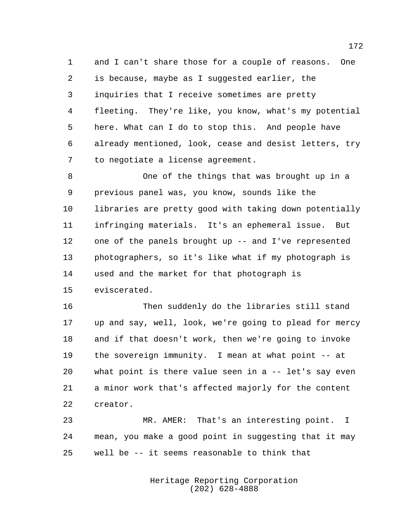and I can't share those for a couple of reasons. One is because, maybe as I suggested earlier, the inquiries that I receive sometimes are pretty fleeting. They're like, you know, what's my potential here. What can I do to stop this. And people have already mentioned, look, cease and desist letters, try to negotiate a license agreement.

 One of the things that was brought up in a previous panel was, you know, sounds like the libraries are pretty good with taking down potentially infringing materials. It's an ephemeral issue. But one of the panels brought up -- and I've represented photographers, so it's like what if my photograph is used and the market for that photograph is eviscerated.

 Then suddenly do the libraries still stand up and say, well, look, we're going to plead for mercy and if that doesn't work, then we're going to invoke the sovereign immunity. I mean at what point -- at what point is there value seen in a -- let's say even a minor work that's affected majorly for the content creator.

 MR. AMER: That's an interesting point. I mean, you make a good point in suggesting that it may well be -- it seems reasonable to think that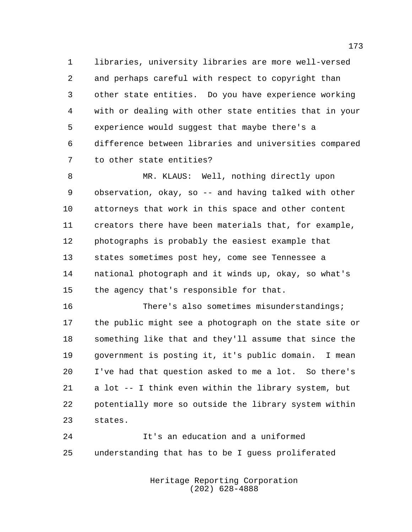libraries, university libraries are more well-versed and perhaps careful with respect to copyright than other state entities. Do you have experience working with or dealing with other state entities that in your experience would suggest that maybe there's a difference between libraries and universities compared to other state entities?

 MR. KLAUS: Well, nothing directly upon observation, okay, so -- and having talked with other attorneys that work in this space and other content creators there have been materials that, for example, photographs is probably the easiest example that states sometimes post hey, come see Tennessee a national photograph and it winds up, okay, so what's the agency that's responsible for that.

 There's also sometimes misunderstandings; the public might see a photograph on the state site or something like that and they'll assume that since the government is posting it, it's public domain. I mean I've had that question asked to me a lot. So there's a lot -- I think even within the library system, but potentially more so outside the library system within states.

 It's an education and a uniformed understanding that has to be I guess proliferated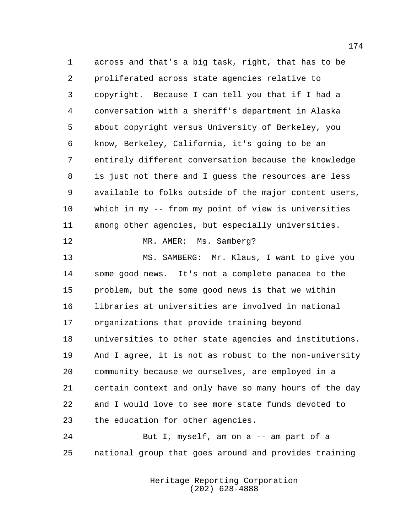across and that's a big task, right, that has to be proliferated across state agencies relative to copyright. Because I can tell you that if I had a conversation with a sheriff's department in Alaska about copyright versus University of Berkeley, you know, Berkeley, California, it's going to be an entirely different conversation because the knowledge is just not there and I guess the resources are less available to folks outside of the major content users, which in my -- from my point of view is universities among other agencies, but especially universities.

MR. AMER: Ms. Samberg?

 MS. SAMBERG: Mr. Klaus, I want to give you some good news. It's not a complete panacea to the problem, but the some good news is that we within libraries at universities are involved in national organizations that provide training beyond universities to other state agencies and institutions. And I agree, it is not as robust to the non-university community because we ourselves, are employed in a certain context and only have so many hours of the day and I would love to see more state funds devoted to the education for other agencies.

 But I, myself, am on a -- am part of a national group that goes around and provides training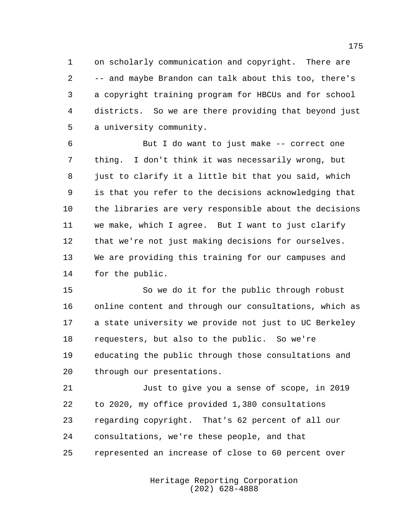on scholarly communication and copyright. There are -- and maybe Brandon can talk about this too, there's a copyright training program for HBCUs and for school districts. So we are there providing that beyond just a university community.

 But I do want to just make -- correct one thing. I don't think it was necessarily wrong, but 8 just to clarify it a little bit that you said, which is that you refer to the decisions acknowledging that the libraries are very responsible about the decisions we make, which I agree. But I want to just clarify that we're not just making decisions for ourselves. We are providing this training for our campuses and for the public.

 So we do it for the public through robust online content and through our consultations, which as a state university we provide not just to UC Berkeley requesters, but also to the public. So we're educating the public through those consultations and through our presentations.

 Just to give you a sense of scope, in 2019 to 2020, my office provided 1,380 consultations regarding copyright. That's 62 percent of all our consultations, we're these people, and that represented an increase of close to 60 percent over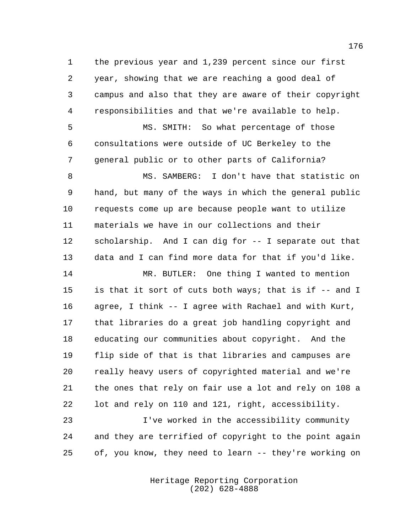the previous year and 1,239 percent since our first year, showing that we are reaching a good deal of campus and also that they are aware of their copyright responsibilities and that we're available to help.

 MS. SMITH: So what percentage of those consultations were outside of UC Berkeley to the general public or to other parts of California?

 MS. SAMBERG: I don't have that statistic on hand, but many of the ways in which the general public requests come up are because people want to utilize materials we have in our collections and their scholarship. And I can dig for -- I separate out that data and I can find more data for that if you'd like.

 MR. BUTLER: One thing I wanted to mention is that it sort of cuts both ways; that is if -- and I agree, I think -- I agree with Rachael and with Kurt, that libraries do a great job handling copyright and educating our communities about copyright. And the flip side of that is that libraries and campuses are really heavy users of copyrighted material and we're the ones that rely on fair use a lot and rely on 108 a lot and rely on 110 and 121, right, accessibility.

 I've worked in the accessibility community and they are terrified of copyright to the point again of, you know, they need to learn -- they're working on

> Heritage Reporting Corporation (202) 628-4888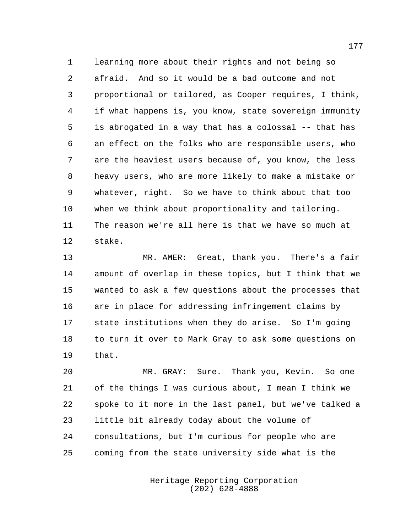learning more about their rights and not being so afraid. And so it would be a bad outcome and not proportional or tailored, as Cooper requires, I think, if what happens is, you know, state sovereign immunity is abrogated in a way that has a colossal -- that has an effect on the folks who are responsible users, who are the heaviest users because of, you know, the less heavy users, who are more likely to make a mistake or whatever, right. So we have to think about that too when we think about proportionality and tailoring. The reason we're all here is that we have so much at stake.

 MR. AMER: Great, thank you. There's a fair amount of overlap in these topics, but I think that we wanted to ask a few questions about the processes that are in place for addressing infringement claims by state institutions when they do arise. So I'm going to turn it over to Mark Gray to ask some questions on that.

 MR. GRAY: Sure. Thank you, Kevin. So one of the things I was curious about, I mean I think we spoke to it more in the last panel, but we've talked a little bit already today about the volume of consultations, but I'm curious for people who are coming from the state university side what is the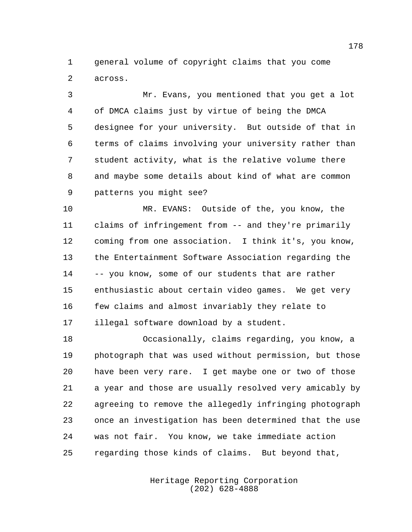general volume of copyright claims that you come across.

 Mr. Evans, you mentioned that you get a lot of DMCA claims just by virtue of being the DMCA designee for your university. But outside of that in terms of claims involving your university rather than student activity, what is the relative volume there and maybe some details about kind of what are common patterns you might see?

 MR. EVANS: Outside of the, you know, the claims of infringement from -- and they're primarily coming from one association. I think it's, you know, the Entertainment Software Association regarding the -- you know, some of our students that are rather enthusiastic about certain video games. We get very few claims and almost invariably they relate to illegal software download by a student.

 Occasionally, claims regarding, you know, a photograph that was used without permission, but those have been very rare. I get maybe one or two of those a year and those are usually resolved very amicably by agreeing to remove the allegedly infringing photograph once an investigation has been determined that the use was not fair. You know, we take immediate action regarding those kinds of claims. But beyond that,

> Heritage Reporting Corporation (202) 628-4888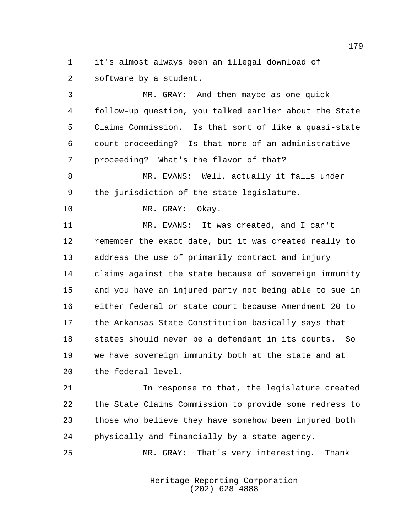it's almost always been an illegal download of software by a student.

 MR. GRAY: And then maybe as one quick follow-up question, you talked earlier about the State Claims Commission. Is that sort of like a quasi-state court proceeding? Is that more of an administrative proceeding? What's the flavor of that? MR. EVANS: Well, actually it falls under the jurisdiction of the state legislature. MR. GRAY: Okay. MR. EVANS: It was created, and I can't remember the exact date, but it was created really to address the use of primarily contract and injury claims against the state because of sovereign immunity and you have an injured party not being able to sue in either federal or state court because Amendment 20 to the Arkansas State Constitution basically says that states should never be a defendant in its courts. So we have sovereign immunity both at the state and at

the federal level.

 In response to that, the legislature created the State Claims Commission to provide some redress to those who believe they have somehow been injured both physically and financially by a state agency.

MR. GRAY: That's very interesting. Thank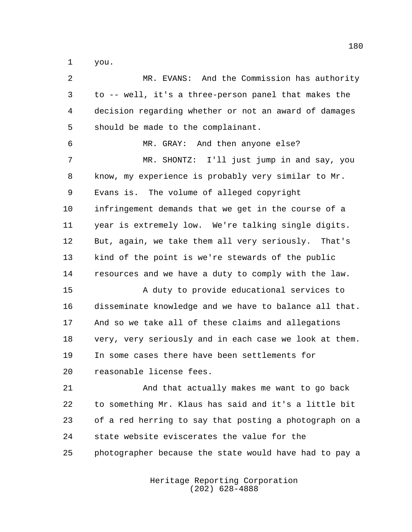you.

 MR. EVANS: And the Commission has authority to -- well, it's a three-person panel that makes the decision regarding whether or not an award of damages should be made to the complainant. MR. GRAY: And then anyone else? MR. SHONTZ: I'll just jump in and say, you know, my experience is probably very similar to Mr. Evans is. The volume of alleged copyright infringement demands that we get in the course of a year is extremely low. We're talking single digits. But, again, we take them all very seriously. That's kind of the point is we're stewards of the public resources and we have a duty to comply with the law. A duty to provide educational services to disseminate knowledge and we have to balance all that. And so we take all of these claims and allegations very, very seriously and in each case we look at them. In some cases there have been settlements for reasonable license fees. And that actually makes me want to go back to something Mr. Klaus has said and it's a little bit of a red herring to say that posting a photograph on a state website eviscerates the value for the photographer because the state would have had to pay a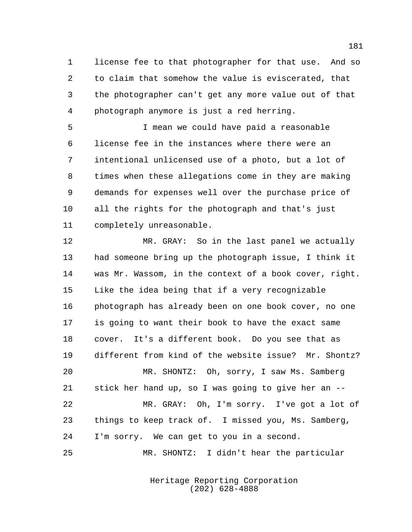license fee to that photographer for that use. And so to claim that somehow the value is eviscerated, that the photographer can't get any more value out of that photograph anymore is just a red herring.

 I mean we could have paid a reasonable license fee in the instances where there were an intentional unlicensed use of a photo, but a lot of times when these allegations come in they are making demands for expenses well over the purchase price of all the rights for the photograph and that's just completely unreasonable.

 MR. GRAY: So in the last panel we actually had someone bring up the photograph issue, I think it was Mr. Wassom, in the context of a book cover, right. Like the idea being that if a very recognizable photograph has already been on one book cover, no one is going to want their book to have the exact same cover. It's a different book. Do you see that as different from kind of the website issue? Mr. Shontz? MR. SHONTZ: Oh, sorry, I saw Ms. Samberg stick her hand up, so I was going to give her an -- MR. GRAY: Oh, I'm sorry. I've got a lot of things to keep track of. I missed you, Ms. Samberg, I'm sorry. We can get to you in a second. MR. SHONTZ: I didn't hear the particular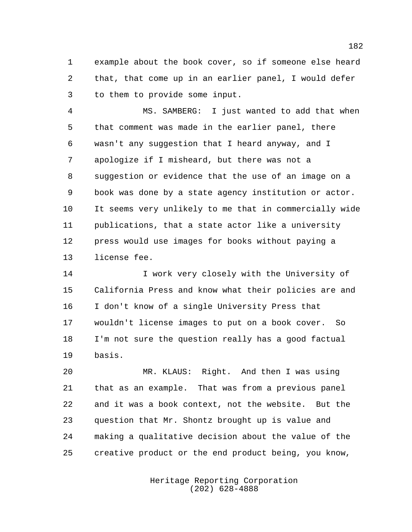example about the book cover, so if someone else heard that, that come up in an earlier panel, I would defer to them to provide some input.

 MS. SAMBERG: I just wanted to add that when that comment was made in the earlier panel, there wasn't any suggestion that I heard anyway, and I apologize if I misheard, but there was not a suggestion or evidence that the use of an image on a book was done by a state agency institution or actor. It seems very unlikely to me that in commercially wide publications, that a state actor like a university press would use images for books without paying a license fee.

14 I work very closely with the University of California Press and know what their policies are and I don't know of a single University Press that wouldn't license images to put on a book cover. So I'm not sure the question really has a good factual basis.

 MR. KLAUS: Right. And then I was using that as an example. That was from a previous panel and it was a book context, not the website. But the question that Mr. Shontz brought up is value and making a qualitative decision about the value of the creative product or the end product being, you know,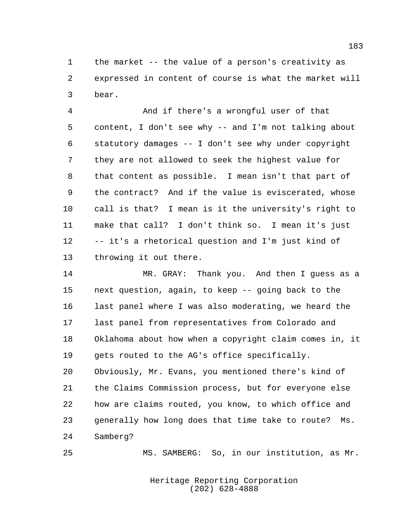the market -- the value of a person's creativity as expressed in content of course is what the market will bear.

 And if there's a wrongful user of that content, I don't see why -- and I'm not talking about statutory damages -- I don't see why under copyright they are not allowed to seek the highest value for that content as possible. I mean isn't that part of the contract? And if the value is eviscerated, whose call is that? I mean is it the university's right to make that call? I don't think so. I mean it's just -- it's a rhetorical question and I'm just kind of throwing it out there.

 MR. GRAY: Thank you. And then I guess as a next question, again, to keep -- going back to the last panel where I was also moderating, we heard the last panel from representatives from Colorado and Oklahoma about how when a copyright claim comes in, it gets routed to the AG's office specifically. Obviously, Mr. Evans, you mentioned there's kind of the Claims Commission process, but for everyone else how are claims routed, you know, to which office and generally how long does that time take to route? Ms. Samberg?

MS. SAMBERG: So, in our institution, as Mr.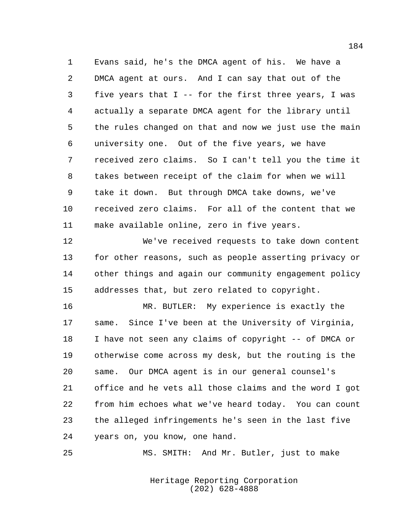Evans said, he's the DMCA agent of his. We have a DMCA agent at ours. And I can say that out of the five years that I -- for the first three years, I was actually a separate DMCA agent for the library until the rules changed on that and now we just use the main university one. Out of the five years, we have received zero claims. So I can't tell you the time it takes between receipt of the claim for when we will take it down. But through DMCA take downs, we've received zero claims. For all of the content that we make available online, zero in five years.

 We've received requests to take down content for other reasons, such as people asserting privacy or other things and again our community engagement policy addresses that, but zero related to copyright.

 MR. BUTLER: My experience is exactly the same. Since I've been at the University of Virginia, I have not seen any claims of copyright -- of DMCA or otherwise come across my desk, but the routing is the same. Our DMCA agent is in our general counsel's office and he vets all those claims and the word I got from him echoes what we've heard today. You can count the alleged infringements he's seen in the last five years on, you know, one hand.

MS. SMITH: And Mr. Butler, just to make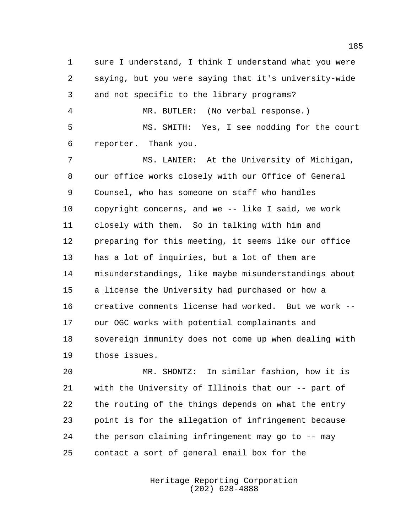sure I understand, I think I understand what you were saying, but you were saying that it's university-wide and not specific to the library programs? MR. BUTLER: (No verbal response.) MS. SMITH: Yes, I see nodding for the court reporter. Thank you. MS. LANIER: At the University of Michigan, our office works closely with our Office of General Counsel, who has someone on staff who handles copyright concerns, and we -- like I said, we work closely with them. So in talking with him and preparing for this meeting, it seems like our office has a lot of inquiries, but a lot of them are misunderstandings, like maybe misunderstandings about a license the University had purchased or how a creative comments license had worked. But we work -- our OGC works with potential complainants and sovereign immunity does not come up when dealing with those issues.

 MR. SHONTZ: In similar fashion, how it is with the University of Illinois that our -- part of the routing of the things depends on what the entry point is for the allegation of infringement because the person claiming infringement may go to -- may contact a sort of general email box for the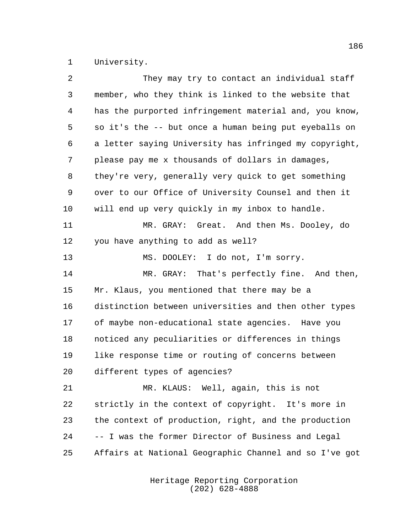University.

| 2  | They may try to contact an individual staff            |
|----|--------------------------------------------------------|
| 3  | member, who they think is linked to the website that   |
| 4  | has the purported infringement material and, you know, |
| 5  | so it's the -- but once a human being put eyeballs on  |
| 6  | a letter saying University has infringed my copyright, |
| 7  | please pay me x thousands of dollars in damages,       |
| 8  | they're very, generally very quick to get something    |
| 9  | over to our Office of University Counsel and then it   |
| 10 | will end up very quickly in my inbox to handle.        |
| 11 | MR. GRAY: Great. And then Ms. Dooley, do               |
| 12 | you have anything to add as well?                      |
| 13 | MS. DOOLEY: I do not, I'm sorry.                       |
| 14 | MR. GRAY: That's perfectly fine. And then,             |
| 15 | Mr. Klaus, you mentioned that there may be a           |
| 16 | distinction between universities and then other types  |
| 17 | of maybe non-educational state agencies. Have you      |
| 18 | noticed any peculiarities or differences in things     |
| 19 | like response time or routing of concerns between      |
| 20 | different types of agencies?                           |
| 21 | MR. KLAUS: Well, again, this is not                    |
| 22 | strictly in the context of copyright. It's more in     |
| 23 | the context of production, right, and the production   |
| 24 | -- I was the former Director of Business and Legal     |
| 25 | Affairs at National Geographic Channel and so I've got |
|    |                                                        |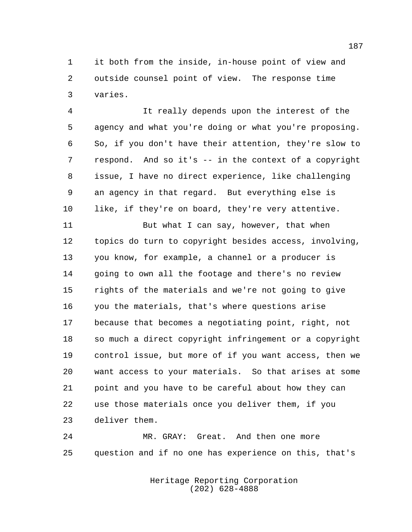it both from the inside, in-house point of view and outside counsel point of view. The response time varies.

 It really depends upon the interest of the agency and what you're doing or what you're proposing. So, if you don't have their attention, they're slow to respond. And so it's -- in the context of a copyright issue, I have no direct experience, like challenging an agency in that regard. But everything else is 10 like, if they're on board, they're very attentive.

11 But what I can say, however, that when topics do turn to copyright besides access, involving, you know, for example, a channel or a producer is going to own all the footage and there's no review rights of the materials and we're not going to give you the materials, that's where questions arise because that becomes a negotiating point, right, not so much a direct copyright infringement or a copyright control issue, but more of if you want access, then we want access to your materials. So that arises at some point and you have to be careful about how they can use those materials once you deliver them, if you deliver them.

 MR. GRAY: Great. And then one more question and if no one has experience on this, that's

> Heritage Reporting Corporation (202) 628-4888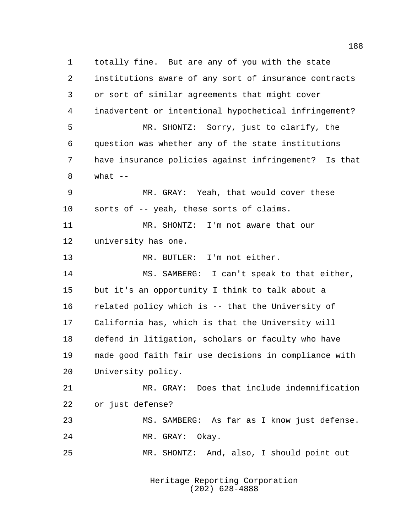totally fine. But are any of you with the state institutions aware of any sort of insurance contracts or sort of similar agreements that might cover inadvertent or intentional hypothetical infringement? MR. SHONTZ: Sorry, just to clarify, the question was whether any of the state institutions have insurance policies against infringement? Is that what  $-$  MR. GRAY: Yeah, that would cover these sorts of -- yeah, these sorts of claims. MR. SHONTZ: I'm not aware that our university has one. MR. BUTLER: I'm not either. MS. SAMBERG: I can't speak to that either, but it's an opportunity I think to talk about a related policy which is -- that the University of California has, which is that the University will defend in litigation, scholars or faculty who have made good faith fair use decisions in compliance with University policy. MR. GRAY: Does that include indemnification or just defense? MS. SAMBERG: As far as I know just defense. MR. GRAY: Okay. MR. SHONTZ: And, also, I should point out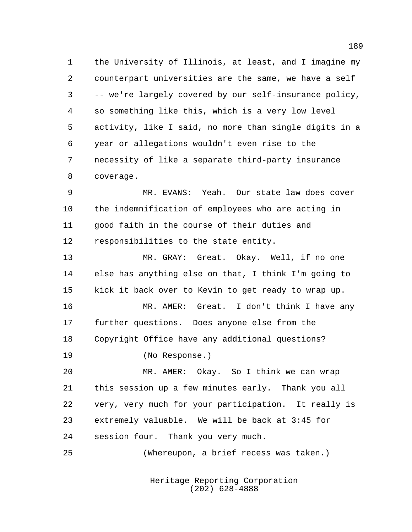the University of Illinois, at least, and I imagine my counterpart universities are the same, we have a self -- we're largely covered by our self-insurance policy, so something like this, which is a very low level activity, like I said, no more than single digits in a year or allegations wouldn't even rise to the necessity of like a separate third-party insurance coverage.

 MR. EVANS: Yeah. Our state law does cover the indemnification of employees who are acting in good faith in the course of their duties and responsibilities to the state entity.

 MR. GRAY: Great. Okay. Well, if no one else has anything else on that, I think I'm going to kick it back over to Kevin to get ready to wrap up.

 MR. AMER: Great. I don't think I have any further questions. Does anyone else from the Copyright Office have any additional questions? (No Response.)

 MR. AMER: Okay. So I think we can wrap this session up a few minutes early. Thank you all very, very much for your participation. It really is extremely valuable. We will be back at 3:45 for session four. Thank you very much.

(Whereupon, a brief recess was taken.)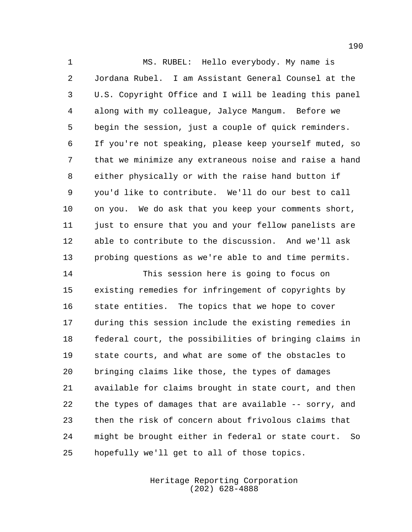MS. RUBEL: Hello everybody. My name is Jordana Rubel. I am Assistant General Counsel at the U.S. Copyright Office and I will be leading this panel along with my colleague, Jalyce Mangum. Before we begin the session, just a couple of quick reminders. If you're not speaking, please keep yourself muted, so that we minimize any extraneous noise and raise a hand either physically or with the raise hand button if you'd like to contribute. We'll do our best to call on you. We do ask that you keep your comments short, 11 just to ensure that you and your fellow panelists are able to contribute to the discussion. And we'll ask probing questions as we're able to and time permits.

 This session here is going to focus on existing remedies for infringement of copyrights by state entities. The topics that we hope to cover during this session include the existing remedies in federal court, the possibilities of bringing claims in state courts, and what are some of the obstacles to bringing claims like those, the types of damages available for claims brought in state court, and then the types of damages that are available -- sorry, and then the risk of concern about frivolous claims that might be brought either in federal or state court. So hopefully we'll get to all of those topics.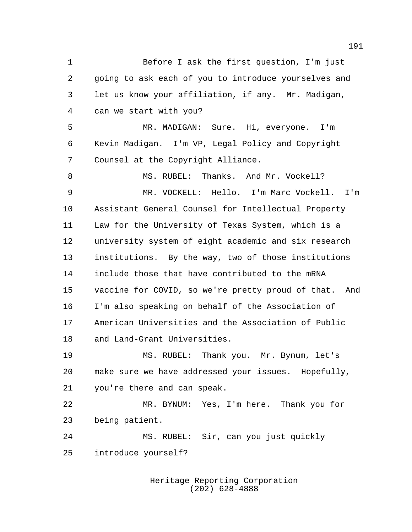Before I ask the first question, I'm just going to ask each of you to introduce yourselves and let us know your affiliation, if any. Mr. Madigan, can we start with you? MR. MADIGAN: Sure. Hi, everyone. I'm Kevin Madigan. I'm VP, Legal Policy and Copyright Counsel at the Copyright Alliance. 8 MS. RUBEL: Thanks. And Mr. Vockell? MR. VOCKELL: Hello. I'm Marc Vockell. I'm Assistant General Counsel for Intellectual Property Law for the University of Texas System, which is a university system of eight academic and six research institutions. By the way, two of those institutions include those that have contributed to the mRNA vaccine for COVID, so we're pretty proud of that. And I'm also speaking on behalf of the Association of American Universities and the Association of Public and Land-Grant Universities. MS. RUBEL: Thank you. Mr. Bynum, let's make sure we have addressed your issues. Hopefully, you're there and can speak. MR. BYNUM: Yes, I'm here. Thank you for being patient. MS. RUBEL: Sir, can you just quickly introduce yourself?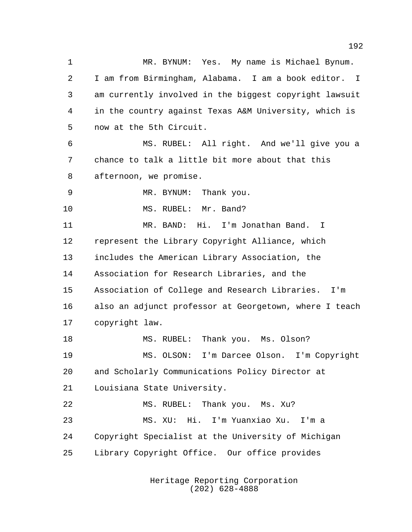MR. BYNUM: Yes. My name is Michael Bynum. I am from Birmingham, Alabama. I am a book editor. I am currently involved in the biggest copyright lawsuit in the country against Texas A&M University, which is now at the 5th Circuit. MS. RUBEL: All right. And we'll give you a chance to talk a little bit more about that this afternoon, we promise. MR. BYNUM: Thank you. 10 MS. RUBEL: Mr. Band? MR. BAND: Hi. I'm Jonathan Band. I represent the Library Copyright Alliance, which includes the American Library Association, the Association for Research Libraries, and the Association of College and Research Libraries. I'm also an adjunct professor at Georgetown, where I teach copyright law. 18 MS. RUBEL: Thank you. Ms. Olson? MS. OLSON: I'm Darcee Olson. I'm Copyright and Scholarly Communications Policy Director at Louisiana State University. MS. RUBEL: Thank you. Ms. Xu? MS. XU: Hi. I'm Yuanxiao Xu. I'm a Copyright Specialist at the University of Michigan Library Copyright Office. Our office provides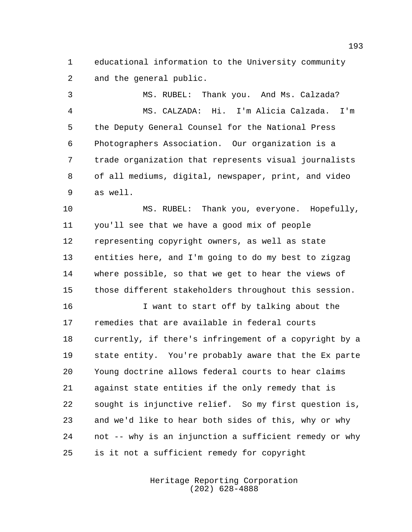educational information to the University community and the general public.

 MS. RUBEL: Thank you. And Ms. Calzada? MS. CALZADA: Hi. I'm Alicia Calzada. I'm the Deputy General Counsel for the National Press Photographers Association. Our organization is a trade organization that represents visual journalists of all mediums, digital, newspaper, print, and video as well.

 MS. RUBEL: Thank you, everyone. Hopefully, you'll see that we have a good mix of people representing copyright owners, as well as state entities here, and I'm going to do my best to zigzag where possible, so that we get to hear the views of those different stakeholders throughout this session.

 I want to start off by talking about the remedies that are available in federal courts currently, if there's infringement of a copyright by a state entity. You're probably aware that the Ex parte Young doctrine allows federal courts to hear claims against state entities if the only remedy that is sought is injunctive relief. So my first question is, and we'd like to hear both sides of this, why or why not -- why is an injunction a sufficient remedy or why is it not a sufficient remedy for copyright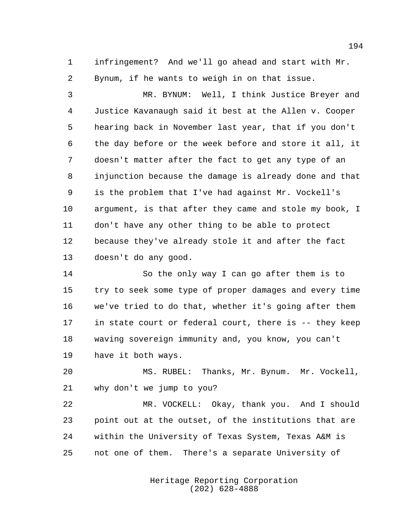infringement? And we'll go ahead and start with Mr. Bynum, if he wants to weigh in on that issue.

 MR. BYNUM: Well, I think Justice Breyer and Justice Kavanaugh said it best at the Allen v. Cooper hearing back in November last year, that if you don't the day before or the week before and store it all, it doesn't matter after the fact to get any type of an injunction because the damage is already done and that is the problem that I've had against Mr. Vockell's argument, is that after they came and stole my book, I don't have any other thing to be able to protect because they've already stole it and after the fact doesn't do any good.

 So the only way I can go after them is to try to seek some type of proper damages and every time we've tried to do that, whether it's going after them in state court or federal court, there is -- they keep waving sovereign immunity and, you know, you can't have it both ways.

 MS. RUBEL: Thanks, Mr. Bynum. Mr. Vockell, why don't we jump to you?

 MR. VOCKELL: Okay, thank you. And I should point out at the outset, of the institutions that are within the University of Texas System, Texas A&M is not one of them. There's a separate University of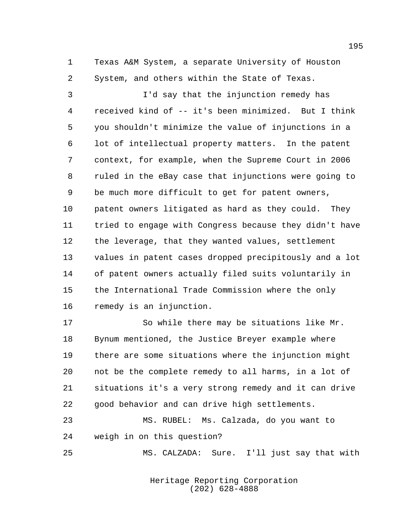Texas A&M System, a separate University of Houston System, and others within the State of Texas.

 I'd say that the injunction remedy has received kind of -- it's been minimized. But I think you shouldn't minimize the value of injunctions in a lot of intellectual property matters. In the patent context, for example, when the Supreme Court in 2006 ruled in the eBay case that injunctions were going to be much more difficult to get for patent owners, patent owners litigated as hard as they could. They tried to engage with Congress because they didn't have the leverage, that they wanted values, settlement values in patent cases dropped precipitously and a lot of patent owners actually filed suits voluntarily in the International Trade Commission where the only remedy is an injunction.

 So while there may be situations like Mr. Bynum mentioned, the Justice Breyer example where there are some situations where the injunction might not be the complete remedy to all harms, in a lot of situations it's a very strong remedy and it can drive good behavior and can drive high settlements.

 MS. RUBEL: Ms. Calzada, do you want to weigh in on this question?

MS. CALZADA: Sure. I'll just say that with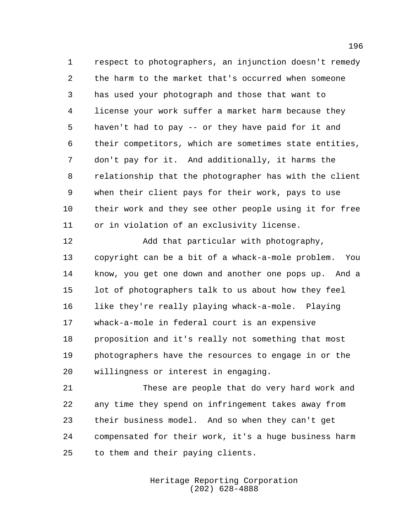respect to photographers, an injunction doesn't remedy the harm to the market that's occurred when someone has used your photograph and those that want to license your work suffer a market harm because they haven't had to pay -- or they have paid for it and their competitors, which are sometimes state entities, don't pay for it. And additionally, it harms the relationship that the photographer has with the client when their client pays for their work, pays to use their work and they see other people using it for free or in violation of an exclusivity license.

 Add that particular with photography, copyright can be a bit of a whack-a-mole problem. You know, you get one down and another one pops up. And a lot of photographers talk to us about how they feel like they're really playing whack-a-mole. Playing whack-a-mole in federal court is an expensive proposition and it's really not something that most photographers have the resources to engage in or the willingness or interest in engaging.

 These are people that do very hard work and any time they spend on infringement takes away from their business model. And so when they can't get compensated for their work, it's a huge business harm to them and their paying clients.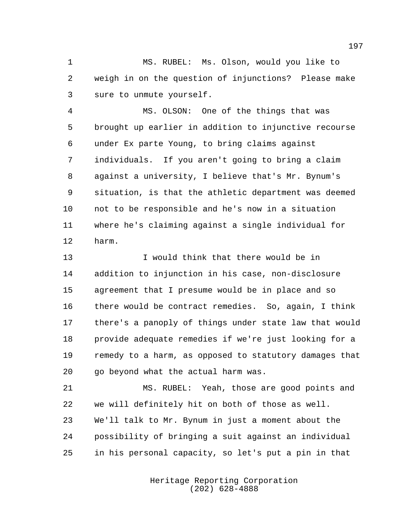MS. RUBEL: Ms. Olson, would you like to weigh in on the question of injunctions? Please make sure to unmute yourself.

 MS. OLSON: One of the things that was brought up earlier in addition to injunctive recourse under Ex parte Young, to bring claims against individuals. If you aren't going to bring a claim against a university, I believe that's Mr. Bynum's situation, is that the athletic department was deemed not to be responsible and he's now in a situation where he's claiming against a single individual for harm.

 I would think that there would be in addition to injunction in his case, non-disclosure agreement that I presume would be in place and so there would be contract remedies. So, again, I think there's a panoply of things under state law that would provide adequate remedies if we're just looking for a remedy to a harm, as opposed to statutory damages that go beyond what the actual harm was.

 MS. RUBEL: Yeah, those are good points and we will definitely hit on both of those as well. We'll talk to Mr. Bynum in just a moment about the possibility of bringing a suit against an individual in his personal capacity, so let's put a pin in that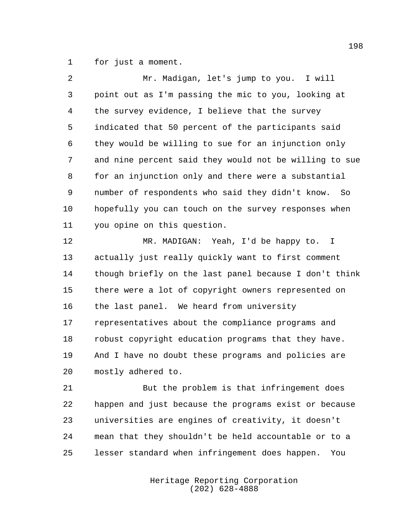for just a moment.

| $\overline{2}$ | Mr. Madigan, let's jump to you. I will                 |
|----------------|--------------------------------------------------------|
| 3              | point out as I'm passing the mic to you, looking at    |
| 4              | the survey evidence, I believe that the survey         |
| 5              | indicated that 50 percent of the participants said     |
| 6              | they would be willing to sue for an injunction only    |
| 7              | and nine percent said they would not be willing to sue |
| 8              | for an injunction only and there were a substantial    |
| 9              | number of respondents who said they didn't know. So    |
| 10             | hopefully you can touch on the survey responses when   |
| 11             | you opine on this question.                            |
| 12             | MR. MADIGAN: Yeah, I'd be happy to. I                  |
| 13             | actually just really quickly want to first comment     |
| 14             | though briefly on the last panel because I don't think |
| 15             | there were a lot of copyright owners represented on    |
| 16             | the last panel. We heard from university               |
| 17             | representatives about the compliance programs and      |
| 18             | robust copyright education programs that they have.    |

 And I have no doubt these programs and policies are mostly adhered to.

 But the problem is that infringement does happen and just because the programs exist or because universities are engines of creativity, it doesn't mean that they shouldn't be held accountable or to a lesser standard when infringement does happen. You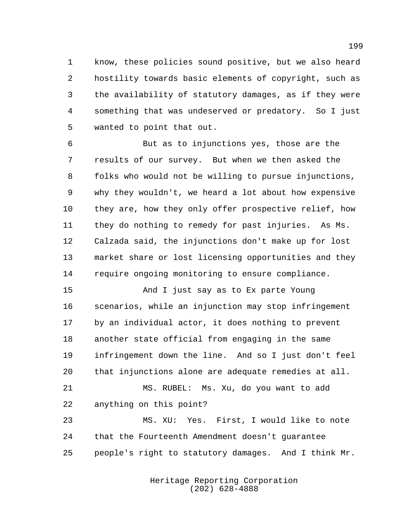know, these policies sound positive, but we also heard hostility towards basic elements of copyright, such as the availability of statutory damages, as if they were something that was undeserved or predatory. So I just wanted to point that out.

 But as to injunctions yes, those are the results of our survey. But when we then asked the folks who would not be willing to pursue injunctions, why they wouldn't, we heard a lot about how expensive they are, how they only offer prospective relief, how they do nothing to remedy for past injuries. As Ms. Calzada said, the injunctions don't make up for lost market share or lost licensing opportunities and they require ongoing monitoring to ensure compliance.

 And I just say as to Ex parte Young scenarios, while an injunction may stop infringement by an individual actor, it does nothing to prevent another state official from engaging in the same infringement down the line. And so I just don't feel that injunctions alone are adequate remedies at all.

 MS. RUBEL: Ms. Xu, do you want to add anything on this point?

 MS. XU: Yes. First, I would like to note that the Fourteenth Amendment doesn't guarantee people's right to statutory damages. And I think Mr.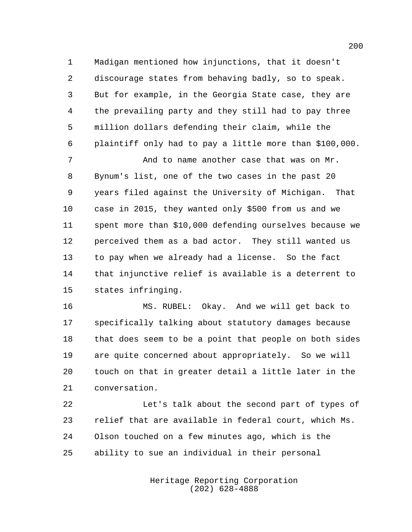Madigan mentioned how injunctions, that it doesn't discourage states from behaving badly, so to speak. But for example, in the Georgia State case, they are the prevailing party and they still had to pay three million dollars defending their claim, while the plaintiff only had to pay a little more than \$100,000.

 And to name another case that was on Mr. Bynum's list, one of the two cases in the past 20 years filed against the University of Michigan. That case in 2015, they wanted only \$500 from us and we spent more than \$10,000 defending ourselves because we perceived them as a bad actor. They still wanted us to pay when we already had a license. So the fact that injunctive relief is available is a deterrent to states infringing.

 MS. RUBEL: Okay. And we will get back to specifically talking about statutory damages because that does seem to be a point that people on both sides are quite concerned about appropriately. So we will touch on that in greater detail a little later in the conversation.

22 Let's talk about the second part of types of relief that are available in federal court, which Ms. Olson touched on a few minutes ago, which is the ability to sue an individual in their personal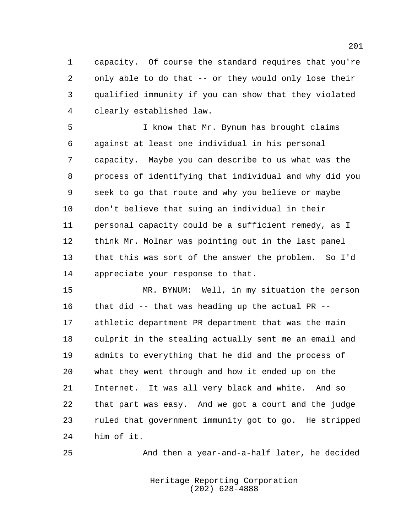capacity. Of course the standard requires that you're only able to do that -- or they would only lose their qualified immunity if you can show that they violated clearly established law.

 I know that Mr. Bynum has brought claims against at least one individual in his personal capacity. Maybe you can describe to us what was the process of identifying that individual and why did you seek to go that route and why you believe or maybe don't believe that suing an individual in their personal capacity could be a sufficient remedy, as I think Mr. Molnar was pointing out in the last panel that this was sort of the answer the problem. So I'd appreciate your response to that.

 MR. BYNUM: Well, in my situation the person that did -- that was heading up the actual PR -- athletic department PR department that was the main culprit in the stealing actually sent me an email and admits to everything that he did and the process of what they went through and how it ended up on the Internet. It was all very black and white. And so that part was easy. And we got a court and the judge ruled that government immunity got to go. He stripped him of it.

And then a year-and-a-half later, he decided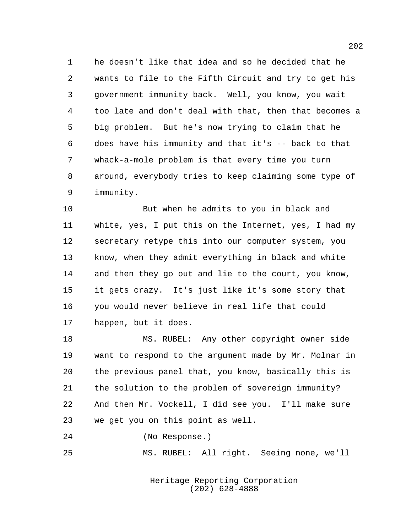he doesn't like that idea and so he decided that he wants to file to the Fifth Circuit and try to get his government immunity back. Well, you know, you wait too late and don't deal with that, then that becomes a big problem. But he's now trying to claim that he does have his immunity and that it's -- back to that whack-a-mole problem is that every time you turn around, everybody tries to keep claiming some type of immunity.

 But when he admits to you in black and white, yes, I put this on the Internet, yes, I had my secretary retype this into our computer system, you know, when they admit everything in black and white and then they go out and lie to the court, you know, it gets crazy. It's just like it's some story that you would never believe in real life that could happen, but it does.

 MS. RUBEL: Any other copyright owner side want to respond to the argument made by Mr. Molnar in the previous panel that, you know, basically this is the solution to the problem of sovereign immunity? And then Mr. Vockell, I did see you. I'll make sure we get you on this point as well.

(No Response.)

MS. RUBEL: All right. Seeing none, we'll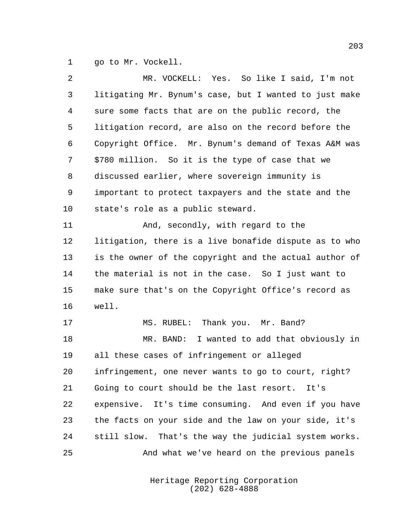go to Mr. Vockell.

| 2  | MR. VOCKELL: Yes. So like I said, I'm not              |
|----|--------------------------------------------------------|
| 3  | litigating Mr. Bynum's case, but I wanted to just make |
| 4  | sure some facts that are on the public record, the     |
| 5  | litigation record, are also on the record before the   |
| 6  | Copyright Office. Mr. Bynum's demand of Texas A&M was  |
| 7  | \$780 million. So it is the type of case that we       |
| 8  | discussed earlier, where sovereign immunity is         |
| 9  | important to protect taxpayers and the state and the   |
| 10 | state's role as a public steward.                      |
| 11 | And, secondly, with regard to the                      |
| 12 | litigation, there is a live bonafide dispute as to who |
| 13 | is the owner of the copyright and the actual author of |
| 14 | the material is not in the case. So I just want to     |
| 15 | make sure that's on the Copyright Office's record as   |
| 16 | well.                                                  |
| 17 | MS. RUBEL: Thank you. Mr. Band?                        |
| 18 | MR. BAND: I wanted to add that obviously in            |
| 19 | all these cases of infringement or alleged             |
| 20 | infringement, one never wants to go to court, right?   |
| 21 | Going to court should be the last resort. It's         |
| 22 | expensive. It's time consuming. And even if you have   |
| 23 | the facts on your side and the law on your side, it's  |
| 24 | still slow. That's the way the judicial system works.  |
| 25 | And what we've heard on the previous panels            |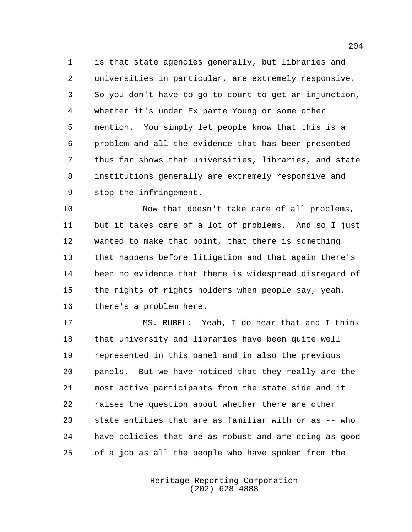is that state agencies generally, but libraries and universities in particular, are extremely responsive. So you don't have to go to court to get an injunction, whether it's under Ex parte Young or some other mention. You simply let people know that this is a problem and all the evidence that has been presented thus far shows that universities, libraries, and state institutions generally are extremely responsive and stop the infringement.

 Now that doesn't take care of all problems, but it takes care of a lot of problems. And so I just wanted to make that point, that there is something that happens before litigation and that again there's been no evidence that there is widespread disregard of the rights of rights holders when people say, yeah, there's a problem here.

 MS. RUBEL: Yeah, I do hear that and I think that university and libraries have been quite well represented in this panel and in also the previous panels. But we have noticed that they really are the most active participants from the state side and it raises the question about whether there are other state entities that are as familiar with or as -- who have policies that are as robust and are doing as good of a job as all the people who have spoken from the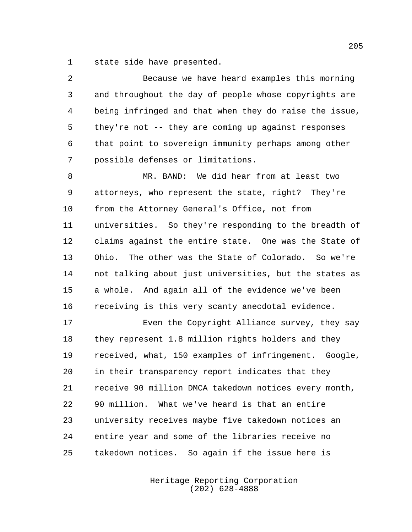state side have presented.

 Because we have heard examples this morning and throughout the day of people whose copyrights are being infringed and that when they do raise the issue, they're not -- they are coming up against responses that point to sovereign immunity perhaps among other possible defenses or limitations.

 MR. BAND: We did hear from at least two attorneys, who represent the state, right? They're from the Attorney General's Office, not from universities. So they're responding to the breadth of claims against the entire state. One was the State of Ohio. The other was the State of Colorado. So we're not talking about just universities, but the states as a whole. And again all of the evidence we've been receiving is this very scanty anecdotal evidence.

 Even the Copyright Alliance survey, they say they represent 1.8 million rights holders and they received, what, 150 examples of infringement. Google, in their transparency report indicates that they receive 90 million DMCA takedown notices every month, 90 million. What we've heard is that an entire university receives maybe five takedown notices an entire year and some of the libraries receive no takedown notices. So again if the issue here is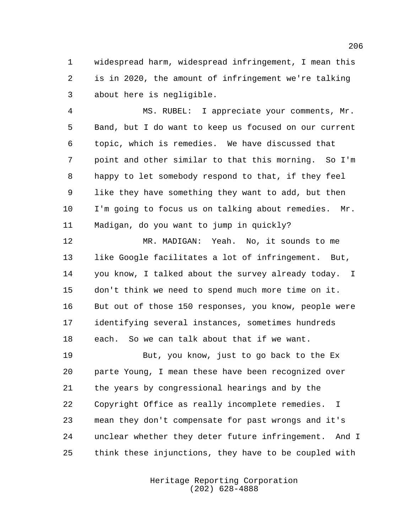widespread harm, widespread infringement, I mean this is in 2020, the amount of infringement we're talking about here is negligible.

 MS. RUBEL: I appreciate your comments, Mr. Band, but I do want to keep us focused on our current topic, which is remedies. We have discussed that point and other similar to that this morning. So I'm happy to let somebody respond to that, if they feel like they have something they want to add, but then I'm going to focus us on talking about remedies. Mr. Madigan, do you want to jump in quickly?

 MR. MADIGAN: Yeah. No, it sounds to me like Google facilitates a lot of infringement. But, you know, I talked about the survey already today. I don't think we need to spend much more time on it. But out of those 150 responses, you know, people were identifying several instances, sometimes hundreds each. So we can talk about that if we want.

 But, you know, just to go back to the Ex parte Young, I mean these have been recognized over the years by congressional hearings and by the Copyright Office as really incomplete remedies. I mean they don't compensate for past wrongs and it's unclear whether they deter future infringement. And I think these injunctions, they have to be coupled with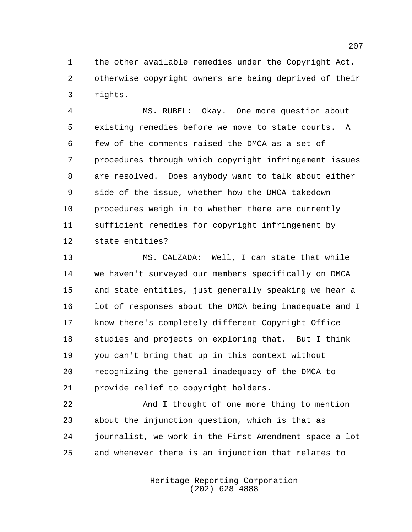the other available remedies under the Copyright Act, otherwise copyright owners are being deprived of their rights.

 MS. RUBEL: Okay. One more question about existing remedies before we move to state courts. A few of the comments raised the DMCA as a set of procedures through which copyright infringement issues are resolved. Does anybody want to talk about either side of the issue, whether how the DMCA takedown procedures weigh in to whether there are currently sufficient remedies for copyright infringement by state entities?

 MS. CALZADA: Well, I can state that while we haven't surveyed our members specifically on DMCA and state entities, just generally speaking we hear a 16 lot of responses about the DMCA being inadequate and I know there's completely different Copyright Office studies and projects on exploring that. But I think you can't bring that up in this context without recognizing the general inadequacy of the DMCA to provide relief to copyright holders.

 And I thought of one more thing to mention about the injunction question, which is that as journalist, we work in the First Amendment space a lot and whenever there is an injunction that relates to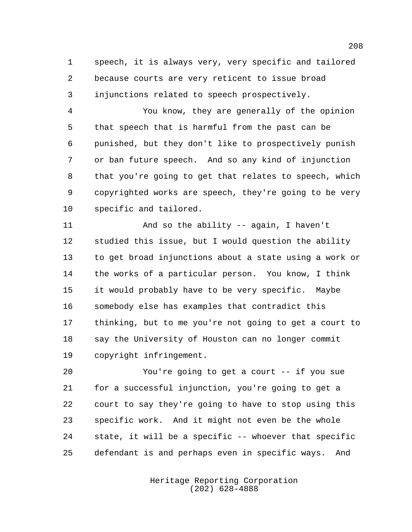speech, it is always very, very specific and tailored because courts are very reticent to issue broad injunctions related to speech prospectively.

 You know, they are generally of the opinion that speech that is harmful from the past can be punished, but they don't like to prospectively punish or ban future speech. And so any kind of injunction that you're going to get that relates to speech, which copyrighted works are speech, they're going to be very specific and tailored.

 And so the ability -- again, I haven't studied this issue, but I would question the ability to get broad injunctions about a state using a work or the works of a particular person. You know, I think it would probably have to be very specific. Maybe somebody else has examples that contradict this thinking, but to me you're not going to get a court to say the University of Houston can no longer commit copyright infringement.

 You're going to get a court -- if you sue for a successful injunction, you're going to get a court to say they're going to have to stop using this specific work. And it might not even be the whole state, it will be a specific -- whoever that specific defendant is and perhaps even in specific ways. And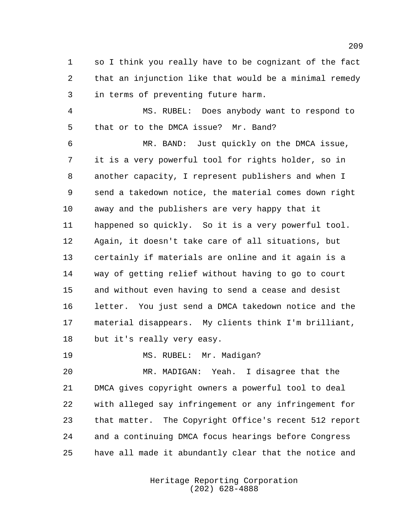so I think you really have to be cognizant of the fact that an injunction like that would be a minimal remedy in terms of preventing future harm.

 MS. RUBEL: Does anybody want to respond to that or to the DMCA issue? Mr. Band?

 MR. BAND: Just quickly on the DMCA issue, it is a very powerful tool for rights holder, so in another capacity, I represent publishers and when I send a takedown notice, the material comes down right away and the publishers are very happy that it happened so quickly. So it is a very powerful tool. Again, it doesn't take care of all situations, but certainly if materials are online and it again is a way of getting relief without having to go to court and without even having to send a cease and desist letter. You just send a DMCA takedown notice and the material disappears. My clients think I'm brilliant, but it's really very easy.

19 MS. RUBEL: Mr. Madigan?

 MR. MADIGAN: Yeah. I disagree that the DMCA gives copyright owners a powerful tool to deal with alleged say infringement or any infringement for that matter. The Copyright Office's recent 512 report and a continuing DMCA focus hearings before Congress have all made it abundantly clear that the notice and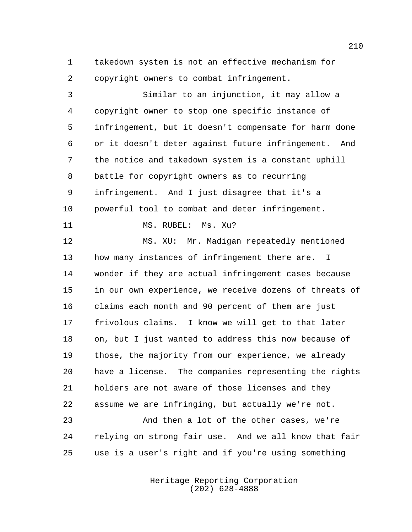takedown system is not an effective mechanism for copyright owners to combat infringement.

 Similar to an injunction, it may allow a copyright owner to stop one specific instance of infringement, but it doesn't compensate for harm done or it doesn't deter against future infringement. And the notice and takedown system is a constant uphill battle for copyright owners as to recurring infringement. And I just disagree that it's a powerful tool to combat and deter infringement. 11 MS. RUBEL: Ms. Xu? MS. XU: Mr. Madigan repeatedly mentioned how many instances of infringement there are. I wonder if they are actual infringement cases because in our own experience, we receive dozens of threats of claims each month and 90 percent of them are just frivolous claims. I know we will get to that later on, but I just wanted to address this now because of those, the majority from our experience, we already have a license. The companies representing the rights holders are not aware of those licenses and they assume we are infringing, but actually we're not. And then a lot of the other cases, we're relying on strong fair use. And we all know that fair

> Heritage Reporting Corporation (202) 628-4888

use is a user's right and if you're using something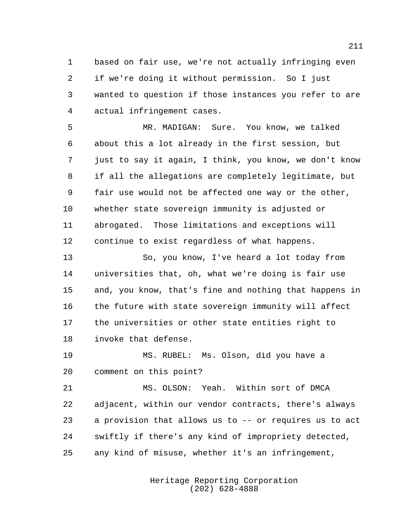based on fair use, we're not actually infringing even if we're doing it without permission. So I just wanted to question if those instances you refer to are actual infringement cases.

 MR. MADIGAN: Sure. You know, we talked about this a lot already in the first session, but just to say it again, I think, you know, we don't know if all the allegations are completely legitimate, but fair use would not be affected one way or the other, whether state sovereign immunity is adjusted or abrogated. Those limitations and exceptions will continue to exist regardless of what happens.

 So, you know, I've heard a lot today from universities that, oh, what we're doing is fair use and, you know, that's fine and nothing that happens in the future with state sovereign immunity will affect the universities or other state entities right to invoke that defense.

 MS. RUBEL: Ms. Olson, did you have a comment on this point?

 MS. OLSON: Yeah. Within sort of DMCA adjacent, within our vendor contracts, there's always a provision that allows us to -- or requires us to act swiftly if there's any kind of impropriety detected, any kind of misuse, whether it's an infringement,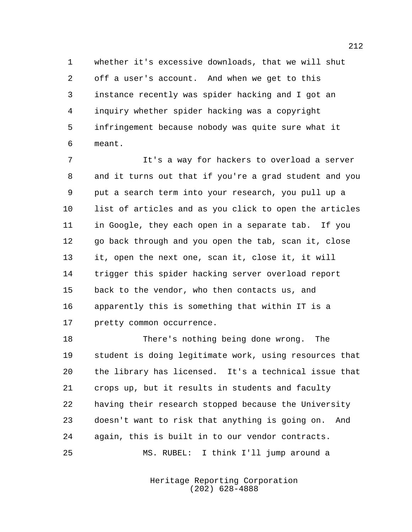whether it's excessive downloads, that we will shut off a user's account. And when we get to this instance recently was spider hacking and I got an inquiry whether spider hacking was a copyright infringement because nobody was quite sure what it meant.

 It's a way for hackers to overload a server and it turns out that if you're a grad student and you put a search term into your research, you pull up a list of articles and as you click to open the articles in Google, they each open in a separate tab. If you go back through and you open the tab, scan it, close it, open the next one, scan it, close it, it will trigger this spider hacking server overload report back to the vendor, who then contacts us, and apparently this is something that within IT is a pretty common occurrence.

 There's nothing being done wrong. The student is doing legitimate work, using resources that the library has licensed. It's a technical issue that crops up, but it results in students and faculty having their research stopped because the University doesn't want to risk that anything is going on. And again, this is built in to our vendor contracts. MS. RUBEL: I think I'll jump around a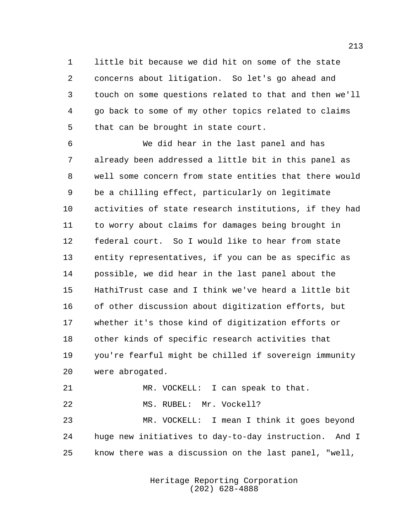little bit because we did hit on some of the state concerns about litigation. So let's go ahead and touch on some questions related to that and then we'll go back to some of my other topics related to claims that can be brought in state court.

 We did hear in the last panel and has already been addressed a little bit in this panel as well some concern from state entities that there would be a chilling effect, particularly on legitimate activities of state research institutions, if they had to worry about claims for damages being brought in federal court. So I would like to hear from state entity representatives, if you can be as specific as possible, we did hear in the last panel about the HathiTrust case and I think we've heard a little bit of other discussion about digitization efforts, but whether it's those kind of digitization efforts or other kinds of specific research activities that you're fearful might be chilled if sovereign immunity were abrogated.

21 MR. VOCKELL: I can speak to that.

22 MS. RUBEL: Mr. Vockell?

 MR. VOCKELL: I mean I think it goes beyond huge new initiatives to day-to-day instruction. And I know there was a discussion on the last panel, "well,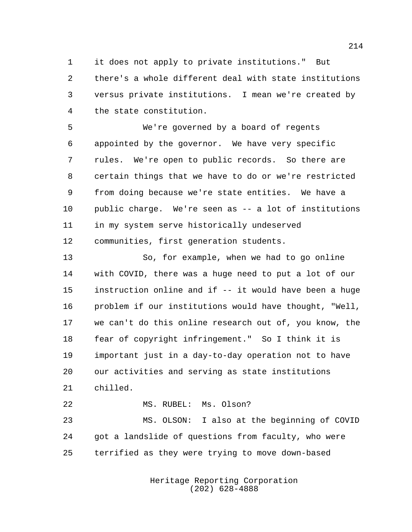it does not apply to private institutions." But there's a whole different deal with state institutions versus private institutions. I mean we're created by the state constitution.

 We're governed by a board of regents appointed by the governor. We have very specific rules. We're open to public records. So there are certain things that we have to do or we're restricted from doing because we're state entities. We have a public charge. We're seen as -- a lot of institutions in my system serve historically undeserved communities, first generation students.

 So, for example, when we had to go online with COVID, there was a huge need to put a lot of our instruction online and if -- it would have been a huge problem if our institutions would have thought, "Well, we can't do this online research out of, you know, the fear of copyright infringement." So I think it is important just in a day-to-day operation not to have our activities and serving as state institutions chilled.

 MS. RUBEL: Ms. Olson? MS. OLSON: I also at the beginning of COVID got a landslide of questions from faculty, who were terrified as they were trying to move down-based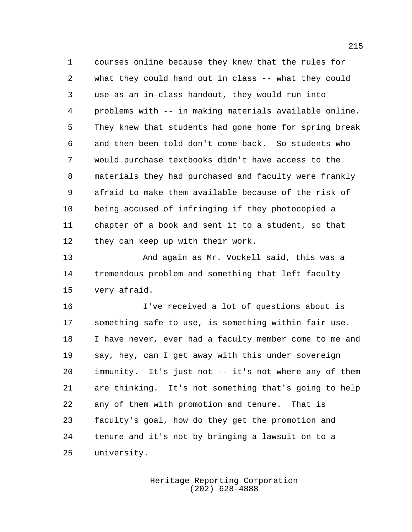courses online because they knew that the rules for what they could hand out in class -- what they could use as an in-class handout, they would run into problems with -- in making materials available online. They knew that students had gone home for spring break and then been told don't come back. So students who would purchase textbooks didn't have access to the materials they had purchased and faculty were frankly afraid to make them available because of the risk of being accused of infringing if they photocopied a chapter of a book and sent it to a student, so that they can keep up with their work.

 And again as Mr. Vockell said, this was a tremendous problem and something that left faculty very afraid.

 I've received a lot of questions about is something safe to use, is something within fair use. I have never, ever had a faculty member come to me and say, hey, can I get away with this under sovereign immunity. It's just not -- it's not where any of them are thinking. It's not something that's going to help any of them with promotion and tenure. That is faculty's goal, how do they get the promotion and tenure and it's not by bringing a lawsuit on to a university.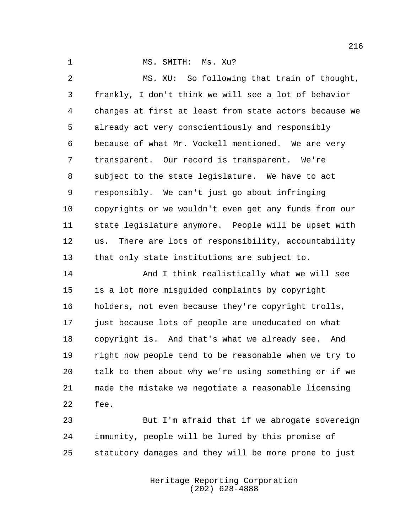1 MS. SMITH: Ms. Xu?

 MS. XU: So following that train of thought, frankly, I don't think we will see a lot of behavior changes at first at least from state actors because we already act very conscientiously and responsibly because of what Mr. Vockell mentioned. We are very transparent. Our record is transparent. We're subject to the state legislature. We have to act responsibly. We can't just go about infringing copyrights or we wouldn't even get any funds from our state legislature anymore. People will be upset with us. There are lots of responsibility, accountability that only state institutions are subject to. And I think realistically what we will see is a lot more misguided complaints by copyright holders, not even because they're copyright trolls, just because lots of people are uneducated on what

 copyright is. And that's what we already see. And right now people tend to be reasonable when we try to talk to them about why we're using something or if we made the mistake we negotiate a reasonable licensing fee.

 But I'm afraid that if we abrogate sovereign immunity, people will be lured by this promise of statutory damages and they will be more prone to just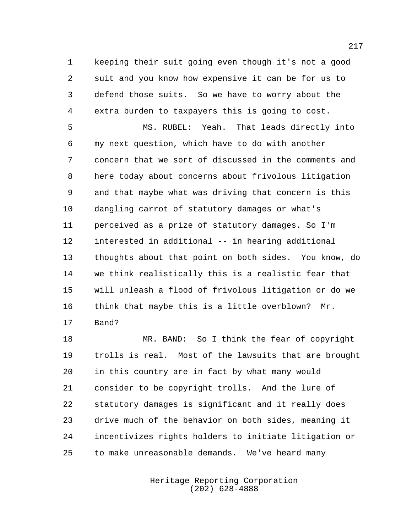keeping their suit going even though it's not a good suit and you know how expensive it can be for us to defend those suits. So we have to worry about the extra burden to taxpayers this is going to cost.

 MS. RUBEL: Yeah. That leads directly into my next question, which have to do with another concern that we sort of discussed in the comments and here today about concerns about frivolous litigation and that maybe what was driving that concern is this dangling carrot of statutory damages or what's perceived as a prize of statutory damages. So I'm interested in additional -- in hearing additional thoughts about that point on both sides. You know, do we think realistically this is a realistic fear that will unleash a flood of frivolous litigation or do we think that maybe this is a little overblown? Mr. Band?

 MR. BAND: So I think the fear of copyright trolls is real. Most of the lawsuits that are brought in this country are in fact by what many would consider to be copyright trolls. And the lure of statutory damages is significant and it really does drive much of the behavior on both sides, meaning it incentivizes rights holders to initiate litigation or to make unreasonable demands. We've heard many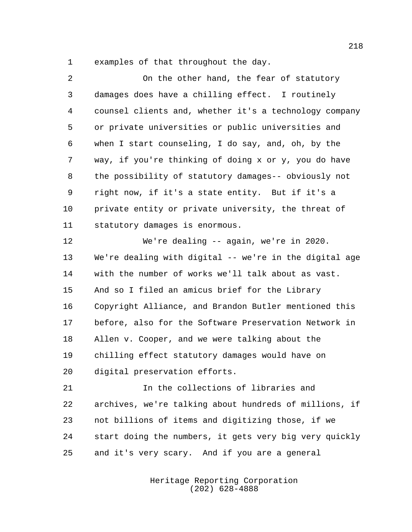examples of that throughout the day.

| 2  | On the other hand, the fear of statutory               |
|----|--------------------------------------------------------|
| 3  | damages does have a chilling effect. I routinely       |
| 4  | counsel clients and, whether it's a technology company |
| 5  | or private universities or public universities and     |
| 6  | when I start counseling, I do say, and, oh, by the     |
| 7  | way, if you're thinking of doing x or y, you do have   |
| 8  | the possibility of statutory damages-- obviously not   |
| 9  | right now, if it's a state entity. But if it's a       |
| 10 | private entity or private university, the threat of    |
| 11 | statutory damages is enormous.                         |
| 12 | We're dealing -- again, we're in 2020.                 |
| 13 | We're dealing with digital -- we're in the digital age |
| 14 | with the number of works we'll talk about as vast.     |
| 15 | And so I filed an amicus brief for the Library         |
| 16 | Copyright Alliance, and Brandon Butler mentioned this  |
| 17 | before, also for the Software Preservation Network in  |
| 18 | Allen v. Cooper, and we were talking about the         |
| 19 | chilling effect statutory damages would have on        |
| 20 | digital preservation efforts.                          |
| 21 | In the collections of libraries and                    |
| 22 | archives, we're talking about hundreds of millions, if |
| 23 | not billions of items and digitizing those, if we      |
| 24 | start doing the numbers, it gets very big very quickly |
| 25 | and it's very scary. And if you are a general          |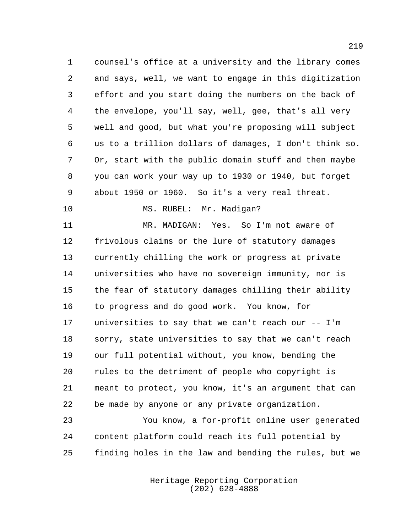counsel's office at a university and the library comes and says, well, we want to engage in this digitization effort and you start doing the numbers on the back of the envelope, you'll say, well, gee, that's all very well and good, but what you're proposing will subject us to a trillion dollars of damages, I don't think so. Or, start with the public domain stuff and then maybe you can work your way up to 1930 or 1940, but forget about 1950 or 1960. So it's a very real threat.

MS. RUBEL: Mr. Madigan?

 MR. MADIGAN: Yes. So I'm not aware of frivolous claims or the lure of statutory damages currently chilling the work or progress at private universities who have no sovereign immunity, nor is the fear of statutory damages chilling their ability to progress and do good work. You know, for universities to say that we can't reach our -- I'm sorry, state universities to say that we can't reach our full potential without, you know, bending the rules to the detriment of people who copyright is meant to protect, you know, it's an argument that can be made by anyone or any private organization.

 You know, a for-profit online user generated content platform could reach its full potential by finding holes in the law and bending the rules, but we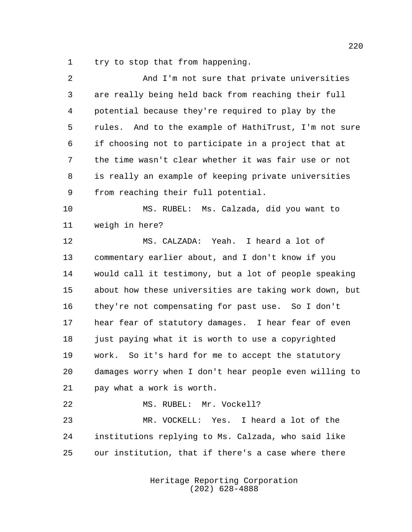try to stop that from happening.

| And I'm not sure that private universities             |
|--------------------------------------------------------|
| are really being held back from reaching their full    |
| potential because they're required to play by the      |
| rules. And to the example of HathiTrust, I'm not sure  |
| if choosing not to participate in a project that at    |
| the time wasn't clear whether it was fair use or not   |
| is really an example of keeping private universities   |
| from reaching their full potential.                    |
| MS. RUBEL: Ms. Calzada, did you want to                |
| weigh in here?                                         |
| MS. CALZADA: Yeah. I heard a lot of                    |
| commentary earlier about, and I don't know if you      |
| would call it testimony, but a lot of people speaking  |
| about how these universities are taking work down, but |
| they're not compensating for past use. So I don't      |
| hear fear of statutory damages. I hear fear of even    |
| just paying what it is worth to use a copyrighted      |
| work. So it's hard for me to accept the statutory      |
| damages worry when I don't hear people even willing to |
| pay what a work is worth.                              |
| MS. RUBEL: Mr. Vockell?                                |
| MR. VOCKELL: Yes. I heard a lot of the                 |
| institutions replying to Ms. Calzada, who said like    |
| our institution, that if there's a case where there    |
|                                                        |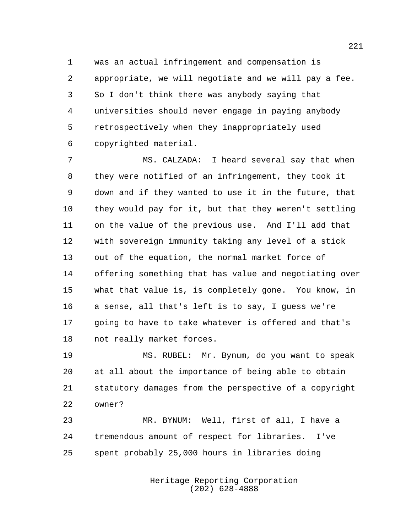was an actual infringement and compensation is appropriate, we will negotiate and we will pay a fee. So I don't think there was anybody saying that universities should never engage in paying anybody retrospectively when they inappropriately used copyrighted material.

 MS. CALZADA: I heard several say that when they were notified of an infringement, they took it down and if they wanted to use it in the future, that they would pay for it, but that they weren't settling on the value of the previous use. And I'll add that with sovereign immunity taking any level of a stick out of the equation, the normal market force of offering something that has value and negotiating over what that value is, is completely gone. You know, in a sense, all that's left is to say, I guess we're going to have to take whatever is offered and that's not really market forces.

 MS. RUBEL: Mr. Bynum, do you want to speak at all about the importance of being able to obtain statutory damages from the perspective of a copyright owner?

 MR. BYNUM: Well, first of all, I have a tremendous amount of respect for libraries. I've spent probably 25,000 hours in libraries doing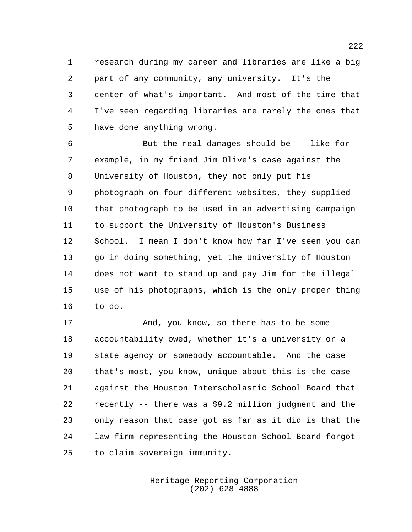research during my career and libraries are like a big part of any community, any university. It's the center of what's important. And most of the time that I've seen regarding libraries are rarely the ones that have done anything wrong.

 But the real damages should be -- like for example, in my friend Jim Olive's case against the University of Houston, they not only put his photograph on four different websites, they supplied that photograph to be used in an advertising campaign to support the University of Houston's Business School. I mean I don't know how far I've seen you can go in doing something, yet the University of Houston does not want to stand up and pay Jim for the illegal use of his photographs, which is the only proper thing to do.

 And, you know, so there has to be some accountability owed, whether it's a university or a state agency or somebody accountable. And the case that's most, you know, unique about this is the case against the Houston Interscholastic School Board that recently -- there was a \$9.2 million judgment and the only reason that case got as far as it did is that the law firm representing the Houston School Board forgot to claim sovereign immunity.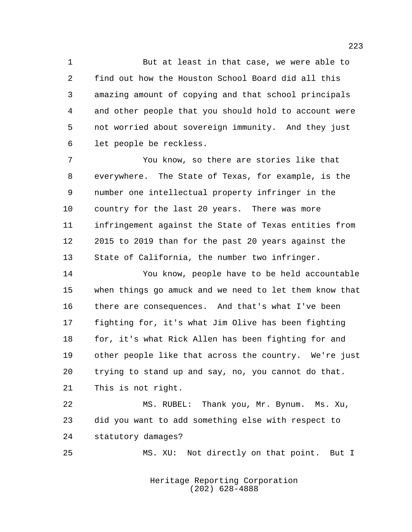But at least in that case, we were able to find out how the Houston School Board did all this amazing amount of copying and that school principals and other people that you should hold to account were not worried about sovereign immunity. And they just let people be reckless.

 You know, so there are stories like that everywhere. The State of Texas, for example, is the number one intellectual property infringer in the country for the last 20 years. There was more infringement against the State of Texas entities from 2015 to 2019 than for the past 20 years against the State of California, the number two infringer.

 You know, people have to be held accountable when things go amuck and we need to let them know that there are consequences. And that's what I've been fighting for, it's what Jim Olive has been fighting 18 for, it's what Rick Allen has been fighting for and other people like that across the country. We're just trying to stand up and say, no, you cannot do that. This is not right.

 MS. RUBEL: Thank you, Mr. Bynum. Ms. Xu, did you want to add something else with respect to statutory damages?

MS. XU: Not directly on that point. But I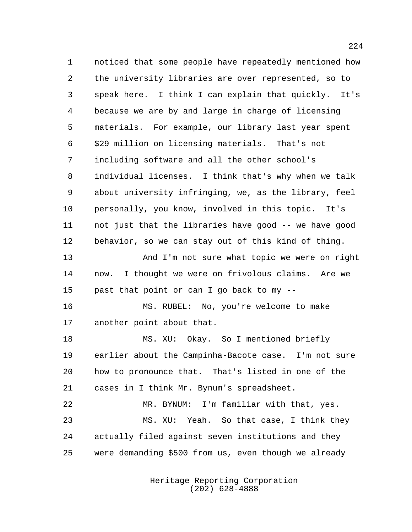noticed that some people have repeatedly mentioned how the university libraries are over represented, so to speak here. I think I can explain that quickly. It's because we are by and large in charge of licensing materials. For example, our library last year spent \$29 million on licensing materials. That's not including software and all the other school's individual licenses. I think that's why when we talk about university infringing, we, as the library, feel personally, you know, involved in this topic. It's not just that the libraries have good -- we have good behavior, so we can stay out of this kind of thing. And I'm not sure what topic we were on right now. I thought we were on frivolous claims. Are we past that point or can I go back to my -- MS. RUBEL: No, you're welcome to make another point about that. MS. XU: Okay. So I mentioned briefly earlier about the Campinha-Bacote case. I'm not sure how to pronounce that. That's listed in one of the cases in I think Mr. Bynum's spreadsheet. MR. BYNUM: I'm familiar with that, yes. MS. XU: Yeah. So that case, I think they actually filed against seven institutions and they were demanding \$500 from us, even though we already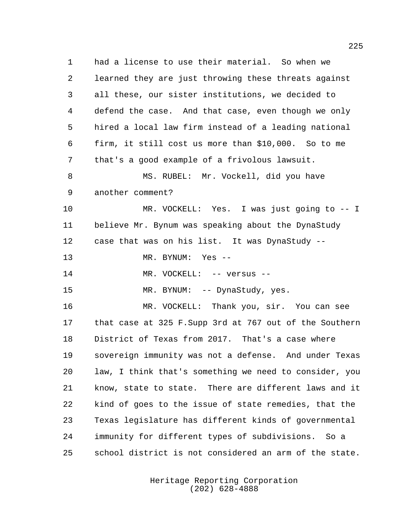had a license to use their material. So when we learned they are just throwing these threats against all these, our sister institutions, we decided to defend the case. And that case, even though we only hired a local law firm instead of a leading national firm, it still cost us more than \$10,000. So to me that's a good example of a frivolous lawsuit. 8 MS. RUBEL: Mr. Vockell, did you have another comment? MR. VOCKELL: Yes. I was just going to -- I believe Mr. Bynum was speaking about the DynaStudy case that was on his list. It was DynaStudy -- MR. BYNUM: Yes -- 14 MR. VOCKELL: -- versus --15 MR. BYNUM: -- DynaStudy, yes. MR. VOCKELL: Thank you, sir. You can see that case at 325 F.Supp 3rd at 767 out of the Southern District of Texas from 2017. That's a case where sovereign immunity was not a defense. And under Texas law, I think that's something we need to consider, you know, state to state. There are different laws and it kind of goes to the issue of state remedies, that the Texas legislature has different kinds of governmental immunity for different types of subdivisions. So a school district is not considered an arm of the state.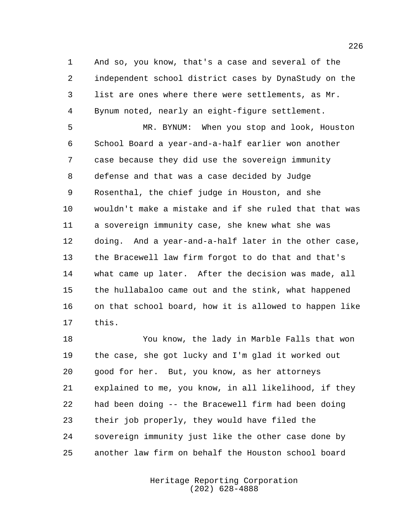And so, you know, that's a case and several of the independent school district cases by DynaStudy on the list are ones where there were settlements, as Mr. Bynum noted, nearly an eight-figure settlement.

 MR. BYNUM: When you stop and look, Houston School Board a year-and-a-half earlier won another case because they did use the sovereign immunity defense and that was a case decided by Judge Rosenthal, the chief judge in Houston, and she wouldn't make a mistake and if she ruled that that was a sovereign immunity case, she knew what she was doing. And a year-and-a-half later in the other case, the Bracewell law firm forgot to do that and that's what came up later. After the decision was made, all the hullabaloo came out and the stink, what happened on that school board, how it is allowed to happen like this.

 You know, the lady in Marble Falls that won the case, she got lucky and I'm glad it worked out good for her. But, you know, as her attorneys explained to me, you know, in all likelihood, if they had been doing -- the Bracewell firm had been doing their job properly, they would have filed the sovereign immunity just like the other case done by another law firm on behalf the Houston school board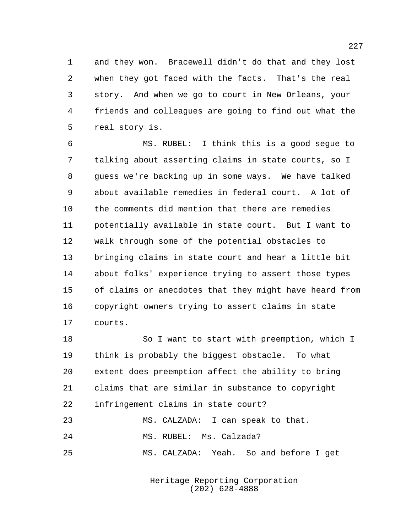and they won. Bracewell didn't do that and they lost when they got faced with the facts. That's the real story. And when we go to court in New Orleans, your friends and colleagues are going to find out what the real story is.

 MS. RUBEL: I think this is a good segue to talking about asserting claims in state courts, so I guess we're backing up in some ways. We have talked about available remedies in federal court. A lot of the comments did mention that there are remedies potentially available in state court. But I want to walk through some of the potential obstacles to bringing claims in state court and hear a little bit about folks' experience trying to assert those types of claims or anecdotes that they might have heard from copyright owners trying to assert claims in state courts.

18 So I want to start with preemption, which I think is probably the biggest obstacle. To what extent does preemption affect the ability to bring claims that are similar in substance to copyright infringement claims in state court? MS. CALZADA: I can speak to that.

MS. RUBEL: Ms. Calzada?

MS. CALZADA: Yeah. So and before I get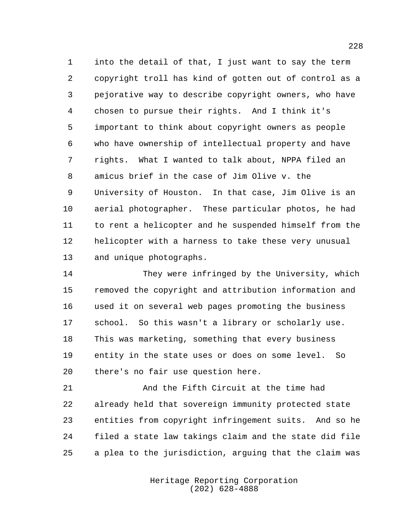into the detail of that, I just want to say the term copyright troll has kind of gotten out of control as a pejorative way to describe copyright owners, who have chosen to pursue their rights. And I think it's important to think about copyright owners as people who have ownership of intellectual property and have rights. What I wanted to talk about, NPPA filed an amicus brief in the case of Jim Olive v. the University of Houston. In that case, Jim Olive is an aerial photographer. These particular photos, he had to rent a helicopter and he suspended himself from the helicopter with a harness to take these very unusual and unique photographs.

 They were infringed by the University, which removed the copyright and attribution information and used it on several web pages promoting the business school. So this wasn't a library or scholarly use. This was marketing, something that every business entity in the state uses or does on some level. So there's no fair use question here.

 And the Fifth Circuit at the time had already held that sovereign immunity protected state entities from copyright infringement suits. And so he filed a state law takings claim and the state did file a plea to the jurisdiction, arguing that the claim was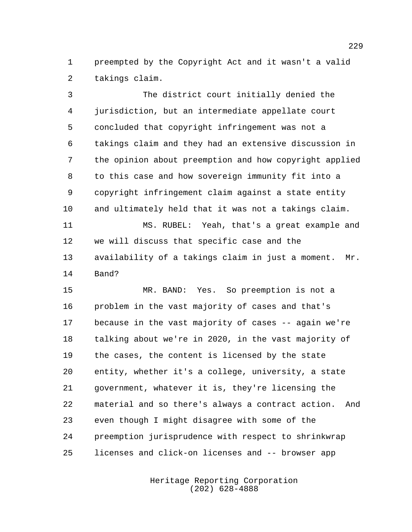preempted by the Copyright Act and it wasn't a valid takings claim.

 The district court initially denied the jurisdiction, but an intermediate appellate court concluded that copyright infringement was not a takings claim and they had an extensive discussion in the opinion about preemption and how copyright applied to this case and how sovereign immunity fit into a copyright infringement claim against a state entity and ultimately held that it was not a takings claim. MS. RUBEL: Yeah, that's a great example and

 we will discuss that specific case and the availability of a takings claim in just a moment. Mr. Band?

 MR. BAND: Yes. So preemption is not a problem in the vast majority of cases and that's because in the vast majority of cases -- again we're talking about we're in 2020, in the vast majority of the cases, the content is licensed by the state entity, whether it's a college, university, a state government, whatever it is, they're licensing the material and so there's always a contract action. And even though I might disagree with some of the preemption jurisprudence with respect to shrinkwrap licenses and click-on licenses and -- browser app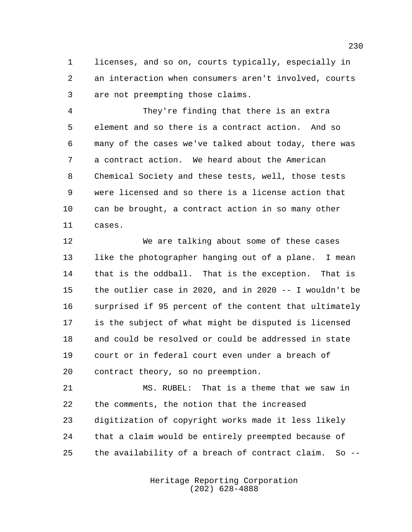licenses, and so on, courts typically, especially in an interaction when consumers aren't involved, courts are not preempting those claims.

 They're finding that there is an extra element and so there is a contract action. And so many of the cases we've talked about today, there was a contract action. We heard about the American Chemical Society and these tests, well, those tests were licensed and so there is a license action that can be brought, a contract action in so many other cases.

 We are talking about some of these cases 13 like the photographer hanging out of a plane. I mean that is the oddball. That is the exception. That is the outlier case in 2020, and in 2020 -- I wouldn't be surprised if 95 percent of the content that ultimately is the subject of what might be disputed is licensed and could be resolved or could be addressed in state court or in federal court even under a breach of contract theory, so no preemption.

 MS. RUBEL: That is a theme that we saw in the comments, the notion that the increased digitization of copyright works made it less likely that a claim would be entirely preempted because of the availability of a breach of contract claim. So --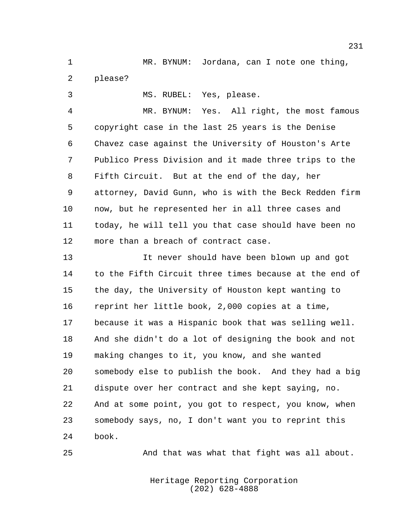MR. BYNUM: Jordana, can I note one thing, please?

MS. RUBEL: Yes, please.

 MR. BYNUM: Yes. All right, the most famous copyright case in the last 25 years is the Denise Chavez case against the University of Houston's Arte Publico Press Division and it made three trips to the Fifth Circuit. But at the end of the day, her attorney, David Gunn, who is with the Beck Redden firm now, but he represented her in all three cases and today, he will tell you that case should have been no more than a breach of contract case.

 It never should have been blown up and got to the Fifth Circuit three times because at the end of the day, the University of Houston kept wanting to reprint her little book, 2,000 copies at a time, because it was a Hispanic book that was selling well. And she didn't do a lot of designing the book and not making changes to it, you know, and she wanted somebody else to publish the book. And they had a big dispute over her contract and she kept saying, no. And at some point, you got to respect, you know, when somebody says, no, I don't want you to reprint this book.

And that was what that fight was all about.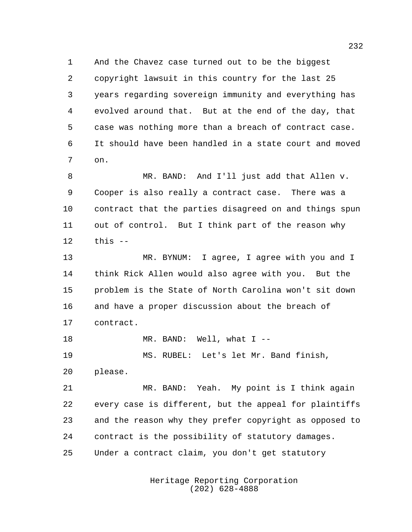And the Chavez case turned out to be the biggest copyright lawsuit in this country for the last 25 years regarding sovereign immunity and everything has evolved around that. But at the end of the day, that case was nothing more than a breach of contract case. It should have been handled in a state court and moved on.

 MR. BAND: And I'll just add that Allen v. Cooper is also really a contract case. There was a contract that the parties disagreed on and things spun out of control. But I think part of the reason why this --

 MR. BYNUM: I agree, I agree with you and I think Rick Allen would also agree with you. But the problem is the State of North Carolina won't sit down and have a proper discussion about the breach of contract.

 MR. BAND: Well, what I -- MS. RUBEL: Let's let Mr. Band finish, please.

 MR. BAND: Yeah. My point is I think again every case is different, but the appeal for plaintiffs and the reason why they prefer copyright as opposed to contract is the possibility of statutory damages. Under a contract claim, you don't get statutory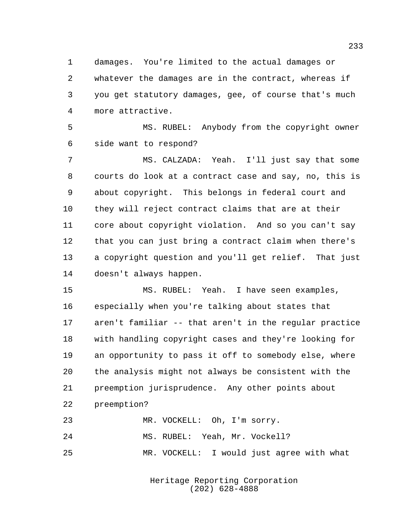damages. You're limited to the actual damages or whatever the damages are in the contract, whereas if you get statutory damages, gee, of course that's much more attractive.

 MS. RUBEL: Anybody from the copyright owner side want to respond?

 MS. CALZADA: Yeah. I'll just say that some courts do look at a contract case and say, no, this is about copyright. This belongs in federal court and they will reject contract claims that are at their core about copyright violation. And so you can't say that you can just bring a contract claim when there's a copyright question and you'll get relief. That just doesn't always happen.

 MS. RUBEL: Yeah. I have seen examples, especially when you're talking about states that aren't familiar -- that aren't in the regular practice with handling copyright cases and they're looking for an opportunity to pass it off to somebody else, where the analysis might not always be consistent with the preemption jurisprudence. Any other points about preemption?

MR. VOCKELL: Oh, I'm sorry.

MS. RUBEL: Yeah, Mr. Vockell?

MR. VOCKELL: I would just agree with what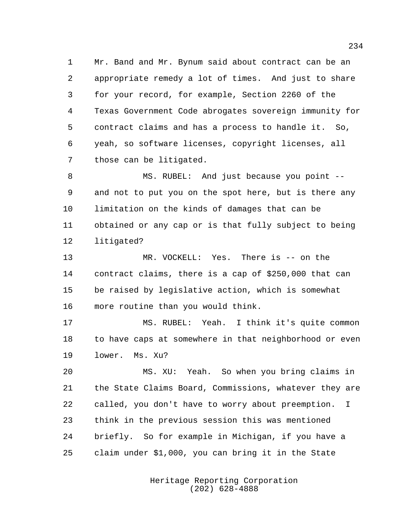Mr. Band and Mr. Bynum said about contract can be an appropriate remedy a lot of times. And just to share for your record, for example, Section 2260 of the Texas Government Code abrogates sovereign immunity for contract claims and has a process to handle it. So, yeah, so software licenses, copyright licenses, all those can be litigated.

 MS. RUBEL: And just because you point -- and not to put you on the spot here, but is there any limitation on the kinds of damages that can be obtained or any cap or is that fully subject to being litigated?

 MR. VOCKELL: Yes. There is -- on the contract claims, there is a cap of \$250,000 that can be raised by legislative action, which is somewhat more routine than you would think.

 MS. RUBEL: Yeah. I think it's quite common to have caps at somewhere in that neighborhood or even lower. Ms. Xu?

 MS. XU: Yeah. So when you bring claims in the State Claims Board, Commissions, whatever they are called, you don't have to worry about preemption. I think in the previous session this was mentioned briefly. So for example in Michigan, if you have a claim under \$1,000, you can bring it in the State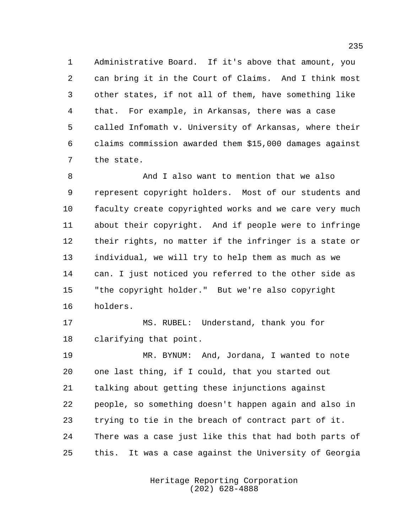Administrative Board. If it's above that amount, you can bring it in the Court of Claims. And I think most other states, if not all of them, have something like that. For example, in Arkansas, there was a case called Infomath v. University of Arkansas, where their claims commission awarded them \$15,000 damages against the state.

 And I also want to mention that we also represent copyright holders. Most of our students and faculty create copyrighted works and we care very much about their copyright. And if people were to infringe their rights, no matter if the infringer is a state or individual, we will try to help them as much as we can. I just noticed you referred to the other side as "the copyright holder." But we're also copyright holders.

 MS. RUBEL: Understand, thank you for clarifying that point.

 MR. BYNUM: And, Jordana, I wanted to note one last thing, if I could, that you started out talking about getting these injunctions against people, so something doesn't happen again and also in trying to tie in the breach of contract part of it. There was a case just like this that had both parts of this. It was a case against the University of Georgia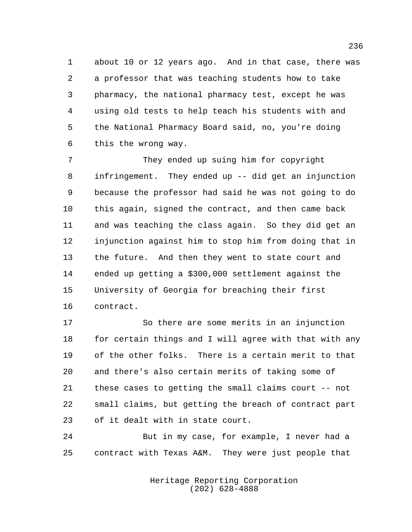about 10 or 12 years ago. And in that case, there was a professor that was teaching students how to take pharmacy, the national pharmacy test, except he was using old tests to help teach his students with and the National Pharmacy Board said, no, you're doing this the wrong way.

 They ended up suing him for copyright infringement. They ended up -- did get an injunction because the professor had said he was not going to do this again, signed the contract, and then came back and was teaching the class again. So they did get an injunction against him to stop him from doing that in the future. And then they went to state court and ended up getting a \$300,000 settlement against the University of Georgia for breaching their first contract.

 So there are some merits in an injunction 18 for certain things and I will agree with that with any of the other folks. There is a certain merit to that and there's also certain merits of taking some of these cases to getting the small claims court -- not small claims, but getting the breach of contract part of it dealt with in state court.

 But in my case, for example, I never had a contract with Texas A&M. They were just people that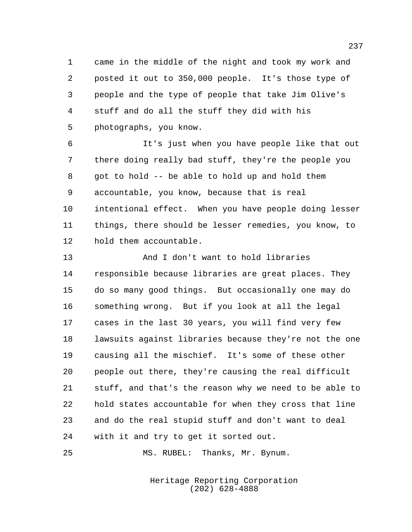came in the middle of the night and took my work and posted it out to 350,000 people. It's those type of people and the type of people that take Jim Olive's stuff and do all the stuff they did with his photographs, you know.

 It's just when you have people like that out there doing really bad stuff, they're the people you got to hold -- be able to hold up and hold them accountable, you know, because that is real intentional effect. When you have people doing lesser things, there should be lesser remedies, you know, to hold them accountable.

 And I don't want to hold libraries responsible because libraries are great places. They do so many good things. But occasionally one may do something wrong. But if you look at all the legal cases in the last 30 years, you will find very few lawsuits against libraries because they're not the one causing all the mischief. It's some of these other people out there, they're causing the real difficult stuff, and that's the reason why we need to be able to hold states accountable for when they cross that line and do the real stupid stuff and don't want to deal with it and try to get it sorted out.

MS. RUBEL: Thanks, Mr. Bynum.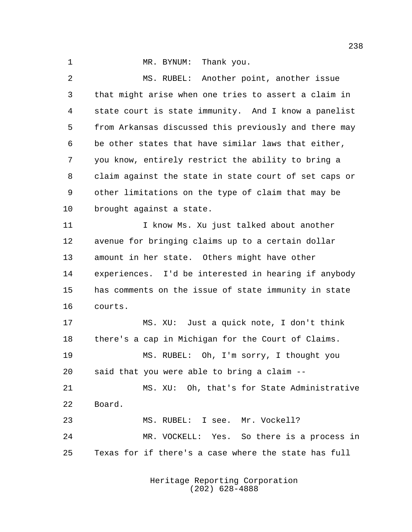1 MR. BYNUM: Thank you. MS. RUBEL: Another point, another issue that might arise when one tries to assert a claim in state court is state immunity. And I know a panelist from Arkansas discussed this previously and there may be other states that have similar laws that either, you know, entirely restrict the ability to bring a claim against the state in state court of set caps or other limitations on the type of claim that may be brought against a state. I know Ms. Xu just talked about another avenue for bringing claims up to a certain dollar amount in her state. Others might have other experiences. I'd be interested in hearing if anybody has comments on the issue of state immunity in state courts. MS. XU: Just a quick note, I don't think there's a cap in Michigan for the Court of Claims. MS. RUBEL: Oh, I'm sorry, I thought you said that you were able to bring a claim -- MS. XU: Oh, that's for State Administrative Board. MS. RUBEL: I see. Mr. Vockell? MR. VOCKELL: Yes. So there is a process in

Texas for if there's a case where the state has full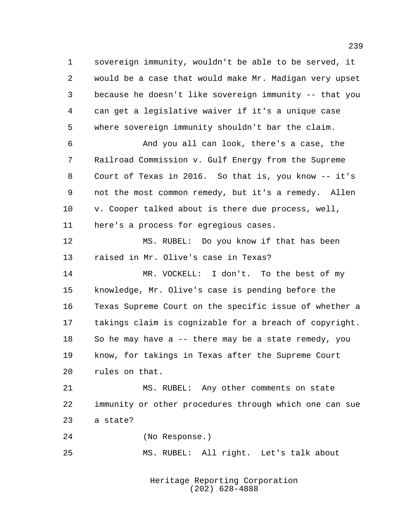sovereign immunity, wouldn't be able to be served, it would be a case that would make Mr. Madigan very upset because he doesn't like sovereign immunity -- that you can get a legislative waiver if it's a unique case where sovereign immunity shouldn't bar the claim. And you all can look, there's a case, the

 Railroad Commission v. Gulf Energy from the Supreme Court of Texas in 2016. So that is, you know -- it's not the most common remedy, but it's a remedy. Allen v. Cooper talked about is there due process, well, here's a process for egregious cases.

 MS. RUBEL: Do you know if that has been raised in Mr. Olive's case in Texas?

 MR. VOCKELL: I don't. To the best of my knowledge, Mr. Olive's case is pending before the Texas Supreme Court on the specific issue of whether a takings claim is cognizable for a breach of copyright. So he may have a -- there may be a state remedy, you know, for takings in Texas after the Supreme Court rules on that.

 MS. RUBEL: Any other comments on state immunity or other procedures through which one can sue a state?

 (No Response.) MS. RUBEL: All right. Let's talk about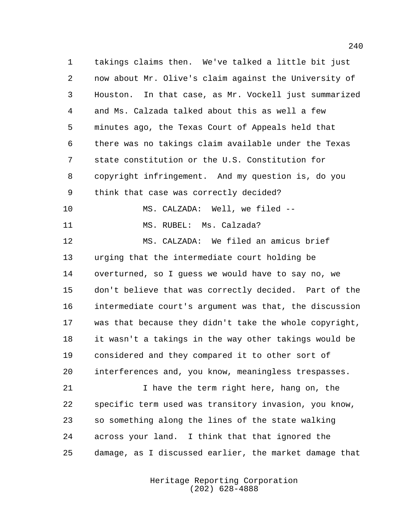takings claims then. We've talked a little bit just now about Mr. Olive's claim against the University of Houston. In that case, as Mr. Vockell just summarized and Ms. Calzada talked about this as well a few minutes ago, the Texas Court of Appeals held that there was no takings claim available under the Texas state constitution or the U.S. Constitution for copyright infringement. And my question is, do you think that case was correctly decided? MS. CALZADA: Well, we filed -- 11 MS. RUBEL: Ms. Calzada? MS. CALZADA: We filed an amicus brief urging that the intermediate court holding be overturned, so I guess we would have to say no, we don't believe that was correctly decided. Part of the intermediate court's argument was that, the discussion was that because they didn't take the whole copyright, it wasn't a takings in the way other takings would be considered and they compared it to other sort of interferences and, you know, meaningless trespasses. 21 I have the term right here, hang on, the

 specific term used was transitory invasion, you know, so something along the lines of the state walking across your land. I think that that ignored the damage, as I discussed earlier, the market damage that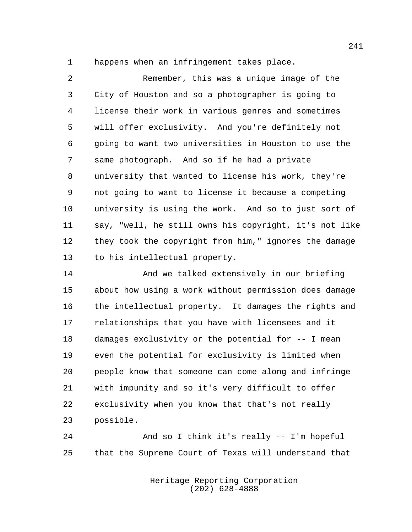happens when an infringement takes place.

 Remember, this was a unique image of the City of Houston and so a photographer is going to license their work in various genres and sometimes will offer exclusivity. And you're definitely not going to want two universities in Houston to use the same photograph. And so if he had a private university that wanted to license his work, they're not going to want to license it because a competing university is using the work. And so to just sort of say, "well, he still owns his copyright, it's not like they took the copyright from him," ignores the damage to his intellectual property.

14 And we talked extensively in our briefing about how using a work without permission does damage the intellectual property. It damages the rights and relationships that you have with licensees and it damages exclusivity or the potential for -- I mean even the potential for exclusivity is limited when people know that someone can come along and infringe with impunity and so it's very difficult to offer exclusivity when you know that that's not really possible.

 And so I think it's really -- I'm hopeful that the Supreme Court of Texas will understand that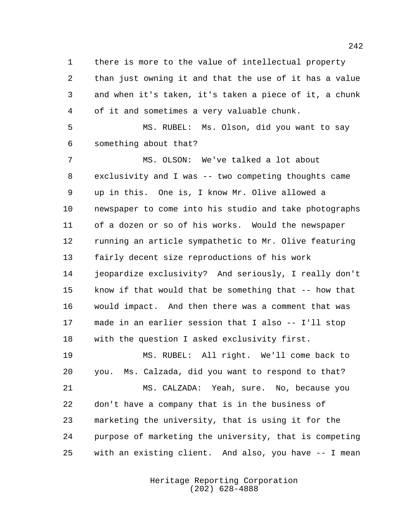there is more to the value of intellectual property than just owning it and that the use of it has a value and when it's taken, it's taken a piece of it, a chunk of it and sometimes a very valuable chunk.

 MS. RUBEL: Ms. Olson, did you want to say something about that?

 MS. OLSON: We've talked a lot about exclusivity and I was -- two competing thoughts came up in this. One is, I know Mr. Olive allowed a newspaper to come into his studio and take photographs of a dozen or so of his works. Would the newspaper running an article sympathetic to Mr. Olive featuring fairly decent size reproductions of his work jeopardize exclusivity? And seriously, I really don't know if that would that be something that -- how that would impact. And then there was a comment that was made in an earlier session that I also -- I'll stop with the question I asked exclusivity first.

 MS. RUBEL: All right. We'll come back to you. Ms. Calzada, did you want to respond to that? MS. CALZADA: Yeah, sure. No, because you

 don't have a company that is in the business of marketing the university, that is using it for the purpose of marketing the university, that is competing with an existing client. And also, you have -- I mean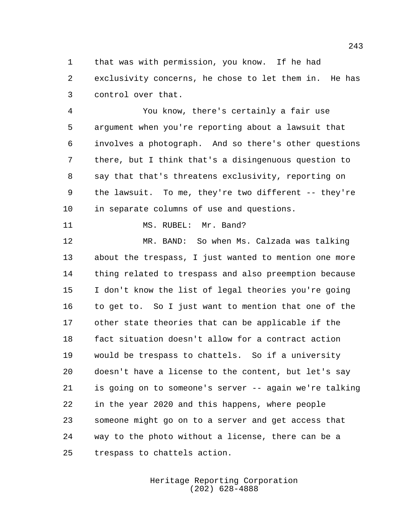that was with permission, you know. If he had exclusivity concerns, he chose to let them in. He has control over that.

 You know, there's certainly a fair use argument when you're reporting about a lawsuit that involves a photograph. And so there's other questions there, but I think that's a disingenuous question to say that that's threatens exclusivity, reporting on the lawsuit. To me, they're two different -- they're in separate columns of use and questions.

11 MS. RUBEL: Mr. Band?

 MR. BAND: So when Ms. Calzada was talking about the trespass, I just wanted to mention one more thing related to trespass and also preemption because I don't know the list of legal theories you're going to get to. So I just want to mention that one of the other state theories that can be applicable if the fact situation doesn't allow for a contract action would be trespass to chattels. So if a university doesn't have a license to the content, but let's say is going on to someone's server -- again we're talking in the year 2020 and this happens, where people someone might go on to a server and get access that way to the photo without a license, there can be a trespass to chattels action.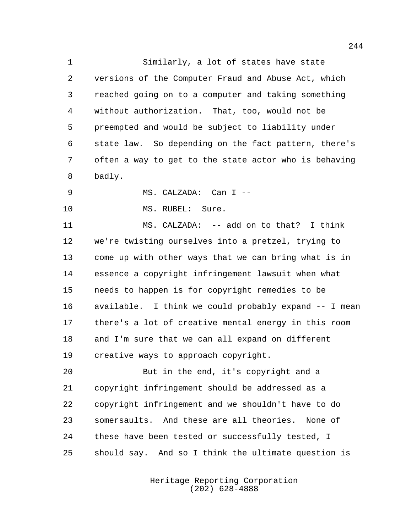Similarly, a lot of states have state versions of the Computer Fraud and Abuse Act, which reached going on to a computer and taking something without authorization. That, too, would not be preempted and would be subject to liability under state law. So depending on the fact pattern, there's often a way to get to the state actor who is behaving badly.

MS. CALZADA: Can I --

10 MS. RUBEL: Sure.

 MS. CALZADA: -- add on to that? I think we're twisting ourselves into a pretzel, trying to come up with other ways that we can bring what is in essence a copyright infringement lawsuit when what needs to happen is for copyright remedies to be available. I think we could probably expand -- I mean there's a lot of creative mental energy in this room and I'm sure that we can all expand on different creative ways to approach copyright.

 But in the end, it's copyright and a copyright infringement should be addressed as a copyright infringement and we shouldn't have to do somersaults. And these are all theories. None of these have been tested or successfully tested, I should say. And so I think the ultimate question is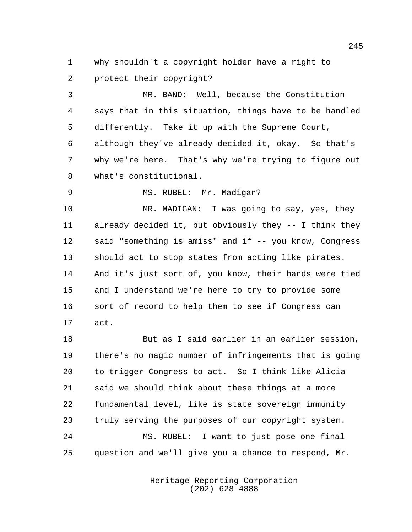why shouldn't a copyright holder have a right to protect their copyright?

 MR. BAND: Well, because the Constitution says that in this situation, things have to be handled differently. Take it up with the Supreme Court, although they've already decided it, okay. So that's why we're here. That's why we're trying to figure out what's constitutional.

9 MS. RUBEL: Mr. Madigan?

 MR. MADIGAN: I was going to say, yes, they already decided it, but obviously they -- I think they said "something is amiss" and if -- you know, Congress should act to stop states from acting like pirates. And it's just sort of, you know, their hands were tied and I understand we're here to try to provide some sort of record to help them to see if Congress can act.

 But as I said earlier in an earlier session, there's no magic number of infringements that is going to trigger Congress to act. So I think like Alicia said we should think about these things at a more fundamental level, like is state sovereign immunity truly serving the purposes of our copyright system. MS. RUBEL: I want to just pose one final question and we'll give you a chance to respond, Mr.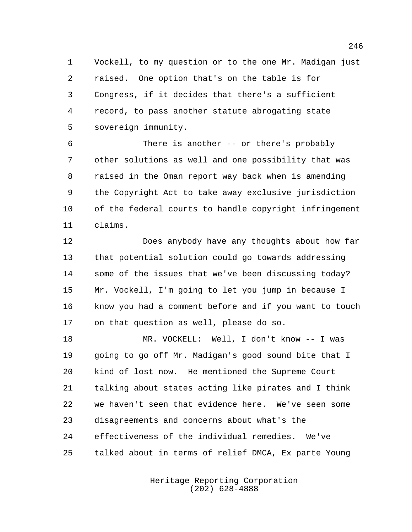Vockell, to my question or to the one Mr. Madigan just raised. One option that's on the table is for Congress, if it decides that there's a sufficient record, to pass another statute abrogating state sovereign immunity.

 There is another -- or there's probably other solutions as well and one possibility that was raised in the Oman report way back when is amending the Copyright Act to take away exclusive jurisdiction of the federal courts to handle copyright infringement claims.

 Does anybody have any thoughts about how far that potential solution could go towards addressing some of the issues that we've been discussing today? Mr. Vockell, I'm going to let you jump in because I know you had a comment before and if you want to touch on that question as well, please do so.

 MR. VOCKELL: Well, I don't know -- I was going to go off Mr. Madigan's good sound bite that I kind of lost now. He mentioned the Supreme Court talking about states acting like pirates and I think we haven't seen that evidence here. We've seen some disagreements and concerns about what's the effectiveness of the individual remedies. We've talked about in terms of relief DMCA, Ex parte Young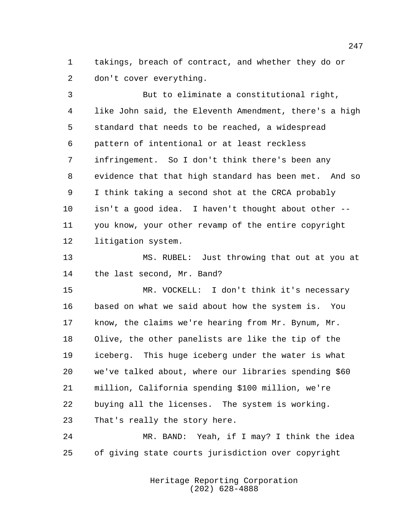takings, breach of contract, and whether they do or don't cover everything.

 But to eliminate a constitutional right, like John said, the Eleventh Amendment, there's a high standard that needs to be reached, a widespread pattern of intentional or at least reckless infringement. So I don't think there's been any evidence that that high standard has been met. And so I think taking a second shot at the CRCA probably isn't a good idea. I haven't thought about other -- you know, your other revamp of the entire copyright litigation system.

 MS. RUBEL: Just throwing that out at you at the last second, Mr. Band?

 MR. VOCKELL: I don't think it's necessary based on what we said about how the system is. You know, the claims we're hearing from Mr. Bynum, Mr. Olive, the other panelists are like the tip of the iceberg. This huge iceberg under the water is what we've talked about, where our libraries spending \$60 million, California spending \$100 million, we're buying all the licenses. The system is working. That's really the story here.

 MR. BAND: Yeah, if I may? I think the idea of giving state courts jurisdiction over copyright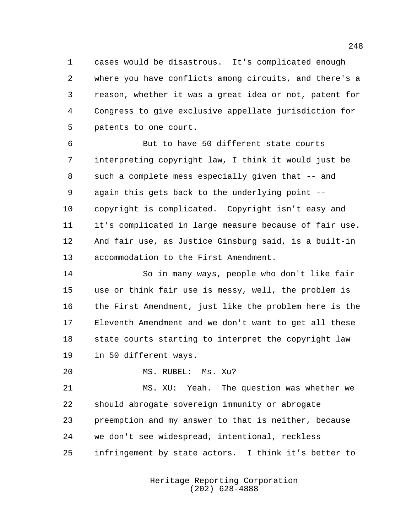cases would be disastrous. It's complicated enough where you have conflicts among circuits, and there's a reason, whether it was a great idea or not, patent for Congress to give exclusive appellate jurisdiction for patents to one court.

 But to have 50 different state courts interpreting copyright law, I think it would just be 8 such a complete mess especially given that -- and again this gets back to the underlying point -- copyright is complicated. Copyright isn't easy and it's complicated in large measure because of fair use. And fair use, as Justice Ginsburg said, is a built-in accommodation to the First Amendment.

 So in many ways, people who don't like fair use or think fair use is messy, well, the problem is the First Amendment, just like the problem here is the Eleventh Amendment and we don't want to get all these state courts starting to interpret the copyright law in 50 different ways.

MS. RUBEL: Ms. Xu?

 MS. XU: Yeah. The question was whether we should abrogate sovereign immunity or abrogate preemption and my answer to that is neither, because we don't see widespread, intentional, reckless infringement by state actors. I think it's better to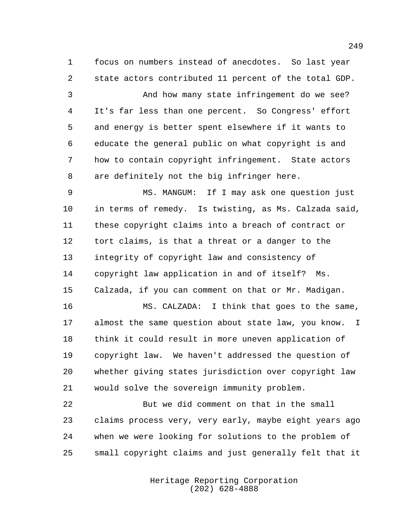focus on numbers instead of anecdotes. So last year state actors contributed 11 percent of the total GDP.

 And how many state infringement do we see? It's far less than one percent. So Congress' effort and energy is better spent elsewhere if it wants to educate the general public on what copyright is and how to contain copyright infringement. State actors are definitely not the big infringer here.

 MS. MANGUM: If I may ask one question just in terms of remedy. Is twisting, as Ms. Calzada said, these copyright claims into a breach of contract or tort claims, is that a threat or a danger to the integrity of copyright law and consistency of copyright law application in and of itself? Ms. Calzada, if you can comment on that or Mr. Madigan.

 MS. CALZADA: I think that goes to the same, almost the same question about state law, you know. I think it could result in more uneven application of copyright law. We haven't addressed the question of whether giving states jurisdiction over copyright law would solve the sovereign immunity problem.

 But we did comment on that in the small claims process very, very early, maybe eight years ago when we were looking for solutions to the problem of small copyright claims and just generally felt that it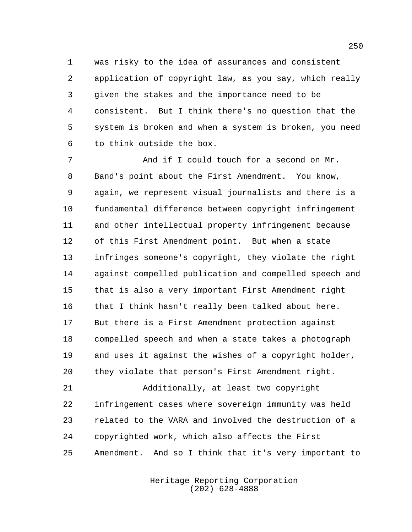was risky to the idea of assurances and consistent application of copyright law, as you say, which really given the stakes and the importance need to be consistent. But I think there's no question that the system is broken and when a system is broken, you need to think outside the box.

 And if I could touch for a second on Mr. Band's point about the First Amendment. You know, again, we represent visual journalists and there is a fundamental difference between copyright infringement and other intellectual property infringement because of this First Amendment point. But when a state infringes someone's copyright, they violate the right against compelled publication and compelled speech and that is also a very important First Amendment right 16 that I think hasn't really been talked about here. But there is a First Amendment protection against compelled speech and when a state takes a photograph and uses it against the wishes of a copyright holder, they violate that person's First Amendment right.

 Additionally, at least two copyright infringement cases where sovereign immunity was held related to the VARA and involved the destruction of a copyrighted work, which also affects the First Amendment. And so I think that it's very important to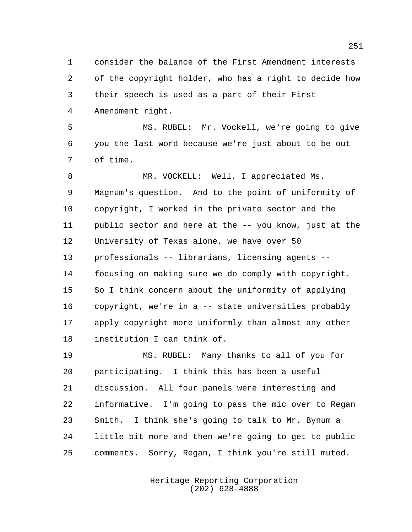consider the balance of the First Amendment interests of the copyright holder, who has a right to decide how their speech is used as a part of their First Amendment right.

 MS. RUBEL: Mr. Vockell, we're going to give you the last word because we're just about to be out of time.

 MR. VOCKELL: Well, I appreciated Ms. Magnum's question. And to the point of uniformity of copyright, I worked in the private sector and the public sector and here at the -- you know, just at the University of Texas alone, we have over 50 professionals -- librarians, licensing agents -- focusing on making sure we do comply with copyright. So I think concern about the uniformity of applying copyright, we're in a -- state universities probably apply copyright more uniformly than almost any other institution I can think of.

 MS. RUBEL: Many thanks to all of you for participating. I think this has been a useful discussion. All four panels were interesting and informative. I'm going to pass the mic over to Regan Smith. I think she's going to talk to Mr. Bynum a little bit more and then we're going to get to public comments. Sorry, Regan, I think you're still muted.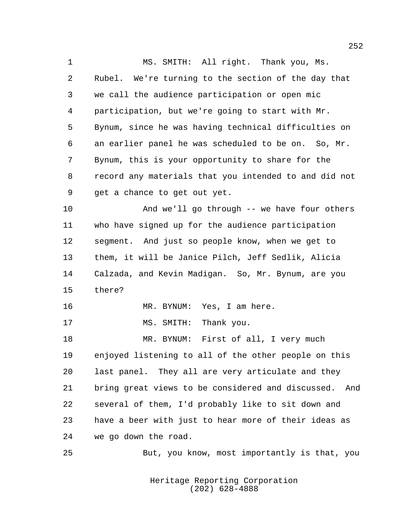MS. SMITH: All right. Thank you, Ms. Rubel. We're turning to the section of the day that we call the audience participation or open mic participation, but we're going to start with Mr. Bynum, since he was having technical difficulties on an earlier panel he was scheduled to be on. So, Mr. Bynum, this is your opportunity to share for the record any materials that you intended to and did not get a chance to get out yet. And we'll go through -- we have four others who have signed up for the audience participation segment. And just so people know, when we get to them, it will be Janice Pilch, Jeff Sedlik, Alicia Calzada, and Kevin Madigan. So, Mr. Bynum, are you there? MR. BYNUM: Yes, I am here. 17 MS. SMITH: Thank you. MR. BYNUM: First of all, I very much enjoyed listening to all of the other people on this last panel. They all are very articulate and they bring great views to be considered and discussed. And several of them, I'd probably like to sit down and have a beer with just to hear more of their ideas as we go down the road. But, you know, most importantly is that, you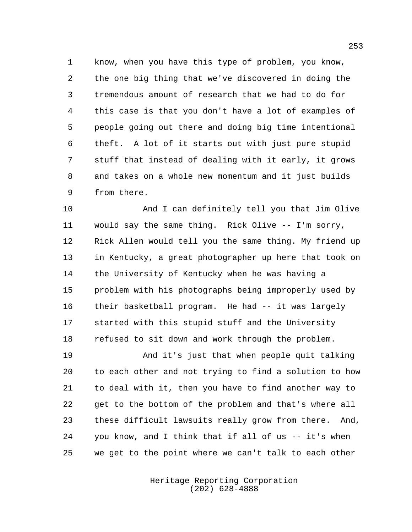know, when you have this type of problem, you know, the one big thing that we've discovered in doing the tremendous amount of research that we had to do for this case is that you don't have a lot of examples of people going out there and doing big time intentional theft. A lot of it starts out with just pure stupid stuff that instead of dealing with it early, it grows and takes on a whole new momentum and it just builds from there.

 And I can definitely tell you that Jim Olive would say the same thing. Rick Olive -- I'm sorry, Rick Allen would tell you the same thing. My friend up in Kentucky, a great photographer up here that took on the University of Kentucky when he was having a problem with his photographs being improperly used by their basketball program. He had -- it was largely started with this stupid stuff and the University refused to sit down and work through the problem.

 And it's just that when people quit talking to each other and not trying to find a solution to how to deal with it, then you have to find another way to get to the bottom of the problem and that's where all these difficult lawsuits really grow from there. And, you know, and I think that if all of us -- it's when we get to the point where we can't talk to each other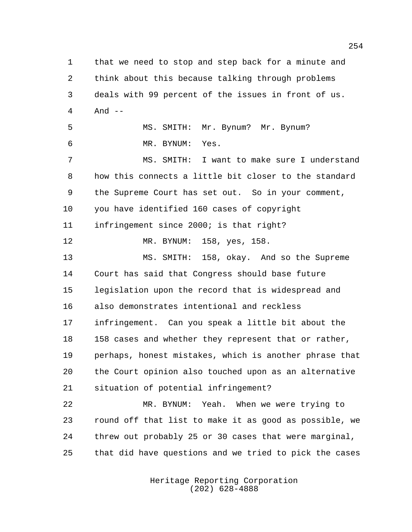that we need to stop and step back for a minute and think about this because talking through problems deals with 99 percent of the issues in front of us. And -- MS. SMITH: Mr. Bynum? Mr. Bynum? MR. BYNUM: Yes. MS. SMITH: I want to make sure I understand how this connects a little bit closer to the standard the Supreme Court has set out. So in your comment, you have identified 160 cases of copyright infringement since 2000; is that right? MR. BYNUM: 158, yes, 158. MS. SMITH: 158, okay. And so the Supreme Court has said that Congress should base future legislation upon the record that is widespread and also demonstrates intentional and reckless infringement. Can you speak a little bit about the 158 cases and whether they represent that or rather, perhaps, honest mistakes, which is another phrase that the Court opinion also touched upon as an alternative situation of potential infringement? MR. BYNUM: Yeah. When we were trying to round off that list to make it as good as possible, we threw out probably 25 or 30 cases that were marginal, that did have questions and we tried to pick the cases

> Heritage Reporting Corporation (202) 628-4888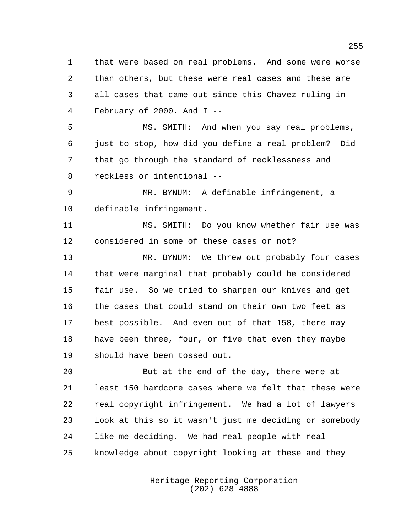that were based on real problems. And some were worse than others, but these were real cases and these are all cases that came out since this Chavez ruling in February of 2000. And I -- MS. SMITH: And when you say real problems, just to stop, how did you define a real problem? Did that go through the standard of recklessness and reckless or intentional -- MR. BYNUM: A definable infringement, a definable infringement. MS. SMITH: Do you know whether fair use was considered in some of these cases or not? MR. BYNUM: We threw out probably four cases that were marginal that probably could be considered fair use. So we tried to sharpen our knives and get the cases that could stand on their own two feet as best possible. And even out of that 158, there may 18 have been three, four, or five that even they maybe should have been tossed out. But at the end of the day, there were at least 150 hardcore cases where we felt that these were real copyright infringement. We had a lot of lawyers look at this so it wasn't just me deciding or somebody like me deciding. We had real people with real

knowledge about copyright looking at these and they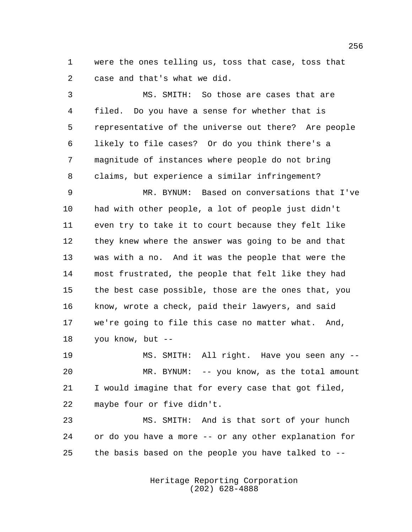were the ones telling us, toss that case, toss that case and that's what we did.

 MS. SMITH: So those are cases that are filed. Do you have a sense for whether that is representative of the universe out there? Are people likely to file cases? Or do you think there's a magnitude of instances where people do not bring claims, but experience a similar infringement? MR. BYNUM: Based on conversations that I've had with other people, a lot of people just didn't even try to take it to court because they felt like they knew where the answer was going to be and that was with a no. And it was the people that were the most frustrated, the people that felt like they had the best case possible, those are the ones that, you know, wrote a check, paid their lawyers, and said we're going to file this case no matter what. And, you know, but --

 MS. SMITH: All right. Have you seen any -- MR. BYNUM: -- you know, as the total amount I would imagine that for every case that got filed, maybe four or five didn't.

 MS. SMITH: And is that sort of your hunch or do you have a more -- or any other explanation for the basis based on the people you have talked to --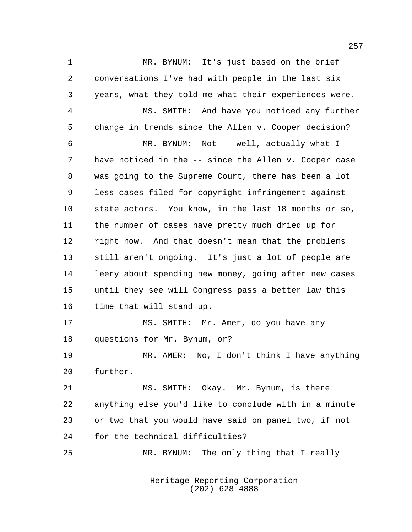MR. BYNUM: It's just based on the brief conversations I've had with people in the last six years, what they told me what their experiences were. MS. SMITH: And have you noticed any further change in trends since the Allen v. Cooper decision? MR. BYNUM: Not -- well, actually what I have noticed in the -- since the Allen v. Cooper case was going to the Supreme Court, there has been a lot less cases filed for copyright infringement against state actors. You know, in the last 18 months or so, the number of cases have pretty much dried up for right now. And that doesn't mean that the problems still aren't ongoing. It's just a lot of people are leery about spending new money, going after new cases until they see will Congress pass a better law this time that will stand up. MS. SMITH: Mr. Amer, do you have any questions for Mr. Bynum, or? MR. AMER: No, I don't think I have anything further. MS. SMITH: Okay. Mr. Bynum, is there anything else you'd like to conclude with in a minute or two that you would have said on panel two, if not for the technical difficulties? MR. BYNUM: The only thing that I really

> Heritage Reporting Corporation (202) 628-4888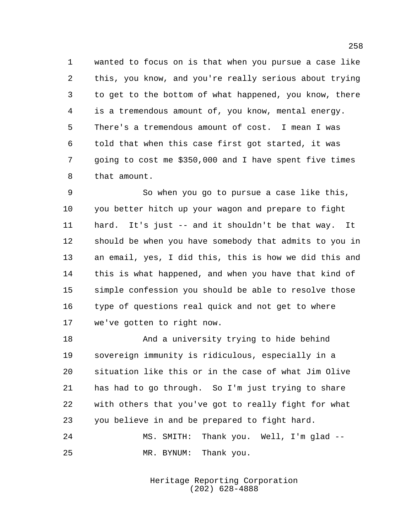wanted to focus on is that when you pursue a case like this, you know, and you're really serious about trying to get to the bottom of what happened, you know, there is a tremendous amount of, you know, mental energy. There's a tremendous amount of cost. I mean I was told that when this case first got started, it was going to cost me \$350,000 and I have spent five times that amount.

 So when you go to pursue a case like this, you better hitch up your wagon and prepare to fight hard. It's just -- and it shouldn't be that way. It should be when you have somebody that admits to you in an email, yes, I did this, this is how we did this and this is what happened, and when you have that kind of simple confession you should be able to resolve those type of questions real quick and not get to where we've gotten to right now.

 And a university trying to hide behind sovereign immunity is ridiculous, especially in a situation like this or in the case of what Jim Olive has had to go through. So I'm just trying to share with others that you've got to really fight for what you believe in and be prepared to fight hard.

 MS. SMITH: Thank you. Well, I'm glad -- MR. BYNUM: Thank you.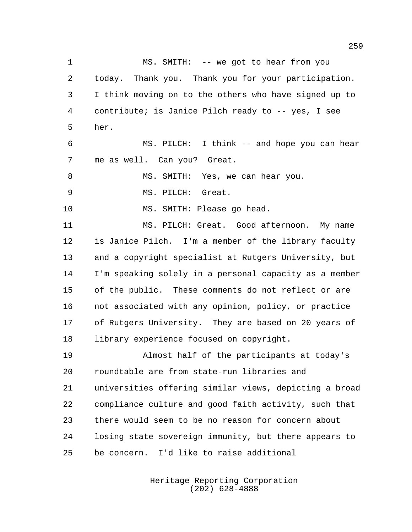1 MS. SMITH: -- we got to hear from you today. Thank you. Thank you for your participation. I think moving on to the others who have signed up to contribute; is Janice Pilch ready to -- yes, I see her. MS. PILCH: I think -- and hope you can hear me as well. Can you? Great. 8 MS. SMITH: Yes, we can hear you. MS. PILCH: Great. MS. SMITH: Please go head. MS. PILCH: Great. Good afternoon. My name is Janice Pilch. I'm a member of the library faculty and a copyright specialist at Rutgers University, but I'm speaking solely in a personal capacity as a member of the public. These comments do not reflect or are not associated with any opinion, policy, or practice of Rutgers University. They are based on 20 years of library experience focused on copyright. Almost half of the participants at today's roundtable are from state-run libraries and universities offering similar views, depicting a broad compliance culture and good faith activity, such that there would seem to be no reason for concern about losing state sovereign immunity, but there appears to be concern. I'd like to raise additional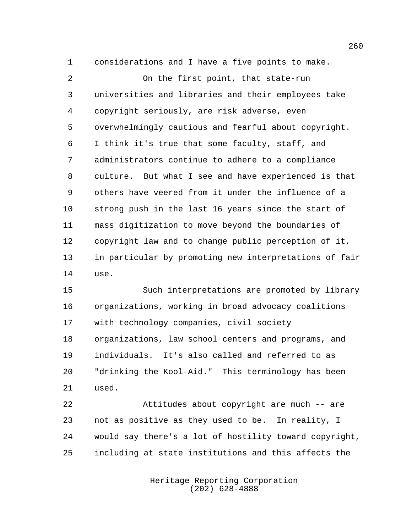considerations and I have a five points to make.

 On the first point, that state-run universities and libraries and their employees take copyright seriously, are risk adverse, even overwhelmingly cautious and fearful about copyright. I think it's true that some faculty, staff, and administrators continue to adhere to a compliance culture. But what I see and have experienced is that others have veered from it under the influence of a strong push in the last 16 years since the start of mass digitization to move beyond the boundaries of copyright law and to change public perception of it, in particular by promoting new interpretations of fair use.

 Such interpretations are promoted by library organizations, working in broad advocacy coalitions with technology companies, civil society organizations, law school centers and programs, and individuals. It's also called and referred to as "drinking the Kool-Aid." This terminology has been used.

 Attitudes about copyright are much -- are not as positive as they used to be. In reality, I would say there's a lot of hostility toward copyright, including at state institutions and this affects the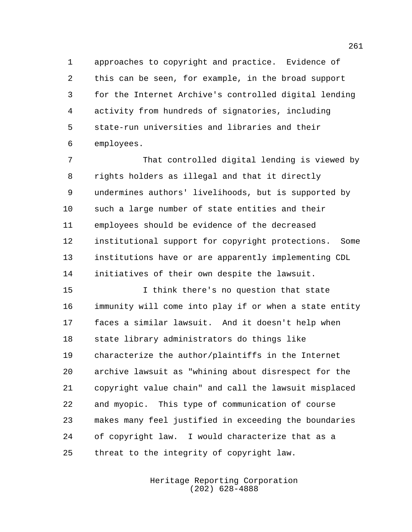approaches to copyright and practice. Evidence of this can be seen, for example, in the broad support for the Internet Archive's controlled digital lending activity from hundreds of signatories, including state-run universities and libraries and their employees.

 That controlled digital lending is viewed by rights holders as illegal and that it directly undermines authors' livelihoods, but is supported by such a large number of state entities and their employees should be evidence of the decreased institutional support for copyright protections. Some institutions have or are apparently implementing CDL initiatives of their own despite the lawsuit.

 I think there's no question that state immunity will come into play if or when a state entity faces a similar lawsuit. And it doesn't help when state library administrators do things like characterize the author/plaintiffs in the Internet archive lawsuit as "whining about disrespect for the copyright value chain" and call the lawsuit misplaced and myopic. This type of communication of course makes many feel justified in exceeding the boundaries of copyright law. I would characterize that as a threat to the integrity of copyright law.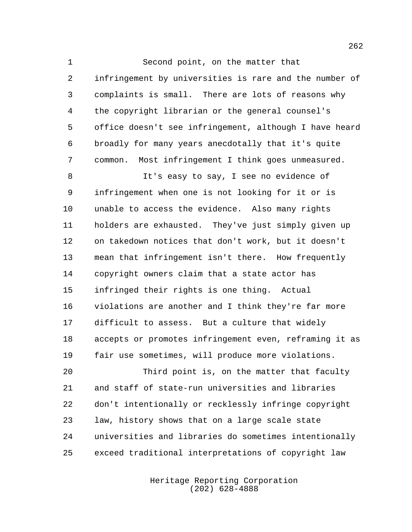Second point, on the matter that infringement by universities is rare and the number of complaints is small. There are lots of reasons why the copyright librarian or the general counsel's office doesn't see infringement, although I have heard broadly for many years anecdotally that it's quite common. Most infringement I think goes unmeasured.

 It's easy to say, I see no evidence of infringement when one is not looking for it or is unable to access the evidence. Also many rights holders are exhausted. They've just simply given up on takedown notices that don't work, but it doesn't mean that infringement isn't there. How frequently copyright owners claim that a state actor has infringed their rights is one thing. Actual violations are another and I think they're far more difficult to assess. But a culture that widely accepts or promotes infringement even, reframing it as fair use sometimes, will produce more violations.

 Third point is, on the matter that faculty and staff of state-run universities and libraries don't intentionally or recklessly infringe copyright law, history shows that on a large scale state universities and libraries do sometimes intentionally exceed traditional interpretations of copyright law

> Heritage Reporting Corporation (202) 628-4888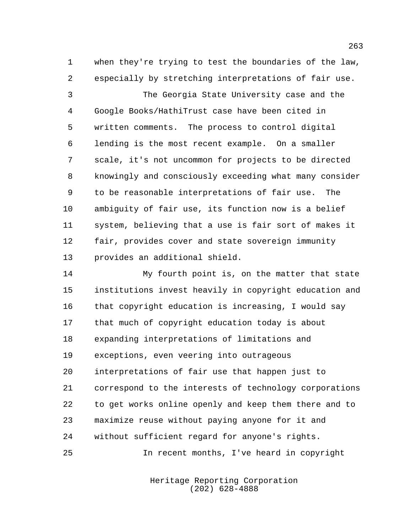when they're trying to test the boundaries of the law, especially by stretching interpretations of fair use.

 The Georgia State University case and the Google Books/HathiTrust case have been cited in written comments. The process to control digital lending is the most recent example. On a smaller scale, it's not uncommon for projects to be directed knowingly and consciously exceeding what many consider to be reasonable interpretations of fair use. The ambiguity of fair use, its function now is a belief system, believing that a use is fair sort of makes it fair, provides cover and state sovereign immunity provides an additional shield.

 My fourth point is, on the matter that state institutions invest heavily in copyright education and that copyright education is increasing, I would say that much of copyright education today is about expanding interpretations of limitations and exceptions, even veering into outrageous interpretations of fair use that happen just to correspond to the interests of technology corporations to get works online openly and keep them there and to maximize reuse without paying anyone for it and without sufficient regard for anyone's rights. In recent months, I've heard in copyright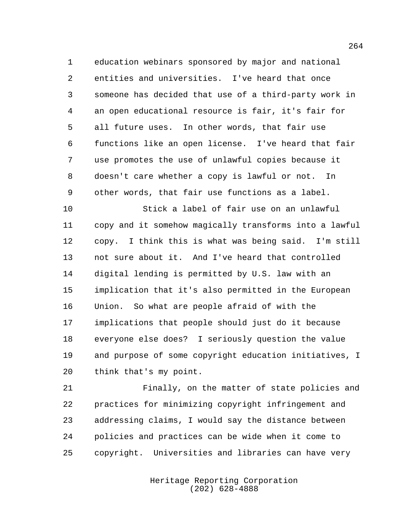education webinars sponsored by major and national entities and universities. I've heard that once someone has decided that use of a third-party work in an open educational resource is fair, it's fair for all future uses. In other words, that fair use functions like an open license. I've heard that fair use promotes the use of unlawful copies because it doesn't care whether a copy is lawful or not. In other words, that fair use functions as a label.

 Stick a label of fair use on an unlawful copy and it somehow magically transforms into a lawful copy. I think this is what was being said. I'm still not sure about it. And I've heard that controlled digital lending is permitted by U.S. law with an implication that it's also permitted in the European Union. So what are people afraid of with the implications that people should just do it because everyone else does? I seriously question the value and purpose of some copyright education initiatives, I think that's my point.

 Finally, on the matter of state policies and practices for minimizing copyright infringement and addressing claims, I would say the distance between policies and practices can be wide when it come to copyright. Universities and libraries can have very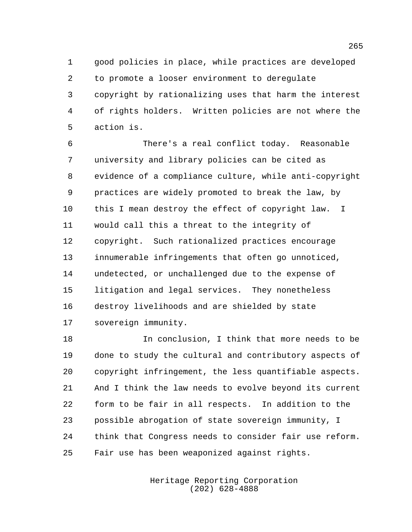good policies in place, while practices are developed to promote a looser environment to deregulate copyright by rationalizing uses that harm the interest of rights holders. Written policies are not where the action is.

 There's a real conflict today. Reasonable university and library policies can be cited as evidence of a compliance culture, while anti-copyright practices are widely promoted to break the law, by this I mean destroy the effect of copyright law. I would call this a threat to the integrity of copyright. Such rationalized practices encourage innumerable infringements that often go unnoticed, undetected, or unchallenged due to the expense of litigation and legal services. They nonetheless destroy livelihoods and are shielded by state sovereign immunity.

 In conclusion, I think that more needs to be done to study the cultural and contributory aspects of copyright infringement, the less quantifiable aspects. And I think the law needs to evolve beyond its current form to be fair in all respects. In addition to the possible abrogation of state sovereign immunity, I think that Congress needs to consider fair use reform. Fair use has been weaponized against rights.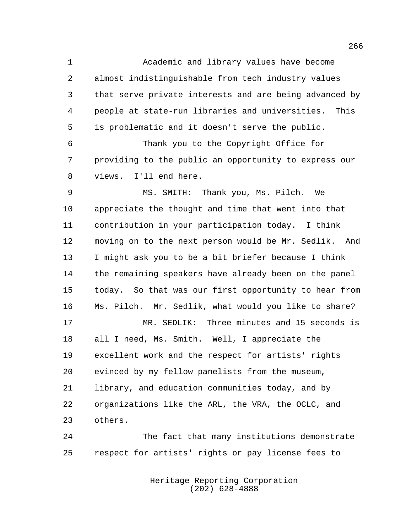Academic and library values have become almost indistinguishable from tech industry values that serve private interests and are being advanced by people at state-run libraries and universities. This is problematic and it doesn't serve the public.

 Thank you to the Copyright Office for providing to the public an opportunity to express our views. I'll end here.

 MS. SMITH: Thank you, Ms. Pilch. We appreciate the thought and time that went into that contribution in your participation today. I think moving on to the next person would be Mr. Sedlik. And I might ask you to be a bit briefer because I think the remaining speakers have already been on the panel today. So that was our first opportunity to hear from Ms. Pilch. Mr. Sedlik, what would you like to share?

 MR. SEDLIK: Three minutes and 15 seconds is all I need, Ms. Smith. Well, I appreciate the excellent work and the respect for artists' rights evinced by my fellow panelists from the museum, library, and education communities today, and by organizations like the ARL, the VRA, the OCLC, and others.

 The fact that many institutions demonstrate respect for artists' rights or pay license fees to

> Heritage Reporting Corporation (202) 628-4888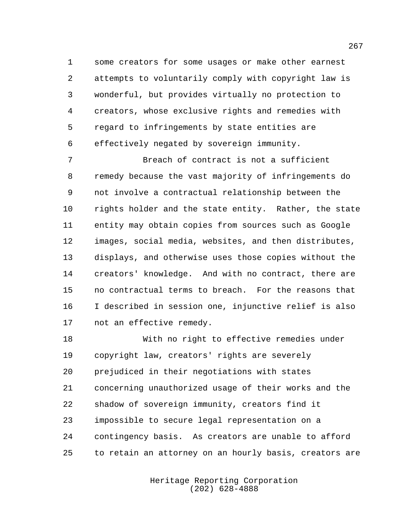some creators for some usages or make other earnest attempts to voluntarily comply with copyright law is wonderful, but provides virtually no protection to creators, whose exclusive rights and remedies with regard to infringements by state entities are effectively negated by sovereign immunity.

 Breach of contract is not a sufficient remedy because the vast majority of infringements do not involve a contractual relationship between the rights holder and the state entity. Rather, the state entity may obtain copies from sources such as Google images, social media, websites, and then distributes, displays, and otherwise uses those copies without the creators' knowledge. And with no contract, there are no contractual terms to breach. For the reasons that I described in session one, injunctive relief is also not an effective remedy.

 With no right to effective remedies under copyright law, creators' rights are severely prejudiced in their negotiations with states concerning unauthorized usage of their works and the shadow of sovereign immunity, creators find it impossible to secure legal representation on a contingency basis. As creators are unable to afford to retain an attorney on an hourly basis, creators are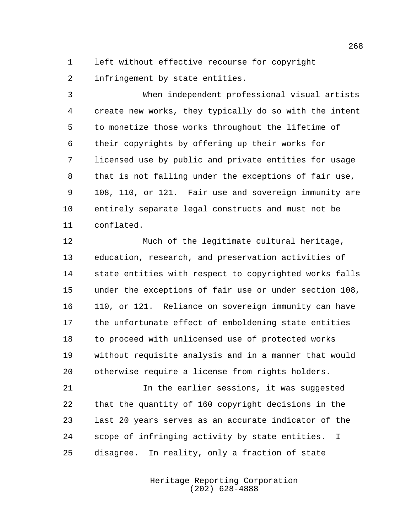left without effective recourse for copyright

infringement by state entities.

 When independent professional visual artists create new works, they typically do so with the intent to monetize those works throughout the lifetime of their copyrights by offering up their works for licensed use by public and private entities for usage that is not falling under the exceptions of fair use, 108, 110, or 121. Fair use and sovereign immunity are entirely separate legal constructs and must not be conflated.

 Much of the legitimate cultural heritage, education, research, and preservation activities of state entities with respect to copyrighted works falls under the exceptions of fair use or under section 108, 110, or 121. Reliance on sovereign immunity can have the unfortunate effect of emboldening state entities to proceed with unlicensed use of protected works without requisite analysis and in a manner that would otherwise require a license from rights holders.

21 11 In the earlier sessions, it was suggested that the quantity of 160 copyright decisions in the last 20 years serves as an accurate indicator of the scope of infringing activity by state entities. I disagree. In reality, only a fraction of state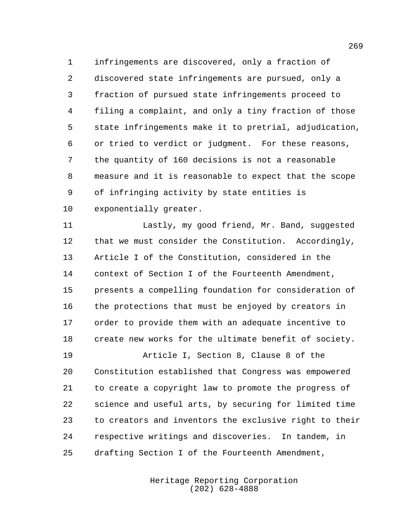infringements are discovered, only a fraction of discovered state infringements are pursued, only a fraction of pursued state infringements proceed to filing a complaint, and only a tiny fraction of those state infringements make it to pretrial, adjudication, or tried to verdict or judgment. For these reasons, the quantity of 160 decisions is not a reasonable measure and it is reasonable to expect that the scope of infringing activity by state entities is exponentially greater.

 Lastly, my good friend, Mr. Band, suggested that we must consider the Constitution. Accordingly, Article I of the Constitution, considered in the context of Section I of the Fourteenth Amendment, presents a compelling foundation for consideration of the protections that must be enjoyed by creators in order to provide them with an adequate incentive to create new works for the ultimate benefit of society.

 Article I, Section 8, Clause 8 of the Constitution established that Congress was empowered to create a copyright law to promote the progress of science and useful arts, by securing for limited time to creators and inventors the exclusive right to their respective writings and discoveries. In tandem, in drafting Section I of the Fourteenth Amendment,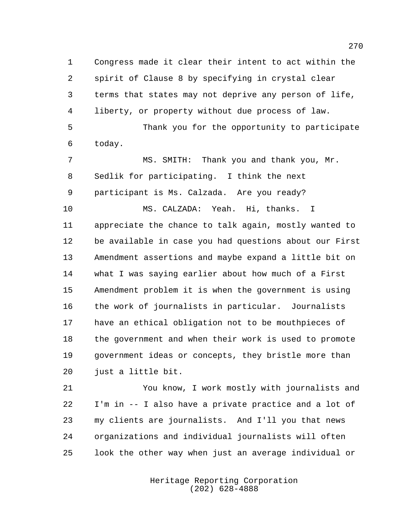Congress made it clear their intent to act within the spirit of Clause 8 by specifying in crystal clear terms that states may not deprive any person of life, liberty, or property without due process of law.

 Thank you for the opportunity to participate today.

 MS. SMITH: Thank you and thank you, Mr. Sedlik for participating. I think the next participant is Ms. Calzada. Are you ready?

 MS. CALZADA: Yeah. Hi, thanks. I appreciate the chance to talk again, mostly wanted to be available in case you had questions about our First Amendment assertions and maybe expand a little bit on what I was saying earlier about how much of a First Amendment problem it is when the government is using the work of journalists in particular. Journalists have an ethical obligation not to be mouthpieces of the government and when their work is used to promote government ideas or concepts, they bristle more than just a little bit.

 You know, I work mostly with journalists and I'm in -- I also have a private practice and a lot of my clients are journalists. And I'll you that news organizations and individual journalists will often look the other way when just an average individual or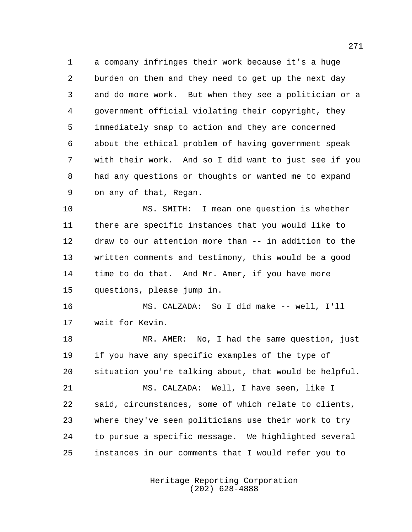a company infringes their work because it's a huge burden on them and they need to get up the next day and do more work. But when they see a politician or a government official violating their copyright, they immediately snap to action and they are concerned about the ethical problem of having government speak with their work. And so I did want to just see if you had any questions or thoughts or wanted me to expand on any of that, Regan.

 MS. SMITH: I mean one question is whether there are specific instances that you would like to draw to our attention more than -- in addition to the written comments and testimony, this would be a good 14 time to do that. And Mr. Amer, if you have more questions, please jump in.

 MS. CALZADA: So I did make -- well, I'll wait for Kevin.

 MR. AMER: No, I had the same question, just if you have any specific examples of the type of situation you're talking about, that would be helpful.

 MS. CALZADA: Well, I have seen, like I said, circumstances, some of which relate to clients, where they've seen politicians use their work to try to pursue a specific message. We highlighted several instances in our comments that I would refer you to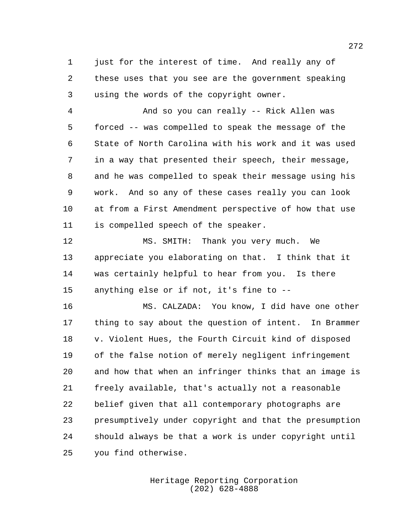just for the interest of time. And really any of these uses that you see are the government speaking using the words of the copyright owner.

 And so you can really -- Rick Allen was forced -- was compelled to speak the message of the State of North Carolina with his work and it was used in a way that presented their speech, their message, and he was compelled to speak their message using his work. And so any of these cases really you can look at from a First Amendment perspective of how that use is compelled speech of the speaker.

 MS. SMITH: Thank you very much. We appreciate you elaborating on that. I think that it was certainly helpful to hear from you. Is there anything else or if not, it's fine to --

 MS. CALZADA: You know, I did have one other thing to say about the question of intent. In Brammer v. Violent Hues, the Fourth Circuit kind of disposed of the false notion of merely negligent infringement and how that when an infringer thinks that an image is freely available, that's actually not a reasonable belief given that all contemporary photographs are presumptively under copyright and that the presumption should always be that a work is under copyright until you find otherwise.

> Heritage Reporting Corporation (202) 628-4888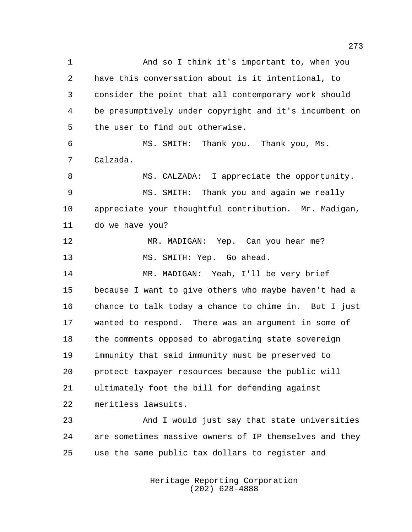And so I think it's important to, when you have this conversation about is it intentional, to consider the point that all contemporary work should be presumptively under copyright and it's incumbent on the user to find out otherwise. MS. SMITH: Thank you. Thank you, Ms. Calzada. MS. CALZADA: I appreciate the opportunity. MS. SMITH: Thank you and again we really appreciate your thoughtful contribution. Mr. Madigan, do we have you? 12 MR. MADIGAN: Yep. Can you hear me? MS. SMITH: Yep. Go ahead. MR. MADIGAN: Yeah, I'll be very brief because I want to give others who maybe haven't had a chance to talk today a chance to chime in. But I just wanted to respond. There was an argument in some of the comments opposed to abrogating state sovereign immunity that said immunity must be preserved to protect taxpayer resources because the public will ultimately foot the bill for defending against meritless lawsuits. And I would just say that state universities are sometimes massive owners of IP themselves and they use the same public tax dollars to register and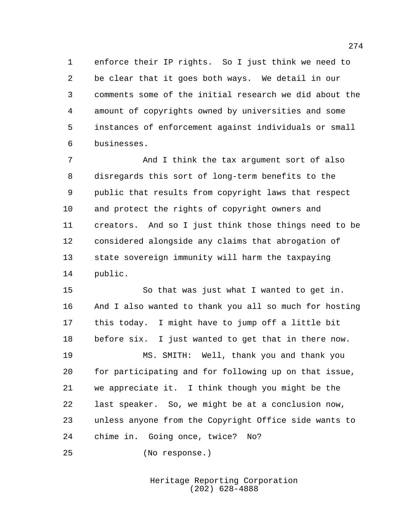enforce their IP rights. So I just think we need to be clear that it goes both ways. We detail in our comments some of the initial research we did about the amount of copyrights owned by universities and some instances of enforcement against individuals or small businesses.

 And I think the tax argument sort of also disregards this sort of long-term benefits to the public that results from copyright laws that respect and protect the rights of copyright owners and creators. And so I just think those things need to be considered alongside any claims that abrogation of state sovereign immunity will harm the taxpaying public.

 So that was just what I wanted to get in. And I also wanted to thank you all so much for hosting this today. I might have to jump off a little bit before six. I just wanted to get that in there now. MS. SMITH: Well, thank you and thank you for participating and for following up on that issue, we appreciate it. I think though you might be the last speaker. So, we might be at a conclusion now, unless anyone from the Copyright Office side wants to chime in. Going once, twice? No?

(No response.)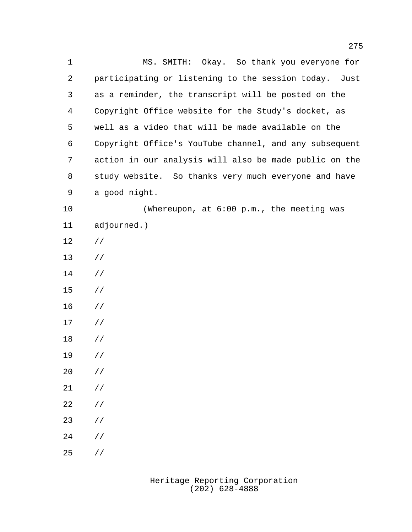MS. SMITH: Okay. So thank you everyone for participating or listening to the session today. Just as a reminder, the transcript will be posted on the Copyright Office website for the Study's docket, as well as a video that will be made available on the Copyright Office's YouTube channel, and any subsequent action in our analysis will also be made public on the study website. So thanks very much everyone and have a good night. (Whereupon, at 6:00 p.m., the meeting was adjourned.) // // // // // // // //  $20 / /$  // // // // //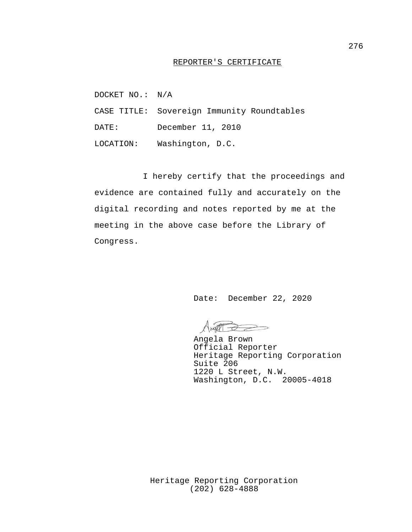## REPORTER'S CERTIFICATE

DOCKET NO.: N/A

CASE TITLE: Sovereign Immunity Roundtables

DATE: December 11, 2010

LOCATION: Washington, D.C.

I hereby certify that the proceedings and evidence are contained fully and accurately on the digital recording and notes reported by me at the meeting in the above case before the Library of Congress.

Date: December 22, 2020

Angela Brown Official Reporter Heritage Reporting Corporation Suite 206 1220 L Street, N.W. Washington, D.C. 20005-4018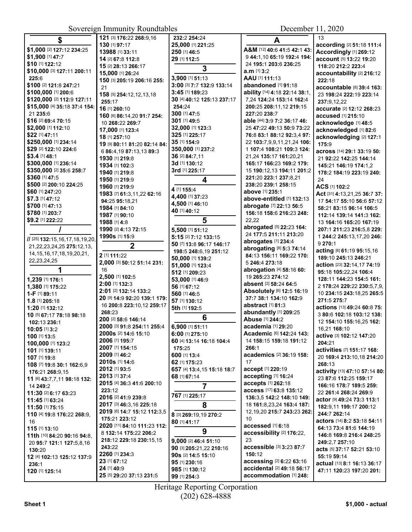| \$                                      | 121 [3] 176:22 268:9,16                   | 232:2 254:24               | A                                                   | 13                                                |
|-----------------------------------------|-------------------------------------------|----------------------------|-----------------------------------------------------|---------------------------------------------------|
| \$1,000 [2] 127:12 234:25               | 130 [1] 97:17                             | 25,000 [1] 221:25          | A&M [12] 40:6 41:5 42:1 43:                         | according [2] 51:18 111:4                         |
| \$1,900 [1] 47:7                        | 13988 [1] 33:11                           | 250 [1] 46:5               |                                                     | Accordingly [1] 269:12                            |
| \$10 [1] 122:12                         | 14 [2] 67:8 112:8                         | 29 [1] 112:5               | 9 44:1,10 65:19 192:4 194:<br>24 195:1 203:6 236:25 | account [5] 13:22 19:20                           |
| \$10,000 [3] 127:11 200:11              | 15 [2] 28:13 266:17                       | 3                          | $a.m$ [1] $3:2$                                     | 118:20 212:2 223:4                                |
| 225:6                                   | 15,000 [1] 26:24                          | 3,900 [1] 51:13            | AAU [1] 111:13                                      | accountability [2] 216:12                         |
| \$100 [2] 121:8 247:21                  | 150 [3] 205:19 206:16 255:                | 3:00 [3] 7:7 132:9 133:14  | abandoned [1] 91:18                                 | 222:18                                            |
| \$100,000 [1] 200:6                     | 21                                        | 3:45 [1] 189:23            | ability [14] 4:18 22:14 38:1,                       | accountable [8] 39:4 163:                         |
| \$120,000 [2] 112:9 127:11              | 158 [5] 254:12,12,13,18                   | 30 [4] 40:12 125:13 237:17 | 7,24 124:24 153:14 162:4                            | 23 198:24 222:19 223:14                           |
| \$15,000 [4] 35:18 37:4 154:            | 255:17                                    | 254:24                     | 200:25 208:11,12 219:15                             | 237:9.12.22                                       |
| 21 235:6                                | 16 [1] 260:10                             | 300 [1] 47:5               | 227:20 238:7                                        | accurate [2] 12:12 268:23                         |
| \$16 [2] 69:4 70:15                     | 160 [6] 86:14,20 91:7 254:                | 301 [1] 49:5               | able [44] 3:9 7:2 36:17 46:                         | accused [1] 215:10                                |
| \$2,000 [1] 112:10                      | 10 268:22 269:7                           | 32,000 [1] 123:3           | 25 47:22 49:13 50:9 73:22                           | acknowledge [1] 48:5                              |
| \$22 [1] 47:11                          | 17,000 [1] 123:4                          | 325 [1] 225:17             | 76:8 83:1 88:12 92:3,4 97:                          | acknowledged [1] 82:6                             |
| \$250,000 [1] 234:14                    | 18 [1] 257:10                             | 35 [1] 154:9               | 22 103:7,9,9,11,21,24 106:                          | acknowledging [2] 127:1                           |
| \$29 [2] 122:10 224:6                   | 19 [9] 80:11 81:20 82:14 84:              | 350,000 [1] 237:2          | 1 107:4 108:21 109:3 124:                           | 175:9                                             |
| \$3.4 [1] 48:1                          | 6 86:4,19 87:13,13 89:3<br>1930 [1] 219:8 | 36 [2] 84:7,11             | 21,24 135:17 161:20,21                              | across [14] 29:1 33:19 50:                        |
| \$300,000 [1] 236:14                    | 1934 [1] 102:3                            | 3d [1] 130:12              | 165:17 166:23 169:2 179:                            | 21 92:22 142:25 144:14                            |
| \$350,000 [2] 35:6 258:7                | 1940 [1] 219:8                            | 3rd [1] 225:17             | 15 190:12,13 194:11 201:2                           | 145:21 146:19 174:1,2<br>178:2 184:19 223:19 240: |
| \$360 [1] 47:5                          | 1950 [1] 219:9                            |                            | 221:20 223:1 237:8,21                               | 24                                                |
| \$500 [2] 200:10 224:25                 | 1960 [1] 219:9                            | 4                          | 238:20 239:1 258:15                                 | ACS [1] 102:2                                     |
| \$60 [1] 247:20                         | 1983 [7] 61:3,11,22 62:16                 | 4 [1] 155:4                | above [1] 235:1                                     | Act [31] 4:13,21,25 36:7 37:                      |
| \$7.3 [1] 47:12                         | 94:25 95:18,21                            | 4,400 [1] 37:23            | above-entitled [1] 132:13                           | 17 54:17 55:10 56:6 57:12                         |
| \$700 [1] 47:13                         | 1984 [1] 84:10                            | 4,500 [1] 46:10            | abrogate [7] 22:13 56:5                             | 58:21 83:15 96:14 106:5                           |
| \$780 [1] 203:7                         | 1987 [1] 90:10                            | 40 [1] 40:12               | 156:18 158:6 216:23 248:                            | 112:14 139:14 141:3 162:                          |
| \$9.2 [1] 222:22                        | 1988 [1] 4:8                              | 5                          | 22,22                                               | 13 164:16 165:20 167:19                           |
|                                         | 1990 [2] 4:13 72:15                       | 5,500 [1] 51:12            | abrogated [5] 22:23 164:                            | 207:1 211:23 216:5,8 229:                         |
|                                         | 1990s [1] 15:9                            | 5:15 [2] 7:12 133:15       | 24 177:5 211:11 213:20                              | 1 244:2 245:13,17,20 246:                         |
| // [25] 132:15,16,17,18,19,20,          |                                           | 50 [7] 13:8 96:17 146:17   | abrogates [1] 234:4                                 | 9 270:1                                           |
| 21, 22, 23, 24, 25 275: 12, 13,         | $\mathbf 2$                               | 198:5 248:6,19 251:12      | abrogating [8] 5:3 74:14                            | acting [6] 61:19 95:15,16                         |
| 14, 15, 16, 17, 18, 19, 20, 21,         | 2 [1] 111:22                              | 50,000 [1] 139:2           | 84:13 156:11 169:22 170:                            | 189:10 245:13 246:21                              |
| 22, 23, 24, 25                          | 2,000 [3] 50:12 51:14 231:                | 51,000 [1] 123:4           | 5 246:4 273:18                                      | action [23] 32:14,17 74:19                        |
|                                         | 16                                        | 512 [1] 209:23             | abrogation [4] 58:16 60:                            | 95:18 105:22,24 106:4                             |
| 1,239 [1] 176:1                         | 2,500 [1] 102:5                           | 53,000 [1] 46:9            | 19 265:23 274:12                                    | 128:11 144:23 154:5 161:                          |
| 1,380 [1] 175:22                        | 2:00 [1] 132:3                            | 56 [1] 67:12               | absent [2] 58:24 64:5                               | 2 178:24 229:22 230:5,7,9,                        |
| 1-F [1] 89:11                           | 2:01 [2] 132:14 133:2                     | 560 [1] 46:5               | Absolutely [6] 12:5 16:19<br>37:7 38:1 134:10 162:9 | 10 234:15 243:18,25 265:5                         |
| 1.8 [1] 205:18                          | 20 [9] 14:9 92:20 139:1 179:              | 57 [1] 130:12              | abstract [1] 81:3                                   | 271:5 275:7                                       |
| 1:20 [1] 132:12                         | 16 200:8 223:10,12 259:17<br>268:23       | 5th [1] 192:5              | abundantly [1] 209:25                               | actions [13] 49:24 60:8 75:                       |
| 10 [5] 67:17 78:18 98:18                | 200 [2] 58:6 146:14                       | 6                          | Abuse [1] 244:2                                     | 3 80:6 102:18 103:12 138:                         |
| 102:13 236:1                            | 2000 [3] 91:8 254:11 255:4                | 6,900 [1] 51:11            | academia [1] 29:20                                  | 12 154:10 155:16,25 162:                          |
| 10:05 [1] 3:2                           | 2000s [2] 14:6 15:10                      | 6:00 [1] 275:10            | Academic [6] 142:24 143:                            | 16,21 168:10                                      |
| 100 [1] 13:5                            | 2006 [1] 195:7                            | 60 [4] 13:14 16:18 104:4   | 14 158:15 159:18 191:12                             | active [3] 102:12 147:20                          |
| 100,000 [1] 123:2                       | 2007 [1] 154:15                           | 175:25                     | 266:1                                               | 204:21                                            |
| 101 [1] 139:11                          | 2009 [1] 46:2                             | 600 [1] 13:4               | academics [2] 36:19 158:                            | activities [7] 151:17 168:                        |
| 107 [1] 19:8                            | 2010s [1] 14:6                            | 62 [1] 175:23              | 17                                                  | 20 169:4 213:10,18 214:20                         |
| 108 [7] 19:8 30:1 162:6,9               | 2012 [1] 93:5                             | 657 [4] 13:4,15 15:18 18:7 | accept [1] 220:19                                   | 268:13<br>activity [13] 47:10 57:14 80:           |
| 176:21 268:9,15                         | 2013 [1] 37:4                             | 68 [1] 67:14               | accepting [1] 16:24                                 | 23 87:6 112:25 159:17                             |
| 11 [6] 43:7,7,11 98:18 132:<br>14 249:2 | 2015 [4] 36:3 41:6 200:10                 | 7                          | accepts [1] 262:18                                  | 166:16 178:7 189:5 259:                           |
| 11:30 [2] 6:17 63:23                    | 223:12                                    |                            | access [17] 63:8 135:12                             | 22 261:4 268:24 269:9                             |
| 11:45 [1] 63:24                         | 2016 [2] 41:9 239:8                       | 767 [1] 225:17             | 136:3,5 142:2 148:10 149:                           | actor [9] 49:24 73:3 113:1                        |
| 11:50 [1] 75:15                         | 2017 [3] 46:3,16 225:18                   | 8                          | 18 161:8,23,24 163:4 187:                           | 182:9,11 199:17 200:12                            |
| 110 [4] 19:8 176:22 268:9,              | 2019 [6] 14:7 15:12 112:3,5               | 8 [3] 269:19,19 270:2      | 12, 19, 20 215: 7 243: 23 262:                      | 244:7 262:14                                      |
| 16                                      | 175:21 223:12                             | 80 [1] 41:17               | 10                                                  | actors [14] 8:2 53:18 54:11                       |
| 115 [1] 13:10                           | 2020 [11] 84:10 111:23 112:               |                            | accessed [1] 6:18                                   | 64:13 73:4 81:6 144:19                            |
| 11th [10] 84:20 90:16 94:8,             | 8 132:14 175:22 206:2                     | 9                          | accessibility [2] 176:22,                           | 146:8 169:8 216:4 248:25                          |
| 20 95:7 121:1 127:5,8,16                | 218:12 229:18 230:15,15                   | 9,000 [2] 46:4 51:10       | 23                                                  | 249:2,7 257:10                                    |
| 130:20                                  | 243:22                                    | 90 [3] 205:21,22 210:16    | accessible [3] 3:23 87:7                            | acts [5] 37:17 52:21 53:10                        |
| 12 [4] 102:13 125:12 137:9              | 2260 [1] 234:3                            | 90s [2] 14:5 15:10         | 150:12                                              | 55:19 59:14                                       |
| 236:1                                   | 23 [1] 67:12                              | 95 [1] 230:16              | accessing [2] 6:22 63:16                            | actual [13] 8:1 16:13 36:17                       |
| 120 [1] 125:14                          | 24 [1] 40:9                               | 985 [1] 130:12             | accidental [2] 49:18 56:17                          | 47:11 120:23 197:20 201:                          |
|                                         | 25 [5] 29:20 37:13 231:5                  | 99 [1] 254:3               | accommodation [1] 248:                              |                                                   |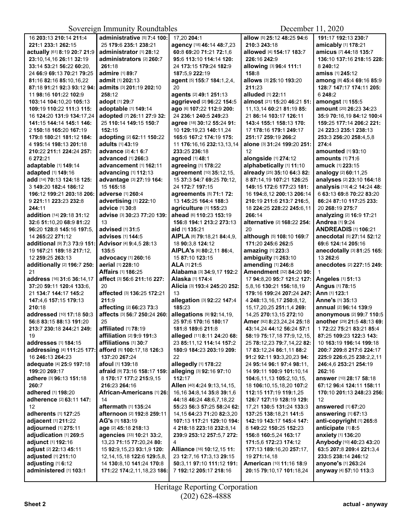| 16 203:13 210:14 211:4                       | administrative [5] 7:4 100:              | 17,20 204:1                    | allow [5] 25:12 48:25 94:6      | 191:17 192:13 230:7              |
|----------------------------------------------|------------------------------------------|--------------------------------|---------------------------------|----------------------------------|
| 221:1 233:1 262:15                           | 25 179:6 235:1 238:21                    | agency [18] 46:14 48:7,23      | 210:3 243:18                    | amicably [1] 178:21              |
| actually [61] 8:19 20:7 21:9                 | <b>administrator</b> [1] <b>28:12</b>    | 60:8 69:20 71:21 72:1,6        | allowed [4] 154:17 183:7        | amicus [7] 44:18 135:7           |
| 23:10,14,16 26:11 32:19                      | administrators [2] 260:7                 | 95:6 113:10 114:14 120:        | 226:16 242:9                    | 136:10 137:16 218:15 228:        |
| 33:14 53:21 56:22 60:20,                     | 261:18                                   | 24 173:15 179:24 182:9         | allowing [3] 96:4 111:1         | 8 240:12                         |
| 24 66:9 69:13 70:21 79:25                    | admire [1] 89:7                          | 187:5.9 222:19                 | 158:8                           | <b>amiss</b> [1] <b>245:</b> 12  |
| 81:16 82:16 85:10.16.22                      | admit [1] 202:13                         | agent [5] 155:7 184:1,2,4,     | allows [3] 25:10 193:20         | among [8] 45:4 69:16 85:9        |
| 87:18 91:21 92:3 93:12 94:                   | admits [3] 201:19 202:10                 | 20                             | 211:23                          | 128:7 147:17 174:11 205:         |
| 11 98:16 101:22 102:9                        | 258:12                                   | agents [2] 49:1 251:13         | alluded [1] 22:11               | 6 248:2                          |
| 103:14 104:10,20 105:13                      | adopt [1] 29:7                           | aggrieved [2] 96:22 154:5      | almost [21] 15:20 46:21 51:     | amongst [1] 155:5                |
| 109:19 110:22 111:3 115:                     | adoptable [1] 149:14                     | ago [6] 107:22 112:9 200:      | 11, 13, 14 60: 21 81: 19 85:    | amount [20] 26:23 34:23          |
| 16 124:20 131:9 134:17,24                    | adopted [7] 26:11 27:9 32:               | 24 236:1 240:5 249:23          | 21 86:14 103:17 126:11          | 35:9 70:16,19 84:12 100:4        |
| 141:15 144:14 145:1 146:                     | 25 110:14 149:15 150:7                   | agree [18] 30:12 55:24 91:     | 143:4 155:1 158:13 170:         | 159:25 177:14 206:2 221:         |
| 2 150:18 165:20 167:19                       | 152:15                                   | 10 129:19,23 140:11,24         | 17 178:16 179:1 249:17          | 24 223:3 235:1 238:13            |
| 179:8 180:21 181:12 184:                     | adopting [2] 62:11 150:22                | 165:6 167:2 174:19 175:        | 251:17 259:19 266:2             | 253:3 256:20 258:4,5,8           |
| 4 195:14 198:13 201:18                       | <b>adults</b> [1] 43:19                  | 11 176:16,16 232:13,13,14      | alone [3] 31:24 199:20 251:     | 274:4                            |
| 210:22 211:1 224:24 257:                     | advance [2] 4:1 6:7                      | 233:25 236:18                  | 12                              | amounted [1] 93:10               |
| 6 272:21                                     | advanced [1] 266:3                       | agreed [1] 48:1                | alongside [1] 274:12            | <b>amounts</b> [1] 71:6          |
| adaptable [1] 149:14                         | advancement [1] 162:11                   | agreeing [1] 178:22            | alphabetically [1] 11:10        | <b>amuck</b> [1] 223:15          |
| adapted [1] 149:16                           | advancing [1] 112:13                     | agreement [10] 35:12,15,       | already [25] 35:10 64:3 82:     | analogy [2] 60:11,25             |
| add [14] 70:13 124:18 125:                   | advantage [3] 27:19 164:                 | 15 37:3 54:7 69:25 70:12,      | 8 87:14.19 107:21 126:25        | analyses [2] 23:10 164:18        |
| 3 149:20 182:4 186:12                        | 15 165:18                                | 24 172:7 197:15                | 149:15 172:6 177:23 181:        | analysis [13] 4:2 14:24 48:      |
| 196:12 199:21 203:18 206:                    | adverse [1] 260:4                        | agreements [5] 71:1 72:        | 16 194:8,12 200:13 206:14       | 6 63:13 69:8 70:22 83:20         |
| 9 221:11 223:23 232:8                        | advertising [1] 222:10                   | 13 145:25 164:4 188:3          | 210:19 211:6 213:7 216:5,       | 86:24 87:10 117:25 233:          |
| 244:11                                       | advice [1] 30:8                          | agriculture [1] 155:23         | 18 224:25 228:22 245:6.11       | 20 268:19 275:7                  |
| addition [14] 29:18 31:12                    | advise [3] 30:23 77:20 139:              | ahead [6] 110:23 153:19        | 266:14                          | analyzing [2] 16:9 17:21         |
| 32:6 51:10.20 68:9 81:22                     | 13                                       | 156:8 194:1 213:2 273:13       | alternative [2] 168:22 254:     | <b>Andrea</b> [1] 9:24           |
| 96:20 128:8 145:16 197:5.                    | advised [1] 31:5                         | aid [1] 135:21                 | 20                              | <b>ANDREADIS [1] 106:21</b>      |
| 14 265:22 271:12                             | advises [1] 144:5                        | AIPLA [8] 79:18,21 84:4,9,     | although [5] 108:10 169:7       | <b>anecdotal</b> [5] 27:14 52:12 |
| <b>additional</b> [9] 7:3 73:9 151:          | Advisor [4] 9:4,5 28:13                  | 18 90:3,8 124:12               | 171:20 245:6 262:5              | 69:6 124:14 205:16               |
| 19 167:21 189:18 217:12,                     | 135:5                                    | AIPLA's [6] 80:2,11 86:4,      | amazing [1] 223:3               | anecdotally [3] 81:25 165:       |
| 12 259:25 263:13                             | advocacy [1] 260:16                      | 15 87:10 123:15                | ambiguity [1] 263:10            | 13 262:6                         |
| additionally [2] 196:7 250:                  | aerial [1] 228:10                        | ALA [1] 21:5                   | amending [1] 246:8              | anecdotes [2] 227:15 249:        |
| 21                                           | <b>Affairs [1] 186:25</b>                | Alabama [3] 34:9,17 192:2      | <b>Amendment</b> [32] 84:20 90: | 1                                |
| address [16] 31:6 36:14,17                   | affect [3] 56:6 211:16 227:              | Alaska [1] 174:4               | 17 94:8,20 95:7 121:2 127:      | Angeles [1] 51:13                |
| 37:20 59:11 120:4 133:6,                     | 20                                       | Alicia [3] 193:4 245:20 252:   | 5,8,16 130:21 156:18,19         | Angus [1] 78:15                  |
| 21 134:7 144:17 145:2                        | affected [3] 136:25 172:21               | 13                             | 179:16 199:24 207:24 247:       | Ann [1] 123:1                    |
| 147:4.6 157:15 179:13                        | 211:9                                    | allegation [3] 92:22 147:4     | 4 248:13,16,17 250:8,12,        | Anne's [1] 35:13                 |
| 210:18                                       | affecting [2] 66:23 73:3                 | 185:23                         | 15, 17, 20, 25 251: 1, 4 269:   | annual [2] 96:14 139:9           |
| addressed [10] 17:18 50:3                    | affects [3] 56:7 250:24 260:             | allegations [9] 92:14,19,      | 14,25 270:13,15 272:10          | anonymous [2] 99:7 110:5         |
| 56:8 83:15 88:13 191:20                      | 25                                       | 25 97:6 170:16 180:17          | Amer [92] 8:23,24,24 25:18      | another [29] 21:5 48:13 69:      |
| 213:7 230:18 244:21 249:                     | affiliated [1] 78:19                     | 181:8 189:6 211:8              | 43:14,24 44:12 56:24 57:1       | 1 72:22 75:21 83:21 85:4         |
| 19                                           | <b>affiliation</b> [2] <b>9:</b> 9 191:3 | alleged [11] 8:11 24:20 68:    |                                 | 87:25 109:23 122:3 143:          |
| <b>addresses</b> [1] <b>184:15</b>           | affiliations [1] 30:7                    | 23 85:11,12 114:14 157:2       | 25 78:12.23 79:7.14.22 82:      | 10 163:19 196:14 199:18          |
| addressing [4] 111:25 177:                   | afford [5] 100:17,18 126:3               | 180:9 184:23 203:19 209:       | 17 83:12,24 86:1,11 88:2        | 200:7 209:8 217:6 224:17         |
| 16 246:13 264:23                             | 137:20 267:24                            | 22                             | 91:2 92:11 93:3,20,23 94:       | 225:9 226:6,25 238:2,2,11        |
| adequate [4] 25:9 197:18                     | <b>afoul</b> [1] <b>139:</b> 18          | allegedly [1] 178:22           | 24 95:14 96:1 97:4 98:11,       | 246:4.6 253:21 254:19            |
| 199:20 269:17                                | afraid [9] 73:16 158:17 159:             | alleging [3] 92:16 97:10       | 14 99:11 100:9 101:10,14        | 262:16                           |
| adhere [3] 96:13 151:18                      | 8 170:17 177:2 215:9.15                  | 112:17                         | 104:6,11,13 105:2,10,15,        | answer [10] 28:17 58:18          |
| 260:7                                        | 216:23 264:16                            | Allen [40] 4:24 9:13,14,15,    | 18 106:10,15,18,20 107:2        | 67:12 96:4 124:11 158:11         |
| adhered [1] 198:20                           | African-Americans [1] 26:                | 16,16 34:8,14 35:8 39:1,6      | 112:15 117:19 119:1,25          | 170:10 201:13 248:23 256:        |
| adherence [2] 63:11 147:                     | 14                                       | 44:18 46:24 48:6,7,18,22       | 126:7 127:19 128:19 129:        | 12                               |
| 12                                           | aftermath [1] 135:24                     | 55:23 56:3 57:25 58:24 62:     | 17,21 130:5 131:24 133:3        | <b>answered</b> [1] 67:20        |
| <b>adherents</b> [1] <b>127:</b> 25          | afternoon [2] 192:8 259:11               | 14, 15 64: 23 71: 20 82: 3, 20 | 137:25 138:18.21 141:5          | answering [1] 67:13              |
| adjacent [1] 211:22                          | AG's [1] 183:19                          | 107:13 117:21 129:10 194:      | 142:19 143:17 145:4 147:        | anti-copyright [1] 265:8         |
| adjourned [1] 275:11                         | age [2] 45:18 218:13                     | 4 218:18 223:18 232:8,14       | 8 149:22 150:25 152:23          | anticipate [1] 8:5               |
| adjudication [1] 269:5                       | agencies [33] 10:21 33:2,                | 239:9 253:12 257:5,7 272:      | 156:8 160:5,24 163:17           | anxiety [1] 136:20               |
| adjunct [1] 192:16                           | 13,23 71:15 77:20,24 80:                 | 4                              | 171:5,6 172:23 174:12           | Anybody [10] 40:23 43:20         |
| adjust [2] 22:13 45:11                       | 15 92:9,15,23 93:1,9 120:                | Alliance [16] 10:12,15 11:     | 177:13 189:16,20 257:17,        | 63:5 207:8 209:4 221:3,4         |
| adjusted [1] 211:10                          | 12, 14, 15, 18 122: 6 129: 5, 8,         | 23 12:7,16 17:3,13 29:15       | 19 271:14,18                    | 233:5 238:14 246:12              |
| adjusting [1] 6:12<br>administered [1] 103:1 | 14 130:8,10 141:24 170:8                 | 50:3,11 97:10 111:12 191:      | American [10] 11:16 18:9        | anyone's [1] 263:24              |
|                                              | 171:22 174:2,11,18,23 186:               | 7 192:12 205:17 218:16         | 20:15 79:10,17 101:18,24        | anyway [4] 57:10 113:3           |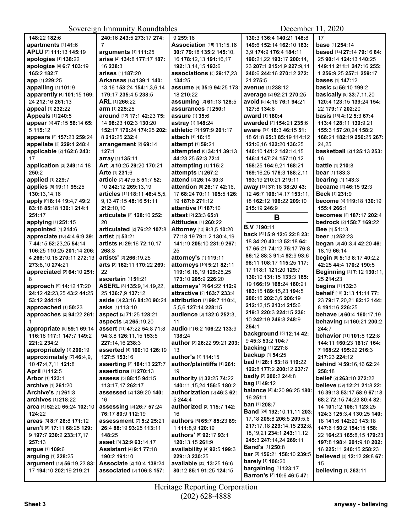| 148:22 182:6                | 240:16 243:5 273:17 274:        | 9 259:16                           | 130:3 136:4 140:21 148:8                              | 17                              |
|-----------------------------|---------------------------------|------------------------------------|-------------------------------------------------------|---------------------------------|
| apartments [1] 41:6         | $\overline{7}$                  | <b>Association [15] 11:15.16</b>   | 149:6 152:14 162:10 163:                              | <b>base</b> [1] 254:14          |
| APLU [2] 111:13 145:19      | arguments [1] 111:25            | 30:7 79:18 135:2 145:10.           | 3.9 174:9 176:4 184:11                                | based [14] 27:14 79:16 84:      |
| apologies [1] 138:22        | arise [4] 134:8 177:17 187:     | 16 178:12,13 191:16,17             | 190:21,22 193:17 200:14,                              | 25 90:14 124:13 140:25          |
| apologize [4] 6:7 103:19    | 16 238:3                        | 192:13,14,15 193:6                 | 23 207:1 215:4,9 227:9,11                             | 149:11 211:1 247:16 255:        |
| 165:2 182:7                 | arises [1] 187:20               | associations [3] 29:17,23          | 240:6 244:16 270:12 272:                              | 1 256:9,25 257:1 259:17         |
| app [1] 229:25              | Arkansas [12] 139:1 140:        | 134:25                             | 21 275:5                                              | <b>bases</b> [1] <b>147:12</b>  |
| appalling [1] 101:9         | 13, 16 153: 24 154: 1, 3, 6, 14 | assume [4] 35:9 94:25 173:         | avenue [1] 238:12                                     | basic [2] 56:10 199:2           |
| apparently [4] 101:15 169:  | 179:17 235:4,5 238:5            | 18 210:22                          | average [2] 92:21 270:25                              | <b>basically</b> [9] 33:7,11,20 |
| 24 212:16 261:13            | ARL [1] 266:22                  | assuming [2] 61:13 128:5           | avoid [5] 4:16 76:1 94:21                             | 120:4 123:15 139:24 154:        |
| appeal [1] 232:22           | arm [1] 225:25                  | assurances [1] 250:1               | 127:8 134:6                                           | 22 179:17 202:20                |
| Appeals [1] 240:5           | around [12] 17:1 42:23 75:      | assure [1] 35:6                    | award [1] 180:4                                       | basis [16] 4:12 5:3 67:4        |
| appear [4] 47:15 56:14 65:  | 14 98:23 102:3 130:20           | astray [1] 148:24                  | awarded [2] 154:21 235:6                              | 113:4 128:11 139:9.21           |
| 5115:12                     | 152:17 170:24 174:25 202:       | athletic [2] 197:9 201:17          | aware [31] 18:3 46:15 51:                             | 155:3 157:20,24 158:2           |
| appears [2] 157:23 259:24   | 8 212:25 232:4                  | attach [1] 16:15                   | 18 61:8 65:3 85:19 114:12                             | 168:21 182:19 256:25 267:       |
| appellate [2] 229:4 248:4   | arrangement [2] 69:14           | attempt [1] 59:21                  | 121:6.16 122:20 136:25                                | 24,25                           |
| applicable [2] 162:6 243:   | 127:1                           | attempted [6] 34:11 39:13          | 140:10 141:2 142:14,15                                | basketball [2] 125:13 253:      |
| 17                          | array [1] 135:11                | 44:23.25 52:3 72:4                 | 146:4 147:24 157:10,12                                | 16                              |
| application [3] 249:14,18   | Art [3] 10:25 29:20 170:21      | attempting [1] 115:2               | 158:25 164:9,21 168:21                                | battle [1] 210:8                |
| 250:2                       | Arte [1] 231:6                  | attempts [1] 267:2                 | 169:16,25 176:3 188:2,11                              | bear [1] 183:3                  |
| applied [1] 229:7           | article [7] 47:5,8 51:7 52:     | attend [2] 26:14 30:3              | 193:19 210:21 219:11                                  | <b>bearing [1] 143:3</b>        |
| applies [5] 19:11 95:25     | 10 242:12 269:13,19             | attention [9] 26:17 42:16,         | away [13] 37:18 38:20 43:                             | became [2] 46:15 92:3           |
| 130:13,14,16                | articles [11] 18:11 46:4,5,5,   | 17 68:24 70:11 105:5 126:          | 12 46:7 106:14,17 153:11,                             | Beck [1] 231:9                  |
| apply [9] 8:14 19:4,7 49:2  | 9.13 47:15 48:16 51:11          | 19 187:6 271:12                    | 18 162:12 196:22 209:10                               | <b>become</b> [4] 119:18 130:19 |
| 83:18 85:18 130:1 214:1     | 212:10.10                       | attentive [1] 187:10               | 215:19 246:9                                          | 155:4 266:1                     |
| 251:17                      | articulate [2] 128:10 252:      | attest [2] 23:3 65:8               | B                                                     | <b>becomes</b> [2] 187:17 202:4 |
| applying [1] 251:15         | 20                              | <b>Attitudes</b> [1] <b>260:22</b> |                                                       | bedrock [2] 158:7 169:22        |
| appointed [1] 214:6         | articulated [2] 76:22 107:8     | Attorney [13] 9:3,5 10:20          | <b>B.V</b> [1] 90:11                                  | Bee [1] 51:13                   |
| appreciate [18] 4:4 6:9 39: | artist [1] 53:21                | 77:18,19 79:1,2 130:4,19           | back [51] 5:9 12:6 22:8 23:                           | beer [1] 252:23                 |
| 7 44:15 52:23,25 54:14      | artists [4] 29:16 72:10,17      | 141:19 205:10 231:9 267:           | 18 34:20 43:13 52:18 64:                              | began [6] 40:3,4 42:20 46:      |
| 106:25 110:25 201:14 206:   | 268:3                           | 25                                 | 17 65:21 74:12 75:17 76:8                             | 18,19 66:14                     |
| 4 266:10,18 270:11 272:13   | artists' [2] 266:19,25          | attorney's [1] 119:11              | 86:12 88:3 91:4 92:9 93:6                             | begin [8] 5:13 8:17 40:2,2      |
| 273:8,10 274:21             | arts [3] 162:11 170:22 269:     | attorneys [10] 5:21 82:11          | 98:11 108:17 115:25 117:                              | 42:25 44:4 170:2 190:5          |
| appreciated [2] 64:10 251:  | 22                              | 119:16,18,19 129:25,25             | 17 118:1 121:20 129:7                                 | Beginning [4] 7:12 130:11,      |
| 8                           | ascertain [1] 51:21             | 173:10 205:9 226:20                | 130:10 131:15 133:3 165:                              | 25 214:23                       |
| approach [9] 14:12 17:20    | ASERL [8] 135:9,14,19,22,       | attorneys' [2] 64:22 112:9         | 19 166:19 168:24 180:21                               | begins [1] 132:3                |
| 24:12 42:23,25 43:2 44:25   | 25 136:7,9 137:12               | attractive [2] 163:7 233:4         | 183:15 189:15,23 194:5                                | behalf [10] 3:13 11:14 77:      |
| 53:12 244:19                | aside [3] 23:16 84:20 90:24     | attribution [7] 99:7 110:4,        | 200:16 202:3,6 206:19                                 | 23 79:17,20,21 82:12 144:       |
| approached [1] 50:23        | asks [1] 113:10                 | 5,5,6 127:14 228:15                | 212:12,15 213:4 215:6                                 | 8 191:16 226:25                 |
| approaches [2] 94:22 261:   | aspect [2] 71:25 128:21         | audience [3] 132:6 252:3,          | 219:3 220:3 224:15 236:                               | behave [3] 60:4 160:17,19       |
|                             | aspects [2] 265:19,20           | 11                                 | 10 242:19 246:8 248:9                                 | behaving [3] 160:21 200:2       |
| appropriate [8] 59:1 69:14  | assert [11] 47:22 54:8 71:8     | audio [4] 6:2 106:22 133:9         | 254:1                                                 | 244:7                           |
| 116:18 117:1 147:7 149:2    | 94:3,8 126:11,15 153:5          | 138:24                             | background [5] 12:14 42:                              | behavior [11] 101:8 122:8       |
| 221:2 234:2                 | 227:14,16 238:3                 | author [3] 26:22 99:21 203:        | 9 45:3 53:2 104:7                                     | 144:11 160:23 161:7 164:        |
| appropriately [1] 200:19    | asserted [4] 100:10 126:19      | 13                                 | <b>backing [1] 227:8</b>                              | 7 168:22 195:22 216:3           |
| approximately [7] 46:4,9,   | 127:5 153:16                    | author's [1] 114:15                | <b>backup</b> [1] 54:25                               | 217:23 224:12                   |
| 10 47:4,7,11 121:8          | asserting [2] 184:13 227:7      | author/plaintiffs [1] 261:         | bad [7] 28:1 53:18 119:22<br>122:8 177:2 200:12 237:7 | behind [4] 59:16,16 62:24       |
| April [1] 112:5             | assertions [1] 270:13           | 19                                 |                                                       | 258:18                          |
| Arbor [1] 123:1             | assess [5] 88:15 94:15          | authority [7] 32:25 74:22          | <b>badly</b> [2] 200:2 244:8<br><b>bag</b> [1] 49:12  | belief [2] 263:10 272:22        |
| archive [1] 261:20          | 113:17,17 262:17                | 140:11,15,24 156:5 180:2           | balance [4] 4:20 96:25 180:                           | believe [39] 12:21 21:8 22:     |
| Archive's [1] 261:3         | assessed [2] 139:20 140:        | authorization [3] 46:3 62:         | 16 251:1                                              | 16 39:13 53:17 58:9 67:18       |
| archives [1] 218:22         | 16                              | 5 244:4                            | <b>ban</b> [1] 208:7                                  | 68:2 72:15 74:23 80:4 82:       |
| area [4] 52:20 65:24 102:10 | assessing [5] 26:7 57:24        | authorized [2] 115:7 142:          | <b>Band</b> [24] <b>192:10,11,11 203:</b>             | 14 101:12 108:1 123:25          |
| 124:22                      | 76:17 80:9 112:19               | 16                                 | 17,18 205:8 206:5 209:5,6                             | 124:3 125:3.4 130:25 140:       |
| areas [3] 8:7 26:8 171:12   | assessment [7] 5:2 25:21        | authors [6] 65:7 85:23 89:         | 217:17,18 229:14,15 232:8,                            | 18 141:6 142:20 143:18          |
| aren't [8] 17:11 68:25 129: | 26:4 88:19 93:25 113:11         | 1111:8,9 120:19                    | 18, 19, 21 234: 1 243: 11, 12                         | 147:6 150:2 154:15 158:         |
| 9 197:7 230:2 233:17,17     | 148:25                          | authors' [5] 92:17 93:1            | 245:3 247:14,24 269:11                                | 22 164:23 165:8,15 179:23       |
| 257:13                      | asset [3] 32:9 63:14,17         | 120:13,15 261:9                    | <b>Band's [1] 250:8</b>                               | 197:8 198:4 201:9,10 202:       |
| argue [1] 109:6             | <b>Assistant [4] 9:1 77:18</b>  | availability [4] 92:5 199:3        | bar [3] 156:21 158:10 239:5                           | 16 225:11 240:15 258:23         |
| arguing [1] 228:25          | 190:2 191:10                    | 229:13 230:25                      | <b>barely</b> [1] 106:20                              | believed [3] 12:12 29:8 67:     |
| argument [10] 56:19,23 83:  | Associate [2] 10:4 138:24       | available [33] 13:25 16:6          | bargaining [1] 123:17                                 | 15                              |
| 17 194:10 202:19 219:21     | associated [3] 106:8 157:       | 80:12 85:1 91:25 124:15            | Barron's [3] 10:6 46:5 47:                            | believing [1] 263:11            |
|                             |                                 |                                    |                                                       |                                 |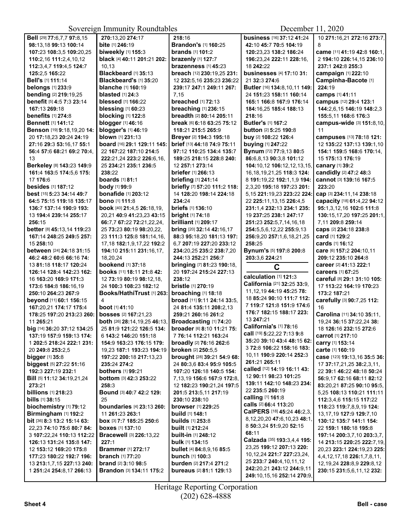|                                                       | 50                                                          |                                                             | DUUUHUU 11, $2020$                                |                                                              |
|-------------------------------------------------------|-------------------------------------------------------------|-------------------------------------------------------------|---------------------------------------------------|--------------------------------------------------------------|
| Bell [29] 77:6.7.7 97:8.15                            | 270:13,20 274:17                                            | 218:16                                                      | <b>business</b> [16] 37:12 41:24                  | 10 271:16,21 272:16 273:7,                                   |
| 98:13,18 99:13 100:14                                 | bite [1] 246:19                                             | <b>Brandon's [1] 160:25</b>                                 | 42:10 45:7 70:5 104:19                            | 8                                                            |
| 107:23 108:3,5 109:20,25                              | biweekly [1] 155:3                                          | <b>brands</b> [1] <b>101:2</b>                              | 120:23,23 138:2 186:24                            | came [11] 41:19 42:8 160:1,                                  |
| 110:2,16 111:2,4,10,12                                | black [4] 40:11 201:21 202:                                 | brazenly [1] 127:7                                          | 196:23,24 222:11 228:16,                          | 2 194:10 226:14,15 236:10                                    |
| 112:3,4,7 119:4,5 124:7                               | 10.13                                                       | brazenness [1] 45:23                                        | 18 242:22                                         | 237:1 242:8 255:3                                            |
| 125:2,5 165:22                                        | Blackbeard [1] 35:13                                        | breach [12] 230:19.25 231:                                  | businesses [4] 17:10 31:                          | campaign [1] 222:10                                          |
| <b>Bell's</b> [1] 111:14                              | Blackbeard's [1] 35:20                                      | 12 232:5, 16 235:23 236:22                                  | 21 32:3 274:6                                     | Campinha-Bacote [1]                                          |
| <b>belongs</b> [1] 233:9                              | <b>blanche</b> [1] 160:19                                   | 239:17 247:1 249:11 267:                                    | Butler [16] 134:8,10,11 149:                      | 224:19                                                       |
| bending [2] 219:19,25                                 | blasted $[1]$ 24:3                                          | 7,15                                                        | 24 151:23 158:11 160:14                           | camps [1] 41:11                                              |
| benefit [5] 4:5 7:3 23:14                             | <b>blessed</b> [1] 166:22                                   | <b>breached</b> [1] 72:13                                   | 165:1 166:8 167:9 176:14                          | campus [12] 29:4 123:1                                       |
| 167:13 269:18                                         | blessing $[1]$ 60:23                                        | breaching [1] 236:15                                        | 184:16,25 185:4 188:13                            | 144:2,6,15 146:19 148:2,3                                    |
| <b>benefits</b> [1] 274:8                             | <b>blocking</b> [1] 122:8                                   | breadth [2] 80:14 205:11                                    | 218:16                                            | 155:5.11 168:6 176:3                                         |
| <b>Bennett</b> [1] 141:12                             | <b>blogger</b> [1] 46:16                                    | break [6] 6:18 63:25 75:12                                  | <b>Butler's [1] 167:2</b>                         |                                                              |
| <b>Benson</b> [19] 9:18,19,20 14:                     | blogger's [1] 46:19                                         | 118:21 215:5 265:9                                          | <b>button</b> [2] 5:25 190:8                      | campus-wide [3] 151:8,10,<br>11                              |
|                                                       | blown [1] 231:13                                            |                                                             |                                                   |                                                              |
| 20 17:18,23 20:24 24:19                               |                                                             | Breyer [2] 194:3 195:18                                     | buy [2] 108:22 126:4                              | campuses [13] 78:18 121:                                     |
| 27:16 29:3 53:16,17 55:1                              | <b>board</b> [16] <b>29:1 129:11 145:</b>                   | brief [13] 44:18 74:9 75:11                                 | buying [1] 247:22                                 | 12 135:22 137:13 139:1,10                                    |
| 56:4 57:6 68:21 69:2 70:4,                            | 22 167:22 187:10 214:5                                      | 97:12 110:25 134:4 135:7                                    | Bynum [72] 77:9,13 80:5                           | 154:1 159:5 168:6 170:14,                                    |
| 13                                                    | 222:21,24 223:2 226:6,16,                                   | 189:25 218:15 228:8 240:                                    | 86:6,8,13 90:3,8 101:12                           | 15 175:13 176:19                                             |
| Berkeley [8] 143:23 149:9                             | 25 234:21 235:1 236:5                                       | 12 257:1 273:14                                             | 104:10,12 106:12,12,13,15,                        | <b>canary</b> [1] <b>39:</b> 2                               |
| 161:4 163:5 174:5,6 175:                              | 238:22                                                      | <b>briefer</b> [1] 266:13                                   | 16, 18, 19, 21, 25 118: 3 124:                    | candidly [2] 47:2 48:3                                       |
| 17 176:6                                              | <b>boards</b> [1] 81:1                                      | <b>briefing</b> [1] 241:14                                  | 8 191:19,22 192:1,1,9 194:                        | cannot [3] 139:16 167:5                                      |
| besides [1] 187:12                                    | body [1] 99:9                                               | briefly [7] 57:20 111:2 118:                                | 2,3,20 195:18 197:23 201:                         | 223:20                                                       |
| <b>best</b> [15] 5:23 34:14 49:7                      | <b>bonafide</b> [1] 203:12                                  | 14 128:20 198:14 224:18                                     | 5,15 221:19,23 223:22 224:                        | cap [3] 234:11,14 238:18                                     |
| 64:5 75:15 119:18 135:17                              | <b>bono</b> [1] <b>111:</b> 8                               | 234:24                                                      | 22 225:11,13,15 226:4,5                           | capacity [18] 61:4,22 94:12                                  |
| 136:7 137:14 190:9 193:                               | book [40] 21:4,5 26:18,19,                                  | <b>briefs</b> [1] 136:10                                    | 231:1.4 232:13 234:1 235:                         | 95:1,3,12,16 102:6 111:8                                     |
| 13 194:4 239:14 255:17                                | 20,21 40:9 41:23,23 43:15                                   | <b>bright</b> [1] 74:18                                     | 19 237:25 238:1 247:17                            | 130:15,17,20 197:25 201:1,                                   |
| 256:15                                                | 66:7,7 67:22 72:21,22,24,                                   | <b>brilliant</b> [1] 209:17                                 | 251:23 252:5.7.14.16.18                           | 7,11 209:8 259:14                                            |
| better [8] 45:13,14 119:23                            | 25 73:23 80:19 98:20,22,                                    | bring [20] 32:14 42:16,17                                   | 254:5,5,6,12,22 255:9,13                          | caps [2] 234:18 238:8                                        |
| 167:14 248:25 249:5 257:                              | 23 111:3 125:8 181:14,16,                                   | 88:3 95:18,20 181:13 197:                                   | 256:9,20 257:1,6,18,21,25                         | card [1] 129:2                                               |
| 15 258:10                                             | 17,18 182:1,9,17,22 192:2                                   | 6,7 207:19 227:20 233:12                                    | 258:25                                            | cards [1] 16:12                                              |
| between [24] 24:18 31:15                              | 194:10 215:11 231:16,17,                                    | 234:20,25 235:2 238:7,20                                    | Bynum's [5] 197:8 200:8                           | Care [6] 157:2 204:10,11                                     |
|                                                       |                                                             |                                                             |                                                   |                                                              |
| 46:2 48:2 60:6 66:16 74:                              | 18,20,24                                                    | 244:13 252:21 256:7                                         | 203:3,6 224:21                                    | 209:12 235:10 264:8                                          |
| 13 81:18 118:17 120:24                                | <b>bookend</b> [1] 37:18                                    | bringing [7] 81:23 190:18,                                  |                                                   | career [2] 41:13 222:1                                       |
| 126:14 128:4 142:23 162:                              | books [11] 18:11 21:8 42:                                   | 20 197:24 215:24 227:13                                     | C                                                 | careers [1] 67:25                                            |
| 16 163:20 169:9 171:3                                 | 12 73:19 80:19 98:12,18,                                    | 238:12                                                      | calculation [1] 121:3                             | careful [8] 29:1 31:10 105:                                  |
| 173:6 184:8 186:16,19                                 | 24 100:3 108:23 182:12                                      | bristle [1] 270:19                                          | California [21] 32:25 33:9,                       | 17 113:22 164:19 170:23                                      |
| 250:10 264:23 267:9                                   | Books/HathiTrust [1] 263:                                   | broaching [1] 18:18                                         | 11, 12, 19 44: 19 45: 25 78:                      | 173:2 187:21                                                 |
| beyond [11] 60:1 156:15                               | 4                                                           | broad [11] 9:11 24:14 33:5,                                 | 18 85:24 90:10 111:7 112:                         | carefully [3] 90:7,25 112:                                   |
| 167:20.21 174:17 175:4                                | boot [1] 41:10                                              | 24 81:4 135:11 208:2,13                                     | 7 119:7 121:8 151:9 174:6                         | 16                                                           |
| 178:25 197:20 213:23 260:                             | bosses [2] 167:21,23                                        | 259:21 260:16 261:2                                         | 176:7 182:15 188:17 223:                          |                                                              |
| 11 265:21                                             |                                                             |                                                             | 13 247:21                                         | Carolina [11] 34:10 35:11,<br>19,24 36:15 37:22,24 38:       |
| big [14] 36:20 37:12 134:25                           | both [26] 28:14, 19, 25 46:13,<br>25 81:9 121:22 126:5 134: | Broadcasting [1] 74:20<br><b>broader</b> [6] 8:10 11:21 75: | California's [1] 78:16                            |                                                              |
| 137:19 157:9 159:13 174:                              | 6 143:2 146:20 151:18                                       | 7 76:14 112:21 163:24                                       | <b>call</b> [19] <b>5:</b> 22,22 7:13 <b>9:</b> 8 | 18 126:16 232:15 272:6<br>carrot [1] 217:10                  |
| 1 202:5 218:24 222:1 231:                             | 154:9 163:23 176:15 179:                                    |                                                             | 35:20 39:10 43:4 48:15 62:                        | carry [1] 153:14                                             |
| 20 249:8 253:2,5                                      | 19,23 187:1 193:23 194:19                                   | <b>broadly</b> [2] <b>76:16 262:6</b>                       | 3 72:8 106:22 158:16 183:                         | carte [1] 160:19                                             |
|                                                       |                                                             | broken [2] 250:5,5                                          | 10,11 190:9 220:14 252:3                          |                                                              |
| bigger $[1]$ 35:8                                     | 197:22 200:18 217:13,23<br>235:24 274:2                     | brought [28] 39:21 54:9 68:                                 | 261:21 265:11                                     | case [123] 19:13,16 35:5 36:                                 |
| <b>biggest</b> [5] 27:22 51:16                        |                                                             | 24 80:3,6 83:4 95:9 105:5                                   | called [12] 14:19 16:11 43:                       | 17 37:17,21,25 38:2,3,11,                                    |
| 192:3 227:19 232:1                                    | <b>bothers</b> [1] <b>99:</b> 21                            | 107:20 126:18 140:5 154:                                    | 12 90:11 98:23 101:25                             | 22 39:1 46:22 48:18 50:24                                    |
| Bill [5] 11:12 34:19,21,24                            | <b>bottom</b> [3] 42:3 253:22                               | 7,13,19 156:6 167:9 172:8,                                  | 139:11 142:10 148:23 234:                         | 56:9,17 62:16 68:11 82:12                                    |
| 273:21                                                | 258:3                                                       | 12 182:23 190:21,24 197:5                                   | 22 235:5 260:19                                   | 83:20,21 87:25 90:10 95:5,                                   |
| <b>billions</b> [1] 218:23                            | Bound [3] 40:7 42:2 129:                                    | 201:5 213:5,11 217:19                                       | calling [1] 161:8                                 | 5,25 108:13 110:21 111:11                                    |
| <b>bills</b> [1] 38:15                                | 25                                                          | 230:10 238:10                                               | calls [2] 66:4 113:20                             | 112:3,4,6 115:15 117:22                                      |
| biochemistry [1] 79:12                                | <b>boundaries</b> [4] 23:13 260:                            | <b>browser</b> [1] 229:25                                   | CalPERS [18] 45:24 46:2,3,                        | 118:23 119:7,8,9,19 124:                                     |
| Birmingham [1] 192:2                                  | 11 261:23 263:1                                             | <b>build</b> [1] 148:1                                      | 8,12,20,20 47:6,10,23 48:1,                       | 13, 17, 19 127: 9 129: 7, 10                                 |
| bit [36] 8:3 13:2 15:14 63:                           | box [3] 7:7 185:25 250:6                                    | <b>builds</b> [1] 253:8                                     | 8 50:3,24 51:9,20 52:15                           | 130:12 135:7 141:1 154:                                      |
| 22,23 74:10 75:6 80:7 84:                             | <b>boxes</b> [1] <b>137:10</b>                              | <b>built</b> [1] 212:24                                     | 68:11                                             | 22 159:1 180:18 195:8                                        |
| 3 107:22,24 110:13 112:22                             | <b>Bracewell</b> [3] 226:13,22                              | <b>built-in</b> [1] <b>248:12</b>                           | Calzada [35] 193:3,4,4 195:                       | 197:14 200:3,7,10 203:3,7,                                   |
| 126:13 131:24 135:8 147:                              | 227:1                                                       | <b>bulk</b> [1] 134:15                                      | 23,25 199:12 207:13 220:                          | 14 213:15 220:25 222:7,19,                                   |
| 12 153:12 169:20 175:8                                | <b>Brammer</b> [1] 272:17                                   | <b>bullet</b> [4] 84:8,9,16 85:5                            | 10, 12, 24 221: 7 227: 23, 24,                    | 20,23 223:1 224:19,23 225:                                   |
| 177:23 180:22 192:7 196:                              | <b>branch</b> [1] 77:20                                     | bunch [1] 100:3                                             | 25 233:7 240:4,10,11,12                           | 4,4,12,17,18 226:1,7,8,11,                                   |
| 13 213:1,7,15 227:13 240:<br>1 251:24 254:8,17 266:13 | <b>brand</b> [2] 3:10 98:5<br>Brandon [3] 134:11 175:2      | burden [2] 217:4 271:2<br><b>bureaus</b> [2] 81:1 129:13    | 242:20,21 243:12 244:9,11                         | 12, 19, 24 228: 8, 9 229: 8, 12<br>230:15 231:5,6,11,12 232: |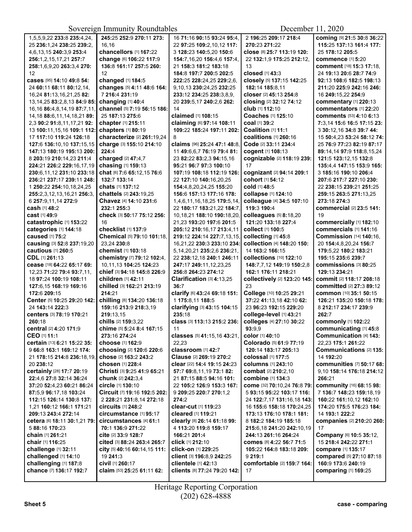|                                    | $\ldots$                      |                                  |                                 |                                        |
|------------------------------------|-------------------------------|----------------------------------|---------------------------------|----------------------------------------|
| 1,5,5,9,22 233:8 235:4,24,         | 245:25 252:9 270:11 273:      | 16 71:16 90:15 93:24 95:4,       | 2 196:25 209:17 218:4           | Coming [9] 21:5 30:8 36:22             |
| 25 236:1.24 238:25 239:2.          | 16,16                         | 22 97:25 109:2,10,12 117:        | 270:23 271:22                   | 115:25 137:13 161:4 177:               |
| 4,6,13,15 240:3,9 253:4            | chancellors [1] 167:22        | 3 128:23 140:5,20 150:6          | close [8] 25:7 113:19 120:      | 25 178:12 205:5                        |
| 256:1,2,15,17,21 257:7             | change [6] 106:22 117:9       | 154:7,16,20 156:4,6 157:4,       | 22 132:1,9 175:25 212:12,       | commence [1] 5:20                      |
| 258:1,6,9,20 263:3,4 270:          | 136:8 161:17 257:5 260:       | 21 158:3 181:2 183:18            | 13                              | comment [18] 15:3 17:18,               |
| 12                                 | 12                            | 184:8 197:7 200:5 202:5          | closed [1] 43:3                 | 24 19:13 20:6 28:7 74:9                |
| cases [95] 14:10 49:8 54:          | changed [1] 184:5             | 222:25 228:24,25 229:2,6,        | closely [5] 137:15 142:25       | 92:13 108:6 182:5 198:13               |
| 24 60:11 68:11 80:12,14,           | changes [5] 4:11 48:6 164:    | 9,10,13 230:24,25 232:25         | 182:14 185:8,11                 | 211:20 225:9 242:16 246:               |
| 16,24 81:13,16,21,25 82:           | 7 216:4 231:19                | 233:12 234:25 238:3,8,9,         | closer [2] 45:13 254:8          | 16 249:15,22 254:9                     |
| 13, 14, 25 83: 2, 8, 13 84: 9 85:  | changing [1] 40:4             | 20 239:5,17 240:2,6 262:         | closing [2] 32:12 74:12         | commentary [1] 220:13                  |
| 16, 16 86: 4, 8, 14, 19 87: 7, 11, | channel [5] 7:19 56:15 186:   | 14                               | club [1] 112:10                 | commentators [1] 22:20                 |
| 14, 18 88: 6, 11, 14, 18, 21 89:   | 25 187:13 275:6               | claimed [1] 108:15               | Coaches [1] 125:10              | <b>comments</b> [53] <b>4:10 6:13</b>  |
| 2,3 90:2 91:8,11,17,21 92:         | chapter [1] 215:11            | claiming [6] 97:14 108:11        | coal [1] 39:2                   | 7:3,14 15:6 16:5 17:15 23:             |
| 13 100:11, 15, 16 109:1 112:       | chapters [1] 80:19            | 109:22 185:24 197:11 202:        | Coalition [1] 11:1              | 3 30:12,16 34:8 39:7 44:               |
| 17 117:10 119:24 126:18            | characterize [2] 261:19,24    | 8                                | coalitions [1] 260:16           | 15 50:4,23 53:24 58:12 74:             |
| 127:6 136:10,10 137:15,15          | charge [3] 155:10 214:10      | claims [96] 25:24 47:1 48:8.     | Code [2] 33:11 234:4            | 25 76:9 77:23 82:19 87:17              |
| 147:13 180:19 195:13 200:          | 224:4                         | 11 49:6,6,7 76:19 79:4 81:       | cogent [1] 108:13               | 89:14,14 97:9 118:8,15,24              |
| 8 203:19 210:14,23 211:4           | charged [2] 47:4,7            | 23 82:22 83:2,3 94:15,16         | cognizable [2] 118:19 239:      | 121:5 123:12.15 132:8                  |
| 224:21 226:2 229:16.17.19          |                               | 95:21 96:7 97:3 100:10           | 17                              |                                        |
|                                    | chasing [1] 159:13            |                                  |                                 | 135:4,4 147:15 153:9 165:              |
| 230:6,11,12 231:10 233:18          | chat [6] 7:6 65:12,15 76:6    | 107:19 108:18 112:19 126:        | cognizant [2] 94:14 209:1       | 3 185:16 190:10 206:4                  |
| 236:21 237:17 239:11 248:          | 132:7 133:14                  | 22 127:10 140:16,20,25           | cohort [1] 54:12                | 207:6 217:7 227:10 230:                |
| 1 250:22 254:10,18,24,25           | chats [1] 137:12              | 154:4,8,20,24,25 155:20          | cold [1] 48:5                   | 22 238:15 239:21 251:25                |
| 255:2,3,12,13,16,21 256:3,         | chattels [2] 243:19,25        | 156:6 157:13 177:16 178:         | collapse [1] 124:10             | 259:15 263:5 271:13,25                 |
| 6 257:9.11.14 272:9                | Chavez [4] 14:10 231:6        | 1,4,6,11,16,18,25 179:5,14,      | colleague [4] 34:5 107:10       | 273:18 274:3                           |
| <b>cash</b> [1] 48:2               | 232:1 255:3                   | 22 180:17 183:21,22 184:7,       | 119:3 190:4                     | commercial [2] 23:5 141:               |
| cast [1] 49:9                      | check [3] 50:17 75:12 256:    | 10,18,21 188:10 190:18,20,       | colleagues [5] 8:18,20          | 19                                     |
| catastrophic [1] 153:22            | 16                            | 21,23 193:20 197:6 201:5         | 121:20 133:18 227:4             | commercially [1] 182:10                |
| categories [1] 144:18              | checklist [1] 137:9           | 205:12 210:16,17 213:4,11        | collect [1] 100:5               | commercials [1] 141:16                 |
| caused [1] 75:2                    | Chemical [5] 79:10 101:18,    | 219:12 224:14 227:7,13,15,       | collecting [1] 45:8             | <b>Commission [14] 140:16.</b>         |
| causing [3] 52:8 237:19,20         | 23,24 230:8                   | 16,21,22 230:3 233:10 234:       | collection [4] 148:20 150:      | 20 154:4,8,20,24 156:7                 |
| cautious [1] 260:5                 | chemist [1] 103:18            | 5, 14, 20, 21 235: 2, 6 236: 21, | 14 163:2 166:15                 | 179:5,22 180:2 183:21                  |
| CDL [1] 261:13                     | chemistry [7] 79:12 102:4,    | 22 238:12,18 240:1 246:11        | collections [10] 122:10         | 195:15 235:6 239:7                     |
| cease [18] 64:22 65:17 69:         | 10,11,13 104:25 124:23        | 247:17 249:11,12,23,25           | 148:7,7,12 149:19 150:2,8       | commissions [3] 80:25                  |
| 12,23 71:22 79:4 93:7,11,          | chief [3] 94:18 145:8 226:9   | 256:8 264:23 274:12              | 162:1 176:11 218:21             | 129:13 234:21                          |
| 18 97:24 100:19 108:11             | children [1] 42:11            | <b>Clarification [3] 4:13,25</b> | collectively [2] 123:20 145:    | commit [2] 118:17 208:18               |
| 127:6,15 168:19 169:16             | chilled [3] 162:21 213:19     | 36:7                             | 23                              | committed [2] 27:3 89:12               |
| 172:6 209:15                       | 214:21                        | clarify [6] 43:24 69:18 151:     | College [10] 10:25 29:21        | <b>common</b> [10] 35:1 50:15          |
| Center [5] 10:25 29:20 142:        | chilling [8] 134:20 136:18    | 1 175:8,11 188:5                 | 37:22 41:13,18 42:10 62:        | 126:21 135:20 150:18 178:              |
| 24 143:14 222:3                    | 159:16 213:9 218:3,19         | clarifying [3] 43:15 104:15      | 23 96:23 192:15 229:20          | 8 212:17 234:17 239:9                  |
| centers [3] 78:19 170:21           | 219:13.15                     | 235:18                           | college-level [1] 43:21         | 262:7                                  |
| 260:18                             | chills [2] 159:3,22           | class [3] 113:13 215:2 236:      | colleges [4] 27:10 30:22        | commonly [1] 102:22                    |
|                                    | chime [5] 5:24 8:4 167:15     |                                  | 93:9.9                          | communicating [1] 45:8                 |
| central [2] 4:20 171:9             |                               | 11                               |                                 |                                        |
| CEO [1] 11:1                       | 273:16 274:24                 | classes [5] 41:15,16 43:21,      | color [1] 40:10                 | Communication [4] 143:                 |
| certain [13] 6:21 15:22 35:        | choose [1] 162:9              | 22,23                            | Colorado [5] 61:9 77:19         | 22,23 175:1 261:22                     |
| 9 66:8 163:1 169:12 174:           | choosing [2] 120:6 220:6      | classroom [1] 42:7               | 120:14 183:17 205:13            | Communications [2] 135:                |
| 21 178:15 214:8 236:18,19,         | chose [2] 163:2 243:2         | Clause [2] 269:19 270:2          | <b>colossal</b> [1] 177:5       | 14 192:20                              |
| 20 238:12                          | chosen [1] 228:4              | clear [22] 14:4 19:15 24:23      | columns [1] 243:10              | communities [7] 50:17 68:              |
| certainly [28] 17:7 20:19          | Christi [3] 9:25 41:9 65:21   | 57:7 69:8,11,19 73:1 82:         | combat [2] 210:2,10             | 9,10 158:14 176:18 214:12              |
| 22:4,6 27:8 32:14 36:24            | <b>chunk</b> [2] 242:3,4      | 21 87:15 88:5 94:16 101:         | combine [1] 134:3               | 266:21                                 |
| 37:20 52:4,23 60:21 86:24          | circle [1] 130:10             | 22 105:2 126:9 153:3 167:        | come [32] 70:10,24 76:8 79:     | <b>community</b> [16] <b>68:15 98:</b> |
| 87:5,9 96:17,18 103:24             | Circuit [7] 19:16 192:5 202:  | 9 209:25 220:7 270:1.2           | 5 93:15 95:22 103:17 116:       | 7 136:7 148:23 159:18.19               |
| 112:15 126:14 130:8 137:           | 2 228:21 231:8,14 272:18      | 274:2                            | 24 122:7,17 131:16,18 143:      | 160:22 161:10,12 162:10                |
| 1,21 160:12 166:1 171:21           | <b>circuits</b> [1] 248:2     | clear-cut [1] 119:23             | 16 155:6 158:18 170:24,25       | 174:20 175:5 176:23 184:               |
| 209:13 243:4 272:14                | circumstance [1] 95:17        | cleared [1] 119:21               | 173:13 176:10 178:1 181:        | 14 193:1 222:2                         |
| cetera [6] 18:11 30:1,21 79:       | circumstances [4] 61:1        | clearly [8] 26:14 61:18 99:      | 8 182:2 184:19 185:18           | companies [2] 210:20 260:              |
| 5 88:16 170:23                     | 70:1 136:9 271:22             | 4 113:20 119:8 159:17            | 215:6,18 241:20 242:10,19       | 17                                     |
| chain [1] 261:21                   | cite [2] 33:9 128:7           | 166:21 201:4                     | 244:13 261:16 264:24            | Company [6] 10:5 35:12,                |
| chair [1] 116:25                   | cited [3] 88:24 263:4 265:7   | <b>click</b> [1] 212:10          | <b>comes</b> [8] 4:22 56:7 71:5 | 15 218:4 242:22 271:1                  |
| challenge [1] 32:11                | city [5] $40:1660:14,15111$ : | <b>click-on</b> [1] 229:25       | 105:22 164:8 183:18 209:        | <b>compare</b> [1] 135:17              |
| challenged [1] 14:10               | 19 241:3                      | client [3] 196:8,9 242:25        | 9 219:1                         | compared [5] 27:10 87:18               |
| challenging [1] 187:8              | civil [1] 260:17              | clientele $[1]$ 42:13            | comfortable [2] 159:7 164:      | 160:9 173:6 240:19                     |
| chance [7] 136:17 192:7            | claim [53] 25:25 61:11 62:    | clients [8] 77:24 79:20 142:     | 17                              | <b>comparing [1] 169:25</b>            |
|                                    |                               |                                  |                                 |                                        |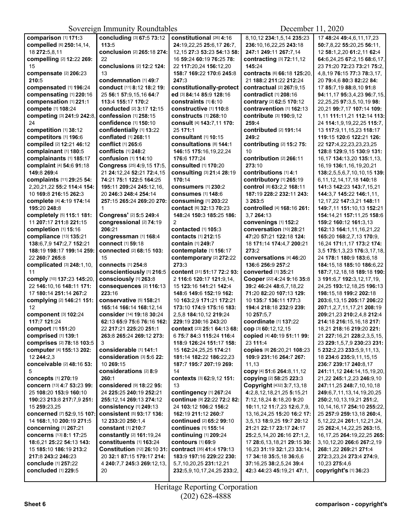Sovereign Immunity Roundtables December 11, 2020

| comparison [1] 171:3         | concluding [3] 67:5 73:12    | constitutional [26] 4:16       | 8,10,12 234:1,5,14 235:23       | 17 48:24 49:4,6,11,17,23          |
|------------------------------|------------------------------|--------------------------------|---------------------------------|-----------------------------------|
| compelled [6] 250:14,14,     | 113:5                        | 24:19,22,25 25:6,17 26:7,      | 236:10.16.22.25 243:18          | 50:7,8,22 55:20,25 56:11,         |
| 18 272:5,8,11                | conclusion [2] 265:18 274:   | 12, 15 27:3 53:23 54:13 58:    | 247:1 249:11 267:7.14           | 12 58:1,2,20 61:2,11 62:4         |
|                              | 22                           |                                |                                 |                                   |
| compelling [2] 12:22 269:    |                              | 16 59:24 60:19 76:25 78:       | contracting [3] 72:11,12        | 64:6,24,25 67:2,15 68:6,17,       |
| 15                           | conclusions [2] 12:2 124:    | 22 117:20,24 156:12,20         | 145:24                          | 23 71:20 72:23 73:21 75:2.        |
| compensate [2] 206:23        | 13                           | 158:7 169:22 170:6 245:8       | contracts [6] 66:18 125:20.     | 4,8,19 76:15 77:3 78:3,17,        |
| 210:5                        | condemnation [1] 49:7        | 247:3                          | 21 188:2 211:22 212:24          | 20 79:4,6 80:3 82:22 84:          |
|                              |                              |                                |                                 |                                   |
| compensated [1] 196:24       | conduct [11] 8:12 18:2 19:   | constitutionally-protect       | contractual [2] 267:9,15        | 17 85:7,19 88:8,10 91:8           |
| compensating [1] 220:16      | 25 56:1 57:9,15,16 64:7      | ed [3] 84:14 85:9 128:16       | contradict [1] 208:16           | 94:11,17 95:3,4,23 96:7,15,       |
| compensation [1] 221:1       | 113:4 155:17 170:2           | constraints [1] 6:10           | contrary [2] 62:5 170:12        | 22, 25, 25 97: 3, 5, 10, 19 98:   |
|                              |                              |                                |                                 |                                   |
| compete [1] 108:24           | conducted [2] 3:17 12:15     | constructive [1] 110:8         | contravention [1] 162:13        | 20.21 99:7.17 107:14 109:         |
| competing [3] 241:9 242:8,   | <b>confession [1] 258:15</b> | <b>constructs</b> [1] 268:10   | contribute [3] 190:9.12         | 1,11 111:11,21 112:14 113:        |
| 24                           | confidence [1] 150:10        | consult [4] 143:7,11 170:      | 259:4                           | 24 114:1,9,19,22,25 115:7,        |
|                              |                              |                                |                                 |                                   |
| competition [1] 38:12        | confidentially [1] 13:22     | 25 171:1                       | contributed [2] 191:14          | 13 117:9,11,15,23 118:17          |
| competitors [1] 196:6        | conflated [1] 268:11         | consultant [1] 10:15           | 249:2                           | 119:15 120:6 122:21 126:          |
| compiled [2] 12:21 46:12     | <b>conflict</b> [1] 265:6    | consultations [8] 144:1        | contributing [2] 15:2 75:       | 22 127:4,22,23,23,23,25           |
|                              |                              |                                |                                 |                                   |
| complainant [1] 180:5        | conflicts [1] 248:2          | 146:15 175:16,19,22,24         | 10                              | 128:8 129:9,15 130:9 131:         |
| complainants [1] 185:17      | <b>confusion</b> [1] 114:10  | 176:6 177:24                   | contribution [2] 266:11         | 16,17 134:13,20 135:1,13,         |
| complaint [4] 54:6 91:18     | Congress [25] 4:9,15 17:5,   | <b>consulted</b> [1] 170:20    | 273:10                          | 16,19 136:1,16,19,20,21           |
|                              |                              |                                |                                 |                                   |
| 149:8 269:4                  | 21 24:12,24 52:21 72:4,15    | consulting [3] 21:4 28:19      | contributions [1] 4:1           | 138:2,5,5,6,7,10,10,15 139:       |
| complaints [11] 29:25 54:    | 74:21 75:1 122:5 164:25      | 170:14                         | contributory [1] 265:19         | 6,11,12,14,17,18 140:18           |
| 2.20.21.22 55:2 114:4 154:   | 195:11 209:24 245:12.16.     | <b>consumers</b> [1] 230:2     | control [8] 63:2,2 168:11       | 141:3 142:23 143:7.15.21          |
| 10 169:8 216:15 262:3        |                              | <b>consumes</b> [1] 148:6      |                                 | 144:3.7 145:22 146:1.11.          |
|                              | 20 246:3 248:4 254:14        |                                | 187:19 228:2 232:11 243:        |                                   |
| complete [4] 4:19 174:14     | 257:15 265:24 269:20 270:    | <b>consuming [1] 203:22</b>    | 3 263:5                         | 12, 17, 22 147: 3, 21 148: 11     |
| 195:20 248:8                 | 1                            | <b>contact</b> [6] 32:13 70:23 | controlled [4] 168:16 261:      | 149:7,11 151:10,13 152:21         |
| completely [5] 115:1 181:    | Congress' [2] 5:5 249:4      | 148:24 150:3 185:25 186:       | 3.7 264:13                      | 154:14,21 157:11,25 158:6         |
|                              |                              |                                |                                 |                                   |
| 11 207:17 211:8 221:15       | congressional [2] 74:19      | $\overline{2}$                 | convenings [1] 152:2            | 159:2 160:12 161:3.13             |
| completion [1] 15:16         | 206:21                       | contacted [1] 105:3            | conversation [10] 28:21         | 162:13 164:1,11,16,21,22          |
| compliance [13] 135:21       | congressman [1] 168:4        | <b>contacts</b> [1] 212:15     | 47:20 57:21 122:18 124:         | 165:20 168:2,7,13 170:9,          |
|                              |                              |                                |                                 |                                   |
| 138:6.7.9 147:2.7 152:21     | <b>connect</b> [1] 59:18     | <b>contain</b> [1] 249:7       | 18 171:14 174:4,7 200:21        | 16,24 171:1,17 173:2 174:         |
| 188:19 198:17 199:14 259:    | connected [2] 68:15 103:     | contemplate [1] 156:17         | 273:2                           | 3,5 175:1,3,23 176:3,17,18,       |
| 22 260:7 265:8               | 15                           | contemporary [2] 272:22        | conversations [4] 46:20         | 24 178:1 180:9 183:6,18           |
|                              |                              |                                |                                 |                                   |
| complicated [3] 248:1,10,    | connects [1] 254:8           | 273:3                          | 136:6 256:9 257:2               | 184:15,18 185:10 186:6,22         |
| 11                           | conscientiously [1] 216:5    | content [31] 51:17 72:2 93:    | converted [1] 35:21             | 187:7,12,18,18 189:18 190:        |
| comply [10] 137:23 145:20,   | consciously [1] 263:8        | 2 116:6 120:17 121:9,14,       | Cooper [22] 4:24 9:16 35:8      | 3 191:6,7 192:3,12,17,19,         |
|                              |                              |                                |                                 |                                   |
| 22 146:10,16 148:11 171:     | consequences [2] 116:13      | 15 123:16 141:21 142:4         | 39:2 46:24 48:6,7,18,22         | 24,25 193:12,18,25 196:13         |
| 17 180:14 251:14 267:2       | 223:16                       | 148:6 149:6 152:19 162:        | 71:20 82:20 107:13 129:         | 198:15.18 199:2 202:18            |
| complying [2] 146:21 151:    | conservative [5] 158:21      | 10 163:2,9 171:21 172:21       | 10 135:7 136:11 177:3           | 203:6, 13, 15 205: 17 206: 22     |
|                              |                              |                                |                                 |                                   |
| 12                           | 165:14 166:14 168:12,14      | 173:10 174:9 175:16 183:       | 194:4 218:18 232:9 239:         | 207:1,2,7,11,17,21 208:19         |
| component [3] 102:24         | consider [14] 19:18 30:24    | 2,5,8 184:10,12 219:24         | 10 257:5.7                      | 209:21.23 210:2.4.8 212:4         |
| 117:7 121:24                 | 62:13 65:9 75:6 76:16 162:   | 229:19 230:16 243:20           | coordinate [1] 137:22           | 214:18 216:15.16.18 217:          |
|                              |                              | context [23] 25:1 64:13 68:    |                                 | 18,21 218:16 219:20 221:          |
| comport [1] 151:20           | 22 217:21 225:20 251:1       |                                | cop [3] 60:12,12,15             |                                   |
| comprised [1] 139:1          | 263:8 265:24 269:12 273:     | 6 75:7 84:3 115:24 116:4       | copied [4] 40:19 51:11 99:      | 21 227:16,21 228:2,3,5,15,        |
| comprises [2] 78:18 103:5    | 3                            | 118:9 126:24 151:17 158:       | 23 111:4                        | 23 229:1,5,7,9 230:23 231:        |
| computer [4] 155:13 202:     | considerable [1] 141:1       | 15 162:24,25,25 174:21         | COPIES [8] 26:20,21 108:23      | 5 232:2,23 233:5,9,11,13,         |
|                              |                              |                                |                                 |                                   |
| 12 244:2,3                   | consideration [3] 5:6 22:    | 181:14 182:22 186:22,23        | 109:9 231:16 264:7 267:         | 18 234:6 235:9,11,15,15           |
| conceivable [2] 48:16 53:    | 10 269:15                    | 187:7 195:7 207:19 269:        | 11,13                           | 236:7 239:17 240:8,17             |
| 5                            | considerations [2] 8:9       | 14                             | copy [4] 51:6 264:8,11,12       | 241:11,12 244:14,15,19,20,        |
|                              |                              |                                |                                 |                                   |
| <b>concepts</b> [1] 270:19   | 260:1                        | contexts [3] 62:9,12 151:      | copying [2] 58:25 223:3         | 21,22 245:1,2,23 246:9,10         |
| concern [13] 4:7 53:23 99:   | considered [9] 18:22 95:     | 13                             | Copyright [432] 3:7,13,18       | 247:11,25 248:7,10,10,18          |
| 25 108:20 153:9 160:10       | 24 225:25 240:19 252:21      | contingency [1] 267:24         | 4:2,8,12,18,21,25 5:15,21       | 249:6,7,11,13,14,19,20,25         |
|                              |                              |                                |                                 |                                   |
| 190:23 213:8 217:7,9 251:    | 255:12,14 269:13 274:12      | continue [9] 22:22 72:2 82:    | <b>7:12,18,24 8:18,20 9:20</b>  | 250:2,10,13,19,21 251:2,          |
| 15 259:23,25                 | consistency [1] 249:13       | 24 103:12 106:2 156:2          | 10:11,12 11:7,23 12:6,7,9,      | 10, 14, 16, 17 254: 10 255: 22,   |
| concerned [7] 52:9.15 107:   | consistent [5] 93:17 136:    | 162:19 211:12 260:7            | 13, 16, 24, 25 15: 20 16: 2 17: | 25 257:9 259:13,18 260:4,         |
| 14 168:1,10 200:19 271:5     | 12 233:20 250:1,4            | continued [2] 65:2 99:10       | 3,5,13 18:9,25 19:7 20:12       |                                   |
|                              |                              |                                |                                 | 5, 12, 22, 24 261: 1, 12, 21, 24, |
| <b>concerning [1] 267:21</b> | <b>constant</b> [1] 210:7    | continues [1] 155:14           | 21:21 22:17 23:17 24:17         | 25 262:4, 14, 22, 25 263: 15,     |
| concerns [13] 8:1 17:25      | constantly [2] 161:19,24     | continuing [1] 209:24          | 25:2,5,14,20 26:16 27:1,2,      | 16,17,25 264:19,22,25 265:        |
| 18:6,21 25:22 54:13 143:     | constituents [1] 163:24      | contours [1] 69:9              | 17 28:6,13,18,21 29:15 30:      | 3,10,12,20 266:6 267:2,19         |
|                              |                              |                                |                                 |                                   |
| 15 185:10 186:19 213:2       | Constitution [12] 26:10 31:  | contract [35] 41:4 179:13      | 16,23 31:19 32:1,23 33:14,      | 268:1,22 269:21 271:4             |
| 217:8 243:2 246:23           | 20 32:1 87:15 179:17 214:    | 183:9 197:16 229:22 230:       | 17 34:18 35:5,18 36:6,6         | 272:3,23,24 273:4 274:9,          |
| conclude [1] 257:22          |                              |                                |                                 |                                   |
|                              |                              |                                |                                 |                                   |
|                              | 4 240:7,7 245:3 269:12,13,   | 5,7,10,20,25 231:12,21         | 37:16,25 38:2,5,24 39:4         | 10,23 275:4,6                     |
| concluded [1] 229:5          | 20                           | 232:5,9,10,17,24,25 233:2,     | 42:3 44:23 45:19,21 47:1,       | copyright's [1] 36:23             |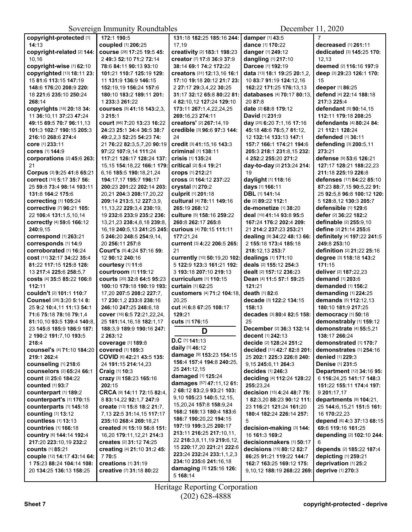| copyright-protected [1]                   | 172:1 190:5                               | 131:18 182:25 185:16 244:            | damper $[1]$ 43:5            | $\overline{7}$                                   |
|-------------------------------------------|-------------------------------------------|--------------------------------------|------------------------------|--------------------------------------------------|
| 14:13                                     | coupled [1] 206:25                        | 17,19                                | dance [1] 170:22             | decreased [1] 261:11                             |
| copyright-related [2] 144:                | course [28] 17:25 19:5 45:                | creativity [2] 183:1 198:23          | danger [1] 249:12            | dedicated [3] 145:25 170:                        |
| 10,16                                     | 2 49:3 52:10 71:2 72:14                   | creator [7] 17:8 36:9 37:9           | dangling [1] 217:10          | 12,13                                            |
| copyright-wise [1] 62:10                  | 78:6 84:11 90:13 93:10                    | 38:14 69:1 74:2 172:22               | Darcee [1] 192:19            | deemed [2] 116:16 197:9                          |
| copyrighted [13] 18:11 23:                | 101:21 110:7 125:19 129:                  | creators [31] 12:13,16 16:1          | data [13] 18:1 19:25 20:1,2, | deep [3] 29:23 126:1 170:                        |
| 15 81:6 113:15 147:19                     | 11 131:9 136:9 146:15                     | 17:10 19:18 20:12 21:7 23:           | 10 83:7 91:19 124:12,16      | 15                                               |
| 148:6 176:20 208:9 220:                   | 152:19,19 156:24 157:6                    | 2 27:17 29:3,4,22 30:25              | 162:22 171:25 176:13,13      | deeper [1] 86:25                                 |
| 18 221:6 235:10 250:24                    | 180:10 183:2 189:11 201:                  | 31:17 32:12 65:8 80:22 81:           | databases [4] 70:17 80:13,   | defend [4] 22:14 188:18                          |
| 268:14                                    | 1 233:3 261:22                            | 4 82:10,12 127:24 129:10             | 20 87:8                      | 217:3 225:4                                      |
| copyrights [18] 20:18 34:                 | courses [5] 41:18 143:2,3,                | 173:11 267:1,4,22,24,25              | date [2] 68:8 179:12         | defendant [5] 90:14,15                           |
| 11 36:10,11 37:23 47:24                   | 3 215:1                                   | 269:16,23 274:11                     | David [1] 231:9              | 112:11 179:18 208:25                             |
| 49:15 69:5 70:7 96:11,13                  | Court [86] 7:20 13:23 16:22               | creators' [2] 267:14,19              | day [25] 6:20 7:1,16 17:16   | <b>defendants</b> [4] 80:24 84:                  |
| 101:3 102:7 190:15 205:3                  | 24:23 25:1 34:4 36:5 38:7                 | credible [3] 96:6 97:3 144:          | 45:18 48:6 76:5,7 81:12,     | 21 112:1 128:24                                  |
| 216:10 268:6 274:4                        | 49:2.2.3 52:25 54:23 74:                  | 24                                   | 12 132:14 133:13 147:1       | defended [1] 36:11                               |
| core [1] 233:11                           | 21 76:22 82:3,5,7,20 90:19                | credit [3] 41:15,16 143:3            | 157:7 166:1 174:21 194:6     | defending [3] 200:5,11                           |
| cores [1] 144:9                           | 97:22 107:9,14 111:24                     | criminal [1] 138:11                  | 205:3 218:1 231:8,15 232:    | 273:21                                           |
| corporations [2] 45:6 263:                | 117:21 126:17 128:24 137:                 | <b>crisis</b> [1] 135:24             | 4 252:2 255:20 271:2         | defense [9] 53:6 126:21                          |
| 21                                        | 15,15 154:18,22 166:1 179:                | <b>critical</b> [2] <b>5:4 19:21</b> | day-to-day [2] 213:24 214:   | 127:17 128:21 188:22.23                          |
| Corpus [3] 9:25 41:8 65:21                | 6,16 185:5 190:18,21,24                   | <b>crops</b> [1] 212:21              | 19                           | 211:18 225:19 226:8                              |
| <b>correct</b> [10] 5:17 35:7 56:         | 194:17.17 195:7 196:17                    | cross [2] 164:12 237:22              | daylight [1] 118:16          | <b>defenses</b> [17] <b>84:</b> 22 <b>85:</b> 10 |
| 25 59:8 73:4 98:14 103:11                 | 200:23 201:22 202:14 203:                 | crystal [1] 270:2                    | days [1] 166:11              | 87:23 88:7,15 90:5,22 91:                        |
| 131:8 164:2 175:6                         | 20,21 204:3 208:17,20,22                  | culprit [1] 201:18                   | DBL [1] 141:14               | 25 92:5,8 96:8 100:12 120:                       |
| <b>correcting [1] 105:24</b>              | 209:14 213:5,12 227:3,9,                  | cultural [4] 78:11 149:16            | de [2] 89:22 112:1           | 5 128:8.12 130:3 205:7                           |
| corrective [7] 96:21 105:                 | 11, 13, 22 229: 3, 4 230: 19,             | 265:19 268:12                        | de-monetize [1] 38:20        | defensible [1] 129:6                             |
| 22 106:4 131:1,5,10,14                    | 19 232:6 233:9 235:2 236:                 | culture [5] 158:16 259:22            | deal [10] 41:14 93:8 95:5    | defer [2] 36:22 182:2                            |
|                                           |                                           |                                      |                              |                                                  |
| correctly [4] 59:6 166:12                 | 13,21,23 238:4,8,18 239:8,                | 260:8 262:17 265:8                   | 167:24 176:2 202:4 209:      | definable [2] 255:9,10                           |
| 240:9.15                                  | 16,19 240:5,13 241:25 245:                | <b>curious</b> [4] 70:15 111:11      | 21 214:2 237:23 253:21       | define [2] 21:14 255:6                           |
| correspond [1] 263:21                     | 5 246:20 248:5 254:9,14,                  | 177:21,24                            | dealing [9] 34:22 48:13 66:  | definitely [4] 197:22 241:5                      |
| corresponds [1] 14:9                      | 20 256:11 257:8                           | <b>current</b> [3] 4:22 206:5 265:   | 2 155:18 173:4 185:18        | 249:8 253:10                                     |
| corroborated [1] 16:24                    | Court's [5] 4:24 57:16 59:                | 21                                   | 218:12.13 253:7              | definition [2] 21:22 25:16                       |
| <b>cost</b> [11] <b>32:17 34:22 35:</b> 4 | 12 90:12 240:16                           | currently [10] 50:19,20 102:         | dealings [1] 171:10          | degree [3] 118:18 143:2                          |
| 81:22 117:15 125:8 128:                   | courtesy [1] 11:6                         | 5 122:9 123:3 161:21 192:            | deals [2] 155:12 254:3       | 171:15                                           |
| 13 217:4 225:6 258:5,7                    | courtroom [1] 119:12                      | 3 193:18 207:10 219:13               | dealt [2] 157:12 236:23      | deliver [2] 187:22,23                            |
| costs [4] 35:5 85:22 106:8                | <b>courts</b> [20] <b>32:8 64:5 95:23</b> | <b>curriculum [1] 110:15</b>         | Dean [4] 11:5 57:1 59:25     | demand [1] 203:6                                 |
| 112:11                                    | 100:10 179:18 190:19 193:                 | curtain [1] 62:25                    | 121:21                       | demanded [1] 156:2                               |
| couldn't [2] 101:1 110:7                  | 17,20 207:5 208:2 227:7,                  | customers [4] 71:2 104:18,           | death [1] 82:6               | demanding [1] 224:25                             |
| Counsel [28] 3:20 5:14 8:                 | 17 230:1.2 233:8 238:16                   | 20,25                                | decade [3] 122:2 134:15      | demands [5] 112:12,13                            |
| 25 9:2 10:4,11 11:13 54:1                 | 246:10 247:25 248:6.18                    | cut [4] 6:8 67:25 108:17             | 158:13                       | 180:10 181:9 217:25                              |
| 71:6 75:18 78:16 79:1,4                   | cover [16] 6:5 72:21,22,24,               | 129:21                               | decades [3] 80:4 82:5 158:   | democracy [1] 50:18                              |
| 81:10.10 93:5 139:4 140:8.                | 25 181:14,16,18 182:1,17                  | cuts [1] 176:15                      | 25                           | demonstrably [1] 159:12                          |
| 23 145:8 185:9 186:9 187:                 | 188:3,9 189:9 190:16 247:                 | D                                    | December [2] 36:3 132:14     | <b>demonstrate</b> [4] <b>55:</b> 5,21           |
| 2 190:2 191:7,10 193:5                    | 2 263:12                                  |                                      | decent [1] 242:13            | 138:17 266:24                                    |
| 218:4                                     | <b>coverage</b> [1] 189:8                 | $D.C$ [1] 141:13                     | decide [2] 128:24 251:2      | demonstrated [1] 170:7                           |
| COUNSel's [4] 71:10 184:20                | <b>covered</b> [1] 189:3                  | daily [1] 46:12                      | decided [11] 42:7 82:8 201:  | demonstrates [1] 254:16                          |
| 219:1 262:4                               | COVID [6] 42:21 43:5 135:                 | damage [9] 153:23 154:15             | 25 202:1 225:3 226:8 240:    | <b>denied</b> [1] 229:3                          |
| counseling [1] 218:6                      | 24 191:15 214:14,23                       | 156:4 157:4 194:8 240:25,            | 9.15 245:6.11 264:3          | Denise [1] 231:5                                 |
| counselors [2] 65:24 66:1                 | Craig [1] 10:3                            | 25 241:12,15                         | decides $[1]$ 246:3          | Department [12] 34:16 95:                        |
| <b>count</b> [2] 25:6 184:22              | crazy [3] 158:23 165:16                   | <b>damaged</b> [1] <b>125:24</b>     | deciding [4] 112:24 128:22   | 6 116:24,25 141:17 148:3                         |
| <b>counted</b> [1] 93:7                   | 202:15                                    | damages [57] 47:11,12 61:            | 255:23,24                    | 151:22 155:11 174:4 197:                         |
| counterpart [1] 189:2                     | CRCA [9] 14:11 72:15 82:4                 | 2 68:12 83:2,9 93:21 103:            | decision [15] 4:24 48:7 75:  | 9 201:17,17                                      |
| counterpart's [1] 170:15                  | 8 83:14,22 92:1,7 247:9                   | 9,10 105:23 140:5,12,15,             | 1 82:3,20 88:23 90:12 111:   | departments $[9]$ 104:21,                        |
| counterparts [1] 145:18                   | create [13] 15:8 18:2 21:7,               | 15, 20, 24 157: 8 158: 9, 24         | 23 116:21 121:24 161:20      | 25 144:6, 15, 21 151:5 161:                      |
| counting [1] 13:12                        | 7, 13 22: 5 31: 14, 15 117: 17            | 168:2 169:13 180:4 183:6             | 180:4 182:24 226:14 257:     | 16 170:22,23                                     |
| <b>countless</b> [1] 13:13                | 235:10 268:4 269:18,21                    | 186:7 190:20,22 194:15               | 5                            | depend [6] 4:3 37:13 68:15                       |
| <b>countries</b> [1] <b>166:18</b>        | created [8] 15:19 56:8 151:               | 197:19 199:3,25 200:17               | decision-making [3] 144:     | 69:6 119:16 161:25                               |
| COUNTY [6] 144:14 192:4                   | 16,20 179:11,12,21 214:3                  | 213:11 216:25 217:10,11,             | 16 161:3 169:2               | depending [2] 102:10 244:                        |
| 217:20 223:10,19 232:2                    | creates [2] 31:12 74:25                   | 22 218:3,8,11,19 219:6,12,           | decisionmakers [1] 50:17     | 6                                                |
| <b>counts</b> [1] 85:21                   | creating [4] 21:10 31:2 45:               | 15 220:17,20 221:21 222:6            | decisions [15] 80:12 82:7    | depends [2] 185:22 187:4                         |
| couple [12] 14:17 43:14 64:               | 770:5                                     | 223:24 232:24 233:1,1,2,3            | 86:25 91:21 119:22 144:7     | depicting [1] 259:21                             |
| 175:23 88:24 104:14 108:                  | creations [1] 31:19                       | 234:10 235:6 241:16,18               | 162:7 163:25 169:12 175:     | deprivation [1] 25:2                             |
| 20 134:25 136:13 158:25                   | creative [7] 31:18 80:22                  | damaging [3] 125:16 126:             | 9,10,12 188:19 268:22 269:   | deprive [1] 270:3                                |
|                                           |                                           | 5 168:14                             |                              |                                                  |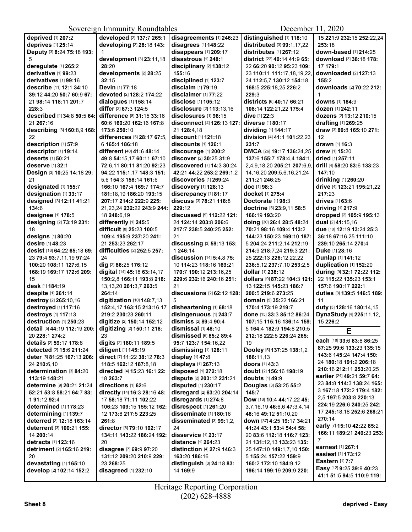| deprived [1] 207:2           | developed [2] 137:7 265:1    | disagreements [1] 246:23                 | distinguished [1] 118:10         | 15 221:9 232:15 252:22.24        |
|------------------------------|------------------------------|------------------------------------------|----------------------------------|----------------------------------|
| deprives [1] 25:14           | developing [2] 28:18 143:    | disagrees [1] 148:22                     | distributed [3] 99:1,17,22       | 253:18                           |
|                              |                              |                                          |                                  |                                  |
| Deputy [3] 8:24 75:18 193:   |                              | disappears [1] 209:17                    | distributes [1] 267:12           | down-based [1] 214:25            |
| 5                            | development [3] 23:11,18     | disastrous [1] 248:1                     | district [22] 40:14 41:9 65:     | download [3] 38:18 178:          |
| deregulate [1] 265:2         | 28:20                        | disciplinary [2] 138:12                  | 22 66:20 90:12 95:23 109:        | 17 179:1                         |
| derivative [1] 99:23         | developments [2] 28:25       | 155:16                                   | 23 110:11 111:17,18,19,22,       | downloaded [2] 127:13            |
| derivatives [1] 99:16        | 32:15                        | disciplined [1] 123:7                    | 24 112:5,7 130:12 154:18         | 155:2                            |
| describe [11] 12:1 34:10     | Devin [1] 77:18              | disclaim [1] 79:19                       | 168:5 225:18,25 226:2            | downloads [2] 70:22 212:         |
| 39:12 44:20 50:7 60:9 67:    | devoted [2] 128:2 174:22     | disclaimer [1] 77:22                     | 229:3                            |                                  |
| 21 98:14 118:11 201:7        | dialogues [1] 158:14         | disclose [1] 105:12                      | districts [6] 40:17 66:21        | <b>downs</b> [1] <b>184:</b> 9   |
| 228:3                        | differ [2] 67:3 124:5        | disclosure [2] 113:13,16                 | 108:14 122:21,22 175:4           | dozen [1] 242:11                 |
| described [4] 34:8 50:5 64:  | difference [8] 31:15 33:16   | disclosures [1] 96:15                    | dive [1] 22:3                    | dozens [2] 13:12 210:15          |
| 21 267:16                    | 60:6 160:20 162:16 167:8     | <b>disconnect</b> [4] <b>126:13 127:</b> | <b>diverse</b> [1] 80:17         | drafting [1] 269:25              |
| describing [3] 160:8,9 168:  | 173:6 250:10                 | 21 128:4,18                              | dividing [1] 144:17              | draw [3] 80:8 165:10 271:        |
| 22                           | differences [5] 28:17 67:5,  | discount [1] 121:18                      | division [4] 41:1 101:22,23      | 12                               |
| description [1] 57:9         | 6 165:4 186:18               | discounts [1] 126:1                      | 231:7                            | <b>drawn</b> [1] 16:3            |
| descriptor [1] 19:14         | different [40] 41:6 48:14    | discourage [1] 200:2                     | DMCA [26] 19:17 136:24,25        | drew [1] 15:20                   |
| deserts [1] 50:21            | 49:8 54:15,17 60:11 67:10    | discover [2] 30:25 31:9                  | 137:6 155:7 178:4,4 184:1,       | <b>dried</b> [1] <b>257:11</b>   |
| deserve [1] 32:1             | 72:6.11 80:11 81:20 92:23    |                                          |                                  | drill [4] 58:20 83:6 133:23      |
|                              |                              | discovered [7] 14:3 30:24                | 2,4,9,18,20 205:21 207:6,9,      |                                  |
| Design [3] 10:25 14:18 29:   | 94:22 115:1,17 148:3 151:    | 42:21 44:22 253:2 269:1.2                | 14, 16, 20 209: 5, 6, 16, 21, 24 | 147:10                           |
| 21                           | 5,6 154:3 158:14 161:6       | discoveries [1] 269:24                   | 211:21 246:25                    | drinking [1] 260:20              |
| designated [1] 155:7         | 166:10 167:4 169:7 174:7     | discovery [1] 128:13                     | doc [1] 98:3                     | drive [4] 123:21 195:21,22       |
| designation [1] 33:17        | 181:18.19 186:20 193:15      | discrepancy [1] 81:17                    | <b>docket</b> [1] 275:4          | 217:23                           |
| designed [3] 12:11 41:21     | 207:17 214:2 222:9 225:      | discuss [3] 78:21 118:8                  | Doctorate [1] 98:3               | drives [1] 63:6                  |
| 134:6                        | 21,23,24 232:22 243:9 244:   | 229:12                                   | doctrine [5] 23:9,11 58:5        | driving [1] 217:9                |
| designee [1] 178:5           | 18 248:6,19                  | discussed [9] 112:22 121:                | 166:19 193:20                    | dropped [2] 105:9 195:13         |
| designing [2] 73:19 231:     | differently [1] 245:5        | 24 124:14 203:8 206:6                    | doing [30] 26:4 28:5 48:24       | dual [2] 41:15,16                |
| 18                           | difficult [8] 25:23 100:5    | 217:7 238:5 240:25 252:                  | 70:21 98:16 109:4 113:2          | due [10] 12:19 13:24 25:3        |
| designs [1] 80:20            | 109:4 195:9 237:20 241:      | 21                                       | 144:23 150:23 169:10 187:        | 36:18 67:16,25 111:10            |
| desire [1] 48:23             | 21 253:23 262:17             | discussing [3] 59:13 153:                | 5 204:24 211:2,14 212:19         | 239:10 265:14 270:4              |
| desist [16] 64:22 65:18 69:  | difficulties [2] 252:5 257:  | 1 246:14                                 | 214:9 218:7,24 219:3 221:        | Duke [1] 28:16                   |
| 23 79:4 93:7,11,19 97:24     | 24                           | discussion [14] 5:4,8 75:                | 25 222:13 226:12,22,22           | Dunlap [1] 141:12                |
|                              |                              |                                          |                                  |                                  |
| 100:20 108:11 127:6,15       | dig [2] 86:25 176:12         | 10 114:23 118:16 169:21                  | 236:5,12 237:7,10 253:2,5        | duplication [1] 152:20           |
| 168:19 169:17 172:6 209:     | digital [14] 45:18 63:14,17  | 170:7 190:12 213:16,25                   | dollar [1] 238:12                | during [9] 32:1 72:22 112:       |
| 15                           | 150:2,8 166:11 193:8 218:    | 229:6 232:16 240:16 251:                 | dollars [9] 87:22 104:3 121:     | 22 115:22 135:23 153:1           |
| desk [1] 184:19              | 13, 13, 20 261: 3, 7 263: 5  | 21                                       | 13 122:15 145:23 186:7           | 157:6 190:17 222:1               |
| despite [1] 261:14           | 264:14                       | discussions [2] 62:12 128:               | 200:5 219:6 273:25               | duties [3] 139:5 146:5 189:      |
| destroy [2] 265:10,16        | digitization [10] 148:7,13   | 5                                        | domain [5] 35:22 166:21          | 11                               |
| destroyed [1] 117:16         | 152:4,17 163:15 213:16,17    | disheartening [1] 68:18                  | 170:4 173:19 219:7               | duty [3] 128:16 180:14,15        |
| destroys [1] 117:13          | 219:2 230:23 260:11          | disingenuous [1] 243:7                   | done [15] 33:3 85:12 86:24       | DynaStudy [4] 225:11,12,         |
| destruction [1] 250:23       | digitize [2] 150:14 152:12   | dismiss [2] 89:4 90:4                    | 107:15 115:16 136:14 159:        | 15 226:2                         |
| detail [5] 44:19 112:19 200: | digitizing [2] 150:11 218:   | dismissal [1] 48:10                      | 5 164:4 182:9 194:8 210:5        | Е                                |
| 20 228:1 274:2               | 23                           | dismissed [6] 85:2 89:4                  | 212:18 222:5 226:24 265:         |                                  |
| details [2] 59:17 178:8      | digits [2] 180:11 189:5      | 95:7 123:7 154:16,22                     | 19                               | each [18] 33:6 83:8 86:25        |
| detected [2] 15:6 211:24     | diligent [1] 145:19          | dismissing [1] 128:11                    | Dooley [5] 137:25 138:1,2        | 87:25 99:6 133:23 135:15         |
| deter [5] 81:25 167:13 206:  | direct [7] 11:22 38:12 78:3  | display $[1]$ 47:8                       | 186:11.13                        | 143:6 145:24 147:4 150:          |
| 24 210:6.10                  | 118:5 162:12 187:8,18        | displays [1] 267:13                      | doors [1] 43:3                   | 24 180:18 191:2 206:18           |
| determination [3] 84:20      | directed [4] 15:23 16:1 22:  |                                          | doubt [2] 156:16 198:19          | 210:16 212:11 253:20,25          |
| 113:19 148:21                | 18 263:7                     | disposed [1] 272:18                      |                                  | earlier [24] 49:21 59:7 64:      |
|                              |                              | dispute [2] 203:12 231:21                | <b>doubts</b> [1] <b>49:</b> 9   | 23 84:8 114:3 138:24 165:        |
| determine [9] 20:21 21:24    | directions [1] 62:6          | disputed [1] 230:17                      | Douglas [3] 53:25 55:2           | 3 167:18 172:2 179:4 182:        |
| 52:21 53:8 58:21 64:7 83:    | directly [14] 16:3 28:16 48: | disregard [2] 63:20 204:14               | 145:7                            | 2.5 197:5 203:8 220:13           |
| 191:1292:4                   | 17 58:18 71:11 102:22        | disregards [1] 274:8                     | Dow [16] 10:4 44:17,22 45:       | 224:19 226:6 240:25 242:         |
| determined [1] 178:23        | 106:23 109:15 155:12 162:    | disrespect [1] 261:20                    | 3,7,16,19 46:6,6 47:3,4,14       |                                  |
| determining [1] 139:7        | 12 173:8 217:5 223:25        | disseminate [1] 180:16                   | 48:16 49:12 51:10.20             | 17 245:18,18 252:6 268:21        |
| deterred [2] 12:18 163:14    | 261:8                        | disseminated [3] 99:1,2,                 | down [37] 4:25 19:17 34:21       | 270:14                           |
| deterrent [3] 100:21 155:    | director [6] 79:10 102:17    | 24                                       | 41:24 43:1 53:4 54:4 58:         | early [7] 15:10 42:22 85:2       |
| 14 200:14                    | 134:11 143:22 186:24 192:    | disservice [1] 23:17                     | 20 83:6 112:18 116:7 123:        | 166:11 189:21 249:23 253:        |
| detracts [1] 123:16          | 20                           | distance [1] 264:23                      | 21 131:12,13 133:23 135:         | 7                                |
| detriment [2] 165:16 219:    | disagree [7] 69:9 97:20      | distinction [4] 27:9 146:3               | 25 147:10 149:1,7,10 150:        | <b>earnest</b> [1] <b>267:</b> 1 |
| 20                           | 131:12 209:20 210:9 229:     | 163:20 186:16                            | 5 155:24 157:22 159:9            | easiest [1] 173:12               |
| devastating [1] 165:10       | 23 268:25                    | distinguish [3] 24:18 83:                | 160:2 172:10 184:9,12            | <b>Eastern</b> [1] 7:7           |
| develop [2] 102:14 152:2     | disagreed [1] 232:10         | 14 169:9                                 | 196:14 199:19 209:9 220:         | Easy [12] 9:25 39:9 40:23        |
|                              |                              |                                          |                                  | 41:1 51:5 94:5 110:9 119:        |
|                              |                              |                                          |                                  |                                  |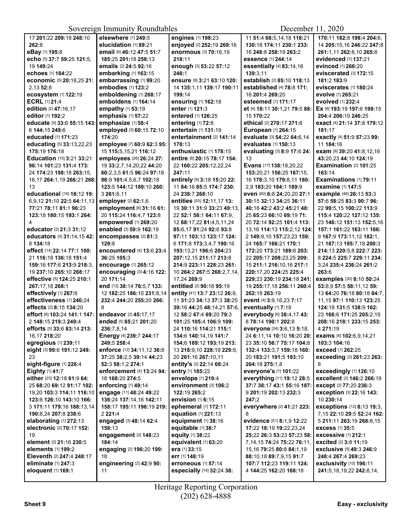| 17 201:22 209:18 248:10                       | elsewhere [1] 249:5                          | engines [1] 198:23                           | 11 51:4 68:5,14,18 118:21                           | 170:11 182:8 198:4 204:6.                            |
|-----------------------------------------------|----------------------------------------------|----------------------------------------------|-----------------------------------------------------|------------------------------------------------------|
| 262:8                                         | elucidation [1] 89:21                        | enjoyed [2] 252:19 269:16                    | 130:18 174:11 230:1 233:                            | 14 205:15,16 246:22 247:8                            |
| eBay [1] 195:8                                | email [6] 46:12 47:5 51:7                    | enormous [3] 70:16,19                        | 16 248:8 258:19 263:2                               | 261:1,11 262:8,10 265:8                              |
| echo [5] 37:7 59:25 121:5.                    | 185:25 201:18 258:13                         | 218:11                                       | essence [1] 244:14                                  | evidenced [1] 137:21                                 |
| 19 149:24                                     | emails [2] 24:5 92:16                        | enough [3] 53:22 57:12                       | essentially [4] 83:14,16                            | evinced [1] 266:20                                   |
| echoes [1] 184:22                             | embarking [1] 163:15                         | 248:1                                        | 139:3,11                                            | eviscerated [3] 172:15                               |
| economic [5] 20:18,25 21:                     | embarrassing [1] 99:20                       | ensure [8] 3:21 63:10 120:                   | establish [2] 85:10 118:13                          | 181:2 183:9                                          |
| 2,13 52:8                                     | embodies [1] 123:2                           | 14 135:1,11 139:17 190:11                    | established [4] 78:8 171:                           | eviscerates [1] 180:24                               |
| ecosystem [1] 122:19                          | emboldening [1] 268:17                       | 199:14                                       | 16 201:4 269:20                                     | evolve [1] 265:21                                    |
| <b>ECRL [1] 21:4</b>                          | emboldens [1] 164:14                         | ensuring [1] 162:18                          | esteemed [1] 171:17                                 | evolved [1] 232:4                                    |
| edition [2] 47:16,17                          | empathy [1] 53:19                            | enter [1] 121:3                              | et [6] 18:11 30:1,21 79:5 88:                       | Ex [6] 193:19 197:6 199:15                           |
| editor [1] 192:2                              | emphasis [1] 57:22                           | entered [1] 126:25                           | 15 170:22                                           | 204:4 206:19 246:25                                  |
| educate [5] 33:6 55:15 143:                   | emphasize [1] 58:4                           | entering [1] 72:8                            | ethical [2] 270:17 271:6                            | <b>exact</b> [4] 21:14 37:8 179:12                   |
| 6 144:15 249:6                                | employed [3] 60:15 72:10                     | entertain [1] 131:19                         | European [1] 264:15                                 | 181:17                                               |
| educated [1] 171:23                           | 174:20                                       | entertainment [2] 141:14                     | evaluate [3] 54:22 64:6,14                          | exactly [4] 51:9 57:23 99:                           |
| educating [5] 33:13,22,23                     | employee [7] 60:9 62:3 95:                   | 178:13                                       | evaluates [1] 150:13                                | 11 184:16                                            |
| 175:19 176:18                                 | 15 115:5, 15, 21 116:12                      | enthusiastic [1] 178:15                      | evaluating [3] 8:9 17:6 24:                         | exam [8] 39:20 41:8,12,16                            |
| Education [15] 3:21 33:21                     | employees [26] 26:24 27:                     | entire [8] 20:15 78:17 154:                  | 13                                                  | 43:20,23 44:10 124:19                                |
| 96:14 101:23 131:4 173:                       | 19 33:2,7,14,20,22 44:20                     | 22 160:22 205:12,22,24                       | Evans [17] 138:18,20,22                             | Examination [2] 101:25                               |
| 24 174:23 198:18 263:15,                      | 60:2,3,5 61:5 96:24 97:18                    | 247:11                                       | 153:20,21 156:25 167:15,                            | 163:14                                               |
| 16,17 264:1,19 266:21 268:                    | 98:9 101:4,5,6,7 102:18                      | entirely [9] 3:18 15:20 22:                  | 16 178:3.10 179:8.11 180:                           | Examinations [1] 79:11                               |
| 13                                            | 123:5 144:12 189:10 260:                     | 11 84:16 85:5 174:7 230:                     | 2,9 183:20 184:1 189:9                              | examine [1] 147:5                                    |
| educational [16] 18:12 19:                    | 3 261:6,11                                   | 24 238:7 268:10                              | even [60] 6:8 24:20,20 27:1                         | example [46] 26:13 53:3                              |
| 6,9,12 21:10 22:5 64:11,13                    | employer [2] 62:1,6                          | entities [53] 12:11,17 13:                   | 30:15 32:13 34:25 36:11                             | 57:6 58:25 83:3 90:7 96:                             |
| 77:21 78:11 81:1 96:23                        | employment [6] 31:16 61:                     | 19 30:11 31:9 33:23 49:13.                   | 40:18 42:2 43:2 45:21 48:                           | 22 99:5,15 100:22 113:9                              |
| 123:18 180:15 193:1 264:                      | 20 115:24 116:4,7 123:8                      | 22 52:1 58:1 64:11 67:9,                     | 25 65:23 66:10 69:19 71:                            | 115:4 120:22 127:12 135:                             |
| 4                                             | empowered [1] 269:20                         | 12 68:17,22 81:4,5,11,24                     | 20 72:14 92:25 101:4 113:                           | 23 146:12 151:13 152:5,16                            |
| educator [2] 21:3 31:12                       | enabled [2] 59:9 162:19                      | 85:6,17 91:24 92:6 93:8                      | 13,16 114:13 115:2,12 124:                          | 157:1 161:22 163:11 166:                             |
| educators [4] 31:14,15 42:                    | encompasses [2] 81:3                         | 97:11 103:13 123:17 124:                     | 2 149:9,10 157:23,23 159:                           | 9 167:9 173:11,12 182:1,                             |
| 8 134:18                                      | 129:8                                        | 6 171:8 173:3,4,7 190:16                     | 24 165:7 166:21 170:1                               | 21 187:13 195:7,18 200:3                             |
| effect [14] 22:14 77:1 100:                   | encountered [4] 13:6 23:4                    | 193:13,21 196:6 204:23                       | 172:20 173:21 189:6 203:                            | 214:13 220:5,8 222:7 223:                            |
| 21 116:18 136:18 151:4                        | 36:25 105:3                                  | 207:12,15 211:17 213:8                       | 22 205:17 208:23,25 209:                            | 8 224:5 225:7 229:11 234:                            |
| 159:16 177:6 213:9 218:3,                     | encourage [1] 265:12                         | 214:9 223:11 228:23 261:                     | 15 211:1 216:10,16 217:1                            | 3,24 235:4 236:24 261:2                              |
| 19 237:10 265:10 268:17                       | encouraging [3] 4:16 122:                    | 10 264:2 267:5 268:2,7,14,                   | 220:17,20 224:25 225:4                              | 263:6                                                |
| effective [5] 124:25 210:1                    | 20 171:14                                    | 17,24 269:9                                  | 229:23 230:19 234:18 241:                           | examples [30] 8:10 50:24                             |
| 267:17,18 268:1                               | end [12] 38:14 76:5,7 133:                   | entitled [2] 90:16 95:19                     | 19 255:17,18 256:11 260:4                           | 53:8,9 57:5 58:11,12 59:                             |
| effectively [1] 267:6                         | 12 182:25 186:10 231:8,14                    | entity [41] 13:7 23:12 26:9,                 | 262:18 263:19                                       | 13 64:20 76:18 80:18 84:7,                           |
| effectiveness [1] 246:24                      | 232:4 244:20 255:20 266:                     | 11 31:23 34:13 37:3 38:25                    | event [4] 3:9,16,23 7:17                            | 11,15 97:1 110:13 123:25                             |
| effects [2] 8:15 134:20                       | 8                                            | 39:16 44:25 48:14.21 57:6.                   | eventually [1] 7:19                                 | 124:18 131:5 138:9 162:                              |
| effort [6] 103:24 141:1 147:                  |                                              |                                              |                                                     |                                                      |
|                                               | endeavor [2] 45:17,17                        | 12 58:2 67:4 69:20 79:3                      | everybody [6] 38:4,17 43:                           | 23 166:6 171:25 205:2,19                             |
| 2 148:15 219:3 249:4                          | ended [5] 85:21 201:20                       | 101:25 105:4 106:9 109:                      | 8 78:14 190:1 202:8<br>everyone [24] 3:6,13 5:18,   | 208:16 218:1 233:15 253:<br>4 271:19                 |
| efforts [5] 33:6 83:14 213:                   | 236:7,8,14                                   | 24 110:16 114:21 115:1                       |                                                     |                                                      |
| 16,17 218:20                                  | <b>Energy</b> [4] 239:7 244:17               | 134:6 140:14,19 141:7                        | 24 6:11,14 10:10 16:20 20:                          | exams [6] 102:6,9,14,21                              |
| egregious [1] 239:11                          | 249:5 258:4                                  | 154:6 189:12 193:19 213:                     | 23 35:10 56:7 75:17 104:8                           | 103:3 104:16                                         |
| eight [3] 99:6 191:12 249:                    | enforce [12] 34:11,12 36:6                   | 13 218:9,10 228:19 229:9,                    | 132:4 133:3,7 159:18 160:                           | exceed [1] 262:25                                    |
| 23                                            | 37:25 38:2.5 39:14 44:23                     | 20 261:16 267:10.11                          | 20 183:21 191:5 193:10                              | exceeding [2] 261:23 263:                            |
| eight-figure [1] 226:4                        | 52:3 58:1,2 274:1                            | entity's [2] 22:14 68:24<br>entry [1] 185:22 | 264:18 275:1,8                                      | 8                                                    |
| Eighty [1] 41:7<br>either [23] 12:18 61:9 64: | enforcement [4] 13:24 94:<br>18 168:20 274:5 | envelope [1] 219:4                           | everyone's [1] 101:22<br>everything [11] 19:12 28:5 | exceedingly [1] 126:10<br>excellent [2] 146:2 266:19 |
|                                               |                                              |                                              |                                                     | <b>except</b> [2] 77:20 236:3                        |
| 25 68:20 69:12 91:17 102:                     | enforcing $[1]$ 49:14                        | environment [3] 106:2                        | 37:7 38:17 43:1 55:16 187:                          |                                                      |
| 19,20 103:3 114:11 116:10                     | engage [11] 48:24 49:22                      | 122:19 265:2                                 | 9 201:19 202:13 232:3                               | <b>exception [3] 22:16 143:</b>                      |
| 123:6 126:10 143:10 166:                      | 136:24 137:14.16 142:11                      | envision [1] 6:15                            | 247:2                                               | 10 230:14                                            |
| 3 171:11 179:16 188:13,14                     | 158:17 195:11 196:19 219:                    | ephemeral [1] 172:11                         | everywhere [2] 41:21 223:                           | exceptions [12] 8:13 19:3,                           |
| 190:8,24 207:8 238:6                          | 2221:4                                       | equation [1] 221:13<br>equipment [1] 38:16   | 8<br>evidence [51] 8:1,9 12:22                      | 7,15 22:10 29:5 52:24 162:                           |
| elaborating $[1]$ 272:13                      | engaged [3] 48:14 62:4                       |                                              |                                                     | 5 211:11 263:19 268:8,15                             |
| electronic [2] 70:17 152:<br>19               | 158:13                                       | equitable [1] 38:7                           | 17:22 18:19 19:22,23,24                             | <b>excess</b> [1] 35:5                               |
|                                               | engagement [2] 148:23                        | equity [1] 38:22                             | 25:22 26:3 53:23 57:23 58:                          | <b>excessive</b> [1] 212:1                           |
| element [2] 21:16 230:5<br>elements [1] 199:2 | 184:14                                       | equivalent [1] 63:20                         | 7,14,15 74:24 75:22 76:11,                          | excited [2] 3:8 11:19                                |
| Eleventh [2] 247:4 248:17                     | engaging [2] 196:20 199:<br>18               | <b>era</b> [1] 33:15<br>err [1] 148:19       | 15,16 79:25 80:8 84:1,19                            | exclusive [5] 49:3 246:9<br>248:4 267:4 269:23       |
| eliminate [1] 247:3                           | engineering [2] 42:9 90:                     | erroneous [1] 57:14                          | 88:10,18 89:7,9,15 91:7<br>107:7 112:23 119:11 124: | exclusivity [10] 196:11                              |
| eloquent [1] 169:1                            | 11                                           | especially [14] 32:24 38:                    | 4 144:25 162:20 168:18                              | 241:5,18,19,22 242:8,14,                             |
|                                               |                                              |                                              |                                                     |                                                      |
|                                               |                                              |                                              |                                                     |                                                      |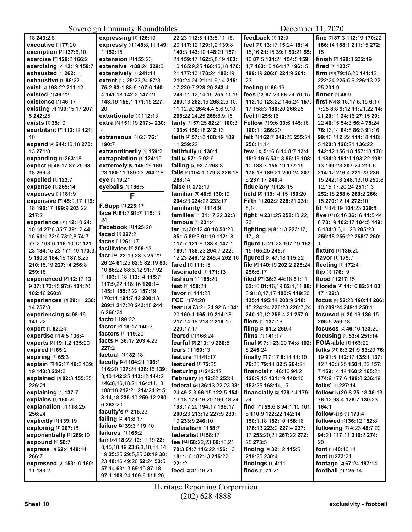|                                         | $\mathcal{L}$                        |                                                 | $P^{\text{c}}$                 |                                          |
|-----------------------------------------|--------------------------------------|-------------------------------------------------|--------------------------------|------------------------------------------|
| 18 243:2,8                              | expressing [1] 126:10                | 22,23 112:5 113:5,11,18,                        | feedback [1] 12:9              | fine [7] 87:3 112:19 170:22              |
| <b>executive [1] 77:20</b>              | expressly [4] 148:8,11 149:          | 20 117:12 129:1.2 139:8                         | feel [21] 13:17 15:24 18:14,   | 186:14 188:1 211:15 272:                 |
| exemption [2] 137:6,10                  | 1 152:15                             | 140:3 143:10 148:21 157:                        | 15, 16 21: 15 39: 1 53: 21 55: | 15                                       |
| exercise [2] 129:2 166:2                | extension [1] 155:23                 | 24 159:17 162:5,8,19 163:                       | 10 87:5 134:21 154:5 159:      | finish [2] 120:8 232:19                  |
| exercising [2] 12:19 159:7              | extensive [2] 88:24 229:6            | 10 165:9,25 166:16,18 176:                      | 1.7 163:10 164:17 196:15       | fired [1] 123:7                          |
| <b>exhausted</b> [1] 262:11             | extensively [1] 241:14               | 21 177:13 178:24 188:19                         | 199:19 206:8 224:9 261:        | firm [10] 79:16,20 141:12                |
| exhaustive [1] 86:22                    | extent [15] 25:23,24 67:3            | 210:24,24 211:1,9,14 215:                       | 23                             | 222:24 225:5,6 226:13,22,                |
| exist [2] 198:22 211:12                 | 75:2 83:1 88:6 107:6 140:            | 17 220:7 228:20 243:4                           | feeling [1] 66:19              | 25 231:9                                 |
| existed $[1]$ 46:22                     | 4 141:18 142:2 147:21                | 248:11, 12, 14, 15 255:11, 15                   | fees [10] 67:23 68:24 70:15    | <b>firmer</b> [1] 48:9                   |
| existence [1] 46:17                     | 148:19 156:1 171:15 227:             | 260:13 262:19 263:2,9,10,                       | 112:10 123:22 145:24 157:      | first [63] 3:16,17 5:15 6:17             |
|                                         | 20                                   | 11, 12, 20 264: 4, 4, 5, 6, 9, 10               | 17 158:3 180:20 266:25         | 7:25 8:8 9:12 11:21,22 14:               |
| existing [4] 190:15,17 207:<br>5 242:25 | extortionate [1] 112:13              | 265:22,24,25 268:8,9,15                         |                                |                                          |
| exists [1] 35:10                        |                                      |                                                 | feet [1] 255:16                | 21 20:11 24:16 27:15 29:                 |
|                                         | extra [3] 151:19 217:4 230:          | fairly [6] 57:25 82:21 100:3                    | Fellow [5] 9:6 30:6 145:18     | 22 46:15 54:3 56:4 75:24                 |
| exorbitant [2] 112:12 121:              | 4                                    | 103:6 150:18 242:13                             | 190:11 266:20                  | 76:13,14 84:8 86:3 91:16                 |
| 10                                      | extraneous [3] 6:3 76:1              | faith [4] 57:13 188:19 189:                     | felt [5] 162:7 249:25 255:21   | 99:13 112:22 114:18 118:                 |
| expand [4] 244:16,18 270:               | 190:7                                | 11 259:22                                       | 256:11,14                      | 5 120:3 128:21 136:22                    |
| 13 271:8                                | extraordinarily [1] 159:2            | faithfully [1] 130:1                            | few [18] 5:16 6:14 8:7 13:4    | 142:12 156:18 157:18 176:                |
| expanding [1] 263:18                    | extrapolation [1] 124:15             | fall [2] 57:15 92:9                             | 15:9 19:6 53:18 96:19 108:     | 1 184:3 191:1 193:22 198:                |
| expect [4] 48:17 87:25 93:              | extremely [6] 145:19 169:            | falling [2] 92:7 268:8                          | 10 133:7 155:19 177:15         | 13 199:23 207:24 211:6                   |
| 18 269:8                                | 23 180:11 189:23 204:2,8             | falls [4] 104:1 179:8 226:18                    | 178:16 189:21 200:24 207:      | 214:12 216:4 221:23 236:                 |
| expelled [1] 123:7                      | eye [1] 19:21                        | 268:14                                          | 6 237:17 240:4                 | 15 242:18 248:13.16 250:8.               |
| expense [1] 265:14                      | eyeballs [1] 186:5                   | false [1] 272:19                                | fiduciary [1] 128:15           | 12, 15, 17, 20, 24 251: 1, 3             |
| expenses [1] 181:9                      | F                                    | familiar [5] 40:5 130:19                        | field [3] 119:14,15 150:20     | 252:18 258:6 260:2 266:                  |
| expensive [7] 45:9,17 119:              |                                      | 204:23 224:22 233:17                            | Fifth [4] 202:2 228:21 231:    | 15 270:12,14 272:10                      |
| 18 196:17 199:9 203:22                  | F.Supp [1] 225:17                    | familiarity [1] 114:9                           | 8,14                           | fit [3] 14:19 104:23 229:8               |
| 217:2                                   | face [4] 81:7 91:7 115:13,           | families [3] 31:17,22 32:3                      | fight [4] 231:25 258:10,22,    | five [17] 6:16 36:16 41:5 44:            |
| experience [31] 12:10 24:               | 24                                   | famous [1] 231:4                                | 23                             | 8 78:19 102:17 104:5 149:                |
| 10,14 27:6 35:7 39:12 44:               | Facebook [1] 125:20                  | far [19] 30:12 40:18 50:20                      | fighting [4] 81:13 223:17,     | 8 184:3,6,11,23 205:23                   |
| 16 61:1 72:9 73:2.8 74:7                | faced [1] 227:2                      | 85:15 89:3 91:19 112:18                         | 17,18                          | 255:18 256:22 258:7 260:                 |
| 77:2 103:6 116:10,12 121:               | faces [1] 261:17                     | 117:7 121:6 138:4 147:1                         | figure [5] 21:23 107:19 162:   | 1                                        |
| 23 134:15,23 171:19 173:3,              | facilitates [1] 206:13               | 169:1 188:23 204:7 222:                         | 15 165:25 245:7                | fixture [1] 135:20                       |
| 5 180:8 184:16 187:8,25                 | fact [34] 22:19 23:3 25:22           | 12,23 246:12 249:4 262:16                       | figured [2] 47:18 115:22       | flavor [1] 179:7                         |
| 210:15,19 227:14 256:8                  | 26:24 61:25 62:5 82:19 83:           | fared [1] 111:15                                | file [5] 140:19 202:2 228:24   | fleeting [1] 172:4                       |
| 259:18                                  | 10 86:22 88:6,12 91:7 92:            | fascinated [1] 171:13                           | 256:6,17                       | flip [1] 176:19                          |
| experienced [8] 12:17 13:               | 1 103:1,18 113:14 115:7              | fashion [1] 185:20                              | filed [27] 36:3 44:18 61:11    | flood [1] 217:15                         |
| 9 37:8 73:15 97:6 101:20                | 117:9,22 118:16 126:14               | fast [1] 158:24                                 | 62:16 81:16,19 82:1,11 88:     | Florida [4] 14:10 82:21 83:              |
|                                         | 145:1 155:2,22 157:19                |                                                 | 6 91:8,17,17 100:9 119:20      | 17 122:3                                 |
| 102:16 260:8                            | 170:11 194:7,12 200:13               | <b>favor</b> [1] <b>111:23</b><br>FCC [1] 74:20 |                                |                                          |
| experiences [3] 29:11 238:<br>14 257:3  | 209:1 217:20 243:18 244:             |                                                 | 135:4 195:14 200:9 218:        | focus [6] 52:20 190:14 206:              |
|                                         | 6 266:24                             | fear [13] 73:21,24 92:6 134:                    | 15 224:24 226:23 228:7,24      | 10 209:24 249:1 258:1                    |
| experiencing [2] 98:16                  | <b>facto</b> [1] <b>89:</b> 22       | 20 160:1 165:19 214:18                          | 240:10,12 256:4,21 257:9       | focused [4] 20:16 136:15                 |
| 141:22                                  | <b>factor</b> [2] <b>18:17 140:3</b> | 217:14,18 218:2 219:15                          | filers [1] 137:16              | 206:5 259:18                             |
| expert [1] 62:24                        | factors [1] 119:20                   | 220:17,17                                       | filing [2] 61:2 269:4          | focuses [2] 46:16 133:20                 |
| expertise [2] 4:5 136:4                 | facts [4] 36:17 203:4,23             | feared [1] 166:24                               | films [1] 141:17               | focusing [2] 53:4 251:14                 |
| experts [3] 19:1,2 135:20               | 227:2                                | fearful [2] 213:19 260:5                        | final [5] 7:1 23:20 74:8 102:  | FOIA-able [1] 163:22                     |
| expired [1] 65:2                        | factual [1] 182:18                   | <b>fears</b> [1] <b>169:13</b>                  | 8 245:24                       | folks [21] 8:3 21:9 53:20 76:            |
| expiring [1] 65:3                       | faculty [26] 104:21 106:1            | <b>feature</b> [1] <b>141:17</b>                | finally [7] 7:17 8:14 11:10    | 19 91:5 112:17 135:1 137:                |
| explain [5] 16:17 19:2 139:             | 116:20 127:24 138:16 139:            | featured [1] 72:25                              | 76:25 79:14 82:5 264:21        | 12 146:3,25 150:1,22 157:                |
| 19 140:3 224:3                          | 3,13 142:25 143:12 144:2             | featuring [1] 242:12                            | financial $[9]$ 46:16 94:2     | 7 159:14,14 160:2 165:21                 |
| explained [3] 82:3 155:25               |                                      | February [2] 42:22 255:4                        | 128:9,15 131:19 140:10         | 174:9 177:6 199:8 236:19                 |
| 226:21                                  | 146:8, 16, 18, 21 164: 14, 18        | federal [24] 36:13,22,23 38:                    | 153:25 168:14,15               | folks' [1] 227:14                        |
| explaining [1] 137:7                    | 188:18 212:21 214:24 215:            | 24 49:2,3 96:15 122:5 154:                      | financially [2] 128:14 179:    | follow [8] 20:8 25:18 36:13              |
| explains [1] 160:20                     | 8,14,18 235:10 259:12 260:           | 13,18 179:16,20 190:18,24                       | 24                             | 76:12 93:4 126:7 130:23                  |
| explanation [2] 118:25                  | 6 262:20                             | 193:17,20 194:17 196:17                         | find [21] 59:6,8 94:1,10 101:  | 164:1                                    |
| 256:24                                  | faculty's [1] 215:23                 | 200:23 213:12 227:9 230:                        | 8 110:9 122:22 142:14          | follow-up [1] 179:4                      |
| explicitly [1] 139:19                   | <b>failing</b> [2] 41:8,17           | 19 233:9 246:10                                 | 150:1,18 152:10 158:16         | followed [2] 36:12 152:8                 |
| exploring [1] 207:18                    | failure [2] 39:3 119:10              | federalism [1] 58:7                             | 176:13 223:2 227:4 237:        | <b>following</b> [7] <b>4:23 48:7,22</b> |
| exponentially [1] 269:10                | <b>failures</b> [1] <b>165:2</b>     | federalist [1] 58:17                            | 17 253:20,21 267:22 272:       | 94:21 117:11 216:2 274:                  |
| expound [1] 50:7                        | fair [93] 18:22 19:11,19 22:         | fee [14] 68:22,23 69:18,21                      | 25 273:5                       | 20                                       |
| express [3] 62:4 148:14                 | 8, 15, 18, 19 23: 6, 8, 10, 11, 14,  | 70:3 81:7 116:22 156:1,3                        | finding [4] 32:12 115:6        | font [2] 40:10,11                        |
| 266:7                                   | 19 25:25 29:5,25 30:19 38:           | 181:1,6 182:13 216:22                           | 219:25 230:4                   | <b>foot</b> [1] <b>273:21</b>            |
| expressed [3] 153:10 160:               | 23 48:16 49:20 52:24 53:5            | 221:2                                           | findings $[1]$ 4:11            | footage [2] 67:24 187:14                 |
| 11 183:2                                | 57:14 63:13 69:10 87:18              | feed [2] 31:16,21                               | finds [1] 71:21                | football [1] 125:14                      |
|                                         | 97:1 108:24 109:6 111:20,            |                                                 |                                |                                          |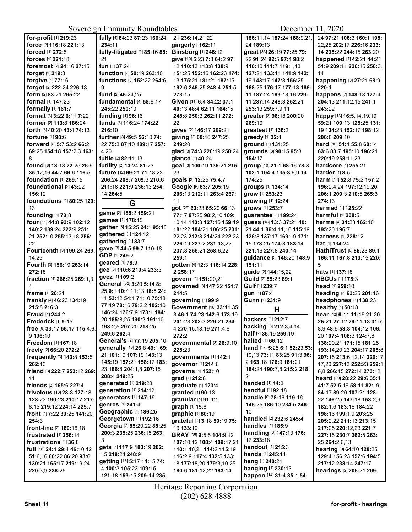| for-profit [1] 219:23           | fully [4] 84:23 87:23 166:24                       | 21 236:14,21,22                                 | 186:11,14 187:24 188:9,21,                      | 24 97:21 106:3 160:1 198:                      |
|---------------------------------|----------------------------------------------------|-------------------------------------------------|-------------------------------------------------|------------------------------------------------|
| force [2] 116:18 221:13         | 234:11                                             | gingerly [1] 62:11                              | 24 189:13                                       | 22,25 202:17 226:16 233:                       |
| forced [1] 272:5                | fully-litigated [2] 85:16 88:                      | Ginsburg [1] 248:12                             | great [33] 26:19 77:25 79:                      | 14 235:22 244:15 263:20                        |
| forces [1] 221:18               | 21                                                 | give [19] 5:23 7:8 64:2 97:                     | 22 91:24 92:5 97:4 98:2                         | happened [7] 42:21 44:21                       |
| foremost [2] 24:16 27:15        | fun [1] 37:24                                      | 12 110:13 113:8 138:9                           | 110:10 111:7 119:1,13                           | 51:9 209:11 226:15 258:3.                      |
| forget [1] 219:8                | function [2] 50:19 263:10                          | 151:25 152:16 162:23 174:                       | 127:21 133:14 141:9 142:                        | 14                                             |
| forgive [1] 77:16               | functions [3] 152:22 264:6,                        | 13 175:21 181:21 187:15                         | 19 143:17 147:8 156:25                          | happening [3] 27:21 68:9                       |
| forgot [2] 222:24 226:13        | 9                                                  | 192:6 245:25 248:4 251:5                        | 168:25 176:17 177:13 186:                       | 220:1                                          |
| form [2] 83:21 265:22           | fund [2] 45:24,25                                  | 273:15                                          | 11 187:24 189:13.16 229:                        | happens [7] 148:18 177:4                       |
| formal [1] 147:23               | fundamental [4] 58:6,17                            | Given [11] 6:4 34:22 37:1                       | 11 237:14 248:3 252:21                          | 204:13 211:12,15 241:1                         |
| formally [1] 161:7              | 245:22 250:10                                      | 40:13 48:4 62:11 164:15                         | 253:13 259:7,9,11                               | 243:22                                         |
| format [3] 3:22 6:11 7:22       | funding [1] 96:16                                  | 248:8 250:3 262:11 272:                         | greater [3] 96:18 200:20                        | happy [13] 16:5,14,19,19                       |
| former [2] 113:8 186:24         | funds [3] 116:24 174:22                            | 22                                              | 269:10                                          | 59:21 109:13 125:25 131:                       |
| forth [3] 40:20 43:4 74:13      | 216:10                                             | gives [2] 146:17 209:21                         | greatest [1] 136:2                              | 19 134:23 152:17 198:12                        |
| fortune [1] 98:6                | further [8] 49:5 56:10 74:                         | giving [3] 60:16 247:25                         | greedy [1] 32:4                                 | 206:8 209:10                                   |
| forward [8] 5:7 53:2 66:2       | 22 75:3 87:10 189:17 257:                          | 249:20                                          | ground [1] 131:25                               |                                                |
|                                 | 4,20                                               |                                                 |                                                 | hard [10] 51:4 55:8 60:14                      |
| 69:25 154:18 157:2,3 163:       | futile [2] 82:11,13                                | glad [3] 74:3 226:19 258:24                     | grounds [3] 90:15 95:8                          | 63:6 83:7 195:10 196:21                        |
| 8<br>found [8] 13:18 22:25 26:9 | futility [2] 13:24 81:23                           | glance [1] 40:24<br>goal [3] 100:19 135:21 215: | 154:17<br>group [10] 21:1 68:16 78:8            | 220:19 258:11,23<br>hardcore [1] 255:21        |
|                                 |                                                    | 23                                              |                                                 |                                                |
| 35:12,16 44:7 66:6 116:5        | future [12] 69:21 71:18,23                         |                                                 | 102:1 104:4 135:3,6,9,14                        | harder [1] 8:5                                 |
| <b>foundation</b> [1] 269:15    | 206:24 208:7 209:3 210:6                           | goals [3] 12:25 75:4,7                          | 174:25                                          | harm [14] 52:8 75:2 157:2                      |
| foundational [2] 43:22          | 211:16 221:9 236:13 254:                           | Google [6] 63:7 205:19                          | groups [1] 134:14                               | 196:2,4,24 197:12,19,20                        |
| 156:12                          | 14 264:5                                           | 206:13 212:11 263:4 267:                        | grow [1] 253:23                                 | 206:1 209:3 210:5 265:3                        |
| foundations [2] 80:25 129:      | G                                                  | 11                                              | growing [1] 12:24                               | 274:13                                         |
| 13                              | game [2] 155:2 159:21                              | got [29] 63:23 65:20 66:13                      | grows [1] 253:7                                 | harmed [1] 125:22                              |
| founding [1] 78:8               | <b>games</b> [1] 178:15                            | 77:17 97:25 98:2,10 109:                        | guarantee [1] 199:24                            | harmful [1] 208:5                              |
| four [11] 44:8 93:9 102:12      | gather [3] 15:25 24:1 95:18                        | 10.14 110:3 127:15 159:19                       | quess [18] 13:3 37:21 40:                       | <b>harms</b> [4] <b>31:23 162:10</b>           |
| 140:2 189:24 222:9 251:         | gathered [1] 124:12                                | 181:22 184:21 186:25 201:                       | 21 44:1 86:4,11,16 115:19                       | 195:20 196:7                                   |
| 21 252:10 255:13,18 256:        | gathering [1] 83:7                                 | 22,23 212:3 214:24 222:23                       | 126:8 137:17 169:19 171:                        | <b>harness</b> [1] <b>228:12</b>               |
| 22                              | gave [3] 44:5 99:7 110:18                          | 226:19 227:2 231:13,22                          | 15 173:25 174:8 183:14                          | <b>hat</b> [1] <b>134:</b> 24                  |
| Fourteenth [3] 199:24 269:      | GDP [1] 249:2                                      | 237:8 256:21 258:6,22                           | 221:16 227:8 240:14                             | HathiTrust [6] 85:23 89:1                      |
| 14,25                           | <b>geared</b> [1] 78:9                             | 259:1                                           | guidance [3] 146:20 148:9                       | 166:11 167:8 213:15 220:                       |
| Fourth [3] 156:19 263:14        | gee [3] 110:6 219:4 233:3                          | gotten [4] 12:3 116:14 228:                     | 151:11                                          | 5                                              |
| 272:18                          | geez [1] 109:2                                     | 2 258:17                                        | guide [2] 144:15,22                             | <b>hats</b> [1] <b>137:18</b>                  |
| fraction [4] 268:25 269:1,3,    | General [32] 3:20 5:14 8:                          | govern [2] 151:20,21                            | Guild [2] 85:23 89:1                            | <b>HBCUs [1] 175:3</b>                         |
| 4                               | 25 9:1 10:4 11:13 18:5 24:                         | governed [3] 147:22 151:7                       | Gulf [1] 239:7                                  | head [1] 259:10                                |
| frame [1] 20:21                 | 11 53:12 54:1 71:10 75:18                          | 214:5                                           | gun [1] 87:4                                    | heading [2] 63:25 201:16                       |
| frankly [4] 46:23 134:19        | 77:19 78:16 79:2,2 102:10                          | governing [1] 99:9                              | Gunn [1] 231:9                                  | headphones [1] 138:23                          |
| 215:8 216:3                     | 146:24 176:7,9 178:1 184:                          | Government [16] 33:11 35:                       | Н                                               | healthy [1] 50:18                              |
| <b>Fraud [1] 244:2</b>          | 20 185:8,25 190:2 191:10                           | 3 46:1 74:23 142:6 173:19                       | hackers [1] 212:7                               | hear [42] 6:11 11:19 21:20                     |
| Frederick [1] 9:15              | 193:2.5 207:20 218:25                              | 201:23 202:3 229:21 234:                        | hacking [3] 212:3,4,14                          | 25:21 27:12 29:11,13 31:7,                     |
| free [6] 33:17 55:17 115:4,6,   | 249:6 262:4                                        | 4 270:15,18,19 271:4,6                          | half [2] 35:19 259:19                           | 8,9 48:9 53:3 104:12 106:                      |
| 9 196:10                        | General's [2] 77:19 205:10                         | 272:2                                           | halted [1] 66:12                                | 20 107:4 108:3 124:7,8                         |
| Freedom [1] 167:18              | generally [16] 26:8 49:1 69:                       | governmental [3] 26:9,10                        | hand [17] 5:25 6:1 52:23 53:                    | 138:20,21 171:15 181:25                        |
| freely [2] 66:20 272:21         | 21 101:19 107:19 143:13                            | 225:23                                          | 10,13 73:11 83:25 91:3 96:                      | 193:14,20,23 204:17 205:8                      |
| frequently [3] 143:8 153:5      | 145:19 157:21 158:17 183:                          | governments [1] 142:1                           | 2 163:18 176:9 181:21                           | 207:15 213:6,12,14 220:17,                     |
| 262:13                          | 23 186:8 204:1,8 207:15                            | governor [1] 214:6                              | 184:24 190:7,8 215:2 218:                       | 17,20 227:13 252:23 259:1,                     |
| friend [3] 222:7 253:12 269:    | 208:4 249:25                                       | governs [1] 152:10                              | 2                                               | 6,8 266:15 272:14 273:12                       |
| 11                              | generated [1] 219:23                               | grad [1] 212:8                                  | <b>handed</b> $[1]$ 44:3                        | heard [39] 28:22 29:6 35:4                     |
| friends [2] 165:6 227:4         | generation [1] 214:12                              | graduate [1] 123:4                              | handful [1] 92:18                               | 41:7 52:5.16 58:11 82:19                       |
| frivolous [10] 28:3 127:18      | generators [1] 147:19                              | granted [1] 90:13                               | handle [6] 78:16 119:16                         | 84:17 89:20 107:21 128:                        |
| 128:23 190:23 210:17 217:       | genres [1] 241:4                                   | granular [1] 91:12                              | 145:25 186:10 234:5 246:                        | 22 146:25 147:18 153:2,9                       |
| 8.15 219:12 224:14 225:7        |                                                    | graph [1] 15:8                                  |                                                 | 182:1,6 183:16 184:22                          |
| front [4] 7:22 39:25 141:20     | Geographic [1] 186:25<br>Georgetown [1] 192:16     | graphic [1] 80:19                               | 10<br>handled [2] 232:6 245:4                   | <b>198:16 199:1,9 203:25</b>                   |
| 254:3                           |                                                    | grateful [4] 3:18 59:19 75:                     |                                                 | <b>205:</b> 2,22 <b>211:</b> 13 <b>213:</b> 15 |
| front-line [2] 160:16,18        | Georgia [7] 85:20,22 88:25                         | 19 133:19                                       | handles [1] 185:9                               | 217:25 220:12,23 221:7                         |
| <b>frustrated</b> [1] 256:14    | 200:3 235:25 236:15 263:<br>3                      | GRAY [35] 9:5,5 104:9,12                        | handling [3] 147:13 176:                        | 227:15 230:7 262:5 263:                        |
| frustrations [1] 36:8           |                                                    | 107:10,12 108:4 109:17,21                       | 17 233:18                                       | 25 264:2,6,13                                  |
|                                 |                                                    |                                                 |                                                 |                                                |
| full [16] 24:4 29:4 46:10,12    | gets [5] 117:9 183:19 202:                         | 110:1,10,21 114:2 115:19                        | handout [1] 215:3                               | hearing [9] 64:10 128:25                       |
| 51:6,16 60:22 86:20 93:6        | 15 218:24 248:9                                    | 116:2,9 117:4 132:5 133:                        | <b>hands</b> [1] <b>245:14</b>                  | 129:4 156:23 157:6 194:5                       |
| 130:21 165:17 219:19,24         | getting [13] 5:17 14:15 74:                        | 18 177:18,20 179:3,10,25                        | hang [1] 240:21                                 | 217:12 238:14 247:17                           |
| 220:3,9 238:25                  | 4 100:3 105:23 109:15<br>121:18 153:15 209:14 235: | 180:6 181:12,22 183:14                          | hanging [1] 230:13<br>happen [14] 31:4 35:1 54: | hearings [2] 206:21 209:                       |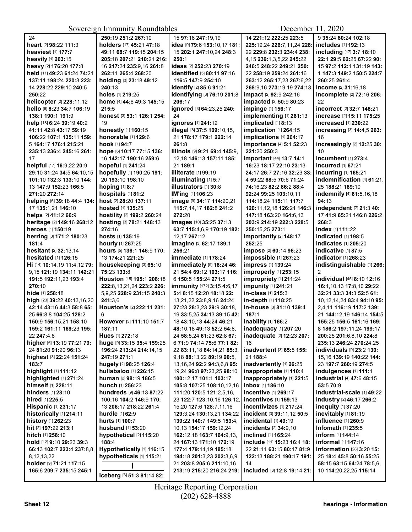| 24                             | 250:19 251:2 267:10             | 15 97:16 247:19,19               | 14 221:12 222:25 223:5                  | 9 35:24 80:24 102:18                |
|--------------------------------|---------------------------------|----------------------------------|-----------------------------------------|-------------------------------------|
| heart [2] 98:22 111:3          | holders [17] 45:21 47:18        | idea [9] 79:6 153:10,17 181:     | 225:19,24 226:7,11,24 228:              | includes [1] 192:13                 |
| heaviest [1] 177:7             | 49:11 68:7 119:15 204:15        | 15 202:1 247:10,24 248:3         | 22 229:8 232:3 234:4 238:               | including [17] 3:7 18:10            |
| heavily [1] 263:15             | 205:18 207:21 210:21 216:       | 250:1                            | 4,15 239:1,3,5,22 245:22                | 22:1 29:5 62:25 67:22 90:           |
| heavy [2] 176:20 177:8         | 16 217:24 235:9,16 261:8        | ideas [2] 252:23 270:19          | 246:5 248:22 249:21 250:                | 15 97:2 112:1 131:19 143:           |
| held [11] 49:23 61:24 74:21    | 262:11 265:4 268:20             | identified [5] 80:11 97:16       | 22 258:19 259:24 261:16                 | 1 147:3 149:2 150:5 224:7           |
| 137:11 198:24 220:3 223:       | holding [3] 23:18 49:12         | 116:5 147:9 254:10               | 263:12 265:17,23 267:6,22               | 260:25 261:4                        |
| 14 228:22 229:10 240:5         | 240:13                          | identify [2] 85:6 91:21          | 268:9,16 273:19,19 274:13               | income [2] 31:16,18                 |
| 250:22                         | holes [1] 219:25                | identifying [3] 76:19 201:8      | <b>impact</b> [2] <b>92:9 242:16</b>    | incomplete [2] 72:16 206:           |
| helicopter [2] 228:11,12       | home [4] 44:6 49:3 145:15       | 206:17                           | impacted [2] 50:9 80:23                 | 22                                  |
| hello [6] 8:23 34:7 106:19     | 215:5                           | ignored [3] 64:23,25 240:        | impinge [1] 156:17                      | <b>incorrect</b> [2] 32:7 148:21    |
| 138:1 190:1 191:9              | honest [3] 53:1 126:1 254:      | 24                               | implementing [1] 261:13                 | increase [2] 15:11 175:25           |
| help [18] 6:24 39:19 40:2      | 19                              | ignores [1] 241:12               | implicated [1] 8:13                     | increased [1] 230:22                |
| 41:11 42:8 43:17 59:19         | honestly [1] 160:15             | illegal [8] 37:5 109:10,15,      | implication [1] 264:15                  | increasing [3] 14:4,5 263:          |
| 106:22 107:1 135:11 159:       | honorable [1] 129:6             | 21 178:17 179:1 222:14           | implications [1] 264:17                 | 16                                  |
| 5 164:17 176:4 215:21          | hook [1] 94:7                   | 261:8                            | importance [4] 5:1 52:23                | increasingly [2] 12:25 30:          |
| 235:13 236:4 245:16 261:       | hope [6] 10:17 77:15 136:       | Illinois [9] 9:21 69:4 145:9,    | 221:20 250:3                            | 10                                  |
| 17                             | 16 142:17 190:16 259:6          | 12,18 146:13 157:11 185:         | important [44] 13:7 14:1                | incumbent [1] 273:4                 |
| helpful [17] 16:9,22 20:9      | hopeful [1] 241:24              | 21 189:1                         | 16:23 18:17 22:10 23:13                 | incurred [1] 67:21                  |
| 29:10 31:24 34:5 64:10,15      | hopefully [4] 190:25 191:       | illiterate [1] 99:19             | 24:17 26:7 27:16 32:23 33:              | incurring [1] 165:21                |
| 101:10 132:3 133:10 144:       | 20 193:10 198:10                | illuminating [1] 5:7             | 4 59:22 68:5 70:6 71:24                 | indemnification [4] 61:21,          |
| 13 147:9 152:23 166:5          | hoping [1] 8:7                  | <b>illustrators</b> [1] 30:8     | 74:16.23 82:2 86:2 88:4                 | 25 188:21 189:10                    |
| 271:20 272:14                  | hospitals [1] 81:2              | IM'ing [1] 106:23                | 92:24 99:25 103:10.11                   | indemnify [4] 61:5,16,18            |
| helping [6] 39:18 44:4 134:    | host [2] 28:20 137:11           | image [9] 34:17 114:20,21        | 114:18,24 115:11 117:7                  | 94:13                               |
| 17 135:1,21 146:10             | hosted [1] 135:25               | 115:7,14,17 182:8 241:2          | 120:11, 12, 18 126: 21 146: 3           | independent [7] 21:3 40:            |
| helps [2] 41:12 66:9           | hostility [2] 199:2 260:24      | 272:20                           | 147:18 163:20 164:6,13                  | 17 41:9 65:21 146:8 226:2           |
| heritage [2] 149:16 268:12     | hosting [3] 78:21 148:13        | images [10] 35:25 37:13          | 203:9 214:19 222:3 228:5                | 268:3                               |
| heroes [1] 150:19              | 274:16                          | 63:7 115:4,6,9 170:19 182:       | 250:15,25 273:1                         | index [1] 111:22                    |
| herring [3] 171:2 180:23       | hosts [1] 135:19                | 12,17 267:12                     | Importantly [2] 148:17                  | indicated [1] 198:5                 |
| 181:4                          | hourly [1] 267:25               | imagine [3] 62:17 189:1          | 252:25                                  | <b>indicates</b> [1] <b>205:2</b> 0 |
| hesitant [2] 32:13,14          | hours [5] 136:1 146:9 170:      | 256:21                           | impose [2] 60:14 96:23                  | indicative [1] 87:5                 |
| hesitated [1] 126:15           | 13 174:21 221:25                | immediate [1] 178:24             | impossible [1] 267:23                   | indicator [1] 268:23                |
| Hi [14] 10:14, 19 11:4, 12 79: | housekeeping [3] 65:10          | immediately [9] 18:24 46:        | impress [1] 139:24                      | indistinguishable [1] 266:          |
| 9.15 121:19 134:11 142:21      | 75:23 133:8                     | 21 54:4 69:12 103:17 116:        | improperly [1] 253:15                   | $\overline{2}$                      |
| 191:5 192:11,23 193:4          | Houston [15] 195:1 208:18       | 6 150:5 155:24 271:5             | impropriety [1] 211:24                  | individual [45] 8:10 12:16          |
| 270:10                         | 222:8, 13, 21, 24 223: 226:     | immunity [172] 3:15 4:6,17       | impunity [1] 241:21                     | 16:1,10,13 17:8,10 29:22            |
| hide [1] 258:18                | 5,9,25 228:9 231:15 240:3       | 5:4 8:15 12:20 18:18 22:         | in-class [1] 215:3                      | 32:21 33:3 34:3 52:5 61:            |
| high [23] 39:22 40:13,16,20    | 241:3,6                         | 13,21,22 23:8,9,16 24:24         | in-depth [1] 118:25                     | 10,12,14,24 83:4 94:10 95:          |
| 42:14 43:16 44:3 58:8 65:      | Houston's [2] 222:11 231:       | 27:23 28:3,23 29:9 30:18,        | in-house [3] 81:10 139:4                | 2.4.11 116:19 117:2 139:            |
| 25 66:8.8 104:25 128:2         | 6                               | 19 33:5.25 34:13 39:15 42:       | 187:1                                   | 21 144:12,19 146:14 154:5           |
| 150:9 156:15.21 158:10         | However [3] 111:10 151:7        | 18 43:10.13 44:24 46:21          | inability [1] 166:2                     | 155:25 156:5 161:16 169:            |
| 159:2 161:11 169:23 195:       | 187:11                          | 48:10,18 49:13 52:2 54:8,        | inadequacy [1] 207:20                   | 8 186:2 197:11.24 199:17            |
| 22 247:4,8                     | <b>Hues</b> [1] <b>272:</b> 18  | 24 58:5,24 61:23 62:8 67:        | <b>inadequate</b> [2] <b>12:23 207:</b> | 200:25 201:6,8,10 224:8             |
| higher [6] 13:19 77:21 79:     | huge [9] 33:15 35:4 159:25      | 6 71:9 74:14 75:6 77:1 82:       | 16                                      | 235:13 246:24 270:24,25             |
| 24 81:20 91:20 96:13           | 196:24 213:24 214:14,15         | 22 83:11,18 84:14,21 85:3,       | inadvertent [3] 65:5 155:               | individuals [9] 23:2 130:           |
| highest [3] 22:24 151:24       | 247:19 271:1                    | 9,18 88:13,22 89:19 90:5,        | 21 188:4                                | 15,16 139:19 140:22 144:            |
| 183:7                          | hugely [2] 98:25 126:4          | 13, 16, 24 92: 2 94: 3, 6, 8 95: | inadvertently [1] 26:25                 | 23 197:7 260:19 274:5               |
| highlight [1] 111:12           | hullabaloo [1] 226:15           | 19,24 96:8 97:23,25 98:10        | inappropriate [1] 110:4                 | indulgences [1] 111:1               |
| highlighted [1] 271:24         | human [2] 98:19 186:5           | 100:12.17 101:1 103:17           | inappropriately [1] 221:5               | industrial [4] 47:6 48:15           |
| himself [1] 228:11             | <b>hunch</b> [1] <b>256:</b> 23 | 105:8 107:25 108:10,12,16        | inbox [1] 186:10                        | 53:5 70:9                           |
| hinders [1] 23:10              | hundreds [9] 46:13 87:22        | 111:20 120:5 121:2,5,16,         | incentive [1] 269:17                    | industrial-scale [1] 49:22          |
| hired [1] 225:5                | 100:16 104:2 146:9 170:         | 23 122:7 123:10.16 126:12.       | incentives [1] 159:13                   | industry [2] 46:17 266:2            |
| Hispanic [1] 231:17            | 13 206:17 218:22 261:4          | 15,20 127:6 128:7,11,16          | incentivizes [1] 217:24                 | inequity [1] 37:20                  |
| historically [1] 214:11        | hurdle [1] 62:9                 | 129:3,24 130:13,21 134:22        | incident [3] 39:11,12 50:5              | inevitably [1] 81:19                |
| history [1] 262:23             | hurts [1] 100:7                 | 139:22 140:7 149:5 153:4,        | incidental [1] 49:19                    | influence [1] 260:9                 |
| hit [2] 197:22 213:1           | husband [1] 53:20               | 10,13 154:17 159:12,24           | incidents [2] 34:9,10                   | <b>Infomath</b> [1] 235:5           |
| hitch [1] 258:10               | hypothetical [2] 115:20         | 162:12,18 163:7 164:9,13,        | inclined [1] 165:24                     | inform [1] 144:14                   |
| hold [12] 9:10 29:23 39:3      | 188:4                           | 24 167:13 171:10 172:19          | include [11] 15:23 16:4 18:             | informal [1] 147:16                 |
| 66:13 102:7 223:4 237:8,8,     | Hypothetically [1] 116:15       | 177:4 179:14,19 185:18           | 22 21:11 63:15 80:17 81:9               | <b>Information</b> [28] 3:20 15:    |
| 8, 12, 13, 22                  | hypotheticals [1] 115:21        | 194:18 201:3,23 202:3,6,9,       | 122:13 188:21 190:17 191:               | 25 18:4 45:8 50:16 55:25            |
| holder [9] 71:21 117:15        |                                 | 21 203:8 205:6 211:10,16         | 14<br>included [6] 12:8 19:14 21:       | 58:15 63:15 64:24 78:5,6,           |
| 165:6 209:7 235:15 245:1       | iceberg [6] 51:3 81:14 82:      | 213:19 215:20 216:24 219:        |                                         | 10 114:20,22,25 115:14              |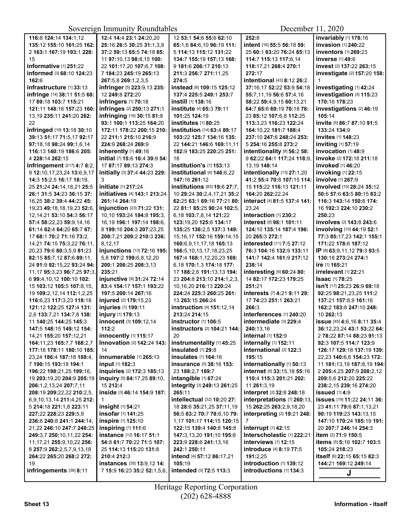| 116:8 124:14 134:1,12                                | 12:4 14:4 23:1 24:20,20                                | 12 53:1 54:6 55:6 62:10             | 252:8                            | invariably [1] 178:16             |
|------------------------------------------------------|--------------------------------------------------------|-------------------------------------|----------------------------------|-----------------------------------|
| 135:12 155:10 161:25 162:                            | 25:16 26:5 30:25 31:1,3,9                              | 65:1,6 84:6,10 96:19 111:           | intent [16] 55:5 56:18 59:       | invasion [1] 240:22               |
| 2 163:1 167:19 193:1 228:                            | 37:2 59:13 65:5 74:18 85:                              | 5 114:13 115:12 131:22              | 25 60:1 63:20 76:24 85:13        | <b>inventors</b> [1] 269:23       |
| 15                                                   | 11 97:10,13 98:8,15 100:                               | 134:7 155:19 157:13 168:            | 114:7 115:13 117:6.14            | <b>inverse</b> [1] 49:6           |
| informative [1] 251:22                               | 22 101:17,20 107:6,7 108:                              | 9 181:6 206:17 210:13               | 118:17,21 268:4 270:1            | invest [2] 137:22 263:15          |
| informed [3] 68:10 124:23                            | 7 184:23 245:19 265:13                                 | 211:3 256:7 271:11,25               | 272:17                           | investigate [2] 157:20 158:       |
| 162:6                                                | 267:5,8 269:1,2,3,5                                    | 274:5                               | intentional [43] 8:12 26:2       | 1                                 |
| infrastructure [1] 33:13                             | infringer [5] 223:9,13 235:                            | instead [6] 109:15 125:12           | 37:16,17 52:22 53:9 54:18        | investigating [1] 42:24           |
| infringe [14] 38:11 51:5 68:                         | 12 249:8 272:20                                        | 137:4 225:5 249:1 253:7             | 55:7,11,19 56:6 57:4,16          | investigation [3] 115:23          |
| 17 89:18 103:7 115:21                                | infringers [1] 70:18                                   | instill [1] 138:16                  | 58:22 59:4,9,15 60:13,21         | 170:16 178:23                     |
| 121:11 148:16 157:23 160:                            | infringes [2] 250:13 271:1                             | institute [4] 65:3 79:11            | 64:7 65:6 69:19 70:18 76:        | investigations [2] 46:19          |
| 13,19 235:11 241:20 262:                             | infringing [16] 30:15 81:8                             | 101:25 124:19                       | 23 85:12 107:6.8 112:25          | 105:14                            |
| 22                                                   | 93:1 100:1 113:25 164:20                               | institutes [1] 80:25                | 113:3,23 116:23 122:24           | invite [5] 86:7 87:10 91:5        |
| infringed [19] 13:18 30:10                           | 172:11 178:22 200:15 210:                              | institution [14] 63:4 89:17         | 164:10.22 181:7 188:4            | 133:24 134:9                      |
| 39:13 51:17 71:5,17 92:17                            | 22 211:1 215:10 216:9                                  | 103:22 125:7 134:16 135:            | 237:10 247:6 248:24 253:         | invites [1] 148:23                |
|                                                      | 224:9 268:24 269:9                                     |                                     |                                  | inviting [1] 57:19                |
| 97:18,18 98:24 99:1,6,14<br>116:13 140:19 186:6 205: |                                                        | 22 144:21 146:6 169:11,11           | 5 254:16 255:8 273:2             | invocation [1] 48:9               |
| 4 228:14 262:15                                      | inherently [1] 49:16<br>initial [7] 15:6 16:4 39:9 54: | 182:9 183:25 220:25 251:            | intentionality [9] 56:2 58:      | invoke [2] 172:18 211:18          |
|                                                      |                                                        | 18                                  | 9 62:22 64:1 117:24 118:9,       |                                   |
| infringement [217] 4:7 8:2,                          | 17 87:17 89:13 274:3                                   | institution's [1] 153:13            | 13,19 148:14                     | invoked [1] 46:20                 |
| 9 12:10,17,23,24 13:6,9,17                           | initially [3] 37:4 44:23 229:                          | institutional [4] 146:6,22          | intentionally [13] 27:1,20       | invoking [1] 22:15                |
| 14:3 15:2,5 16:17 18:19,                             | 3                                                      | 147:16 261:12                       | 41:2 55:4 70:8 107:15 114:       | involve [1] 267:9                 |
| 25 21:24 24:14,18,21 25:5                            | initiate [1] 217:24                                    | institutions [83] 19:6 27:7,        | 15 115:22 116:13 121:11          | involved [15] 28:24 35:12         |
| 26:1 31:5 34:23 36:15 37:                            | initiatives [4] 143:1 213:24                           | 10 29:24 30:2,4,17,21 35:2          | 164:20 262:22.24                 | 50:6 57:6 63:5 80:15 83:2         |
| 16,25 38:2 39:4 44:22 45:                            | 261:14 264:19                                          | 62:25 63:1 69:16 77:21 80:          | interact [4] 81:5 137:4 141:     | 116:3 143:14 150:8 174:           |
| 19,23 49:18,18,19,23 52:6,                           | injunction [23] 71:22 131:                             | 22 81:1 85:25 90:24 102:5.          | 23,24                            | 16 192:3 224:10 230:2             |
| 12, 14, 21 53: 10 54: 3 56: 17                       | 10,10 193:24 194:8 195:3,                              | 6,18 103:7,8,14 121:22              | interaction [1] 230:2            | 250:23                            |
| 57:4 58:22,23 59:9,14,16                             | 16.19 196:1 197:14 198:6.                              | 123:19,20 125:6 134:17              | interest [8] 98:1 101:11         | involves [2] 143:8 243:6          |
| 61:14 62:4 64:20 65:7 67:                            | 8 199:16 204:3 207:23,25                               | 135:25 136:2,5 137:3 149:           | 124:10 135:14 187:4 196:         | involving [10] 44:19 52:1         |
| 17 68:1 70:2 71:16 73:2,                             | 208:7,21 209:2 210:3 236:                              | 15, 16, 17 152: 16 159: 14, 15      | 20 265:3 272:1                   | 77:3 85:17,23 142:1 155:1         |
| 14,21 74:15 75:3,22 76:11,                           | 8,12,17                                                | 160:6,9,11,17,18 165:13             | interested [11] 7:5 27:12        | 171:22 178:6 187:12               |
| 20,23 79:6 80:3,5,9 81:23                            | injunctions [13] 72:16 195:                            | 166:5, 10, 13, 17, 18, 23, 25       | 76:3 104:16 132:9 133:11         | IP [8] 63:9,11,12 79:3 93:5       |
| 82:15 85:7,12 87:6 89:11,                            | 5,8 197:2 199:6,8,12,20                                | 167:4 168:1,12,20,23 169:           | 141:7 142:4 161:9 217:12         | 130:18 273:24 274:1               |
| 24 91:9 92:15,22 93:24 94:                           | 200:1 206:25 208:3,13                                  | 6,18 170:1,3 174:18 177:            | 238:14                           | ire [1] 165:21                    |
| 11, 17 95: 3, 23 96: 7, 25 97: 3,                    | 235:21                                                 | 17 188:2,6 191:13,13 194:           | interesting [6] 60:24 80:        | irrelevant [1] 22:21              |
| 6 99:4, 10, 12 100: 10 102:                          | injunctive [9] 31:24 72:14                             | 23 204:8 213:10 214:1,2,3,          | 14 82:17 172:23 179:25           | <b>Isaac</b> [1] 78:25            |
| 15 103:12 105:5 107:8,15,                            | 83:4 154:17 157:1 193:22                               | 10, 16, 20 216: 13 220: 24          | 251:21                           | isn't [17] 25:23 26:9 69:18       |
| 19 109:2,12,14 112:1,2,25                            | 197:5 200:14 267:16                                    | 224:24 225:3 260:25 261:            | interests [7] 4:21 9:11 29:      | 92:25 98:21,23,25 111:2           |
| 116:6,23 117:3,23 118:18                             | injured [2] 179:15,23                                  | 13 263:15 266:24                    | 17 74:23 251:1 263:21            | 137:21 157:8,9 161:16             |
| 121:12 122:25 127:4 131:                             | injuries [1] 199:11                                    | instruction [4] 151:12,14           | 266:3                            | 162:2 183:8 247:10 248:           |
| 2,6 133:7,21 134:7,8 138:                            | injury [1] 179:13                                      | 213:24 214:15                       | interferences [1] 240:20         | 10 262:13                         |
| 11 140:25 144:25 145:3                               | innocent [3] 109:12,14                                 | instructor [1] 106:5                | intermediate [3] 229:4           | issue [45] 4:6,16 8:11 35:4       |
| 147:5 148:15 149:12 154:                             | 112:2                                                  | instructors [2] 104:21 144:         | 240:13,16                        | 36:12,23,24 43:1 53:22 64:        |
| 14,21 <b>155:</b> 20 <b>157:</b> 12,21               | <b>innocently</b> [1] 115:17                           | 20                                  | <b>Internal</b> $[1]$ 152:9      | 2 <b>78:22 87:14 88:23 91:1</b> 3 |
| 164:11,23 165:7,7 168:2,7                            | <b>Innovation [2] 142:24 143:</b>                      | instrumentality [1] 45:25           | internally [1] 152:11            | 92:3 107:5 114:7 123:9            |
| 177:16 178:11 180:10 185:                            | 14                                                     | insulated [1] 29:8                  | International [2] 122:3          | 126:17 129:18 137:19 139:         |
| 23,24 186:4 187:18 188:4,                            | innumerable [1] 265:13                                 | <b>insulates</b> [1] <b>164:1</b> 6 | 195:15                           | 22,23 140:6,6 154:23 172:         |
| 7 190:15 193:18 194:1                                | input [1] 182:3                                        | <b>insurance</b> [5] 38:16 153:     | internationally [1] 50:13        | 11 181:13.19 187:8.19 194:        |
| 196:22 198:21,25 199:16,                             | inquiries [2] 172:3 185:13                             | 23 188:2,7 189:7                    | internet [9] 33:15,18 55:16      | 2 205:4,25 207:9 208:2,12         |
| 19 203:19,20 204:9 205:19                            | inquiry [5] 84:17,25 89:10,                            | intangible [1] 67:24                | 110:4 115:3 201:21 202:          | 209:5.6 212:20 225:22             |
| 206:1.2.13.24 207:7.11                               | 15 212:4                                               | integrity [3] 249:13 261:25         | 11 261:3,19                      | 238:2,15 239:16 274:20            |
| 208:19 209:22,22 210:2,5,                            | inside [3] 46:14 154:9 187:                            | 265:11                              | <b>interpret</b> [2] 32:8 248:18 | issued [1] 4:9                    |
| 6,9,10,13,14 211:4,25 212:                           | -1                                                     | intellectual [32] 10:20 27:         | interpretations [7] 260:13,      | issues [19] 11:22 24:11 36:       |
| 5 214:18 221:1,8 223:11                              | insight $[1]$ 54:21                                    | 18 28:6 35:21.25 37:11.19           | 15 262:25 263:2,9,18,20          | 23 41:11 79:6 87:1,13,21          |
| 227:22 228:23 229:5,9                                | insofar [1] 141:25                                     | 56:5 63:2 70:7 78:6,10 79:          | interpreting [2] 19:21 248:      | 90:19 119:23 143:13.15            |
| 236:8 240:8 241:1 244:14,                            | inspire [1] 125:10                                     | 1,17 101:17 114:15 120:15           | $\overline{7}$                   | 147:10 170:24 185:19 191:         |
| 21,22 246:10 247:7 248:25                            | inspiring [1] 111:6                                    | 122:15 139:4 140:8 145:8            | interrupt [1] 42:15              | 20 207:7 246:14 254:3             |
| 249:3,7 250:10,11,22 254:                            | instance [12] 16:17 51:1                               | 147:3,13,20 191:10 195:6            | Interscholastic [1] 222:21       | item [2] 71:9 150:5               |
| 11, 17, 21 255: 9, 10, 22 256:                       | 54:8 61:7 70:22 71:5 107:                              | 223:9 228:6 241:13,16               | interviews [1] 12:15             | items [5] 5:16 102:7 103:5        |
| 8 257:9 262:2,5,7,9,13,18                            | 25 114:13 115:20 131:8                                 | 242:1 250:11                        | introduce [4] 8:19 77:5          | 105:24 218:23                     |
| 264:22 265:20 268:2 272:                             | 210:4 212:3                                            | intend [4] 57:12 86:17,21           | 191:2,25                         | itself [6] 22:15 65:15 82:3       |
| 19                                                   | <b>instances</b> [35] <b>13:9,12 14:</b>               | 105:19                              | introduction [1] 139:12          | 144:21 169:12 249:14              |
| infringements [36] 8:11                              | 7 15:9 16:23 35:2 52:1,5,6,                            | intended [3] 72:5 113:3             | introductions [1] 134:3          | J                                 |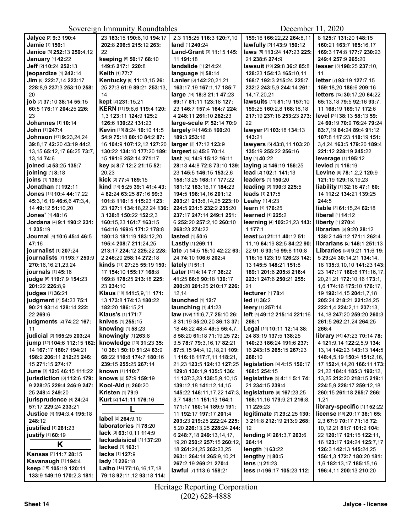| Jalyce [2] 9:3 190:4                    | 23 183:15 190:6,10 194:17        | 2.3 115:25 116:3 120:7.10                | 159:16 166:22,22 264:8,11    | 8 125:7 131:20 148:15                     |
|-----------------------------------------|----------------------------------|------------------------------------------|------------------------------|-------------------------------------------|
| Jamie [1] 159:1                         | 202:8 206:5 215:12 263:          | land [1] 240:24                          | lawfully [2] 143:9 150:12    | 160:21 163:7 165:16,17                    |
| Janice [3] 252:13 259:4,12              | 22                               | Land-Grant [3] 11:15 145:                | laws [5] 113:24 147:23 225:  | 169:3 174:8 177:7 230:23                  |
| January [1] 42:22                       | keeping [5] 50:17 68:10          | 11 191:18                                | 21 238:6 274:9               | 249:4 257:9 265:20                        |
| Jeff [2] 10:24 252:13                   | 149:6 217:1 220:8                | landslide [1] 214:24                     | lawsuit [19] 29:8 36:2 85:8  | lesser [3] 198:25 237:10,                 |
| jeopardize [1] 242:14                   | Keith [1] 77:7                   | language [1] 58:14                       | 128:23 154:13 165:10,11      | 11                                        |
| Jim [8] 222:7,14 223:17                 | Kentucky [8] 11:13,15 26:        | Lanier [8] 142:20,21,21                  | 168:7 192:3 215:24 225:7     | letter [7] 93:19 127:7,15                 |
| 228:8,9 237:3 253:10 258:               | 25 27:3 61:9 89:21 253:13,       | 163:17,19 167:1,17 185:7                 | 232:2 243:5,9 244:14 261:    | 159:18,20 186:6 209:16                    |
| 20                                      | 14                               | large [14] 18:8 21:1 47:23               | 14, 17, 20, 21               | letters [12] 30:17,20 64:22               |
| job [7] 37:10 38:14 55:15               | kept [2] 231:15,21               | 69:17 81:11 123:18 127:                  | lawsuits [11] 81:19 157:10   | 65:13,18 79:5 92:16 93:7,                 |
| 60:5 176:17 204:25 226:                 | KERN [11] 9:6,6 119:4 120:       | 23 146:7 157:4 164:7 224:                | 159:25 160:2,8 168:18,18     | 11 168:19 169:17 172:6                    |
| 23                                      | 1,3 123:11 124:9 125:2           | 4 248:11 261:10 262:23                   | 217:19 237:18 253:23 273:    | level [24] 38:13 58:13 59:                |
| Johannes [1] 10:14                      | 126:6 130:22 131:23              | large-scale [2] 52:14 70:9               | 22                           | 24 60:19 70:9 76:24 79:24                 |
| <b>John</b> [1] <b>247:</b> 4           | Kevin [19] 8:24 10:10 11:5       | largely [4] 146:8 160:20                 | lawyer [3] 103:18 134:13     | 83:7,19 84:24 89:4 91:12                  |
| Johnson [17] 9:23,24,24                 | 54:9 75:18 80:10 84:2 87:        | 189:3 253:16                             | 143:21                       | 107:8 117:23 118:19 151:                  |
| 39:8,17 42:20 43:19 44:2,               | 16 104:9 107:12,12 127:20        | larger [2] 17:12 123:9                   | lawyers [6] 43:8,11 103:20   | 3.4.24 163:5 179:20 189:4                 |
| 13,15 65:12,17 66:25 73:7,              | 130:22 134:10 177:20 189:        | largest [2] 45:6 70:14                   | 135:19 255:22 256:16         | 221:12 228:19 245:22                      |
| 13,14 74:6                              | 15 191:6 252:14 271:17           | <b>last</b> [43] <b>14:9 15:12 16:11</b> | $lay$ [1] 40:22              | <b>leverage</b> [1] 195:12                |
| joined [2] 53:25 135:7                  | key [5] 8:7 12:2 21:15 52:       | 28:13 44:8 72:8 73:10 139:               | laying [2] 146:19 156:25     | levied [1] 116:19                         |
| joining [1] 8:18                        | 20,23                            | 23 145:5 146:15 153:2,6                  | lead [2] 102:1 141:13        | Levine [8] 78:1,2,2 120:9                 |
| joins [1] 136:9                         | kick [2] 77:4 189:15             | 158:13,25 168:17 177:22                  | leaders [1] 150:20           | 121:19 129:18,19,23                       |
| Jonathan [1] 192:11                     | kind [44] 5:25 39:1 41:4 43:     | 181:12 183:16.17 184:23                  | leading [2] 190:3 225:5      | liability [7] 32:16 47:1 60:              |
| <b>Jones</b> [14] <b>10:4 44:</b> 17,22 | 4 62:24 63:25 87:16 99:3         | 194:5 198:14.16 201:12                   | leads [1] 217:5              | 14 112:2 134:21 139:25                    |
| 45:3,16,19 46:6,6 47:3,4,               | 101:8 110:15 115:23 123:         | 203:21 213:6,14,25 223:10                | Leahy [1] 4:23               | 244:5                                     |
| 14 49:12 51:10,20                       | 23 127:1 134:18,22,24 136:       | 224:5 231:5 232:2 235:20                 | learn [1] 176:25             | liable [3] 61:15,24 62:18                 |
| Jones' [1] 48:16                        | 3 138:8 150:22 152:2,3           | 237:17 247:14 249:1 251:                 | <b>learned</b> [1] 225:2     | liberal [1] 14:12                         |
| Jordana [4] 9:1 190:2 231:              | 160:15,23 161:7 163:15           | 6 252:20 257:2,10 260:10                 | learning [4] 102:21,23 143:  | liberty [1] 270:4                         |
| 1 235:19                                | 164:16 169:6 171:2 178:8         | 268:23 274:22                            | 1 177:1                      | librarian [6] 9:20 28:12                  |
| Journal [4] 10:6 45:4 46:5              | 180:13 181:19 183:12,20          | lasted [1] 50:6                          | least [27] 21:11 40:12 51:   | 138:2 146:12 171:1 262:4                  |
| 47:16                                   | 195:4 208:7 211:24,25            | Lastly [1] 269:11                        | 11,19 64:19 82:5 84:22 90:   | <b>librarians</b> [2] <b>146:1 251:13</b> |
| journalist [1] 207:24                   | 213:17 224:12 225:22 228:        | late [7] 14:5 15:10 42:22 63:            | 22 91:6 93:16 99:8 110:8     | Libraries [53] 9:21 11:6 19:              |
| journalists [7] 193:7 250:9             | 2 246:20 258:14 272:18           | 24 74:10 106:6 202:4                     | 116:16 123:19 126:23 142:    | 5 29:24 30:14,21 134:14,                  |
| 270:16,16,21,23,24                      | kinds [11] 27:25 55:19 150:      | lately [1] 51:1                          | 13 145:5 148:21 151:8        | 18 135:3,10,10 141:23 143:                |
| journals [1] 45:16                      | 17 154:10 155:17 168:8           | Later [12] 4:14 7:7 36:22                | 189:1 201:6 205:8 216:4      | 23 147:17 160:6 171:16,17,                |
| judge [6] 119:7,9 154:23                | 169:8 178:25 213:18 225:         | 41:25 66:6 90:18 136:17                  | 223:1 247:6 250:21 255:      | 20, 21, 21 172: 10, 16 173: 1,            |
| 201:22 226:8.9                          | 23 234:10                        | 200:20 201:25 210:17 226:                | 21                           | 1,6 174:16 175:10 176:17,                 |
| judges [1] 36:21                        | Klaus [10] 141:5,9,11 171:       | 12,14                                    | lecturer [1] 78:4            | 19 192:14,15 204:1,7,18                   |
| judgment [7] 54:23 75:1                 | 13 173:8 174:13 180:22           | launched [1] 12:7                        | led [1] 36:2                 | 205:24 218:21 221:24.25                   |
| 90:21 93:14 128:14 222:                 | 182:20 186:15,21                 | launching [1] 41:23                      | leery [1] 257:14             | 222:1,4 224:2,11 237:13,                  |
| 22 269:6                                | Klaus's [1] 171:7                | law [109] 11:6,7,7 25:10 26:             | left [4] 49:12 215:14 221:16 | 14,18 247:20 259:20 260:3                 |
| judgments [2] 74:22 167:                | knives [1] 255:15                | 8 31:19 35:20.20 36:13 37:               | 268:1                        | 261:5 262:21,24 264:25                    |
| 11                                      | knowing [1] 58:23                | 18 46:22 48:4 49:5 56:4,7,               | Legal [14] 10:11 12:14 38:   | 266:4                                     |
| judicial [2] 165:25 203:24              | knowingly [1] 263:8              | 8 58:20 61:18 71:19,25 72:               | 24 83:19 137:5 138:25        | library [44] 47:23 70:14 78:              |
| jump [12] 104:6 112:15 162:             | knowledge [13] 31:23 35:         | 3,5 78:7 79:3,16,17 82:21                | 140:23 186:24 191:6 237:     | 4 121:9,14 122:2,5,9 134:                 |
| 14 167:17 180:7 194:21                  | 10 36:1 50:10 51:24 63:9         | 87:5,15 94:4,12,18,21 109:               | 16 243:15 265:15 267:23      | 13,14 142:23 143:13 144:5                 |
| 198:2 206:11 212:25 246:                | 68:22 110:8 174:7 180:16         | 1 116:18 117:7,11 118:21,                | 268:10                       | 148:4,5,19 150:4 151:2,16,                |
| 15 271:15 274:17                        | 239:15 255:25 267:14             | 21,23 123:5 124:13 127:25                | legislation [4] 4:15 156:17  | 17 152:4,14,20 166:11 173:                |
| June [3] 12:6 46:15 111:22              | known [1] 110:7                  | 129:8 130:1,9 135:5 136:                 | 168:5 254:15                 | 21,22 184:4 185:3 192:12,                 |
| jurisdiction [8] 112:6 179:             | knows [2] 57:9 159:19            | 11 137:3,23 138:5,9,10,15                | legislative [5] 4:11 5:1 74: | 13,25 212:20 218:15 219:1                 |
| 9 228:25 229:4 246:9 247:               | <b>Kool-Aid</b> [1] 260:20       | 139:12,18 141:12,14,15                   | 21 234:15 239:4              | 224:5,9 228:17 259:12,18                  |
| 25 248:4 249:20                         | <b>Kristen [1] 79:9</b>          | 145:22 146:11,17,22 147:3,               | legislature [9] 167:23,25    | 260:15 261:18 265:7 266:                  |
| jurisprudence [4] 24:24                 | Kurt [2] 141:11 176:16           | 3,7 148:11 151:13 164:1                  | 168:11,16 179:9,21 216:8,    | 1,21                                      |
| 57:17 229:24 233:21                     |                                  | 171:17 180:14 189:9 191:                 | 11 225:23                    | library-specific [1] 152:22               |
| Justice [4] 194:3.4 195:18              | label [2] 264:9,10               | 11 192:17 197:17 201:4                   | legitimate [7] 29:2,25 130:  | license [49] 20:17 36:1 65:               |
| 248:12                                  | laboratories [1] 78:20           | 203:23 219:25 222:24 225:                | 3 211:8 212:19 213:9 268:    | 2,3 67:9 70:17 71:18 72:                  |
| justified [1] 261:23                    | lack [3] 63:10,11 114:9          | 5,20 226:13,25 228:24 244:               | 12                           | 10,12,21 81:7 101:2 104:                  |
| justify [1] 60:19                       | lackadaisical [1] 137:20         | 6 248:7,18 249:13,14,17,                 | lending [4] 261:3,7 263:6    | 22 120:17 121:15 122:11,                  |
| K                                       | lacked [1] 163:1                 | 19,20 250:2 257:15 260:12,               | 264:14                       | 16 123:17 124:24 125:7,17                 |
| <b>Kansas [2] 11:7 28:15</b>            | lacks [1] 127:9                  | 18 261:24,25 262:23,25                   | length [1] 63:22             | 126:3 142:13 145:24,25                    |
| Kavanaugh [1] 194:4                     | lady [1] 226:18                  | 263:1 264:14 265:9,10,21                 | lengthy [1] 80:5             | 156:1,3 172:7 180:20 181:                 |
| keep [15] 105:19 120:11                 | Laiho [14] 77:16,16,17,18        | 267:2,19 269:21 270:4                    | lens [1] 21:23               | 1,6 182:13,17 185:15,16                   |
| 133:9 149:19 170:2,3 181:               | <b>79:18 92:11,12 93:18 114:</b> | <b>lawful</b> [7] 113:6 158:21           | less [17] 96:17 105:23 112:  | 196:4,11 200:13 210:20                    |
|                                         |                                  |                                          |                              |                                           |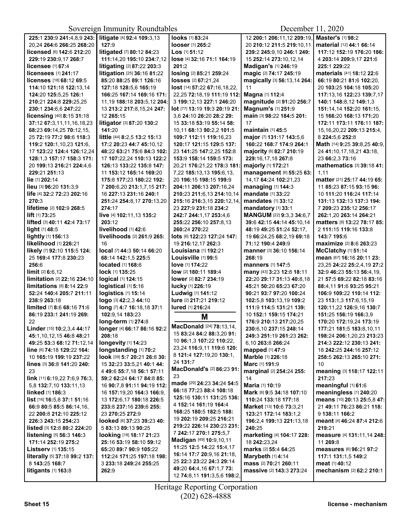| 225:1 230:9 241:4,8,9 243:    | litigate [4] 92:4 109:3,13   | looks [1] 83:24               | 12 200:1 206:11.12 209:19.  | Master's [1] 98:2              |
|-------------------------------|------------------------------|-------------------------------|-----------------------------|--------------------------------|
| 20,24 264:6 266:25 268:20     | 127:9                        | looser [1] 265:2              | 20 210:12 211:5 219:10,11   | material [12] 44:1 66:14       |
| licensed [6] 142:6 212:20     | litigated [7] 80:12 84:23    | Los [1] 51:12                 | 239:2 245:9,10 246:1 249:   | 117:12 152:19 176:20 186:      |
| 229:19 230:9,17 268:7         | 111:14,20 195:10 234:7,12    | lose [4] 32:16 71:1 164:19    | 15 252:14 273:10,12,14      | 4 203:14 209:9,17 221:6        |
| licensee [1] 67:4             | litigating [2] 87:22 203:3   | 201:2                         | Madigan's [1] 246:19        | 225:1 229:22                   |
| licensees [1] 241:17          | litigation [25] 36:16 81:22  | losing [2] 85:21 259:24       | magic [2] 74:17 245:19      | materials [41] 18:12 22:6      |
| licenses [18] 68:12 69:5      | 85:20 88:25 89:1 126:16      | <b>losses</b> [2] 67:21,24    | magically [3] 56:13,14 264: | 66:19 80:21 81:6 102:20.       |
| 114:10 121:18 122:13,14       | 127:18 128:5,6 165:19        | lost [14] 57:22 67:16,18,22,  | 11                          | 20 103:25 104:18 105:20        |
| 124:20 125:5,25 126:1         | 166:25 167:14 169:16 171:    | 22,25 72:18,19 111:19 112:    | Magna [1] 112:4             | 117:13,16 122:23 139:7,17      |
| 210:21 224:8 229:25.25        | 11.19 188:18 203:5.12 204:   | 3 199:12,13 227:1 246:20      | magnitude [2] 91:20 256:7   | 140:1 148:8,12 149:1,3         |
| 230:1 234:6,6 247:22          | 13 213:2 217:8,15,24 247:    | lot [77] 13:19 19:3 20:19 21: | Magnum's [1] 251:9          | 151:14.14 152:20 161:15.       |
| licensing [40] 8:15 31:18     | 12 265:15                    | 3.6 24:10 26:20 28:2 29:      | main [3] 98:22 184:5 201:   | 15 166:20 168:13 171:20        |
| 37:12 67:3,11,11,16,18,23     | litigator [3] 87:20 130:2    | 15 33:18 53:19 55:14 58:      | 17                          | 172:11 173:11 176:11 187:      |
| 68:23 69:14,25 70:12,15,      | 141:20                       | 10.11 68:13 90:2.2 101:5      | <b>maintain</b> [1] 45:5    | 15, 16, 20, 22 209: 13 215: 4, |
| 25 72:19 77:2 98:6 118:3      | little [44] 8:2,5 13:2 15:13 | 109:7 112:11 119:16,23        | major [7] 131:17 143:5,6    | 8 224:5,6 252:8                |
| 119:2 120:1,10,23 121:6,      | 17:2 20:23 44:7 45:10,12     | 120:17 121:15 129:5 137:      | 160:22 168:7 174:9 264:1    | Math [14] 9:25 39:8,25 40:9,   |
| 17 123:22 124:4 126:12,24     | 48:22 63:21 75:6 84:3 102:   | 23 141:25 147:2,25 152:8      | majority [6] 82:7 210:19    | 24 41:10,17,18,21 43:18,       |
| 128:1,3 157:17 158:3 171:     | 17 107:22,24 110:13 122:2    | 153:9 158:14 159:5 173:       | 229:16.17.18 267:8          | 23 66:2,3 73:16                |
| 20 199:13 216:21 224:4,6      | 126:13 133:22 135:8 147:     | 20,21 176:21,22 178:3 181:    | majorly [1] 172:21          | mathematics [3] 39:18 41:      |
| 229:21 251:13                 | 11 153:12 165:14 169:20      | 7,22 185:13,13 195:6,13,      | management [6] 55:25 63:    | 1,11                           |
| lie [1] 202:14                | 175:8 177:23 180:22 192:     | 20 196:15 198:15 199:9        | 14,17 64:24 102:21,23       | matter [21] 25:17 44:19 65:    |
| lieu [3] 96:20 131:3,9        | 7 200:6,20 213:1,7,15 217:   | 204:11 206:13 207:16,24       | managing [1] 144:3          | 11 85:23 87:15 93:15 96:       |
| life [4] 32:2 72:23 202:16    | 16 227:13 231:16 240:1       | 210:23 211:6.13 214:10.14     | mandate [1] 33:22           | 10 111:20 116:24 117:14        |
| 270:3                         | 251:24 254:8,17 270:13,20    | 215:16 216:3.15 220:12.14.    | mandates [1] 33:12          | 131:13 132:13 137:3 194:       |
| lifetime [2] 102:9 268:5      | 274:17                       | 23 227:9 231:18 234:2         | mandatory [1] 33:1          | 7 209:23 235:12 256:17         |
| $lift$ [1] $73:25$            | live [4] 102:11,13 135:2     | 242:7 244:1,17 253:4,6        | MANGUM [22] 9:3,3 34:6,7    | 262:1.20 263:14 264:21         |
| lifted [3] 40:11 42:4 73:17   | 203:12                       | 255:22 256:10 257:8,13        | 39:6 42:15 44:14 45:10,14   | matters [8] 13:22 78:17 85:    |
| light [1] 48:5                | livelihood [1] 42:6          | 260:24 270:22                 | 48:19 49:25 51:24 52:17,    | 2 111:15 119:16 133:8          |
| lightly [1] 156:13            | livelihoods [2] 261:9 265:   | lots [6] 122:23 127:24 147:   | 19 66:24,25 68:2,19 69:18   | 143:7 195:6                    |
| likelihood [1] 226:21         | 16                           | 19 216:12,17 262:3            | 71:12 190:4 249:9           | maximize [2] 8:6 263:23        |
| likely [7] 92:10 115:5 124:   | local [7] 44:3 50:14 66:20   | Louisiana [1] 192:21          | manner [3] 36:10 156:14     | McClatchy [1] 51:14            |
| 25 169:4 177:8 230:23         | 68:14 142:1,5 225:5          | Louisville [1] 99:5           | 268:19                      | mean [67] 16:16 20:11 23:      |
| 256:6                         | located [1] 168:6            | love [1] 174:22               | <b>manners</b> [1] 147:5    | 23,25 24:22 25:2,4,19 27:2     |
| limit [2] 6:6,12              | lock [1] 135:25              | low [2] 180:11 189:4          | many [43] 3:23 12:8 18:11   | 32:9 46:23 55:13 56:4,19,      |
| limitation [2] 22:16 234:10   | logical [1] 124:15           | lower [2] 82:7 234:19         | 22:20 29:17 31:13 40:8,18   | 21 57:5 69:22 82:18 83:16      |
| limitations [8] 8:14 22:9     | logistical [1] 5:16          | lucky [1] 226:19              | 45:21 50:20 65:23 67:20     | 88:4,11 91:6 93:25 95:21       |
| 52:24 140:4 205:7 211:11      | logistics [1] 15:14          | Ludwig [1] 141:12             | 90:21 93:7 97:20 100:24     | 106:9 109:22 110:14 112:       |
| 238:9 263:18                  | logo [3] 42:2,3 44:10        | lure [2] 217:21 219:12        | 102:5,8 103:13,19 109:2     | 23 113:1,3 117:6,15,19         |
| limited [7] 8:6 68:16 71:6    | long [7] 4:7 16:18,18 37:1   | lured [1] 216:24              | 111:9 114:5 131:21 139:     | 120:11,22 126:9,16 130:7       |
| 86:19 233:1 241:19 269:       | 102:9.14 183:23              |                               | 10 152:1 159:15 174:21      | 151:25 156:19 166:3,9          |
| 22                            | long-term [1] 274:8          | M                             | 176:9 210:13 217:20,25      | 170:20 172:19,24 173:19        |
| Linder [15] 10:2,3,4 44:17    | longer [4] 66:17 86:16 92:2  | MacDonald [24] 78:13,14,      | 230:6.10 237:15 248:14      | 177:21 181:5 183:8,10,11       |
| 45:1,10,12,15 46:8 48:21      | 208:18                       | 15 83:24 84:2 88:3,20 91:     | 249:3 251:19 261:23 262:    | 198:24 206:1,20,23 213:23      |
| 49:25 53:3 68:12 71:12.14     | longevity [1] 14:23          | 10 96:1,3 107:22 110:22,      | 6,10 263:8 266:24           | 214:3 222:12 230:13 241:       |
| line [6] 74:18 129:22 164:    | longstanding [1] 70:2        | 23,24 116:9,11 119:6 120:     | <b>mapped</b> [1] 47:9      | 18 242:25 244:16 257:12        |
| 10 165:19 199:19 237:22       | look [39] 5:7 20:21 26:8 30: | 8 121:4 127:19,20 130:1,      | Marble [1] 226:18           | 258:5 262:13 265:10 271:       |
| lines [3] 36:8 141:20 240:    | 15 32:23 33:5,21 40:1 44:    | 24 131:7                      | Marc [1] 191:9              | 10                             |
| 23                            | 4 49:6 55:7,18 56:1 57:11    | MacDonald's [2] 86:23 91:     | marginal [2] 254:24 255:    | meaning [3] 118:17 122:11      |
| link [11] 6:19,22 7:6,9 76:3, | 59:2 62:24 64:17 84:8 85:    | 23                            | 14                          | 217:23                         |
| 5,8 132:7,10 133:11,13        | 16 90:7,8 91:11 94:19 112:   | made [29] 24:23 34:24 54:5    | Maria [1] 10:19             | meaningful [1] 61:6            |
| linked [1] 186:3              | 16 157:19,20 164:3 166:9,    | 66:18 77:23 88:4 108:18       | Mark [6] 9:5 34:18 107:10   | meaningless [1] 240:20         |
| list [16] 16:5,8 37:1 51:16   | 13 172:6,17 180:18 226:5     | 125:16 130:11 131:25 136:     | 110:24 133:18 177:18        | means [10] 20:13 25:5,8 47:    |
| 66:9 80:5 85:5 86:14,16,      | 233:8 237:16 239:6 255:      | 4 152:14 161:19 164:4         | Market [13] 10:6 73:3,21    | 21 49:11 76:23 86:21 118:      |
| 22 200:8 212:10 225:12        | 23 270:25 272:9              | 168:25 180:5 182:5 188:       | 123:21 172:14 183:1,2       | 9 138:11 166:2                 |
| 226:3 243:15 254:23           | looked [6] 37:23 39:23 40:   | 19 202:19 209:25 216:21       | 196:2,4 199:13 221:13,18    | meant [4] 46:24 87:4 212:6     |
| listed [3] 12:8 80:2 224:20   | 5 83:13 89:13 90:25          | 219:22 226:14 230:23 231:     | 240:25                      | 219:21                         |
| listening [5] 56:3 146:3      | looking [18] 18:17 21:23     | 7 242:17 270:1 275:5,7        | marketing [4] 104:17 228:   | measure [4] 131:11,14 248:     |
| 171:14 252:19 275:2           | 25:16 53:19 58:10 59:12      | Madigan [49] 10:9,10,11       | 18 242:23,24                | 11 269:8                       |
| Listserv [1] 135:15           | 65:20 89:7 90:9 105:22       | 11:25 12:5 14:22 15:4,17      | marks [2] 55:4 64:25        | measures [6] 96:21 97:2        |
| literally [5] 37:18 99:2 137: | 112:24 171:25 197:18 198:    | 16:14 17:7 20:9,16 21:18,     | Marybeth [1] 4:14           | 117:1 131:1,5 149:2            |
| 8 143:25 168:7                | 3 233:18 249:24 255:25       | 25 22:3 23:22 24:3 29:14      | mass [2] 70:21 260:11       | <b>meat</b> [1] <b>40:</b> 12  |
| litigants [1] 163:8           | 262:9                        | 49:20 64:4,16 67:1,7 73:      | massive [2] 143:3 273:24    | mechanism [2] 62:2 210:1       |
|                               |                              | 12 74:8,11 191:3,5,6 198:2,   |                             |                                |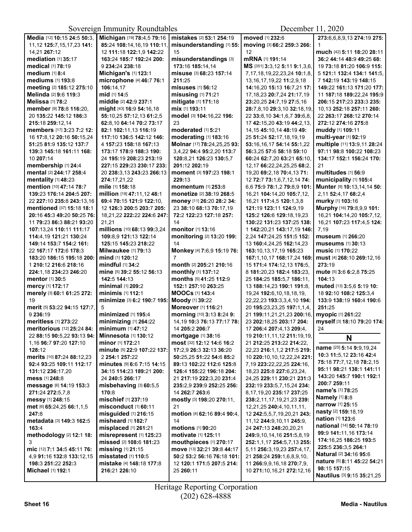Sovereign Immunity Roundtables December 11, 2020

| Media [12] 10:15 24:5 50:3,    | Michigan [19] 78:4,5 79:16        | mistakes [2] 53:1 254:19    | moved [1] 232:6                     | 273:6,6,8,9,13 274:19 275:                             |
|--------------------------------|-----------------------------------|-----------------------------|-------------------------------------|--------------------------------------------------------|
| 11, 12 125: 7, 15, 17, 23 141: | 85:24 108:14,16,19 110:11         | misunderstanding [1] 55:    | moving [3] 66:2 259:3 266:          | 1                                                      |
| 14,21 267:12                   | 12 111:18 122:1,9 142:22          | 15                          | 12                                  | much [42] 5:11 18:20 28:11                             |
| <b>mediation</b> [1] 35:17     | 163:24 185:7 192:24 200:          | misunderstandings [3]       | mRNA [1] 191:14                     | 36:2 44:14 48:9 49:25 68:                              |
| medical [1] 78:19              | 9 234:24 238:18                   | 173:16 185:14.14            | MS [351] 3:3,12 5:11 9:1,3,6,       | 19 73:18 81:20 106:9 115:                              |
| medium [1] 8:4                 | Michigan's [1] 123:1              | misuse [3] 68:23 157:14     | 7, 17, 18, 19, 22, 23, 24 10: 1, 8, | 5 121:1 132:4 134:1 141:5,                             |
| mediums [1] 193:8              | microphone [4] 46:7 76:1          | 211:25                      | 13, 16, 17, 19, 22 11: 2, 9, 18     | 7 142:19 143:19 148:15                                 |
| meeting [2] 185:12 275:10      | 106:14.17                         | misuses [1] 56:12           | 14:16,20 15:13 16:7,21 17:          | 149:22 161:13 171:20 177:                              |
| Melinda [2] 9:6 119:3          | mid [1] 14:5                      | misusing [1] 71:21          | 17, 18, 23 20: 7, 24 21: 17, 19     | 11 187:18 189:22,24 195:9                              |
| Melissa [1] 78:2               | middle [2] 42:9 237:1             | mitigate [1] 171:18         | 23:20,25 24:7,19 27:5,16            | 206:15 217:23 233:3 235:                               |
| member [9] 78:8 116:20,        | might [43] 16:9 54:16,18          | mix [1] 193:11              | 28:7,8,10 29:3,10 32:18,19,         | 10,13 252:18 257:11 260:                               |
| 20 135:22 145:12 186:3         | 55:10,25 57:12,13 61:2,5          | model [3] 104:16,22 196:    | 22 33:8,10 34:1,6,7 39:6,8,         | 22 263:17 268:12 270:14                                |
| 215:18 259:12,14               | 62:8.10 64:14 70:2 73:17          | 23                          | 17 42:15,20 43:19 44:2,13,          | 272:12 274:16 275:8                                    |
| members [17] 3:23 7:2 12:      | 82:1 102:11,13 116:19             | moderated [1] 5:21          | 14, 15 45: 10, 14 48: 19 49:        | muddy [1] 109:11                                       |
| 16 17:8,12 20:16 50:15,24      | 117:10 136:5 142:12 146:          | moderating [1] 183:16       | 25 51:24 52:17,18,19,19             | multi-year [1] 92:19                                   |
| 51:25 81:9 135:12 137:7        | 4 157:23 158:18 167:13            | Molnar [17] 78:24,25,25 93: | 53:16,16,17 54:14 55:1,22           | multiple [11] 13:9,11 28:24                            |
| 139:3 145:18 161:11 168:       | 173:17 178:9 188:3 190:           | 3,4,22 94:4 95:2,20 113:7   | 56:3,25 57:6 58:18 59:10            | 97:11 98:8 100:22 108:23                               |
| 10 207:14                      | 24 195:19 208:23 213:19           | 120:8,21 126:23 130:5,7     | 60:24 62:7,20 63:21 65:10,          | 134:17 152:1 156:24 170:                               |
| membership [1] 24:4            | 227:15 229:23 230:17 233:         | 201:12 202:19               | 12,17 66:22,24,25,25 68:2,          | 21                                                     |
| mental [2] 244:17 258:4        | 20 238:3.13 243:23 266:13         | moment [3] 197:23 198:1     | 19,20 69:2,18 70:4,13 71:           | multitudes [1] 56:9                                    |
| mentality [1] 48:23            | 274:17,21,22                      | 229:13                      | 12 72:7 73:1.6.7.12.14 74:          | municipality [1] 105:4                                 |
| mention [10] 47:14 78:7        | mile [1] 158:18                   | momentum [1] 253:8          | 6,6 75:9 78:1,2 79:8,9 101:         | Munter [9] 10:13,14,14 50:                             |
| 139:23 176:14 204:5 207:       | million [18] 47:11,12 48:1        | monetize [2] 38:19 268:5    | 16,21 104:14,20 105:7,12,           | 2,11 52:4,17 68:2,4                                    |
| 22 227:10 235:8 243:13,16      | 69:4 70:15 121:9 122:10,          | money [11] 26:20 28:2 34:   | 16,21 117:4,5 120:1,3,8             | murky [1] 103:16                                       |
| mentioned [37] 15:18 18:1      | 12 126:3 200:5 203:7 205:         | 23 38:10 68:13 70:17,19     | 121:19 123:11 124:9,19              | Murphy [16] 79:8,9,9 101:                              |
| 20:16 45:3 49:20 50:25 76:     | 18,21,22 222:22 224:6 247:        | 72:2 122:23 127:18 257:     | 125:2 126:6 129:18,19,23            | 16,21 104:14,20 105:7,12,                              |
| 11 79:23 86:3 88:21 93:20      | 21,21                             | 14                          | 130:22 131:23 137:25 138:           | 16,21 107:23 117:4,5 124:                              |
| 107:13,24 110:11 111:17        | millions [10] 68:13 99:3,24       | monitor [1] 13:16           | 1 142:20,21 143:17,19 146:          | 7,19                                                   |
| 114:4,19 121:21 130:24         | 109:8,9 121:13 122:14             | monitoring [2] 13:20 199:   | 2,24 147:24,25 151:5 152:           | museum [1] 266:20                                      |
| 149:14 153:7 154:2 161:        | 125:15 145:23 218:22              | 14                          | 13 160:4,24,25 162:14,23            | <b>museums</b> [1] 30:13                               |
| 22 167:17 172:6 178:3          | <b>Milwaukee</b> [1] <b>79:13</b> | Monkey [4] 7:6,9 15:19 76:  | 163:10,13,17,19 165:23              | <b>music</b> [1] 170:22                                |
| 183:20 186:15 195:18 200:      | mind [1] 120:12                   | 7                           | 167:1,10,17 168:17,24 169:          | must [4] 268:10 269:12,16                              |
| 1 210:12 216:6 218:16          | mindful [1] 34:2                  | month [2] 205:21 210:16     | 15 171:4 174:12,13 176:5,           | 273:19                                                 |
| 224:1,18 234:23 246:20         | mine [5] 39:2 55:12 56:13         | monthly [1] 137:12          | 8 181:20,23 182:4 183:23,           | mute [5] 3:6 6:2,8 75:25                               |
| mentor [1] 30:5                | 142:5 144:13                      | months [5] 41:25 112:9      | 25 184:25 185:5,7 186:11,           | 104:13                                                 |
| mercy [1] 172:17               | minimal [1] 209:2                 | 152:1 257:10 263:25         | 13 188:14,23 190:1 191:8,           | muted [13] 3:5,6 5:19 10:                              |
| merely [3] 60:1 61:25 272:     | minimis [1] 112:1                 | <b>MOOCS [1] 143:4</b>      | 19,24 192:6,10,18,18,19,            | 18 92:10 108:2 125:3,4                                 |
| 19                             | minimize [3] 6:2 190:7 195:       | Moody [1] 39:22             | 22, 22, 23 193: 3, 3, 4, 10 194:    | 133:9 138:19 160:4 190:6                               |
| merit [5] 53:22 94:15 127:7,   | 5                                 | Moreover [1] 116:21         | 20 195:23,23,25 197:1,1,4,          | 251:25                                                 |
| 9 236:19                       | minimized [1] 195:4               | morning [10] 3:13 8:24 9:   | 21 199:11,21,21,23 200:16,          | myopic [1] 261:22                                      |
| meritless [1] 273:22           | minimizing [1] 264:22             | 14, 19 10:3 76:13 77:17 78: | 23 202:18,25 203:17 204:            | myself [3] 18:10 79:20 174:                            |
| meritorious [12] 25:24 84:     | minimum [1] 47:12                 | 14 205:2 206:7              | 17 206:4 207:4,13 209:4,            | 24                                                     |
| 22 88:15 90:5,22 93:13 94:     | <b>Minnesota [1] 130:12</b>       | mortgage [1] 38:16          | 19 210:11,11,12 211:19,19,          | N                                                      |
| 1,16 96:7 97:20 127:10         | minor [1] 172:21                  | most [32] 12:12 14:6 16:2   | 21 212:25 213:22 214:22.            |                                                        |
| 128:12                         | minute [5] 22:9 107:22 137:       | 17:2,9 26:3 32:13 36:20     | 22,23 216:1,1,2 217:5 219:          | name [25] 5:14 9:9,19,24                               |
| merits [10] 87:24 88:12,23     | 2 254:1 257:22                    | 50:25,25 51:22 54:6 85:2    | 10 220:10,10,12,22,24 221:          | 10:3 11:5,12 23:16 42:4                                |
| 92:4 93:25 109:11 112:17       | minutes [9] 6:6 7:15 14:15        | 89:13 102:22 112:6 125:8    | 7,19 223:22,22,25 224:16,           | 75:18 77:7,12,18 78:2,15                               |
| 131:12 236:17,20               | 34:15 114:23 189:21 200:          | 126:4 155:22 196:18 204:    | 18,23 225:8 227:6,23,24,            | 95:11 98:21 138:1 141:11                               |
| mess [1] 248:8                 | 24 240:5 266:17                   | 21 217:19 222:3,20 231:4    | 24,25 229:11 230:21 231:3           | 143:20 145:7 190:1 192:1                               |
| message [6] 14:19 153:3        | misbehaving [3] 60:5,5            | 235:2.9 239:9 252:25 256:   | 232:19 233:5,7,15,24 234:           | 200:7 259:11                                           |
| 271:24 272:5,7,8               | 170:8                             | 14 262:7 263:6              | 8,17,19,20 235:17 237:25            | name's [1] 78:25                                       |
| messy [1] 248:15               | mischief [1] 237:19               | mostly [3] 198:20 270:11,   | 238:2,11,17,19,21,23 239:           | Namely [1] 8:8<br>narrow [1] 25:15                     |
| met [6] 65:24,25 66:1,1,5      | misconduct [1] 60:11              | 21                          | 12,21,25 240:4,10,11,11,            |                                                        |
| 247:8                          | misguided [1] 216:15              | motion [4] 62:16 89:4 90:4, | 12 242:5,5,7,19,20,21 243:          | nasty [2] 159:18,19<br><b>nation</b> [1] <b>123:</b> 6 |
| metadata [3] 149:3 162:5       | misheard [1] 182:7                | 14                          | 11,12 244:9,10,11 245:9,            | <b>national</b> [14] <b>50:14 78:19</b>                |
| 163:4                          | misplaced [1] 261:21              | motions [1] 90:20           | 24 247:13 248:20,20,21              |                                                        |
| methodology [2] 12:1 18:       | misrepresent [1] 125:23           | motivate [1] 125:11         | 249:9,10,14,16 251:5,8,19           | 99:9 141:11,16 173:14<br>174:16,25 186:25 193:5        |
| 3                              | missed [2] 108:6 181:23           | mouthpieces [1] 270:17      | 252:1,1,17 254:5,7,13 255:          | 225:5 236:3,5 264:1                                    |
| mic [12] 7:1 34:5 45:11 76:    | missing [1] 21:15                 | move [13] 32:21 39:8 44:17  | 5,11 256:3,19,23 257:4,17,          | <b>Natural [2] 34:16 95:6</b>                          |
| 4,9 91:16 132:8 133:12,15      | misstated [1] 110:5               | 50:2 53:2 56:16 76:18 101:  | 21 258:24 259:1,6,8,9,10,           | nature [5] 8:11 45:22 54:21                            |
| 198:3 251:22 252:3             | mistake [4] 148:18 177:8          | 12 120:1 171:5 207:5 214:   | 11 266:9,9,16,18 270:7,9,           | 98:15 157:15                                           |
| Michael [1] 192:1              | 216:21 226:10                     | 25 260:11                   | 10 271:10,16,21 272:12,16           | Nautilus [3] 9:15 35:21,25                             |
|                                |                                   |                             |                                     |                                                        |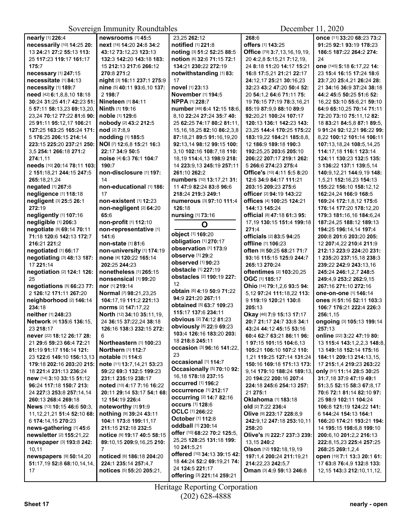Sovereign Immunity Roundtables

December 11, 2020

| nearly [1] 226:4                                | <b>newsrooms</b> [1] 45:5               | 23,25 262:12                                  | 268:6                                                    | once [11] 33:20 68:23 73:2                           |
|-------------------------------------------------|-----------------------------------------|-----------------------------------------------|----------------------------------------------------------|------------------------------------------------------|
| necessarily [10] 14:25 20:                      | next [16] 14:20 24:8 34:2               | notified [1] 221:8                            | offers [1] 143:25                                        | 91:25 92:1 93:19 178:23                              |
| 13 24:21 27:2 55:13 113:                        | 43:12 73:12,23 123:13                   | noting [3] 51:2 52:25 88:5                    | Office [79] 3:7,13,16,19,19,                             | 186:5 187:22 264:2 274:                              |
| 25 117:23 119:17 161:17                         | 132:3 142:20 143:18 183:                | notion [6] 32:6 71:15 72:1                    | 20 4:2.8 5:15.21 7:12.19.                                | 24                                                   |
| 175:7                                           | 15 212:13 217:6 266:12                  | 134:21 230:22 272:19                          | 24 8:18 11:20 14:17 15:21                                | one [145] 5:18 6:17,22 14:                           |
| necessary [1] 247:15                            | 270:8 271:2                             | notwithstanding [1] 83:                       | 16:8 17:5,21 21:21 22:17                                 | 23 15:4 16:15 17:24 18:6                             |
| necessitate [1] 84:13                           | night [3] 16:11 237:1 275:9             | 17                                            | 24:12,17 25:21 30:16,23                                  | 23:7,20 25:4,21 26:24 28:                            |
| necessity [1] 189:7                             | nine [5] 40:11 93:6,10 137:             | novel [1] 23:13                               | 32:23 43:2 47:20 50:4 52:                                | 21 34:16 36:9 37:24 38:18                            |
| need [42] 6:1,8,8,10 18:18                      | 2 198:7                                 | November [1] 194:5                            | 20 54:1,2 64:6 71:11 75:                                 | 44:2 45:5 50:25 51:6 52:                             |
| 30:24 31:25 41:7 42:23 51:                      | <b>Nineteen</b> [1] 84:11               | <b>NPPA [1] 228:7</b>                         | 19 76:15 77:19 78:3,16,21                                | 16,22 53:10 55:6,21 59:10                            |
| 5 57:11 58:13.23 69:13.20.                      | Ninth [1] 19:16                         | number [48] 6:4 12:15 18:6,                   | 85:19 87:9.9 88:10 89:9                                  | 64:9 65:10,25 70:14 71:11                            |
| 23,24 70:12 77:22 81:6 90:                      | <b>noble</b> [1] <b>129:</b> 6          | 8.10 22:24 27:24 35:7 40:                     | 92:20.21 100:24 107:17                                   | 72:20 73:10 75:11,12 82:                             |
| 25 91:11 95:12,17 106:21                        | nobody [2] 43:2 212:5                   | 25 62:25 74:17 80:2 81:11,                    | 120:13 136:1 142:23 143:                                 | 18 83:21 84:5.8 87:1 89:5.                           |
| 127:25 163:25 165:24 171:                       | nod [2] 7:8.9                           | 15, 16, 18, 25 82: 10 86: 2, 3, 8             | 23,25 144:4 170:25 175:22                                | 9 91:24 92:12.21 96:22 99:                           |
| 5 176:25 206:15 214:14                          | nodding [1] 185:5                       | 87:18,21 89:5 91:16,19,20                     | 183:19,22 184:21 185:8,8,                                | 8,22 100:12 101:14 106:11                            |
| 223:15 225:20 237:21 250:                       | NOI [7] 12:6,8 15:21 16:3               | 92:13,14 98:12 99:15 100:                     | 12 186:9 189:18 190:3                                    | 107:13,18,24 108:5,14,25                             |
| 3,5 254:1 266:18 271:2                          | 22:17 34:9 50:5                         | 3,10 102:16 108:7,18 110:                     | 192:25,25 203:6 205:10                                   | 114:17,18 116:1 123:14                               |
| 274:1.11<br>needs [10] 20:14 78:11 103:         | noise [4] 6:3 76:1 104:7<br>190:7       | 18, 19 114: 4, 13 198: 9 218:                 | 206:22 207:17 219:1 262:                                 | 124:11 130:23 132:5 135:                             |
| 2 151:18,21 244:15 247:5                        | non-disclosure [1] 197:                 | 14 223:9,13 245:19 257:11<br>261:10 262:2     | 5 266:6 274:23 275:4<br>Office's [10] 4:11 5:5 8:20      | 3 136:22 137:1 139:5,14<br>140:9,12,21 144:9,19 148: |
| 265:18,21,24                                    | 14                                      | numbers [10] 13:17,21 31:                     | 12:6 34:9 84:17 111:21                                   | 1,5,21 152:16,23 154:13                              |
| negated [1] 267:6                               | non-educational [1] 186:                | 11 47:9 82:24 83:8 96:6                       | 203:15 209:23 275:6                                      | 155:22 156:10 158:12,12                              |
| negligence [1] 118:18                           | 17                                      | 218:24 219:3 249:1                            | officer [2] 94:19 143:22                                 | 162:24,24 166:9 168:5                                |
| negligent [3] 25:5 26:1                         | non-existent [1] 12:23                  | numerous [3] 97:10 111:4                      | offices [4] 100:25 124:21                                | 169:24 172:1,8,12 175:6                              |
| 272:19                                          | non-negligent [2] 64:20                 | 126:18                                        | 144:13 145:24                                            | 176:14 177:20 178:12,20                              |
| negligently [1] 107:16                          | 65:6                                    | nursing [1] 73:16                             | official [8] 47:18 61:3 95:                              | 179:3 181:16,16 184:6,24                             |
| negligible [1] 206:3                            | non-profit [1] 112:10                   | O                                             | 17,19 130:15 151:4 199:18                                | 187:24,25 188:12 189:13                              |
| negotiate [8] 69:14 70:11                       | non-representative [1]                  |                                               | 271:4                                                    | 194:25 196:14,14 197:4                               |
| 71:18 120:6 142:13 172:7                        | 141:6                                   | object [1] 169:20                             | officials [2] 83:5 94:25                                 | 200:8 201:6 203:20 205:                              |
| 216:21 221:2                                    | non-state [1] 81:6                      | obligation [1] 270:17                         | offline [1] 106:23                                       | 12 207:4,22 210:4 211:9                              |
| negotiated [1] 66:17                            | non-university [1] 174:19               | observation [1] 173:9<br>observe [1] 29:2     | often [9] 50:25 68:21 71:7                               | 212:13 223:9 224:20 231:                             |
| negotiating [3] 48:13 187:                      | none [4] 120:22 165:14                  | observed [1] 90:23                            | 93:16 115:15 125:9 244:7                                 | 1 235:20 237:15,18 238:3                             |
| 17 221:14                                       | 202:25 244:23                           | obstacle [1] 227:19                           | 265:13 270:24                                            | 239:22 242:9 243:13.16                               |
| negotiation [2] 124:1 126:                      | nonetheless [1] 265:15                  | obstacles [2] 190:19 227:                     | oftentimes [2] 103:20,25                                 | 245:24 246:1,2,7 248:5                               |
| 25<br>negotiations [5] 66:23 77:                | nonsensical [1] 99:20<br>nor [1] 219:14 | 12                                            | OGC [1] 185:17                                           | 249:4,9 253:2 262:9,15<br>267:16 271:10 272:16       |
| 2 126:12 171:11 267:20                          | Normal [7] 98:21,23,25                  | obtain [6] 4:19 50:9 71:22                    | Ohio [14] 79:1,2,6 93:5 94:<br>5,12 97:24 111:18,22 113: | one-on-one [1] 146:14                                |
| neighborhood [2] 146:14                         | 104:17,19 111:2 221:13                  | 94:9 221:20 267:11                            | 9 119:19 120:21 130:8                                    |                                                      |
| 234:18                                          | norms [2] 147:17,22                     | obtained [5] 63:7 109:23                      | 205:13                                                   | 106:7 176:21 222:4 226:3                             |
| neither [1] 248:23                              | North [12] 34:10 35:11,19,              | 115:17 137:6 234:11                           | Okay [46] 7:9 15:13 17:17                                | 256:1.15                                             |
| Network [4] 135:6 136:15,                       | 24 36:15 37:22,24 38:18                 | obvious [2] 74:12 81:23                       | 20:7 21:17 24:7 33:8 34:1                                | ongoing [3] 105:13 199:14                            |
| 23 218:17                                       | 126:16 138:3 232:15 272:                | <b>obviously</b> [8] 22:9 69:23               | 43:24 44:12 45:15 53:16                                  | 257:13                                               |
| never [22] 18:12 26:17 28:                      |                                         | 103:4 126:16 183:20 203:                      | 60:4 62:7 63:21 86:11 96:                                | online [22] 3:22 47:19 80:                           |
| 21 29:6 59:23 66:4 72:21                        | Northeastern [1] 100:23                 | 18 218:8 245:11                               | 1 97:15 101:15 104:6,13                                  | 13 115:4 143:1,2,2,3 148:8,                          |
| 81:19 91:17 116:14 121:                         | Northern [1] 112:7                      | occasion [3] 96:16 141:22,                    | 105:21 106:10 107:2 110:                                 | 13 149:18 152:14 175:16                              |
| 23 122:6 149:10 156:13,13                       | notable [1] 114:6                       | 23<br><b>occasional</b> [1] 114:7             | 1,21 119:25 127:14 131:24                                | 184:11 209:13 214:13,15,                             |
| 179:18 202:16 203:20 215:                       | note [11] 13:7,14,21 53:23              | Occasionally [5] 70:10 92:                    | 150:16 169:18 171:13 173:                                | 17 215:1,4 219:23 263:22                             |
| 18 221:4 231:13 236:24                          | 59:22 69:3 132:5 199:23                 | 16, 18 178: 18 237: 15                        | 9,14 179:10 188:24 189:13,                               | only [51] 11:14 28:5 30:25                           |
| new [14] 3:10 33:15 51:12                       | 231:1 235:19 238:17                     | occurred [1] 196:2                            | 20 194:22 200:16 207:4                                   | 31:7,18 37:9 47:19 49:1                              |
| 96:24 117:18 150:7 213:                         | noted [10] 4:17 7:16 16:22              | occurrence [1] 212:17                         | 224:18 245:6 254:13 257:                                 | 51:3,5 52:15 58:3 67:8,17                            |
| 24 227:3 253:8 257:14,14<br>260:13 268:4 269:18 | 20:11 29:14 53:17 54:1 68:              | <b>occurring [2] 14:7 82:16</b>               | 21 275:1<br><b>Oklahoma</b> [1] 183:18                   | 70:6 72:1 81:14 82:10 97:                            |
| News [13] 10:15 46:6 50:3.                      | 12 154:19 226:4<br>noteworthy [1] 91:9  | <b>occurs</b> [1] 128:6                       | old [2] 7:22 236:4                                       | 25 98:9 102:11 104:24<br>106:8 121:19 124:22 141:    |
| 11, 12, 21, 21 51: 4 52: 10 68:                 | nothing [9] 39:24 43:11                 | <b>OCLC</b> [1] 266:22                        | Olive [9] 223:17 228:8,9                                 | 6 144:24 154:13 164:1                                |
| 6 174:14,15 270:23                              | 104:1 173:8 199:11,17                   | October [1] 112:8                             | 242:9,12 247:18 253:10,11                                | 166:20 174:21 193:21 194:                            |
| news-gathering [1] 45:6                         | 211:15 212:18 232:5                     | oddball [1] 230:14                            | 258:20                                                   | 14 195:15 198:6,8 199:10                             |
| newsletter [2] 155:21,22                        | notice [9] 19:17 40:5 58:15             | offer [10] 68:22 70:2 125:5,                  | Olive's [5] 222:7 237:3 239:                             | 200:6,10 201:2,2 216:13                              |
| newspaper [3] 193:8 242:                        | 89:10,15 209:9,16,25 210:               | 25,25 128:25 131:18 199:                      | 13,15 240:2                                              | 222:8, 15, 23 225:4 257: 25                          |
|                                                 |                                         |                                               |                                                          |                                                      |
| 10,11                                           | 7                                       | 10 241:5,21                                   | Olson [12] 192:18,19,19                                  | 268:25 269:1,2,4                                     |
| <b>newspapers</b> [9] 50:14,20                  | <b>noticed</b> [6] 186:18 204:20        | offered [10] 34:13 39:15 42:                  | 197:1,4 200:24 211:19,21                                 | open [19] 7:1 13:3 20:1 61:                          |
| 51:17,19 52:8 68:10,14,14,                      | 224:1 235:14 257:4,7                    | 18 44:24 52:2 69:19,21 74:                    | 214:22,23 242:5,7                                        | 17 63:8 76:4,9 132:8 133:                            |
| 17                                              | notices [5] 55:20 205:21,               | 24 124:5 221:17<br>offering [3] 221:14 259:21 | Oman [3] 4:9 59:13 246:8                                 | 12,15 <b>143:3 212:</b> 10,11,12,                    |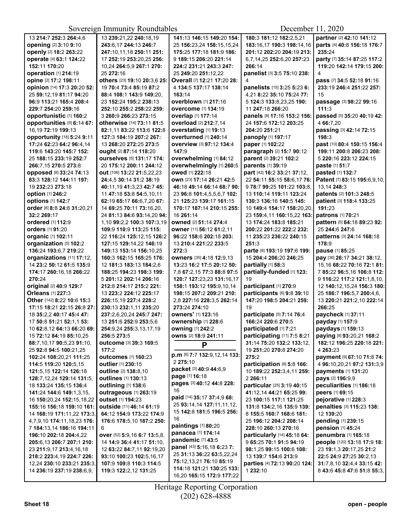|                                | $50$ vereign minimum v roundmores        |                              | DUUUHUU 11, $2020$           |                                                           |
|--------------------------------|------------------------------------------|------------------------------|------------------------------|-----------------------------------------------------------|
| 13 214:7 252:3 264:4,6         | 13 239:21,22 240:18,19                   | 141:13 146:15 149:20 154:    | 180:3 181:12 182:2,5,21      | partner [2] 42:10 141:12                                  |
| opening [2] 3:10 9:10          | 243:6,17 244:13 246:7                    | 25 156:23,24 158:15,15,24    | 183:16,17 190:3 198:14,16    | parts [4] 40:8 156:18 176:7                               |
| openly [2] 18:2 263:22         | 247:10,11,18 250:11 251:                 | 175:25 177:18 181:9 186:     | 201:12 202:20 204:19 213:    | 235:24                                                    |
| operate [4] 63:1 124:22        | 17 252:19 253:20,25 256:                 | 9 189:15 206:20 221:14       | 6,7,14,25 252:6,20 257:23    | party [7] 35:14 87:25 117:2                               |
| 152:11 170:20                  | 10,24 264:5,9 267:1 270:                 | 224:2 231:21 243:3 247:      | 266:14                       | 119:20 142:14 179:15 200:                                 |
| operation [1] 214:19           | 25 272:16                                | 25 249:20 251:12,22          | panelist [3] 3:5 75:10 238:  | 4                                                         |
| opine [2] 17:2 198:11          | others [23] 19:10 20:3,6 25:             | Overall [7] 12:21 17:20 28:  | 4                            | pass [7] 34:5 52:18 91:16                                 |
| opinion [14] 17:3 20:20 52:    | 19 70:4 73:4 85:19 87:2                  | 4 134:5 137:17 138:14        | panelists [15] 3:25 5:23 6:  | 233:19 246:4 251:22 257:                                  |
| 25 59:12,19 81:17 94:20        | 88:4 108:1 143:9 149:20,                 | 163:14                       | 4,21 8:22 35:10 75:24 77:    | 15                                                        |
| 96:9 113:21 165:4 208:4        | 23 152:24 195:2 238:13                   | overblown [1] 217:16         | 5 124:3 133:8,23,25 190:     | passage [3] 98:22 99:16                                   |
| 229:7 254:20 259:16            | 252:10 255:2 258:22 259:                 | overcome [1] 134:19          | 11 247:18 266:20             | 111:3                                                     |
| <b>opportunistic [1] 160:2</b> | 3 260:9 266:23 273:15                    | overlap [1] 177:14           | panels [8] 17:16 153:2 156:  | passed [5] 35:20 40:19 42:                                |
| opportunities [5] 6:14 67:     | <b>otherwise</b> [14] <b>73:11 81:</b> 5 | overload [2] 212:7,14        | 24 157:6 172:12 203:25       | 4 66:7,20                                                 |
| 16, 19 72: 19 199: 13          | 82:1,11 83:22 113:6 122:8                | overstating [1] 19:13        | 204:20 251:21                | passing [3] 42:14 72:15                                   |
| opportunity [18] 5:24 9:11     | 127:3 184:19 207:2 267:                  | overturned [1] 240:14        | panoply [1] 197:17           | 198:3                                                     |
| 17:24 62:23 64:2 96:4.14       | 13 268:20 272:25 273:5                   | overview [3] 97:12 134:4     | paper [1] 102:22             | past [10] 80:4 150:15 156:4                               |
| 119:6 143:20 145:7 152:        | ought [2] 87:14 118:20                   | 147:9                        | paragraph [2] 15:7 90:12     | 199:11 200:8 206:23 208:                                  |
| 25 188:15 233:19 252:7         | ourselves [5] 131:17 174:                | overwhelming [1] 84:12       | parent [2] 39:21 102:2       | 5 220:16 223:12 224:15                                    |
| 266:7.15 270:5 273:8           | 20 175:12 200:11 244:12                  | overwhelmingly [1] 260:5     | parents [1] 39:19            | paste [1] 51:7                                            |
| <b>opposed</b> [8] 33:24 74:13 | out [106] 13:22 21:5,22,23               | owed [1] 222:18              | part [42] 16:2 33:21 37:12,  | pasted [1] 132:7                                          |
| 83:3 128:12 144:11 197:        | 24:4,5 30:14 31:2 38:19                  | own [23] 17:14 26:21 42:5    | 22 54:11 55:15 58:6,17 76:   | Patent [7] 83:15 195:6,9,10,                              |
| 19 232:23 273:18               | 40:11,19 41:3,23 42:7 45:                | 46:18 49:14 66:14 68:7 90:   | 9 78:7 99:25 101:22 103:8    | 13,14 248:3                                               |
| option [1] 246:2               | 11 47:18 53:8 54:5,10,11                 | 23 96:8 101:4,5,5,6,7 102:   | 13 110:14 119:11 123:24      | patents [2] 101:3 248:5                                   |
| options [1] 142:7              | 62:19 65:17 66:6,7,20 67:                | 21 125:23 139:17 161:15      | 130:3 136:16 140:5 145:      | patient [3] 118:4 133:25                                  |
| order [6] 8:8 24:8 31:20,21    | 14 69:25 70:11 73:16,20,                 | 170:17 187:14 210:15 255:    | 10 149:4 154:17 158:20.20.   | 191:23                                                    |
| 32:2 269:17                    | 24 81:13 84:6 93:14,20 94:               | 16 261:14                    | 23 159:4,11 160:15,22 163:   | patrons [1] 70:21                                         |
| ordered [1] 112:9              | 1,10 99:2,2 100:3 107:3,19               | owned [2] 51:14 274:4        | 13 174:24 183:8 185:21       | pattern [5] 64:18 89:23 92:                               |
| orders [1] 91:20               | 109:9 110:9 113:25 115:                  | owner [11] 56:12 61:2,11     | 200:22 201:22 222:2 232:     | 25 244:6 247:6                                            |
| organic [1] 102:11             | 22 116:24 125:12,15 126:2                | 96:22 158:6 202:18 203:      | 11 235:23 236:22 240:15      | patterns [3] 24:14 168:18                                 |
| organization [5] 102:2         | 127:15 129:14,22 146:19                  | 13 210:4 221:22 233:5        | 251:3                        | 178:9                                                     |
| 136:24 193:6,7 219:22          | 149:13 153:14 156:10,25                  | 272:3                        | parte [6] 193:19 197:6 199:  | pause [1] 85:25                                           |
| organizations [11] 17:12,      | 160:3 162:15 165:25 176:                 | owners [35] 4:18 12:9,13     | 15 204:4 206:20 246:25       | pay [36] 26:17 34:21 38:12,                               |
| 14 23:2 50:12 61:5 135:9       | 12 181:3 183:13 184:2,6                  | 13:23 16:2 17:5 20:12 50:    | partially [1] 58:3           | 15,16 68:22 70:16 72:1 81:                                |
| 174:17 260:16,18 266:22        | 188:25 194:23 198:3 199:                 | 7,8 67:2,15 77:3 88:8 97:5   | partially-funded [1] 123:    | 7 85:22 96:5,16 106:8 112:                                |
| 270:24                         | 5 201:12 202:14 206:16                   | 120:7 127:23,23 131:16,17    | 19                           | 9 116:22 117:2 121:1,8,10,                                |
| original [2] 40:9 129:7        | 212:8 214:17 215:2 221:                  | 158:1 193:12 195:9,10,14     | participant [1] 270:9        | 12 140:12,15,24 156:3 180:                                |
| Orleans [1] 227:3              | 13 223:2 224:12 225:17                   | 198:15 207:2 209:21 210:     | participants [6] 9:8 39:10   | 25 186:7 196:5.7 200:4.6.                                 |
| Other [142] 8:22 10:6 15:3     | 226:15,19 227:4 228:2                    | 2,8 227:16 228:3,5 262:14    | 147:20 198:5 204:21 259:     | 13 220:21 221:2,10 222:14                                 |
| 17:15 18:21 22:15 26:8 27:     | 230:13 232:1,11 235:20                   | 273:24 274:10                | 19                           | 266:25                                                    |
| 18 35:2.2 40:17 45:4 47:       | 237:2,6,20,24 245:7 247:                 | owners' [1] 123:16           | participate [5] 7:14 76:4    | paycheck [1] 37:11                                        |
| 17 50:8 51:21 52:1,1 53:       | 13 251:6 252:9 253:5,6                   | ownership [1] 228:6          | 166:24 220:6 270:5           | payday [1] 157:9                                          |
| 10 62:8.12 64:13 66:20 69:     | 254:9,24 255:3,13,17,19                  | owning [1] 242:2             | participated [1] 7:21        | paydays [1] 159:13                                        |
| 15 72:12 84:19 85:10,25        | 256:5 273:5                              | owns [2] 18:9 241:11         | participating [11] 7:5 8:21  | paying [8] 93:20,21 168:2                                 |
| 88:7,10,17 90:5,23 91:10,      | Outcome [3] 39:3 169:5                   | P                            | 31:14 75:20 132:2 133:12,    | 182:12 196:25 220:18 221:                                 |
| 25 92:8 94:5 100:21,25         | 177:2                                    | p.m [6] 7:7 132:9,12,14 133: | 19 251:20 270:8 274:20       | 4 263:23                                                  |
| 102:24 108:20,21 111:25        | <b>outcomes</b> [1] 160:23               | 2 275:10                     | 275:2                        | payment [9] 67:10 71:8 74:                                |
| 114:5 119:20 120:5.15          | outlier [1] 230:15                       | packet [3] 40:9 44:6,9       | participation [8] 5:8 166:   | 4 96:10,20,21 97:2 131:3,9                                |
| 121:5,15 122:14 126:18         | outline [2] 138:8.10                     | page [1] 16:18               | 10 189:22 252:3,4,11 259:    | payments [1] 131:20                                       |
| 128:7,12,24 129:14 131:5,      | outlines [1] 130:13                      | pages [3] 40:12 44:8 228:    | 2 266:11                     | pays [2] 196:9,9                                          |
| 18 133:24 135:15 136:4         | <b>outlining [1] 138:6</b>               | 16                           | particular [25] 3:19 40:15   | peculiarities [1] 186:18                                  |
| 141:24 144:6 149:1,3,15,       | outrageous [1] 263:19                    | paid [14] 35:17 37:4,9 68:   | 41:12,14 44:21 65:25 99:     | peers [1] 69:15                                           |
| 16 150:20,24 152:15,18,22      | outset [1] 194:23                        | 25 93:14,14 127:11,11,12,    | 23 100:15 117:1 121:25       | pejorative [1] 228:3                                      |
| 155:16 156:18 159:10 161:      | outside [11] 46:14 61:19                 | 15 142:8 181:5 196:5 256:    | 131:8 134:2,16 135:9 139:    | penalties [3] 115:23 138:                                 |
| 14 168:19 171:11,22 173:3,     | 64:12 154:9 173:22 174:9                 | 16                           | 8 155:5 160:7 168:6 181:     | 12 139:20                                                 |
| 4,7,9,10 174:11,18,23 176:     | 176:6 178:5,10 187:2 250:                | paintings [1] 80:20          | 25 196:12 204:2 208:14       | pending [1] 239:15                                        |
| 7 184:13,14 186:16 194:11      | 6                                        | panacea [1] 174:14           | 228:10 260:13 270:16         | pension [1] 45:24                                         |
| 196:10 202:18 204:4,22         | over [52] 5:9,16 6:7 13:5,8,             | pandemic [1] 43:5            | particularly [14] 45:18 64:  | penumbra [1] 165:18                                       |
| 205:6,13 206:7 207:1 210:      | 14 14:9 36:4 41:17 51:10,                | panel [43] 5:16,18 6:23 7:   | 9 65:25 70:1 91:5 94:19      | people [120] 13:18 17:9 18:                               |
| 23 211:9,17 213:4,16,18        | 12 63:22 84:7,11 92:19,20                | 25 31:13 36:22 63:5,22,24    | 98:1,25 99:15 100:6 108:     | 23 19:1,3 20:17,25 21:2                                   |
| 218:2 223:4,19 224:7 226:      | 93:10 100:23 102:5,16,17                 | 75:12,13,21 76:10 85:19      | 13 139:7 154:6 213:9         | 22:5 24:9 27:25 30:2,13                                   |
| 12,24 230:10 233:21 235:3,     | 107:9 109:8 110:3 114:5                  | 114:18 121:21 130:25 133:    | parties [4] 72:13 90:20 124: | <b>31:</b> 7,8,10 <b>32:</b> 4,4 <b>33:</b> 15 <b>42:</b> |
| 14 236:19 237:19 238:6,9,      | 119:3 122:2,12 131:25                    | 16,20 165:15 172:9 177:22    | 1 232:10                     | 8 43:6 45:8 47:6 51:8 55:3,                               |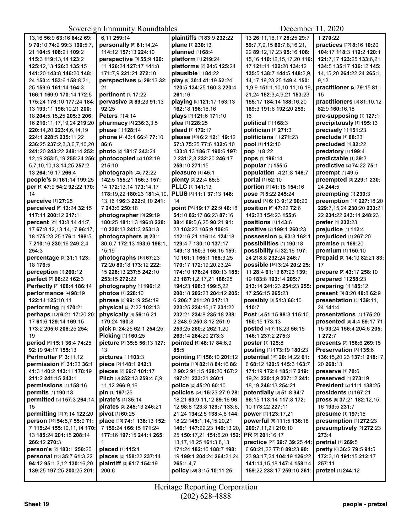Sovereign Immunity Roundtables

December 11, 2020

| 13,16 56:9 63:16 64:2 69:       | 6,11 259:14                 | plaintiffs [2] 83:9 232:22   | 13 26:11, 16, 17 28: 25 29: 7  | 1 270:22                                         |
|---------------------------------|-----------------------------|------------------------------|--------------------------------|--------------------------------------------------|
|                                 |                             |                              |                                |                                                  |
| 970:1074:299:3100:5.7.          | personally [5] 61:14,24     | plane [1] 230:13             | 59:7,7,9,15 60:7,8,16,21,      | practices [22] 8:16 10:20                        |
| 21 104:5 108:21 109:2           | 114:12 157:13 224:10        | planned [1] 68:4             | 22 89:12,17,23 95:16 108:      | 104:17 118:3 119:2 120:1                         |
| 115:3 119:13,14 123:2           | perspective [9] 55:9 120:   | platform [1] 219:24          | 15,16 110:12,15,17,20 116:     | 121:7,17 123:25 133:6,21                         |
| 125:12.13 126:3 135:15          | 11 126:24 127:17 141:8      | platforms [2] 24:6 125:24    | 17 121:11 122:20 134:12        | 134:5 135:17 136:12 145:                         |
| 141:20 143:8 146:20 148:        | 171:7.9 221:21 272:10       | plausible [1] 84:22          | 135:5 138:7 144:5 148:2.9.     | 14, 15, 20 264: 22, 24 265: 1,                   |
| 24 150:4 153:6 158:8,21,        | perspectives [2] 29:13 32:  | play [8] 30:4 41:19 52:24    | 14, 17, 19, 23, 25 149: 4 150: | 9,12                                             |
|                                 |                             |                              |                                |                                                  |
| 25 159:6 161:14 164:3           | 21                          | 120:5 134:25 160:3 220:4     | 1,9,9 151:1,10,10,11,16,19,    | practitioner [2] 79:15 81:                       |
| 166:1 169:9 170:14 172:5        | pertinent [1] 17:22         | 261:16                       | 21,24 152:3,4,9,21 153:23      | 15                                               |
| 175:24 176:10 177:24 184:       | pervasive [3] 89:23 91:13   | playing [5] 121:17 153:13    | 155:17 184:14 188:16,20        | practitioners [5] 81:10,12                       |
| 13 193:11 196:10,21 200:        | 92:25                       | 162:18 196:16,16             | 189:3 191:6 192:20 259:        | 82:9 160:16,18                                   |
| 18 204:5, 15, 25 205:3 206:     | <b>Peters</b> [1] 4:14      | plays [2] 121:6 171:10       | 16                             | pre-supposing [1] 127:1                          |
| 16 216:11,17,19,24 219:20       | pharmacy [3] 236:3,3,5      | plea [1] 228:25              | political [1] 168:3            | precipitously [1] 195:13                         |
| 220:14.20 223:4.6.14.19         | phase [1] 128:14            | plead [1] 172:17             | politician [1] 271:3           | precisely [1] 151:23                             |
|                                 |                             |                              |                                |                                                  |
| 224:1 228:5 235:11,22           | phone [4] 43:4 66:4 77:10   | please [19] 6:2 12:1 19:12   | politicians [1] 271:23         | preclude [1] 88:23                               |
| 236:25 237:2,3,3,6,7,10,20      | 86:6                        | 57:3 75:25 77:6 132:6.10     | pool [1] 112:10                | precluded [1] 82:22                              |
| 241:20 243:22 248:14 252:       | photo [2] 181:7 243:24      | 133:8,13 186:7 190:6 197:    | pop [1] 8:22                   | predatory [1] 199:4                              |
| 12, 19 253: 5, 19 255: 24 256:  | photocopied [2] 102:19      | 2 231:2,3 232:20 246:17      | pops [1] 196:14                | predictable [1] 39:3                             |
| 5,7,10,10,13,14,25 257:2,       | 215:10                      | 259:10 271:15                | popular [1] 155:5              | predictive [2] 74:22 75:1                        |
| 13 264:16,17 266:4              | photograph [22] 72:22       | pleasure [1] 45:1            | population [2] 21:8 146:7      | preempt [1] 49:5                                 |
| people's [2] 161:14 199:25      | 142:5 155:21 156:3 157:     | plenty [2] 22:4 65:5         | portal [1] 52:10               | preempted [3] 229:1 230:                         |
|                                 |                             |                              |                                |                                                  |
| per [4] 47:9 54:2 92:22 170:    | 14 172:13,14 173:14,17      | PLLC [1] 141:13              | portion [2] 41:18 154:16       | 24 244:5                                         |
| 14                              | 178:19,22 180:23 181:4,10,  | PLUS [3] 11:1 37:13 146:     | pose [2] 5:22 245:24           | preempting [1] 230:3                             |
| perceive [1] 27:25              | 13,16 196:3 222:9,10 241:   | 14                           | posed [3] 6:13 9:12 90:20      | preemption [11] 227:18,20                        |
| perceived [5] 13:24 32:15       | 7 243:6 250:18              | point [76] 19:17 22:9 46:18  | position [5] 47:22 72:6        | 229:7,15,24 230:20 233:21,                       |
| 117:11 200:12 217:11            | photographer [9] 29:19      | 54:10 82:17 86:23 87:16      | 142:23 154:23 155:6            | 22 234:22 243:14 248:23                          |
| percent [21] 13:8,14 41:7,      | 180:25 181:1,3 196:8 228:   | 88:4 89:5,6,25 90:21 91:     | positions [1] 143:6            | prefer [1] 232:23                                |
| 17 67:8, 12, 13, 14, 17 96: 17, | 10 230:13 241:3 253:13      | 23 103:23 105:9 106:6        | positive [2] 199:1 260:23      | prejudice [1] 112:4                              |
|                                 |                             |                              |                                |                                                  |
| 18 175:23,25 176:1 198:5,       | photographers [8] 23:1      | 112:16,21 116:14 124:18      | possession [2] 63:3 162:1      | prejudiced [1] 267:20                            |
| 7 210:16 230:16 249:2,4         | 30:6,7 172:13 193:6 196:1,  | 129:4.7 130:10 137:17        | possibilities [1] 190:18       | premise [1] 169:20                               |
| 254:3                           | 15,19                       | 149:13 150:3 156:15 159:     | possibility [5] 32:16 197:     | premium [1] 150:10                               |
| percentage [3] 31:1 123:        | photographs [10] 67:23      | 10 161:1 165:1 168:3,25      | 24 218:8 232:24 246:7          | Prepaid [3] 14:10 82:21 83:                      |
| 18 176:5                        | 72:20 80:18 173:12 222:     | 170:17 172:19,20,23,24       | possible [16] 3:24 20:2 25:    | 17                                               |
| perception [1] 260:12           | 15 228:13 237:5 242:10      | 174:10 176:24 180:13 185:    | 11 28:4 61:13 87:23 139:       | prepare [2] 43:17 258:10                         |
| perfect [2] 66:22 162:3         | 253:15 272:22               | 23 187:1,2,17,21 188:25      | 19 183:8 193:14 205:7          | prepared [1] 258:23                              |
| Perfectly [2] 108:4 186:14      |                             |                              | 213:14 241:23 254:23 255:      |                                                  |
|                                 | photography [1] 196:12      | 194:23 198:3 199:5,22        |                                | preparing [1] 185:12                             |
| performance [4] 98:19           | photos [1] 228:10           | 200:18 202:23 204:12 205:    | 17 256:15 265:23               | present [3] 8:20 48:8 62:9                       |
| 122:14 125:10,11                | phrase [2] 99:19 254:19     | 6 206:7 211:20 217:13        | possibly [3] 51:3 66:10        | presentation [3] 139:11,                         |
| performing [1] 170:21           | physical [2] 7:22 102:13    | 223:25 224:15.17 231:22      | 110:7                          | 24 141:4                                         |
| perhaps [10] 6:21 17:20 20:     | physically [4] 56:16,21     | 232:21 234:8 235:18 238:     | Post [5] 51:15 98:3 115:10     | presentations [1] 175:20                         |
| 17 61:6 129:14 169:15           | 179:24 190:8                | 2 248:9 250:8,12 251:9       | 150:15 173:13                  | presented [8] 4:4 59:17 71:                      |
| 173:2 205:6 208:25 254:         | pick [3] 24:25 62:1 254:25  | 253:25 260:2 262:1,20        | posted [6] 7:18,23 56:15       | 15 93:24 156:4 204:6 205:                        |
| 19                              | Picking [1] 160:25          | 263:14 264:20 273:3          | 146:1 237:2 275:3              | 1 272:7                                          |
|                                 |                             |                              |                                |                                                  |
| period [6] 15:1 36:4 74:25      | picture [3] 35:8 56:13 127: | pointed [4] 48:17 84:6,9     | poster [1] 125:8               | <b>presents</b> [2] <b>156:</b> 6 <b>269:</b> 15 |
| 92:19 94:17 155:13              | 13                          | 85:5                         | posting [2] 173:19 180:23      | Preservation [8] 135:6                           |
| Perlmutter [2] 3:11,12          | pictures [1] 103:3          | pointing [2] 156:10 201:12   | potential [19] 20:14,22 61:    | 136:15,20,23 137:1 218:17,                       |
| permission [9] 31:23 36:1       | piece [2] 148:1 242:3       | points [10] 82:18 84:16 86:  | 6 68:12 120:5 145:3 163:7      | 20 268:13                                        |
| 41:3 140:2 143:11 178:19        | pieces [2] 66:7 101:17      | 2 90:2 91:15 128:20 167:2    | 171:19 172:4 185:17 219:       | preserve [1] 70:6                                |
| 211:2 241:15 243:1              | Pilch [8] 252:13 259:4,6,9, | 197:21 233:21 260:1          | 19,24 220:4,9 227:12 241:      | preserved [1] 273:19                             |
| permissions [1] 158:16          | 11,12 266:9,16              | police [2] 45:20 60:10       | 18,19 246:13 254:21            | President [2] 11:1 138:25                        |
|                                 |                             |                              |                                |                                                  |
| permits [1] 190:13              | pin [1] 197:25              | policies [54] 15:23 27:9 28: | potentially [8] 51:8 94:7      | presidents [1] 167:21                            |
| permitted [3] 157:3 264:14.     | pirate's [1] 35:14          | 18,21 63:9,11,12 89:16 96:   | 96:15 113:14 117:8 172:        | press [6] 37:21 182:12,15,                       |
| 15                              | pirates [2] 245:13 246:21   | 12 98:8 123:8 129:7 133:6,   | 10 173:22 227:11               | 16 193:5 231:7                                   |
| permitting [2] 7:14 122:20      | pivot [1] 60:25             | 21,24 134:2,5 138:4,6 144:   | power [2] 123:17,21            | presume [1] 197:15                               |
| person [14] 54:5,7 55:9 71:     | place [10] 74:1 138:13 152: | 18,22 145:1,14,15,20,21      | powerful [6] 111:5 136:18      | presumption [1] 272:23                           |
| 7 115:24 155:10,11,14 170:      | 7 159:24 166:15 171:24      | 146:1 147:22,23 149:13,20,   | 209:7,11,21 210:10             | presumptively [2] 272:23                         |
| 13 185:24 201:15 208:14         | 177:16 197:15 241:1 265:    | 25 150:17,21 151:6,20 152:   | <b>PR [2] 201:16,17</b>        | 273:4                                            |
| 266:12 270:3                    | $\mathbf{1}$                | 13, 17, 18, 25 161: 3, 8, 13 | practice [22] 29:7 39:25 44:   | pretrial [1] 269:5                               |
|                                 |                             |                              |                                |                                                  |
| person's [2] 183:1 250:20       | placed [1] 115:1            | 171:24 182:15 188:7 198:     | 6 60:21,22 77:8 89:23 90:      | pretty [8] 36:2 79:5 94:5                        |
| personal [15] 35:7 61:3,22      | places [2] 158:22 237:14    | 19 199:1 204:24 264:21,24    | 23 93:17,24 104:19 126:22      | 172:3,10 191:15 212:17                           |
| 94:12 95:1,3,12 130:16,20       | plaintiff [3] 61:7 154:19   | 265:1,4,7                    | 141:14,15,18 147:4 158:14      | 257:11                                           |
| 139:25 197:25 200:25 201:       | 200:6                       | policy [66] 3:15 10:11 25:   | 159:22 233:17 259:16 261:      | pretzel [1] 244:12                               |
|                                 |                             |                              |                                |                                                  |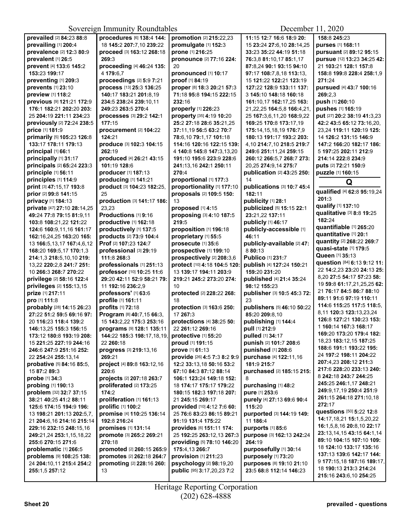| prevailed [2] 84:23 88:8     | procedures [6] 138:4 144:  | promotion [2] 215:22,23      | 11:15 12:7 16:6 18:9 20:         | 158:8 245:23                |
|------------------------------|----------------------------|------------------------------|----------------------------------|-----------------------------|
| prevailing [1] 200:4         | 18 145:2 207:7,10 239:22   | promulgate [1] 152:3         | 15 23:24 27:6,10 28:14,25        | purses [1] 168:11           |
| prevalence [2] 12:3 80:9     | proceed [3] 163:12 268:18  | prone [1] 216:25             | 33:23 35:22 44:19 51:18          | pursuant [2] 89:12 95:15    |
| prevalent [1] 26:5           | 269:3                      | pronounce [2] 77:16 224:     | 76:3,8 81:10,17 85:1,17          | pursue [12] 13:23 34:25 42: |
| prevent [4] 133:6 145:2      | proceeding [4] 46:24 135:  | 20                           | 87:8,24 90:1 93:15 94:10         | 21 103:21 128:1 157:8       |
| 153:23 199:17                | 4 179:6.7                  | pronounced [1] 10:17         | 97:17 108:7,8,18 113:13,         | 158:8 199:8 228:4 258:1,9   |
| preventing [1] 209:3         | proceedings [2] 5:9 7:21   | proof [1] 84:19              | 15 121:22 122:21 123:19          | 271:24                      |
|                              |                            |                              |                                  |                             |
| prevents [1] 23:10           | process [13] 25:3 136:25   | proper [8] 18:3 20:21 57:3   | 127:22 128:9 133:11 137:         | pursued [4] 43:7 100:16     |
| preview [1] 118:2            | 140:17 183:21 201:8,19     | 71:18 95:8 194:15 222:15     | 3 145:10 148:18 160:18           | 269:2,3                     |
| previous [9] 121:21 172:9    | 234:5 238:24 239:10,11     | 232:16                       | 161:10,17 162:17,25 163:         | push [1] 260:10             |
| 176:1 182:21 202:20 203:     | 249:23 263:5 270:4         | properly [1] 226:23          | 21, 22, 25 164: 5, 8 166: 4, 21, | pushes [1] 165:19           |
| 25 204:19 221:11 234:23      | processes [3] 29:2 142:1   | property [35] 4:19 10:20     | 25 167:3,6,11,20 168:9,22        | put [27] 20:2 38:19 41:3,23 |
| previously [2] 72:24 238:5   | 177:15                     | 25:2 27:18 28:6 35:21,25     | 169:25 170:8 173:17,19           | 42:2 43:5 65:12 73:16,20,   |
| price [1] 181:9              | procurement [2] 104:22     | 37:11,19 56:5 63:2 70:7      | 175:14,15,18,19 176:7,9          | 23,24 119:11 120:19 125:    |
| primarily [5] 105:23 126:8   | 124:21                     | 78:6,10 79:1,17 101:18       | 180:13 191:17 193:2 203:         | 14 126:2 131:15 146:9       |
| 133:17 178:11 179:13         | produce [3] 102:3 104:15   | 114:16 120:16 122:15 139:    | 4,10 214:7,10 218:5 219:7        | 147:2 166:20 182:17 186:    |
| principal [1] 66:1           | 262:19                     | 4 140:8 145:8 147:3,13,20    | 249:6 251:11.24 259:15           | 5 197:25 202:11 212:9       |
| principally [1] 31:17        | produced [4] 26:21 43:15   | 191:10 195:6 223:9 228:6     | 260:12 266:5,7 268:7 273:        | 214:14 222:8 234:9          |
| principals [2] 65:24 223:3   | 101:19 128:6               | 241:13,16 242:1 250:11       | 20,25 274:9,14 275:7             | puts [2] 72:21 150:9        |
| principle [1] 56:11          | producer [1] 187:13        | 270:4                        | publication [2] 43:25 250:       | puzzle [1] 160:15           |
| principles [1] 114:9         | producing [1] 141:21       | proportional [1] 177:3       | 14                               | Q                           |
| print [3] 47:15,17 193:8     | product [3] 104:23 182:25, | proportionality [1] 177:10   | publications [3] 10:7 45:4       |                             |
| prior [2] 99:8 141:15        | 25                         | proposals [2] 109:5 150:     | 182:11                           | qualified [4] 62:8 95:19,24 |
| privacy [1] 184:13           | production [3] 141:17 186: | 13                           | publicity [1] 28:1               | 201:3                       |
| private [47] 27:10 28:14,25  | 23,23                      | proposed [1] 4:15            | publicized [5] 15:15 22:1        | qualify [1] 137:10          |
| 49:24 77:8 79:15 81:9,11     | Productions [1] 9:16       | proposing [3] 4:10 187:5     | 23:21.22 137:11                  | qualitative [3] 8:8 19:25   |
| 103:8 108:21,22 121:22       | productive [1] 162:18      | 219:5                        | publicly [1] 46:17               | 182:24                      |
| 124:6 160:9,11,16 161:17     | productively [1] 137:5     | proposition [1] 196:18       | publicly-accessible [1]          | quantifiable [1] 265:20     |
| 162:16,24,25 163:20 165:     | products [2] 73:9 104:4    | proprietary [1] 55:5         | 46:11                            | quantitative [1] 20:1       |
| 13 166:5,13,17 167:4,6,12    | Prof [2] 107:23 124:7      | prosecute [1] 35:6           | publicly-available [2] 47:       | quantity [2] 268:22 269:7   |
| 168:20 169:5,17 170:1,3      | professional [3] 29:19     | prospective [1] 199:10       | 8 80:13                          | quasi-state [1] 179:5       |
|                              | 111:8 268:3                | prospectively [2] 208:3,6    | Publico [1] 231:7                | Queen [1] 35:13             |
| 214:1,3 218:5,10,10 219:     |                            |                              |                                  | question [84] 6:13 9:12 11: |
| 13,22 220:2,8 241:7 251:     | professionals [1] 251:13   | protect [10] 4:18 104:5 120: | publish [4] 127:24 150:21        | 22 14:2,23 23:20 24:13 25:  |
| 10 266:3 268:7 270:22        | professor [10] 10:25 11:6  | 13 139:17 194:11 203:9       | 159:20 231:20                    | 8,20 27:5 54:17 57:23 58:   |
| privilege [2] 58:16 122:4    | 29:20 42:11 52:9 58:21 79: | 219:21 245:2 273:20 274:     | published [4] 21:4 35:24         | 19 59:8 61:17,21,25,25 62:  |
| privileges [2] 155:13,15     | 11 192:16 236:2,9          | 10                           | 98:12 155:23                     | 21 76:17 84:5 86:7 88:10    |
| prize [1] 217:11             | professors' [1] 63:6       | protected [2] 228:22 268:    | publisher [3] 10:5 45:3 72:      | 89:11 91:6 97:19 110:11     |
| pro [1] 111:8                | profile [1] 161:11         | 18                           | 23                               | 114:6 115:25 117:5 118:5,   |
| probably [28] 14:15 26:23    | profits [1] 72:18          | protection [3] 163:6 250:    | publishers [5] 46:10 50:22       | 8,11 120:3 123:13,23,24     |
| 27:22 51:2 59:5 69:16 97:    | Program [8] 40:7,15 66:3,  | 17 267:3                     | 85:20 209:8,10                   | 126:8 127:21 130:23 153:    |
| 20 116:23 118:4 139:2        | 15 143:2.22 175:3 253:16   | protections [4] 38:25 50:    | publishing [1] 144:4             | 1 160:14 167:3 168:17       |
| 146:13.25 155:3 156:15       | programs [9] 128:1 135:11  | 22 261:12 269:16             | pull [1] 212:9                   |                             |
| 173:12 180:8 193:19 208:     | 144:22 185:3 198:17,18,19, | protective $[1]$ 55:20       | <b>pulled</b> [1] <b>34:17</b>   | 169:20 173:20 179:4 182:    |
| 15 221:25 227:19 244:16      | 22 260:18                  | proud [1] 191:15             | punish [2] 101:7 208:6           | 18,23 183:12,15 187:25      |
| 246:6 247:9 251:16 252:      | progress [3] 219:13,16     | prove [1] 61:13              | punished [1] 208:6               | 188:6 191:1 193:22 195:     |
| 22 254:24 255:13.14          | 269:21                     | provide [26] 4:5 7:3 8:2 9:9 | purchase [4] 122:11,16           | 24 197:2 198:11 204:22      |
| probative [5] 84:16 85:5,    | project [4] 89:8 163:12,16 | 12:2 33:13,18 50:16 53:2     | 181:9 215:7                      | 207:4,23 208:12 211:3       |
| 15 87:2 89:3                 | 220:6                      | 67:10 84:3 87:12 88:14       | purchased [2] 185:15 215:        | 217:6 228:20 233:13 240:    |
| probe [1] 34:3               | projects [2] 207:18 263:7  | 106:1 123:24 149:18 152:     | 8                                | 8 242:18 243:7 244:25       |
| probing [1] 190:13           | proliferated [2] 173:25    | 18 174:17 175:17 179:22      | purchasing [1] 48:2              | 245:25 246:1,17 248:21      |
| problem [32] 32:7 37:15      | 174:2                      | 180:15 182:3 197:18 207:     | pure [1] 253:6                   | 249:9,17,19 250:4 251:9     |
| 38:21 40:25 41:2 88:11       | proliferation [1] 161:13   | 21 245:15 269:17             | purely [4] 27:13 69:6 90:4       | 261:15 264:18 271:10,18     |
| 125:6 174:15 194:9 196:      | <b>prolific</b> [1] 100:2  | provided [10] 4:12 7:6 60:   | 115:20                           | 272:17                      |
| 13 198:21 201:13 202:5,7,    | promise [4] 110:25 136:14  | 25 76:6 83:23 86:15 89:21    | purported [3] 144:19 149:        | questions [50] 5:22 12:8    |
| 21 204:6, 16 214: 16 215: 14 | 192:8 216:24               | 91:19 131:4 175:22           | 11 186:4                         | 14:17,18,21 15:1,5,20,22    |
| 229:16 232:15 248:15,16      | promises [1] 131:14        | provides [6] 151:11 174:     | purports [1] 85:6                | 16:1,5,8,16 20:8,10 22:17   |
| 249:21,24 253:1,15,18,22     | promote [3] 265:2 269:21   | 25 192:25 263:12,13 267:3    | purpose [3] 162:13 242:24        | 23:13,14,15 43:15 64:1,14   |
| 255:6 270:15 271:6           | 270:18                     | providing [5] 78:10 146:20   | 264:19                           | 89:10 104:15 107:10 109:    |
| problematic [1] 266:5        | promoted [2] 260:15 265:9  | 175:4,13 266:7               | purposefully [1] 30:14           | 18 124:10 133:17 135:16     |
| problems [9] 108:25 138:     | promotes [2] 262:18 264:7  | provision [1] 211:23         | purposely [1] 73:20              | 137:13 139:6 142:17 144:    |
| 24 204:10,11 215:4 254:2     | promoting [2] 228:16 260:  | psychology [2] 98:19,20      | purposes [8] 19:10 21:10         | 9 177:15,18 187:16 189:17,  |
| 255:1,5 257:12               | 13                         | public [95] 3:17,20,23 7:2   | 23:5 68:8 112:14 146:23          | 18 190:13 213:3 214:24      |
|                              |                            |                              |                                  | 215:16 243:6,10 254:25      |
|                              |                            |                              |                                  |                             |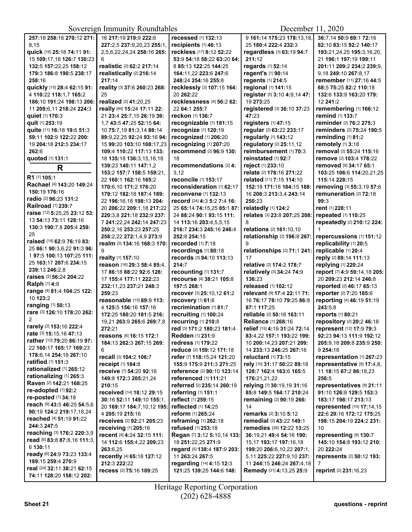| 257:18 258:16 270:12 271:    | 16 217:19 219:9 222:6            | recessed [1] 132:13         | 9 161:14 175:23 178:13,18,                             | 36:7,14 50:9 69:1 72:16                              |
|------------------------------|----------------------------------|-----------------------------|--------------------------------------------------------|------------------------------------------------------|
| 8,15                         |                                  |                             | 25 180:4 222:4 232:3                                   | 82:10 83:15 92:2 140:17                              |
|                              | 227:2,5 237:9,20,23 255:1,       | recipients [1] 46:13        |                                                        |                                                      |
| quick [16] 25:18 74:11 91:   | 2,5,6,22,24,24 258:16 265:       | reckless [17] 8:12 52:22    | regardless [3] 63:19 94:7                              | 193:21,24,25 195:3,16,20,                            |
| 15 109:17,18 126:7 130:23    | 6                                | 53:9 54:18 58:22 63:20 64:  | 211:12                                                 | 21 196:1 197:19 199:11                               |
| 132:5 157:22,25 158:12       | realistic [2] 62:2 217:14        | 8 85:13 122:25 144:25       | regards [1] 52:14                                      | 201:11 209:2 234:2 239:9.                            |
| 179:3 186:8 190:5 238:17     | realistically [2] 216:14         | 164:11,22 223:6 247:6       | regent's [1] 90:14                                     | 9,18 249:10 267:8,17                                 |
| 258:16                       | 217:14                           | 248:24 254:16 255:8         | regents [1] 214:5                                      | remember [11] 27:16 44:5                             |
| quickly [15] 28:4 62:15 91:  | reality [3] 37:6 260:23 268:     | recklessly [3] 107:15 164:  | regional [1] 141:15                                    | 68:5 75:25 82:2 110:18                               |
| 4 110:22 118:1,7 165:2       | 25                               | 20 262:22                   | register [5] 3:10 4:9,14 47:                           | 132:6 133:9 163:20 179:                              |
| 186:10 191:24 198:13 206:    | realized [2] 41:20,25            | recklessness [4] 56:2 62:   | 19 273:25                                              | 12 241:2                                             |
| 11 209:6.11 218:24 224:3     | really [84] 15:24 17:11 22:      | 22 64:1 255:7               | registered [3] 36:10 37:23                             | remembering [1] 166:12                               |
| quiet [1] 170:3              | 21 23:4 25:7,15 26:19 39:        | reckon [1] 136:7            | 47:23                                                  | remind [1] 133:7                                     |
| quit [1] 253:19              | 1.7 43:5 47:25 52:15 64:         | recognizable [1] 181:15     | registers [1] 47:15                                    | reminder [2] 76:2 275:3                              |
| quite [11] 16:18 19:6 51:3   | 10 75:7,19 81:3,14 88:14         | recognize [1] 120:19        | regular [2] 63:22 233:17                               | reminders [2] 75:24 190:5                            |
| 59:11 102:9 122:22 200:      | 89:9,22,25 92:24 93:16 94:       | recognized [1] 206:20       | regularly [1] 143:12                                   | reminding [1] 81:2                                   |
| 19 204:18 212:5 234:17       | 15 99:20 103:10 108:17,23        | recognizing [1] 207:20      | regulatory [2] 25:11,12                                | remotely [1] 3:18                                    |
| 262:6                        | 109:4 110:22 117:13 133:         | recommend [2] 96:9 130:     | reimbursement [1] 70:3                                 | removal [2] 55:24 115:16                             |
| quoted [1] 131:1             | 18 135:18 136:3,15,18,18         | 18                          | reinstated [1] 92:7                                    | remove [2] 103:4 178:22                              |
|                              | 139:23 140:11 147:1,2            | recommendations [2] 4:      | reject [1] 233:10                                      | removed [9] 34:17 65:1                               |
| $\mathsf{R}$                 | 153:2 157:7 158:5 159:21,        | 3,12                        | relate [2] 178:16 271:22                               | 103:25 106:6 114:20,21,25                            |
| R1 [1] 105:1                 | 22 160:1 162:16 165:2            | reconcile [1] 153:17        | related [11] 7:15 114:10                               | 115:14 228:15                                        |
| Rachael [4] 143:20 149:24    | 170:6.10 171:2 176:20            | reconsideration [1] 62:17   | 152:18 171:18 184:15 188:                              | removing [3] 55:3,19 57:6                            |
| 150:19 176:16                | 179:12 182:18 187:4 189:         | reconvene [1] 132:13        | 16 208:3 213:3.4 243:14                                | remuneration [2] 72:18                               |
| radio [2] 96:23 131:2        |                                  | record [24] 4:3 5:2 7:4 16: | 250:23                                                 | 99:3                                                 |
| Railroad [1] 239:7           | 22 196:16,18 198:13 204:         | 25 65:14 74:15,25 85:1 87:  | relatedly [1] 124:2                                    | rent [1] 228:11                                      |
| raise [12] 5:25,25 23:12 53: | 20 206:22 209:1,18 217:22        |                             |                                                        |                                                      |
| 13 54:13 73:11 128:16        | 220:3,8 221:18 232:9 237:        | 24 88:24 90:1 93:15 111:    | relates [3] 23:8 207:25 208:                           | repeated [1] 110:25                                  |
| 130:3 190:7,8 205:4 259:     | 7 241:22,24 242:14 247:23        | 14 113:16 203:4,5,5,15      | 8                                                      | repeatedly [2] 210:12 224:                           |
| 25                           | 250:2,16 253:23 257:25           | 216:7 234:3 245:16 246:4    | relations [2] 161:10,10                                | 1                                                    |
| raised [19] 62:9 76:19 83:   | 258:2,22 272:1,4,9 273:9         | 252:8 254:15                | relationship [2] 196:8 267:                            | repercussions [1] 151:12                             |
|                              | realm [3] 134:16 168:3 170:      | <b>recorded</b> [1] 7:18    | 9                                                      | replicability [1] 20:5                               |
| 25 86:1 90:3,6,22 91:3 96:   | 9                                | recordings [1] 80:18        | relationships [2] 71:1 241:                            | replicable [1] 20:4                                  |
| 197:5 100:13 107:25 111:     | realty [1] 157:10                | records [3] 94:10 113:13    | 17                                                     | reply [2] 89:14 111:13                               |
| 25 163:17 207:6 234:15       | reason [16] 29:3 58:4 85:4,      | 214:7                       | relative [2] 174:2 178:7                               | replying [1] 220:24                                  |
| 239:13 246:2,8               | 17 86:18 88:22 92:6 128:         | recounting [1] 131:7        | relatively [3] 34:24 74:9                              | report [7] 4:9 59:14,18 205:                         |
| raises [2] 56:24 204:22      | 17 155:4 177:11 222:23           | recourse [4] 38:21 105:8    | 136:23                                                 | 20 209:23 212:14 246:8                               |
| <b>Ralph [1] 4:9</b>         | 232:11,23 237:21 248:3           | 197:5 268:1                 | released [1] 102:12                                    | reported [2] 46:17 65:13                             |
| range [4] 81:4 104:25 122:   | 259:23                           | recover [3] 25:10,12 61:2   | relevant [9] 17:4 22:11 71:                            | reporter [2] 7:20 185:6                              |
| 10 123:2                     | reasonable [15] 69:9 113:        | recovery [1] 61:6           | 16 76:17 78:10 79:25 86:8                              | reporting [4] 46:19 51:19                            |
| ranging [1] 50:13            | 4 125:5 156:16 157:16            | recrimination [1] 81:7      | 87:1 117:25                                            | 243:5.8                                              |
| rare [3] 126:10 178:20 262:  | 172:25 180:20 181:5 216:         | recruiting [1] 100:24       | reliable [2] 50:16 163:11                              | reports [1] 80:21                                    |
| 2                            | 19,21 263:9 265:6 269:7.8        | recurring [1] 210:8         | <b>Reliance [1] 268:16</b>                             | repository [2] 20:2 46:18                            |
| rarely [2] 153:16 222:4      | 272:21                           | red [3] 171:2 180:23 181:4  | relief [15] 4:19 31:24 72:14                           | represent [12] 17:9 79:3                             |
| rate [3] 15:15,16 47:13      | reasons [6] 16:15 172:1          | <b>Redden [1] 231:9</b>     | 83:4,22 157:1 193:22 199:                              | 92:23 94:13 111:9 192:12                             |
| rather [10] 79:20 86:19 97:  | 184:13 262:3 267:15 269:         | redress [1] 179:22          | 10 200:14,23 207:21 209:                               | 205:9,18 209:8 235:9 250:                            |
| 22 160:17 165:17 169:23      | 6                                | reduce [2] 159:12 171:18    | 14 233:13 246:25 267:16                                | 9 254:18                                             |
| 178:6,14 254:18 267:10       | recall [2] 104:2 106:7           | refer [7] 118:15,24 121:20  | <b>reluctant</b> [1] <b>73:15</b>                      | representation [1] 267:23                            |
| ratified [1] 151:3           | receipt [1] 184:8                | 155:9 175:9 211:3 271:25    | rely [10] 31:17 50:22 89:18                            | representative [8] 17:4,8,                           |
| rationalized [1] 265:12      | receive [7] 54:20 92:16          | reference [2] 90:10 123:14  | 128:7 162:4 163:6 165:5                                | 11 18:15 67:2 86:18,23                               |
| rationalizing [1] 265:3      | 149:8 172:3 205:21,24            | referenced [1] 111:21       | 176:21,21,22                                           | 256:5                                                |
| Raven [2] 142:21 168:25      | 210:15                           | referred [2] 235:14 260:19  |                                                        |                                                      |
| re-adopted [1] 92:2          | received [14] 18:12 29:15        | referring [1] 151:1         | relying [7] 30:19,19 31:16<br>85:8 149:5 164:17 210:24 | representatives [8] 21:11<br>91:10 126:8 129:5 153:3 |
| re-posted [1] 34:18          |                                  |                             |                                                        |                                                      |
| reach [9] 43:5 46:25 54:5,6  | 30:16 52:11 149:10 155:1.        | reflect [1] 259:15          | remaining [2] 90:19 266:                               | 183:17 198:17 213:13                                 |
| 90:19 124:2 219:17,18,24     | 20 169:17 184:7,10,12 195:       | reflected [1] 14:25         | 14                                                     | represented [10] 17:14,15                            |
| reached [4] 51:19 91:22      | 4 205:19 215:16                  | reform [1] 265:24           | remarks [2] 3:10 5:12                                  | 22:6 29:16 172:12 175:25                             |
| 244:3 247:5                  | <b>receives</b> [2] 92:21 205:23 | reframing [1] 262:18        | remedial [2] 43:22 149:1                               | 198:15 204:19 224:2 231:                             |
| reaching [3] 176:2 220:3,9   | receiving [1] 205:16             | refused [1] 253:18          | remedies [26] 12:22 13:25                              | 10                                                   |
|                              | recent [9] 4:24 32:15 111:       | Regan [7] 3:12 5:10,14 133: | 36:19,21 49:4 54:16 190:                               | representing [6] 130:7                               |
| read [6] 83:8 87:8,16 111:3, | 14 112:6 155:4,22 209:23         | 18 251:22,25 271:9          | 15,17 193:17 197:16,18                                 | 145:10 154:8 193:12 210:                             |
| 6 130:11                     | 263:6,25                         | regard [5] 138:4 187:9 203: | 199:20 206:6,10,22 207:1,                              | 20 222:24                                            |
| ready [6] 24:9 73:23 133:4   | recently [4] 65:18 127:12        | 11 263:24 267:5             | 5,11 225:22 227:9,10 237:                              | represents [2] 50:12 193:                            |
| 189:15 259:4 270:9           | 212:3 222:22                     | regarding [14] 4:15 12:3    | 11 244:15 246:24 267:4,18                              | 7                                                    |
| real [24] 32:11 38:21 62:15  | recess [2] 75:16 189:25          | 121:25 139:25 144:6 148:    | Remedy [31] 4:13,25 25:9                               | reprint [2] 231:16,23                                |
| 74:11 128:20 158:12 202:     |                                  |                             |                                                        |                                                      |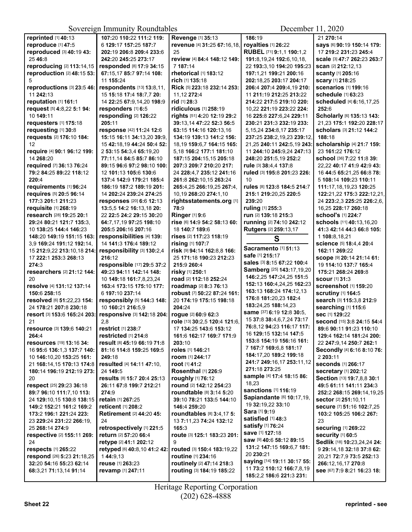| reprinted [1] 40:13                             | 107:20 110:22 111:2 119:        | Revenge [1] 35:13                | 186:19                                         | 21 270:14                          |
|-------------------------------------------------|---------------------------------|----------------------------------|------------------------------------------------|------------------------------------|
| reproduce [1] 47:5                              | 6 129:17 157:25 187:7           | revenue [4] 31:25 67:16,18,      | royalties [1] 26:22                            | says [6] 90:19 150:14 179:         |
| reproduced [3] 40:19 43:                        | 202:19 206:8 209:4 233:6        | 25                               | RUBEL [71] 9:1,1 190:1,2                       | 17 219:2 231:23 245:4              |
|                                                 |                                 |                                  |                                                |                                    |
| 25 46:8                                         | 242:20 245:25 273:17            | review [4] 84:4 148:12 149:      | 191:8, 19, 24 192: 6, 10, 18,                  | scale [3] 47:7 262:23 263:7        |
| reproducing [2] 113:14,15                       | responded [8] 17:9 34:15        | 7 187:14                         | 22 193:3,10 194:20 195:23                      | scan [2] 212:12,13                 |
| reproduction [2] 48:15 53:                      | 67:15,17 85:7 97:14 108:        | rhetorical [1] 183:12            | 197:1,21 199:21 200:16                         | <b>scanty [1] 205:16</b>           |
| 5                                               | 11 155:24                       | rich [1] 135:18                  | 202:18,25 203:17 204:17                        | <b>scary</b> [1] 218:25            |
| reproductions [3] 23:5 46:                      | respondents [13] 13:8,11,       | Rick [5] 223:18 232:14 253:      | 206:4 207:4 209:4,19 210:                      | scenarios [1] 199:16               |
| 11 242:13                                       | 15 15:18 17:4 18:7.7 20:        | 11,12 272:4                      | 11 211:19 212:25 213:22                        | schedule [1] 63:23                 |
| reputation [1] 161:1                            | 14 22:25 67:9,14,20 198:9       | rid [1] 28:3                     | 214:22 217:5 219:10 220:                       | scheduled [4] 6:16,17,25           |
| request [5] 4:8,22 5:1 94:                      | responders [1] 6:5              | ridiculous [1] 258:19            | 10,22 221:19 223:22 224:                       | 252:6                              |
| 10 149:11                                       | responding [2] 126:22           | rights [51] 4:20 12:19 29:2      | 16 225:8 227:6,24 229:11                       | Scholarly [6] 135:13 143:          |
| requesters [1] 175:18                           | 205:11                          | 39:13.14 47:22 52:3 56:5         | 230:21 231:3 232:19 233:                       | 21,23 175:1 192:20 228:17          |
| requesting [1] 30:8                             | response [42] 11:24 12:6        | 63:15 114:16 120:13.16           | 5, 15, 24 234: 8, 17 235: 17                   | scholars [3] 21:12 144:2           |
| requests [2] 176:10 184:                        | 15:15 16:11 34:13,20 39:9,      | 134:19 139:13 141:2 156:         | 237:25 238:2,19,23 239:12,                     | 188:18                             |
| 12                                              | 15 42:18,19 44:24 50:4 52:      | 18,19 159:6,7 164:15 165:        | 21,25 240:11 242:5,19 243:                     | scholarship [4] 21:7 159:          |
|                                                 |                                 |                                  | 11 244:10 245:9,24 247:13                      | 23 161:22 176:12                   |
| require [4] 90:1 96:12 199:                     | 2 53:15 54:3,4 65:19,20         | 5,18 166:2 177:1 181:10          |                                                |                                    |
| 14 268:20                                       | 77:11,14 84:5 85:7 86:10        | 187:15 204:15,15 205:18          | 248:20 251:5,19 252:2                          | school [36] 7:22 11:8 39:          |
| required [7] 36:13 76:24                        | 89:15 96:6 97:2 98:10 100:      | 207:3 209:7 210:20 217:          | rule [3] 38:4,4 137:8                          | 22,22 40:17 41:9 42:9 43:          |
| 79:2 84:25 89:22 118:12                         | 12 101:13 105:6 130:6           | 24 228:4.7 235:12 241:16         | ruled [3] 195:8 201:23 226:                    | 16 44:5 65:21.25 66:8 78:          |
| 220:4                                           | 137:4 142:9 179:21 185:4        | 261:8 262:10,15 263:24           | 10                                             | 5 108:14 109:23 110:11             |
| requirements [1] 96:24                          | 186:19 187:2 189:19 201:        | 265:4,25 266:19,25 267:4,        | rules [8] 123:8 184:5 214:7                    | 111:17,18,19,23 120:25             |
| requires [5] 20:5 96:14                         | 14 202:24 239:24 274:25         | 10,19 268:20 274:1,10            | 215:1 219:20,25 220:5                          | 122:21,22 175:3 222:12,21,         |
| 177:3 201:1 211:23                              | responses [20] 6:6 12:13        | rightsstatements.org [1]         | 239:20                                         | 24 223:2,3 225:25 226:2,6,         |
| requisite [1] 268:19                            | 13:5,5 14:2 16:13,18 20:        | 78:9                             | ruling [1] 255:3                               | 16,25 228:17 260:18                |
| research [28] 19:25 20:1                        | 22 22:5 24:2 29:15 30:20        | <b>Ringer</b> [1] 9:6            | run [2] 139:18 215:3                           | <b>school's [1] 224:7</b>          |
| 29:24 80:21 121:7 135:3,                        | 64:7,17,19 97:25 198:10         | rise [6] 14:9 54:2 58:13 60:     | running [2] 74:10 242:12                       | schools [11] 40:13,16,20           |
| 10 138:25 144:4 146:23                          | 205:5 206:16 207:16             | 18 140:7 189:6                   | Rutgers [2] 259:13,17                          | 41:3 42:14 44:3 66:8 105:          |
| 148:20 149:19 151:15 163:                       | responsibilities [4] 139:       | rises [2] 117:23 118:19          |                                                | 1 108:8,18,21                      |
| 3,9 169:24 191:12 192:14,                       | 14 141:3 176:4 189:12           | rising [1] 107:7                 | S                                              | Science [5] 18:4,4 20:4            |
|                                                 |                                 |                                  | Sacramento [1] 51:13                           |                                    |
| 15 212:9,22 213:10,18 214:                      | responsibility [3] 130:2,4      | risk [9] 94:14 162:8,8 166:      | safe [1] 215:17                                | 162:11 269:22                      |
| 17 222:1 253:3 268:13                           | 216:12                          | 25 171:18 190:23 212:23          | sales [3] 8:15 67:22 100:4                     | SCOPE [9] 20:14 21:14 61:          |
| 274:3                                           | responsible [17] 29:5 37:2      | 215:9 260:4                      | Samberg [25] 143:17,19,20                      | 19 114:10 137:7 165:4              |
| researchers [2] 21:12 144:                      | 49:23 94:11 142:14 148:         | risky [1] 250:1                  | 146:2,25 147:24,25 151:5                       | 175:21 268:24 269:8                |
| 20                                              | 10 149:18 161:7,8,23,24         | road [2] 112:18 252:24           |                                                | <b>scour</b> [1] <b>31</b> :3      |
| resolve [4] 131:12 137:14                       | 163:4 173:15 175:10 177:        | roadmap [2] 8:3 76:13            | 152:13 160:4,24,25 162:23                      | screenshot [1] 159:20              |
| 150:6 258:15                                    | 6 197:10 237:14                 | robust [7] 50:22 87:24 161:      | 163:13 168:24 174:12,13                        | <b>scrutiny</b> [1] 164:5          |
| resolved [6] 51:22,23 154:                      | responsibly [5] 144:3 148:      | 20 174:19 175:15 198:18          | 176:8 181:20,23 182:4                          | search [3] 115:3,8 212:9           |
| 24 178:21 207:8 230:18                          | 10 160:21 216:5,9               | 204:24                           | 183:24,25 188:14,23                            | searching [1] 115:6                |
| resort [3] 153:6 165:24 203:                    | responsive [3] 142:18 204:      | rogue [2] 60:9 62:3              | same [37] 6:19 12:8 30:5,                      | sec [1] 129:22                     |
| 21                                              | 2,8                             | role [13] 30:2,5 120:4 121:6,    | 15 37:8 38:4,6,7,24 73:17                      | second [15] 3:8 24:15 54:4         |
| resource [3] 139:6 140:21                       | restrict [1] 238:7              | 17 134:25 143:6 153:12           | 76:8,12 94:23 116:17 117:                      | 89:6 90:11 91:23 110:10            |
| 264:4                                           | restricted [1] 214:8            | 161:6 162:17 169:7 171:9         | 16 129:15 132:14 147:5                         | 129:4 162:14 181:24 200:           |
| <b>resources</b> [19] <b>13:16 34:</b>          | result [8] 45:19 66:19 71:8     | 203:10                           | 153:8 154:19 156:16 161:                       | 22 247:9,14 250:7 262:1            |
|                                                 | 81:16 114:8 159:25 169:5        | roles [1] 146:21                 | 7 167:7 169:6,8 181:17                         | Secondly [4] 6:16 8:10 76:         |
| 16 95:6 136:1,3 137:7 140:                      |                                 |                                  | 184:17,20 189:2 199:18                         |                                    |
| 10 <b>146:</b> 10,20 <b>153:</b> 25 <b>161:</b> | 249:18                          | room [1] 244:17                  | 241:7 249:16,17 253:11,12                      | 2 203:11                           |
| 21 168:14.15 170:13 174:8                       | resulted [4] 14:11 47:10,       | root [1] 41:2                    | 271:18 273:25                                  | seconds [1] 266:17                 |
| 180:14 196:19 212:19 273:                       | 24 149:5                        | Rosenthal [1] 226:9              | sample [4] 17:4 18:15 86:                      | <b>secretary</b> [1] <b>202:12</b> |
| 20                                              | results [8] 15:7 20:4 25:13     | roughly [1] 76:12                |                                                | Section [13] 19:7,8,8 30:1         |
| respect [25] 29:23 36:18                        | 26:11 67:8 199:7 212:21         | round [2] 142:12 254:23          | 18,23                                          | 49:5 61:11 141:11 234:3            |
| 89:7 96:10 111:7,10 113:                        | 274:9                           | <b>roundtable</b> [8] 3:14 5:20  | sanctions [1] 116:19                           | 252:2 268:15 269:14,19,25          |
| 24 129:10,15 130:8 138:15                       | retain [1] 267:25               | 39:10 78:21 133:5 144:10         | Sapiandante [6] 10:17,19,                      | sector [2] 251:10,11               |
| 149:2 152:21 161:2 169:2                        | reticent [1] 208:2              | 146:4 259:20                     | 19 32:19,22 33:10                              | secure [7] 51:16 102:7,25          |
| 173:2 196:1 221:24 223:                         | <b>Retirement [2] 44:20 45:</b> | <b>roundtables</b> [8] 3:4,17 5: | Sara [1] 9:19                                  | 103:2 105:25 106:2 267:            |
| 23 229:24 231:22 266:19,                        | 24                              | 13 7:11,23 74:24 132:12          | satisfied [1] 48:3                             | 23                                 |
| 25 268:14 274:9                                 | retrospectively [1] 221:5       | 165:3                            | <b>satisfy</b> [1] 76:24                       | <b>securing [1] 269:22</b>         |
| respective [2] 155:11 269:                      | return [2] 57:20 66:4           | route [3] 125:1 183:23 201:      | save [1] 127:18                                | security [1] 60:5                  |
| 24                                              | retype [2] 41:1 202:12          | 9                                | <b>saw</b> [9] <b>40:</b> 6 <b>58:12 89:15</b> | Sedlik [18] 10:23,24,24 24:        |
| respects [1] 265:22                             | retyped [6] 40:8,10 41:2 42:    | routed [3] 150:4 183:19,22       | 131:2 147:15 169:6,7 181:                      | 9 29:14,18 32:18 37:8 62:          |
|                                                 |                                 |                                  | 20 230:21                                      |                                    |
| respond [26] 5:23 21:18,25                      | 144:9,13                        | routine [1] 234:16               | <b>saying</b> [14] <b>19:11 30:17 55:</b>      | 20,21 72:7,9 73:5 252:13           |
| 32:20 54:16 55:23 62:14                         | <b>reuse</b> [1] 263:23         | routinely [2] 47:14 218:3        | 11 73:2 110:12 166:7,8,19                      | 266:12,16,17 270:8                 |
| 68:3,21 71:13,14 91:14                          | revamp [1] 247:11               | routing [3] 184:19 185:22        | 185:2,2 186:6 221:3 231:                       | see [67] 7:9 8:21 16:23 18:        |
|                                                 |                                 |                                  |                                                |                                    |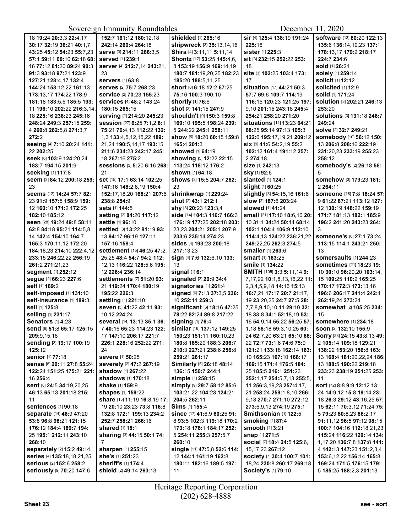| 18 19:24 20:3,3 22:4,17    | 152:7 161:12 180:12,18           | shielded [1] 265:16                       | sir [4] 125:4 138:19 191:24     | software [13] 80:20 122:13     |
|----------------------------|----------------------------------|-------------------------------------------|---------------------------------|--------------------------------|
| 30:17 32:19 36:21 40:1,7   | 242:14 260:4 264:18              | shipwreck [3] 35:13,14,16                 | 225:16                          | 135:6 136:14,19,23 137:1       |
| 43:25 45:12 54:23 55:7.23  | serve [3] 214:11 266:3,5         | Shira [4] 3:11,11 5:11,14                 | sister [1] 225:3                | 178:13.17 179:2 218:17         |
| 57:1 59:11 60:10 62:18 68: | served [1] 239:1                 | Shontz [17] 53:25 145:4,6,                | sit [3] 232:15 252:22 253:      | 224:7 234:6                    |
| 16 77:12 81:20 89:24 90:3  | server [4] 212:7,14 243:21,      | 8 153:19 156:9 169:14,19                  | 18                              | sold [1] 26:21                 |
| 91:3 93:18 97:21 123:9     | 23                               | 180:7 181:19,20,25 182:23                 | site [3] 102:25 103:4 173:      | solely [1] 259:14              |
| 127:21 128:4,17 132:4      | <b>servers</b> [1] 63:8          | 185:20 188:5,11,25                        | 17                              | <b>solicit [1] 12:12</b>       |
| 144:24 153:12,22 161:13    | serves [2] 75:7 268:23           | short [6] 6:18 12:2 67:25                 | situation [17] 44:21 50:3       | solicited [1] 12:9             |
| 173:13.17 174:22 178:9     | service [2] 70:23 155:23         | 75:16 100:3 190:10                        | 57:7 69:6 109:7 114:19          | solid [1] 171:24               |
| 181:18 183:5,6 185:5 193:  | <b>services</b> [4] 48:2 143:24  | <b>shortly</b> [1] 76:6                   | 116:15 120:23 121:25 197:       | solution [3] 202:21 246:13     |
| 11 196:10 202:22 216:3,14, | 180:15 265:15                    | shot [2] 141:15 247:9                     | 9.10 201:15 243:18 245:4        | 253:20                         |
| 18 225:16 238:23 245:16    | serving [2] 214:20 245:23        | shouldn't [9] 150:3 159:8                 | 254:21 258:20 271:20            | Solutions [3] 131:18 246:7     |
| 248:24 249:3 257:15 259:   | session [27] 6:25 7:1,2 8:1      | 169:10 195:5 198:24 239:                  | situations [11] 13:23 64:21     | 249:24                         |
| 4 260:8 262:5,8 271:3,7    | 75:21 76:4,13 112:22 132:        | 5 244:22 245:1 258:11                     | 68:25 95:14 97:13 105:3         | solve [2] 32:7 249:21          |
| 272:2                      | 1,3 133:4,5,12,15,22 189:        | <b>show</b> [5] <b>18:20 60:15 159:</b> 8 | 122:6 195:17,19,21 209:12       | somebody [10] 56:12 150:       |
| seeing [4] 7:10 20:24 141: | 21,24 190:5,14,17 193:15         | 165:4 201:3                               | Six [9] 41:6 54:2,19 55:2       | 13 206:8 208:16 222:19         |
| 22 202:25                  | 211:6 234:23 242:17 245:         | showed [1] 64:19                          | 102:12 161:4 191:12 257:        | 231:20,23 233:19 255:23        |
| Seek [6] 103:9 124:20,24   | 18 267:16 275:2                  | showing [5] 12:22 22:15                   | 2 274:18                        | 258:12                         |
| 183:7 194:15 201:9         | Sessions [3] 5:20 6:16 268:      | 113:24 118:12 176:2                       | <b>size</b> [1] <b>242:13</b>   | somebody's [2] 26:18 56:       |
| seeking [1] 117:8          | 21                               | <b>shown</b> [1] 64:18                    | <b>sky</b> [1] 92:6             | 5                              |
| seem [3] 84:12 200:18 259: | set [15] 17:1 63:14 102:25       | shows [3] 15:8 204:7 262:                 | slanted [1] 124:1               | Somehow [3] 179:23 181:        |
| 23                         | 147:16 148:2,8,19 150:4          | 23                                        | slight [1] 60:25                | 2 2 64:11                      |
| seems [12] 14:24 57:7 82:  | 152:17,18,20 168:21 207:6        | shrinkwrap [1] 229:24                     | slightly [3] 54:15,16 161:6     | someone [18] 7:8 18:24 57:     |
| 23 91:9 157:5 158:9 159:   | 238:8 254:9                      | shut [2] 43:1 212:1                       | slow [2] 187:6 203:24           | 9 61:22 87:21 113:12 127:      |
| 12 160:10 171:2 172:25     | Sets [1] 144:5                   | shy [3] 20:23 123:3,4                     | slowed [1] 41:24                | 12 130:19 148:22 159:19        |
| 182:10 185:12              | setting [2] 84:20 117:12         | side [14] 104:3 116:7 166:3               | small [21] 17:10 18:6,10 20:    | 171:7 181:13 182:1 185:9       |
| seen [28] 19:24 49:8 58:11 | settle [1] 96:10                 | 176:19 177:25 202:18 203:                 | 10 31:1 34:24 50:14 68:14       | 196:2 241:20 243:23 264:       |
| 62:8 84:18 95:21 114:5.8.  | settled [8] 13:22 81:19 93:      | 23,23 204:21 205:1 207:9                  | 102:1 104:4 106:9 112:10        | 3                              |
| 14 142:4 154:10 164:7      | 13 94:17 96:19 127:11            | 233:6 235:14 274:23                       | 114:4,13 124:22 236:21,22       | someone's [6] 27:1 73:24       |
| 165:3 170:11,12 172:20     | 157:16 158:4                     | <b>sides</b> [4] <b>193:23 200:1</b> 8    | 249:22.25 262:3 274:5           | 113:15 114:1 243:21 250:       |
| 184:18,23 214:10 222:4,12  | settlement [15] 46:25 47:2,      | 217:13.23                                 | smaller [1] 263:6               | 13                             |
| 233:15 246:22,22 256:19    | 25,25 48:4 54:7 94:2 112:        | sign [4] 7:6 132:6,10 133:                | <b>smart</b> [1] <b>163:25</b>  | somersaults [1] 244:23         |
| 261:2 271:21,23            | 12,13 116:22 128:5,6 195:        | 13                                        | <b>smile</b> [1] 134:22         | sometimes [21] 18:23 19:       |
| segment [1] 252:12         | 12 226:4 236:14                  | signal [1] 6:1                            | SMITH [105] 3:3 5:11,14 9:      | 10 30:10 96:20,20 103:14,      |
| segue [2] 66:23 227:6      | settlements [7] 51:20 93:        | signaled [2] 20:9 34:4                    | 7,17,22 10:1,8,13,16,22 11:     | 15 109:25 110:2 165:25         |
| self [1] 189:2             | 21 119:24 170:4 180:19           | signatories [1] 261:4                     | 2, 3, 4, 5, 9, 18 14: 16 15: 13 | 170:17 172:3 173:13,16         |
| self-imposed [1] 131:10    | 195:22 226:3                     | signed [6] 7:13 37:3,5 236:               | 16:7,21 17:17 20:7 21:17,       | 196:6 206:17 241:4 242:4       |
| self-insurance [1] 189:3   | settling [1] 221:10              | 10 252:11 259:3                           | 19 23:20,25 24:7 27:5 28:       | 262:19.24 273:24               |
| sell [1] 125:8             | seven [5] 41:22 42:11 93:        | significant [6] 18:16 47:25               | 7,7,8,9,10,10,11 29:10 32:      | somewhat [2] 105:25 234:       |
| selling [1] 231:17         | 10,12 224:24                     | 78:22 82:24 89:8 217:22                   | 18 33:8 34:1 52:18,19 53:       | 15                             |
| <b>Senators</b> [1] 4:23   | several [14] 13:13 35:1 36:      | signing [1] 76:4                          | 16 54:9,14 55:22 56:25 57:      | somewhere [1] 234:18           |
| send [6] 51:8 65:17 125:15 | 7 40:16 65:23 114:23 122:        | similar [16] 137:12 149:25                | 1,18 58:18 59:3,10,25 60:       | soon [2] 132:10 155:9          |
| 209:9.15.16                | 17 147:10 206:17 221:7           | 150:23 151:11 160:10,23                   | 24 62:7,20 63:21 65:10 66:      | Sorry [23] 24:15 43:8,13 49:   |
| Sending [3] 19:17 100:19   | 226:1 228:16 252:22 271:         | 180:8 185:20 188:3 206:7                  | 22 72:7 73:1.6 74:6 75:9        | 2 105:14 109:18 129:21         |
| 125:12                     | 24                               | 210:3 227:21 238:6 256:8                  | 121:21 133:18 162:14 163:       | 138:22 153:20 156:8 163:       |
| senior [1] 77:18           | severe [1] 50:25                 | 259:21 261:17                             | 10 165:23 167:10 168:17         | 13 168:4 181:20,22,24 186:     |
| Sense [8] 20:11 27:8 55:24 | severely [2] 47:2 267:19         | Similarly [5] 26:18 48:14                 | 169:15 171:4 176:5 184:         | 13 188:5 190:22 219:18         |
| 122:24 151:25 175:21 221:  | shadow [1] 267:22                | 136:15 150:7 244:1                        | 25 <b>185:5 216:1 251:</b> 23   | 233:23 238:19 251:25 253:      |
| 16 256:4                   | <b>shadows</b> [1] <b>170:18</b> | simple [1] 258:15                         | 252:1,17 254:5,7,13 255:5,      | 11                             |
| Sent [8] 24:5 34:19,20,25  | <b>shake</b> [1] 159:9           | Simply [9] 29:7 58:12 85:6                | 11 256:3,19,23 257:4,17,        | sort [72] 8:8 9:9 12:12 13:    |
| 46:13 65:13 201:18 215:    | <b>shapes</b> [1] <b>159:22</b>  | 103:21,22 104:23 124:21                   | 21 258:24 259:1,8,10 266:       | 24 14:9,12 15:8 19:14 23:      |
| 11                         | share [15] 11:19 16:8,19 17:     | 204:5 262:11                              | 9,18 270:7 271:10 272:12        | 18 26:3 29:12 43:16,25 57:     |
| <b>sentences</b> [1] 90:18 | 19 20:10 23:23 73:8 116:8        | Sims [1] 155:4                            | 273:6,9,13 274:19 275:1         | 15 62:11 70:3,12 71:24 75:     |
| separate [14] 46:9 47:20   | 132:8 172:1 199:13 234:2         | since [17] 41:6,9 60:25 91:               | Smithsonian [1] 122:5           | 5 79:23 80:8,23 86:2,17        |
| 53:8 96:8 98:21 121:15     | 252:7 258:21 266:16              | 8 93:5 102:3 119:18 170:2                 | <b>smoking</b> [1] 87:4         | 91:11,12 96:5 97:12 98:15      |
| 176:12 184:4 189:7 194:    | shared [1] 18:1                  | 173:18 176:1 184:17 252:                  | <b>smooth</b> [1] <b>3</b> :21  | 100:7 104:16 112:18,21,23      |
| 25 195:1 212:11 243:10     | sharing [3] 44:15 50:1 74:       | 5 254:11 255:3 257:5,7                    | snap [1] 271:5                  | 115:24 116:22 129:14 134:      |
| 268:10                     | $\overline{7}$                   | 260:10                                    | social [7] 18:4 24:5 125:6,     | 1,17,20 136:7,8 137:8 141:     |
| separately [2] 15:2 49:14  | sharpen [1] 255:15               | single [11] 47:5,8 52:6 114:              | 15, 17, 23 267: 12              | 4 142:13 147:23 151:2,3,4      |
| series [4] 135:18,18,21,25 | she's [1] 251:23                 | 12 144:1 161:19 162:8                     | society [7] 30:4 100:7 101:     | 153:6, 12, 22 156: 14 165: 8   |
| serious [2] 152:6 258:2    | sheriff's [1] 174:4              | 180:11 182:16 189:5 197:                  | 18,24 230:8 260:17 269:18       | 169:24 171:5 176:15 179:       |
| Seriously [9] 70:20 147:6  | shield [2] 49:14 263:13          | 11                                        | Society's [1] 79:10             | 5 <b>185:25 188:2,3 201:13</b> |
|                            |                                  |                                           |                                 |                                |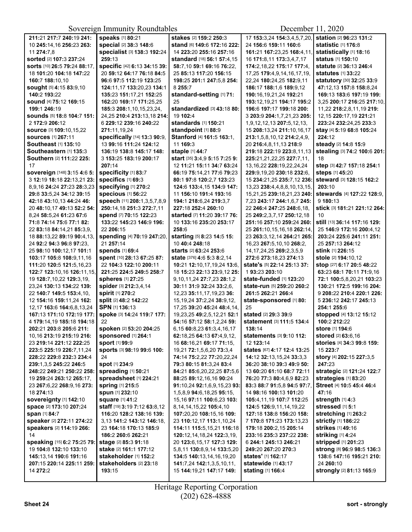| 211:21 217:7 240:19 241:      | speaks [1] 80:21                          | stakes [2] 159:2 250:3                    | 17 153:3,24 154:3,4,5,7,20,       | <b>station</b> [2] 96:23 131:2   |
|-------------------------------|-------------------------------------------|-------------------------------------------|-----------------------------------|----------------------------------|
| 10 245:14,16 256:23 263:      | special [2] 38:3 148:6                    | stand [6] 149:6 172:16 222:               | 24 156:6 159:11 160:6             | statistic [1] 176:8              |
| 11 274:7,8                    | specialist [3] 138:3 192:24               | 14 223:20 255:16 257:16                   | 161:21 167:23,25 168:4,11,        | statistically [1] 18:16          |
|                               |                                           |                                           |                                   |                                  |
| sorted [2] 107:3 237:24       | 259:13                                    | standard [18] 56:1 57:4,15                | 16 171:8,11 173:3,4,7,17          | status [1] 150:10                |
| sorts [10] 26:5 79:24 88:17.  | specific [42] 6:13 34:15 39:              | 58:7.10 59:1 69:16 76:22.                 | 174:2,18,22 175:17 177:4,         | <b>statute [2] 36:13 246:4</b>   |
| 18 101:20 104:18 147:22       | 20 59:12 64:17 76:18 84:5                 | 25 85:13 117:20 156:15                    | 17,25 179:4,9,14,16,17,19,        | <b>statutes</b> [1] <b>33:22</b> |
|                               |                                           |                                           |                                   |                                  |
| 160:7 188:10.10               | 96:6 97:5 112:19 123:25                   | 198:25 201:1 247:5.8 254:                 | 22,24 180:24,25 182:9,11          | statutory [30] 32:25 33:9        |
| sought [5] 4:15 83:9,10       | 124:11,17 133:20,23 134:1                 | 8 255:7                                   | 186:17 188:1,6 189:9,12           | 47:12,13 157:8 158:8,24          |
| 140:2 193:22                  | 135:23 151:17,21 152:25                   | standard-setting [1] 71:                  | 190:16,19,21,24 192:21            | 169:13 183:6 197:19 199:         |
| sound [4] 75:12 169:15        | 162:20 169:17 171:25,25                   | 25                                        | 193:12,19,21 194:17 195:2         | 3,25 200:17 216:25 217:10,       |
|                               |                                           |                                           |                                   |                                  |
| 199:1 246:19                  | 185:3 208:1,10,15,23,24,                  | standardized [3] 43:18 80:                | 196:6 197:17 199:18 200:          | 11,22 218:2,8,11,19 219:         |
| Sounds [5] 18:8 104:7 151:    | 24,25 210:4 213:13,18 214:                | 19 102:4                                  | 3 203:9 204:1,7,21,23 205:        | 12,15 220:17,19 221:21           |
| 2 172:9 206:12                | 6 229:12 239:16 240:22                    | standards [1] 150:21                      | 1,9,12,12,13 207:5,12,13,         | 223:24 232:24,25 233:3           |
|                               |                                           |                                           |                                   |                                  |
| SOUICE [3] 109:10.15.22       | 271:11,19,24                              | standpoint [1] 88:9                       | 15 208:13,24 211:10,16,17         | stay [4] 5:19 68:8 105:24        |
| <b>sources</b> [1] 267:11     | specifically [14] 13:3 90:9,              | Stanford [4] 161:5 163:1,                 | 213:1,5,8,10,12 214:2,4,9,        | 224:12                           |
| Southeast [1] 135:10          | 13 99:16 111:24 124:12                    | 11 169:3                                  | 20 216:4,8,11,13 218:9            | steady [2] 14:8 15:9             |
| Southeastern [1] 135:3        | 136:19 138:8 145:17 148:                  | staple [1] 44:7                           | 219:18 222:19 223:8,11,13         | stealing [3] 74:2 100:6 201:     |
|                               |                                           |                                           |                                   |                                  |
| Southern [2] 111:22 225:      | 3 153:25 183:19 200:17                    | start [35] 3:4,9 5:15 7:25 9:             | 225:21,21,22,25 227:7,11,         | 18                               |
| 17                            | 207:14                                    | 12 11:21 15:11 34:7 63:24                 | 13, 16, 22 228: 19, 22, 24, 24    | step [3] 42:7 157:18 254:1       |
| sovereign [148] 3:15 4:6 5:   | specificity [1] 83:7                      | 66:19 75:14,21 77:6 79:23                 | 229:9.19.20 230:18 232:6.         | steps [1] 45:20                  |
|                               |                                           |                                           |                                   |                                  |
| 3 12:19 18:18 22:13,21 23:    | specifics [1] 69:3                        | 80:1 97:8 120:2,7 123:23                  | 15 234:21,25 235:7,12 236:        | steward [3] 128:15 162:2         |
| 8,9,16 24:24 27:23 28:3,23    | specifying [1] 270:2                      | 124:6 133:4,15 134:9 147:                 | 13,23 238:4,4,8,8,10,13,15,       | 203:10                           |
| 29:8 33:5,24 34:12 39:15      | <b>specious</b> [1] 56:22                 | 11 156:10 191:4 193:16                    | 15,21,25 239:18,21,23 240:        | stewards [4] 127:22 128:9.       |
| 42:18 43:10.13 44:24 46:      | speech [11] 208:1,3,5,7,8,9               | 194:1 218:6,24 219:3,7                    | 7,23 243:17 244:1,6,7 245:        | 9 180:13                         |
|                               |                                           |                                           |                                   |                                  |
| 20 48:10,17 49:13 52:2 54:    | 250:14,18 251:3 272:7,11                  | 227:18 252:4 260:10                       | 22 246:4 247:25 248:6,18,         | stick [3] 181:21 221:12 264:     |
| 8,24 58:5,24 61:23 67:6       | spend [7] 70:15 122:23                    | <b>started</b> [7] <b>11:20 39:17 76:</b> | 25 249:2,3,7,17 250:12,18         | 10                               |
| 71:8 74:14 75:6 77:1 82:      | 133:22 145:23 146:9 196:                  | 10 133:16 235:20 253:17                   | 251:16 257:10 259:24 260:         | still [13] 36:14 117:16 129:     |
|                               |                                           |                                           |                                   |                                  |
| 22 83:18 84:14,21 85:3,9,     | 22 206:15                                 | 258:6                                     | 25 261:10,15,16,18 262:14,        | 25 146:9 172:16 200:4,12         |
| 18 88:13,22 89:19 90:4,13,    | spending [4] 70:19 247:20,                | starting [5] 8:23 14:5 15:                | 23 263:3,12,14 264:21 265:        | 203:24 225:6 241:11 251:         |
| 24 92:2 94:3 96:8 97:23,      | 21 257:14                                 | 10 40:4 248:18                            | 16,23 267:5,10,10 268:2,          | 25 257:13 264:12                 |
| 25 98:10 100:12,17 101:1      | <b>spends</b> [1] 69:4                    | starts [2] 63:24 253:6                    | 14, 17, 24, 25 269: 2, 3, 5, 9    | <b>stink</b> [1] 226:15          |
|                               |                                           |                                           |                                   |                                  |
| 103:17 105:8 108:9,11,16      | spent [10] 28:13 67:25 87:                | state [376] 4:6 5:3 8:2,14                | 272:6 273:18,23 274:13            | stole [2] 194:10,12              |
| 111:20 120:5 121:5,16,23      | 22 104:3 122:10 200:11                    | 10:21 12:10,17,19,24 13:6,                | state's [5] 22:14 25:13 37:       | stop [27] 6:17 20:5 48:22        |
| 122:7 123:10,16 126:11,15,    | 221:25 224:5 249:5 258:7                  | 18 15:23 22:13 23:9,12 25:                | 1 93:23 203:10                    | 63:23 68:1 70:11 71:9,16         |
|                               |                                           |                                           |                                   |                                  |
| 19 128:7, 10, 22 129:3, 19,   | spheres [1] 27:25                         | 9,10,11,24 27:7,23 28:1,2                 | state-funded [1] 123:20           | 72:1 100:5,8,20,21 103:23        |
| 23,24 130:13 134:22 139:      | spider [3] 212:3,4,14                     | 30:11 31:9 32:24 33:2,6,                  | state-run [5] 259:20 260:2        | 130:21 172:5 199:16 204:         |
| 22 140:7 149:5 153:4,10,      | <b>spirit [1] 270:2</b>                   | 12,23 35:11,17,19,23 36:                  | 261:5 262:21 266:4                | 9 208:22 210:4 220:1 226:        |
| 12 154:16 159:11,24 162:      | split [2] 48:2 142:22                     | 15, 19, 24 37: 2, 24 38: 9, 12,           | state-sponsored [1] 80:           | 5 236:12 242:17 245:13           |
|                               |                                           |                                           |                                   |                                  |
| 12,17 163:6 164:6,8,13,24     | SPN [1] 136:13                            | 17,25 39:20 45:24 48:4,14,                | 25                                | 254:1 255:6                      |
| 167:13 171:10 172:19 177:     | spoke [3] 14:24 119:7 177:                | 19,23,25 49:2,5,12,21 52:1                | stated [2] 29:3 39:9              | stopped [4] 13:12 15:12          |
| 4 179:14,19 185:18 194:18     | 22                                        | 54:16 57:12 58:1,2,24 59:                 | statement [3] 111:5 134:4         | 100:2 212:22                     |
|                               |                                           | 6.15 60:8.23 61:3.4.16.17                 |                                   | store [1] 194:6                  |
| 202:21 203:8 205:6 211:       | spoken [2] 53:20 204:25                   |                                           | 138:14                            |                                  |
| 10,16 213:19 215:19 216:      | sponsored [1] 264:1                       | 62:18,25 64:13 67:4,9,12,                 | statements [3] 9:10 112:          | stored [2] 63:6,16               |
| 23 219:14 221:12 222:25       | <b>sport</b> [1] 99:9                     | 16 68:16,21 69:17 71:15,                  | 12 123:14                         | stories [4] 34:3 99:8 159:       |
| 223:5 225:19 226:7,11,24      | Sports [3] 98:19 99:6 100:                | 19,21 72:1,5,6,20 73:3,4                  | states [67] 4:17 12:4 13:25       | 15 223:7                         |
|                               |                                           |                                           |                                   |                                  |
| 228:22 229:8 232:3 234:4      | 24                                        | 74:14 75:2,22 77:20,22,24                 | 14:12 32:13,15,24 33:3,3          | story [4] 202:15 227:3,5         |
| 239:1,3,5 245:22 246:5        | spot [1] 234:9                            | 79:3 80:15 81:3,24 83:4                   | 36:20 38:10 39:3 49:9 50:         | 247:23                           |
| 248:22 249:21 250:22 258:     | spreading [1] 50:21                       | 84:21 85:6,20,22,25 87:5,6                | 13 60:20 61:10 68:7 72:11         | strategic [2] 121:24 122:7       |
| 19 259:24 263:12 265:17,      | spreadsheet [1] 224:21                    | <b>88:25 89:12,16,16 90:24</b>            | 76:20 77:3 80:4,6,9 82:23         | strategies [1] 83:20             |
|                               |                                           |                                           |                                   |                                  |
| 23 267:6,22 268:9,16 273:     | spring [1] 215:5                          | 91:10,24 92:1,6,9,15,23 93:               | 83:3 88:7 91:5,8 94:5 97:7,       | Street [4] 10:5 45:4 46:4        |
| 18 274:13                     | <b>spun</b> [1] 232:10                    | 1,5,8,9 <b>94:</b> 6,18,25 <b>95:</b> 15, | 14 98:16 100:13 101:20            | 47:16                            |
| <b>sovereignty [1] 142:10</b> | <b>square [1] 41:2</b>                    | 15, 16 97: 11 100: 6, 23 103:             | 105:4,11,19 107:7 112:25          | strength [1] 4:3                 |
| space [2] 173:10 207:24       | staff [19] 3:19 7:12 63:8,12              | 8, 14, 14, 15, 22 105: 4, 10              | 124:5 126:9,11,14,19,22           | stressed [1] 5:1                 |
|                               |                                           |                                           |                                   |                                  |
| span [1] 84:7                 | 116:20 128:2 138:16 139:                  | 107:20,20 108:15,16 109:                  | 127:18 138:8 156:20 158:          | stretching [1] 263:2             |
| speaker [2] 272:11 274:22     | 3,13 <b>141:2 143:</b> 12 <b>146:</b> 18, | 23 <b>110:</b> 12,17 <b>113:</b> 1,10,24  | 7 170:8 171:23 173:13,23          | strictly [1] 186:22              |
| speakers [2] 114:19 266:      | 23 164:18 170:13 185:9                    | 114:11 115:5,15,21 116:18                 | 179:18 200:2,15 205:14            | strikes [1] 49:16                |
|                               |                                           |                                           |                                   |                                  |
| 14                            | 186:2 260:6 262:21                        | 120:12,14,18,24 122:3,19,                 | 233:16 235:3 237:22 238:          | striking [1] 4:24                |
| speaking [15] 6:2 75:25 79:   | stage [2] 85:3 91:18                      | 20 123:6, 15, 17 127:3 129:               | 6 244:1 245:13 246:21             | stripped [1] 201:23              |
| 19 104:8 132:10 133:10        | stake [2] 161:1 177:12                    | 5,8,11 130:8,9,14 133:5,20                | 249:20 267:20 270:3               | strong [8] 96:9 98:5 136:3       |
| 145:13,14 190:6 191:16        | stakeholder [1] 152:2                     | 134:5 140:13,14,16,19,20                  | <b>states'</b> [1] <b>162:</b> 17 | 138:6 147:16 195:21 210:         |
|                               |                                           |                                           |                                   |                                  |
| 207:15 220:14 225:11 259:     | stakeholders [2] 23:18                    | 141:7,24 142:1,3,5,10,11,                 | statewide [1] 43:17               | 24 260:10                        |
| 14 272:2                      | 193:15                                    | 15 144:19,21 147:17 149:                  | stating [1] 166:4                 | strongly [2] 81:13 165:9         |
|                               |                                           |                                           |                                   |                                  |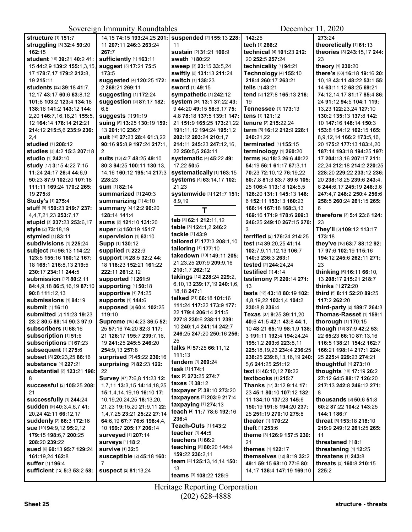| <b>structure [1] 151:7</b>        | 14, 15 74: 15 193: 24, 25 201:             | suspended [2] 155:13 228:       | 142:25                      | 273:24                       |  |
|-----------------------------------|--------------------------------------------|---------------------------------|-----------------------------|------------------------------|--|
| struggling [3] 32:4 50:20         | 11 207:11 246:3 263:24                     | 11                              | tech [1] 266:2              | theoretically [1] 61:13      |  |
| 162:15                            | 267:7                                      | sustain [2] 31:21 106:9         | technical [4] 101:23 212:   | theories [3] 243:15,17 244:  |  |
| student [16] 39:21 40:2 41:       | sufficiently [1] 163:11<br>swath [1] 80:22 |                                 | 20 252:5 257:24             | 23                           |  |
| 15 44:2,9 139:2 155:1,3,15,       | Suggest [3] 17:21 75:5                     | Sweep [3] 23:15 33:5,24         | technicality [1] 94:21      | theory [1] 230:20            |  |
| 17 178:7,17 179:2 212:8,          | 173:5                                      | swiftly [2] 131:13 211:24       | Technology [4] 155:10       | there's [83] 16:18 19:16 20: |  |
| 19 215:11                         | suggested [4] 120:25 172:                  | switch [1] 138:23               | 218:4 260:17 263:21         | 10,18 43:11 48:22 53:1 55:   |  |
| students [32] 39:18 41:7,         | 2 268:21 269:11                            | <b>sword</b> [1] <b>49:15</b>   | tells [1] 43:21             | 14 63:11,12 68:25 69:21      |  |
| 12,17 43:17 60:6 63:8,12          | suggesting [1] 172:24                      | sympathetic [1] 242:12          | tend [3] 127:8 165:13 216:  | 74:12,14,17 81:17 85:4 86:   |  |
| 101:8 103:2 123:4 134:18          | suggestion [3] 87:17 182:                  | system [34] 13:1 37:22 43:      | 19                          | 24 91:12 94:5 104:1 119:     |  |
| 138:16 141:2 143:12 144:          | 6,8                                        | 9 44:20 49:15 58:6,17 75:       | <b>Tennessee [1] 173:13</b> | 13,23 122:23,24 127:10       |  |
| 2,20 146:7,16,18,21 155:5,        | <b>suggests</b> [1] 91:19                  | 4,8 78:18 137:5 139:1 147:      | tens [1] 121:12             | 130:2 135:13 137:8 142:      |  |
| 12 164:14 178:14 212:21           | suing [5] 13:25 130:19 159:                | 21 151:9 165:25 173:21,22       | tenure [2] 215:22,24        | 10 147:16 148:14 150:3       |  |
| 214:12 215:5,6 235:9 236:         | 13 201:10 236:7                            | 191:11,12 194:24 195:1,2        | term [5] 16:12 212:9 228:1  | 153:8 154:12 162:15 165:     |  |
| 2,4                               | suit [10] 27:23 28:4 61:3,22               | 202:12 203:24 210:1,7           | 240:21,22                   | 8,9,12,14 166:2 173:5,16,    |  |
| <b>studied</b> [1] 208:12         | 90:16 95:8,9 197:24 217:1,                 | 214:11 245:23 247:12.16.        | terminated [1] 155:15       | 20 175:2 177:13 183:4,20     |  |
| studies [3] 4:2 15:3 207:18       | 2                                          | 22 250:5,5 263:11               | terminology [1] 260:20      | 187:14 193:18 194:25 197:    |  |
| studio [1] 242:10                 | suits [13] 4:7 48:25 49:10                 | <b>systematic [4] 45:22 49:</b> | terms [42] 18:3 26:6 40:22  | 17 204:13,16 207:17 211:     |  |
| study [17] 3:15 4:22 7:15         | 80:3 94:25 100:11 130:13,                  | 17,22 50:5                      | 54:19 56:1 61:17 67:3.11    | 22,24 212:18 214:2 220:25    |  |
| 11:24 24:17 26:4 44:6,9           | 14, 16 160: 12 195: 14 217: 3              | systematically [1] 163:15       | 70:23 72:10.12 76:19.22     | 228:20 229:22 233:12 236:    |  |
| 50:23 87:9 102:20 107:18          | 228:23                                     | systems [4] 63:14,17 102:       | 80:7,8 81:3 83:7 89:6 105:  | 20 238:18,25 239:6 243:4,    |  |
| 111:11 169:24 170:2 265:          | <b>sum</b> [1] 82:14                       | 21,23                           | 25 106:4 113:18 124:5.5     | 6 244:6,17 245:19 246:3,6    |  |
| 19 275:8                          | summarized [1] 240:3                       | systemwide [4] 121:7 151:       | 126:20 131:1 145:13 146:    | 247:4.7 248:2 250:4 256:6    |  |
| Study's [1] 275:4                 | summarizing [1] 4:10                       | 8,9,19                          | 6 152:11 153:13 160:23      | 258:5 260:24 261:15 265:     |  |
| Stuff [9] 150:23 219:7 237:       | summary [4] 12:2 90:20                     |                                 | 166:14 167:18 168:3.13      | 6                            |  |
| 4, 4, 7, 21, 23 253: 7, 17        | 128:14 141:4                               | T                               | 169:16 171:9 178:6 209:3    | therefore [3] 5:4 23:6 124:  |  |
| stupid [3] 237:23 253:6,17        | sums [2] 121:10 131:20                     | tab [3] 62:1 212:11,12          | 246:25 249:10 267:15 270:   | 23                           |  |
| style [2] 73:18,19                | super [2] 150:19 151:7                     | table [3] 124:1,2 246:2         | 3                           | They'll [3] 109:12 113:17    |  |
| stymied [1] 83:11                 | supervision [1] 63:10                      | tackle [1] 43:9                 | terrified [2] 176:24 214:25 | 173:18                       |  |
| subdivisions [1] 225:24           | Supp [1] 130:12                            | tailored [3] 177:3 208:1,10     | test [12] 39:20,25 41:14    | they've [10] 63:7 88:12 92:  |  |
| subject [13] 96:13 114:22         | supplied [1] 222:9                         | tailoring [1] 177:10            | 102:7,9,11,12,13 106:7      | 17 97:6 102:19 115:16        |  |
| 123:5 155:16 160:12 167:          | Support [9] 28:5 32:2 44:                  | takedown [10] 149:11 205:       | 140:3 236:3 263:1           | 194:12 245:6 262:11 271:     |  |
| 18 168:1 216:8,13 219:5           | 18 118:23 152:21 161:22                    | 21,23,25 207:9 209:9,16         | tested [2] 244:24,24        | 23                           |  |
| 230:17 234:11 244:5               | 222:11 261:2,12                            | 210:1,7 262:12                  | testified [1] 4:14          | thinking [6] 16:11 66:10,    |  |
| <b>submission</b> [12] 80:2,11    | supported [1] 261:9                        | takings [12] 228:24 229:2,      | testimony [2] 220:14 271:   | 13 208:17 215:21 218:7       |  |
| 84:4,9,18 86:5,16,19 87:10        | supporting [1] 50:18                       | 6,10,13 239:17,19 240:1,6,      | 13                          | thinks [1] 272:20            |  |
| 90:8 111:12,13                    | supportive [1] 74:25                       | 18,18 247:1                     | tests [12] 43:18 80:19 102: | third [5] 8:11 52:20 89:25   |  |
| Submissions [1] 84:19             | <b>supports [1] 144:6</b>                  | talked [21] 66:18 101:16        | 4,8,19,22 103:1,4 104:2     | 117:2 262:20                 |  |
| <b>submit</b> [1] <b>16:1</b> 0   | supposed [3] 60:4 102:25                   | 111:24 117:22 173:9 177:        | 230:8,8 236:4               | third-party [2] 189:7 264:3  |  |
| submitted [7] 11:23 19:23         | 119:10                                     | 22 179:4 206:14 211:5           | Texas [37] 9:25 39:11,20    | Thomas-Rasset [1] 159:1      |  |
| 23:2 80:5 89:14 90:3 97:9         | Supreme [18] 4:23 36:5 52:                 | 227:8 230:6 238:11 239:         | 40:6 41:5 42:1 43:8 44:1,   | thorough [1] 170:15          |  |
| <b>subscribers</b> [1] 68:16      | 25 57:16 74:20 82:3 117:                   | 10 240:1.4 241:14 242:7         | 10 48:21 65:19 98:1,9 138:  | though [18] 37:9 42:2 53:    |  |
| subscription [1] 51:6             | 21 126:17 195:7 239:7,16,                  | 246:25 247:20 250:16 256:       | 3 191:11 192:4 194:24,24    | 22 65:23 66:10 87:13,16      |  |
| subscriptions [1] 67:23           | 19 241:25 245:5 246:20                     | 25                              | 195:1,2 203:6 223:8,11      | 116:5 138:21 154:2 162:7     |  |
| subsequent [1] 275:6              | 254:9,13 257:8                             | talks [4] 57:25 66:11,12        | 225:18,19,23 234:4 236:25   | 166:21 198:14 217:1 224:     |  |
| subset [3] 20:23,25 86:16         | surprised [2] 45:22 230:16                 | 111:13                          | 238:25 239:8,13,16,19 240:  | 25 225:4 229:23 274:21       |  |
| substance [1] 227:21              | surprising [2] 82:23 122:                  | tandem [1] 269:24               | 5.6 241:25 251:12           | thoughtful [1] 273:10        |  |
| substantial [2] 123:21 198:       | 22                                         | task [1] 174:1                  | text [3] 46:10,12 70:22     | thoughts [10] 17:19 26:2     |  |
| 8                                 | Survey [47] 7:6,8 11:23 12:                | tax [2] 273:25 274:7            | textbooks [1] 215:7         | 27:12 64:5 88:17 126:20      |  |
| successful [2] 105:25 208:        | 1,7,11 13:3,15 14:14,18,25                 | taxes [1] 38:12                 | Thanks [17] 3:12 9:14 17:   | 217:13 242:8 246:12 271:     |  |
| 21                                | 15:1,4,14,19,19 16:10 17:                  | taxpayer [2] 38:10 273:20       | 23 45:1 80:10 107:12 132:   | 8                            |  |
| successfully [1] 244:24           | 10, 19, 20, 24, 25 18: 13, 20,             | taxpayers [2] 203:9 217:4       | 11 134:10 137:23 145:6      | thousands [8] 50:6 51:8      |  |
| sudden [9] 40:3,4,6,7 41:         | 21,23 19:15,20 21:9,11 22:                 | taxpaying [1] 274:13            | 150:19 191:8 194:20 237:    | 60:2 87:22 104:2 143:25      |  |
| 20,24 42:11 66:12,17              | 1,4,7,25 23:21 25:22 27:14                 | teach [4] 11:7 78:6 192:16      | 25 251:19 270:10 275:8      | 144:1 186:7                  |  |
| suddenly [2] 66:3 172:16          | 64:6,19 67:7 76:6 198:4,4,                 | 236:4                           | theater [1] 170:22          | threat [6] 153:18 218:10     |  |
| Sue [10] 94:9,12 95:2,12          | 10 199:7 205:17 206:14                     | Teach-Outs [1] 143:2            | theft [1] 253:6             | 219:9 249:12 261:25 265:     |  |
| 179:15 198:6,7 200:25             | <b>surveyed</b> [1] 207:14                 | teacher [1] 44:5                | theme [3] 126:9 157:5 230:  | 11                           |  |
| 208:20 239:22                     | <b>surveys [1] 18:2</b>                    | teachers [1] 66:2               | 21                          | threatened [1] 8:1           |  |
| <b>sued</b> [6] 60:13 95:7 129:24 | <b>survive [1] 32:5</b>                    | teaching [5] 80:20 144:4        | themes [1] 122:17           | threatening [1] 12:25        |  |
| 161:19,24 162:8                   | susceptible [2] 45:18 160:                 | 159:22 236:2,11                 | themselves [12] 8:19 32:2   | threatens [1] 243:8          |  |
| suffer [1] 196:4                  | $\overline{7}$                             | team [4] 125:13,14,14 150:      | 49:1 59:15 68:10 77:6 80:   | threats [3] 160:8 210:15     |  |
| sufficient [12] 5:3 53:2 58:      | <b>suspect</b> [2] 81:13,24                | 13                              | 14,17 136:4 147:19 169:10   | 225:2                        |  |
|                                   |                                            | teams [3] 108:22 125:9          |                             |                              |  |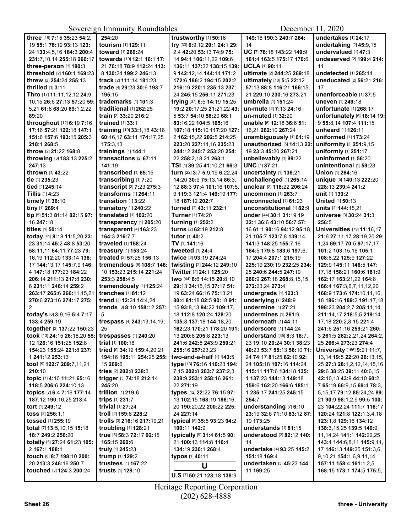| three [18] 7:15 35:23 54:2,   | 254:20                      | trustworthy [1] 50:16         | 149:16 190:3 240:7 264:             | undertakes [1] 24:17              |
|-------------------------------|-----------------------------|-------------------------------|-------------------------------------|-----------------------------------|
| 19 55:1 78:19 93:13 123:      | tourism [1] 129:11          | try [33] 6:9,12 20:1 24:1 29: | 14                                  | undertaking [2] 45:9,15           |
| 24 133:4,5,16 184:3 200:4     | toward [1] 260:24           | 2,4 42:20 53:13 74:9 75:      | UC [7] 78:18 143:22 149:9           | undervalued [1] 47:3              |
| 231:7,10,14 255:18 266:17     | towards [10] 12:1 16:1 17:  | 14 94:1 106:11,22 109:6       | 161:4 163:5 175:17 176:6            | undeserved [2] 199:4 214:         |
| three-person [1] 180:3        | 21 76:18 78:9 112:24 113:   | 136:11 137:22 138:15 139:     | UCLA [1] 90:11                      | 11                                |
| threshold [2] 160:1 169:23    | 8 130:24 199:2 246:13       | 9 142:12,14 144:14 171:2      | ultimate [2] 244:25 269:18          | undetected [1] 265:14             |
| threw [2] 254:24 255:13       | track [2] 111:14 181:23     | 172:6 186:2 194:15 202:2      | ultimately [10] 5:5 22:12           | uneducated [2] 56:21 216:         |
| thrilled [1] 3:11             | trade [4] 29:23 30:6 193:7  | 216:19 220:1 235:13 237:      | 57:13 88:8 116:21 166:15,           | 17                                |
| Thro [17] 11:11,12,12 24:9,   | 195:15                      | 24 245:15 256:11 271:23       | 21 229:10 230:16 273:21             | unenforceable [1] 37:5            |
| 10,15 26:6 27:13 57:20 59:    | trademarks [1] 101:3        | trying [37] 6:5 14:19 15:25   | umbrella [1] 151:24                 | uneven [1] 249:18                 |
| 5,21 61:8 68:20 69:1,2,22     | traditional [1] 262:25      | 19:2 20:17,25 21:21,22 43:    | un-mute [2] 7:13 24:16              | unfortunate [1] 268:17            |
| 89:20                         | train [2] 33:20 216:2       | 5 53:7 54:10 58:20 68:1       | un-muted [1] 32:20                  | unfortunately [6] 18:14 19:       |
| throughout [12] 6:19 7:16     | trained [1] 33:1            | 83:16,22 104:5 105:16         | unable [6] 12:18 36:6 51:           | 9 55:8,14 107:4 111:15            |
| 17:16 57:21 122:18 147:1      | training [10] 33:1,18 43:16 | 107:18 115:10 117:20 127:     | 16,21 262:10 267:24                 | unheard [1] 126:11                |
| 151:6 157:6 193:15 205:3      | 60:16,17 63:11 174:17,25    | 2 162:15,22 202:5 214:25      | unambiguously [1] 61:19             | uniformed [1] 173:24              |
|                               | 175:3.13                    | 223:20 227:14,16 235:23       | unauthorized [5] 14:13 22:          |                                   |
| 218:1 268:5                   |                             |                               |                                     | uniformity [2] 251:9,15           |
| throw [2] 21:22 168:8         | trainings [1] 144:1         | 244:12 245:7 253:20 254:      | 19 23:3 45:20 267:21                | uniformly [1] 251:17              |
| throwing [3] 183:13 225:2     | transactions [2] 67:11      | 22 258:2,18,21 263:1          | unbelievably [1] 99:22              | uninformed [1] 56:20              |
| 247:13                        | 141:19                      | TSI [4] 39:25 41:10,21 66:3   | <b>UNC</b> [1] 37:21                | unintentional [1] 59:23           |
| thrown [1] 43:22              | transcribed [1] 65:15       | turn [22] 3:7 5:9,19 6:22,24  | uncertainty [1] 136:21              | Union [1] 264:16                  |
| tie [1] 235:23                | transcribing [1] 7:20       | 14:20 30:9 75:13,14 86:3,     | unchallenged [1] 265:14             | unique [5] 140:13 222:20          |
| tied [1] 245:14               | transcript [2] 7:23 275:3   | 12 88:3 97:4 101:16 107:5.    | unclear [2] 118:22 206:24           | 228:13 239:4 241:2                |
| <b>Tillis</b> [1] <b>4:23</b> | transforms [1] 264:11       | 9 119:3 121:4 149:19 177:     | uncommon [1] 263:7                  | unit [1] 139:2                    |
| timely [1] 36:10              | transition [1] 3:22         | 18 187:12 202:7               | unconnected $[1]$ 61:23             | United [1] 50:13                  |
| tiny [1] 269:4                | transitory [1] 240:22       | turned [2] 43:11 232:1        | unconstitutional [1] 82:9           | units [2] 144:15,21               |
| tip [5] 51:3 81:14 82:15 97:  | translated [1] 102:20       | Turner [1] 74:20              | under [44] 30:1 31:19,19            | universe [3] 30:24 31:3           |
| 16 247:18                     | transparency [1] 205:20     | turning [1] 252:2             | 32:1 36:6 43:10 56:7 57:            | 256:5                             |
| titles [1] 50:14              | transparent [4] 163:23      | turns [2] 62:19 212:8         | 16 61:1 90:16 94:12 95:18,          | <b>Universities</b> [79] 11:16,17 |
| today [41] 8:18 11:5,20 23:   | 164:3 216:7,7               | tutor [1] 40:2                | 21 105:7 123:7,8 139:14             | 21:6 27:11,17 28:19,20 29:        |
| 23 31:14 45:2 48:8 53:20      | traveled [1] 158:24         | TV [1] 141:16                 | 141:3 148:25 155:7,16               | 1,24 69:17 70:5 97:17,17          |
| 58:11,11 64:11 77:23 79:      | treasury [1] 153:24         | tweeted [1] 24:4              | 164:5 179:8 183:6 197:6,            | 101:2 103:15,16 105:1             |
| 16,19 112:20 133:14 138:      | treated [2] 57:25 156:13    | twice [2] 93:19 274:24        | 17 204:4 207:1 215:19               | 108:8,22 125:9 127:22             |
| 17 144:13,17 145:7,9 146:     | tremendous [8] 108:7 146:   | twisting [2] 244:12 249:10    | 225:19 230:19 232:25 234:           | 129:9 145:11 146:5 147:           |
| 4 147:18 177:23 184:22        | 10 153:23 215:14 221:24     | Twitter [2] 24:1 125:20       | 25 240:6 244:5 247:19               | 17,18 158:21 160:6 161:9          |
| 206:14 211:13 217:8 230:      | 253:3 258:4.5               | two [44] 6:6 14:15 20:8,10    | 260:9 267:18 268:8,15,15            | 162:17 163:21,22 164:8            |
| 6 231:11 246:14 259:2         | tremendously [1] 125:24     | 29:13 34:15,15 37:17 51:      | 272:23,24 273:4                     | 166:4 167:3,6,7,11,12,20          |
|                               | trenches [1] 81:12          |                               | undergrads [1] 123:3                |                                   |
| 263:17 265:6 266:11,15,21     |                             | 19 63:24 66:16 75:13,21       |                                     | 168:9 173:6 174:10,11,16,         |
| 270:6 273:16 274:17 275:      | trend [3] 12:24 14:4,24     | 80:4 81:18 82:5 90:18 91:     | underlying [1] 248:9                | 18 186:16 189:2 191:17,18         |
| 2                             | trends [3] 8:10 158:12 257: | 15 93:8,13 94:22 109:17,      | undermine [1] 27:21                 | 198:23 204:2,7 205:11,14          |
| today's [6] 3:9,16 5:4 7:17   | 5                           | 18 112:8 120:24 128:20        | undermines [1] 261:9                | 211:14,17 218:5,5 219:14,         |
| 133:4 259:19                  | trespass [4] 243:13,14,19,  | 135:8 137:18 144:18,20        | underneath [1] 44:11                | 17,18 220:2,8,15 221:4            |
| together [2] 137:22 150:23    | 25                          | 162:23 170:21 178:20 191:     | <b>underscore</b> [1] <b>144:24</b> | 241:6 251:16 259:21 260:          |
| took [13] 24:15 26:18,20 55:  | trespasses [1] 240:20       | 13 200:8 205:8 223:13         | <b>understand</b> $[35]$ 8:3 18:7,  | 3 261:5 262:2,21,24 264:2,        |
| 12 126:16 151:25 152:8        | trial [1] 100:18            | 241:6 242:8 243:9 250:21      | 23 19:10 20:24 30:1 38:23           | 25 266:4 273:23 274:4             |
| 154:23 155:24 221:8 237:      | tried [9] 34:12 159:4,20,21 | 255:16 257:23,23              | 40:23 53:7 55:13 56:10 71:          | University [166] 9:21 11:7,       |
| 1 241:12 253:13               | 194:16 195:11 254:25 255:   | two-and-a-half [1] 143:5      | 24 74:17 81:25 82:10 92:            | 13,14 19:5 22:20 26:13,15,        |
| tool [5] 122:7 209:7,11,21    | 15 269:6                    | type [13] 76:16 116:23 194:   | 24 105:18 107:16 114:24             | 25 27:3 28:1, 2, 12, 14, 15, 16   |
| 210:10                        | tries [2] 202:8 238:3       | 7,15 202:8 203:7 237:2,3      | 115:11 117:6 134:18 135:            | 29:6 38:25 39:11 40:6.15          |
| topic [7] 4:10 11:21 65:16    | trigger [3] 74:18 212:14    | 238:9 253:1 258:16 261:       | 1 137:23 144:13 149:18              | 42:10,13 43:9 44:10 60:2,         |
| 118:5 206:6 224:10,13         | 245:20                      | 22 271:19                     | 159:6 162:20 166:6 185:1,           | 7 65:19 66:9,15 69:4 78:3,        |
| topics [7] 6:4 7:16 177:14    | trillion [1] 219:6          | types [12] 22:22 76:15 97:    | 1 235:17 241:25 245:15              | 5, 15, 17 79: 12 85: 24, 24 89:   |
| 187:12 190:16,25 213:4        | trips [1] 231:7             | 13 102:15 168:19 186:16,      | 254:7                               | 21 90:9 98:1,2,9 99:5 100:        |
| tort [1] 249:12               | trivial [1] 27:24           | 20 190:20,22 200:22 225:      | understanding [7] 6:10              | 23 104:22,24 111:7 116:17         |
| toss [2] 256:1.1              | troll [2] 159:8 228:2       | 24 227:14                     | 23:19 32:8 71:10 83:12 87:          | 120:24 121:8 122:1,3,4,18         |
| tossed [1] 255:19             | trolls [3] 216:16 217:19,21 | typical [5] 35:5 93:23 94:2   | 19 173:25                           | 123:1,8 129:16 134:12             |
| total [7] 13:5, 10, 15 15:18  | troubling [1] 128:21        | 100:11 142:9                  | understands [1] 81:15               | 138:3,15,25 139:5 140:9,          |
|                               |                             |                               |                                     |                                   |
| 18:7 249:2 256:20             | true [5] 58:3 72:17 92:15   | typically [9] 31:4 61:5 90:   | understood [2] 82:12 140:           | 11, 14, 24 141: 1 142: 22, 25     |
| totally [5] 27:24 61:23 105:  | 165:15 260:6                | 21 100:13 114:8 116:4         | 14                                  | 143:4 144:6,8,11 145:9,11,        |
| 2 167:1 188:1                 | truly [1] 245:23            | 134:19 230:1 268:4            | undertake [4] 93:25 145:2           | 17 146:13 149:25 151:3,6,         |
| touch [6] 8:7 198:10 200:     | trump [1] 129:2             | typos [1] 40:11               | 151:18 169:4                        | 9, 10, 21 154: 1, 6, 9, 11, 14    |
| 20 213:3 246:16 250:7         | trustees [1] 167:22         | U                             | undertaken [3] 45:23 144:           | 157:11 158:4 161:1,2,5            |
| touched [3] 124:3 200:24      | trusts [1] 128:10           |                               | 11 169:25                           | 168:15 173:1 174:5 175:5,         |
|                               |                             | U.S [7] 50:21 123:18 138:9    |                                     |                                   |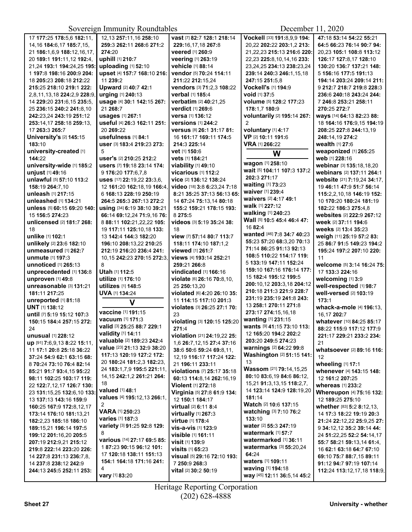| 17 177:25 178:5,6 182:11,      | 12,13 257:11,16 258:10        | vast [7] 82:7 128:1 218:14                | Vockell [33] 191:8,9,9 194:               | 47:18 53:14 54:22 55:21     |
|--------------------------------|-------------------------------|-------------------------------------------|-------------------------------------------|-----------------------------|
| 14, 16 184: 6, 17 185: 7, 15,  | 259:3 262:11 268:6 271:2      | 229:16.17.18 267:8                        | 20,22 202:22 203:1,2 213:                 | 64:5 66:23 76:14 90:7 94:   |
| 21 186:1,6,9 188:12,16,17,     | 274:20                        | veered [1] 260:9                          | 21,22,23 215:13 216:6 220:                | 20,23 105:1 108:8 113:12    |
| 20 189:1 191:11,12 192:4,      | uphill [1] 210:7              | veering [1] 263:19                        | 22,23 225:8,10,14,16 233:                 | 126:17 127:8,17 128:10      |
| 21,24 193:1 194:24,25 195:     | uploading [1] 52:10           | vehicle [1] 88:14                         | 23, 24, 25 234: 13 238: 23, 24            | 130:20 136:7 137:21 148:    |
| 1 197:8 198:16 200:9 204:      | upset [4] 157:7 168:10 216:   | vendor [5] 70:24 114:11                   | 239:14 240:3 246:1,15,18                  | 5 156:16 177:5 191:13       |
| 18 205:23 208:18 212:22        | 11 239:2                      | 211:22 212:15,24                          | 247:15 251:5,8                            | 194:14 203:24 209:14 211:   |
| 215:25 218:10 219:1 222:       | Upward [2] 40:7 42:1          | vendors [3] 71:2,3 108:22                 | Vockell's [1] 194:9                       | 9 212:7 218:7 219:8 228:3   |
|                                |                               |                                           |                                           |                             |
| 2,8,11,13,18 224:2,9 228:9,    | urging [1] 240:13             | verbal [1] 185:4                          | void [1] 37:5                             | 236:6 240:18 243:24 244:    |
| 14 229:20 231:6,15 235:5,      | usage [4] 30:1 142:15 267:    | verbatim [2] 40:21,25                     | volume [5] 128:2 177:23                   | 7 246:8 253:21 258:11       |
| 25 236:15 240:2 241:8.10       | 21 268:7                      | verdict [1] 269:6                         | 178:1.7 180:9                             | 270:25 272:7                |
| 242:23,24 243:19 251:12        | usages [1] 267:1              | versa [1] 136:12                          | voluntarily [2] 195:14 267:               | ways [14] 64:13 82:23 88:   |
| 253:14.17 258:18 259:13.       | useful [4] 26:3 162:11 251:   | <b>versions</b> [1] 244:2                 | $\mathcal{P}$                             | 18 164:16 176:9,15 194:19   |
| 17 263:3 265:7                 | 20 269:22                     | Versus [8] 26:1 31:17 81:                 | voluntary [1] 4:17                        | 208:25 227:8 244:13.19      |
| <b>University's [2] 145:15</b> | usefulness [1] 84:1           | 16 161:17 169:11 174:5                    | VP [2] 10:11 191:6                        | 248:14,19 274:2             |
| 183:10                         | user [3] 183:4 219:23 273:    | 214:3 225:14                              | VRA [1] 266:22                            | wealth [1] 27:6             |
| university-created [1]         | 5                             |                                           |                                           | weaponized [1] 265:25       |
|                                |                               | vet [1] 150:6                             | W                                         |                             |
| 144:22                         | user's [2] 210:25 212:2       | vets [1] 184:21                           | wagon [1] 258:10                          | web [1] 228:16              |
| university-wide [1] 185:2      | users [7] 19:18 23:14 174:    | viability [1] 49:10                       | wait [5] 104:11 107:3 137:2               | webinar [3] 135:18,18,20    |
| unjust [1] 49:16               | 9 176:20 177:6,7,8            | <b>vicarious</b> [1] 112:2                |                                           | webinars [2] 137:11 264:1   |
| unlawful [5] 57:10 113:2       | uses [17] 22:19,22 23:3,6,    | vice [2] 136:12 138:24                    | 202:3 271:17                              | website [21] 7:19.24 34:17. |
| 158:19 264:7.10                | 12 161:20 162:18,19 166:4,    | video [18] 3:8 6:23,24 7:18               | waiting [1] 73:23                         | 19 46:11 47:9 51:7 56:14    |
| unleash [1] 217:15             | 6 168:13 228:19 250:19        | 8:21 35:25 37:13 56:13 65:                | waiver [1] 239:4                          | 115:2,2,10,18 146:19 152:   |
| unleashed [1] 134:21           | 264:5 265:3 267:13 272:2      | 14 67:24 75:13,14 80:18                   | waivers [2] 4:17 49:1                     | 10 170:20 180:24 181:19     |
| unless [5] 60:15 69:20 140:    | using [34] 6:19 38:10 39:21   | 155:2 159:21 178:15 193:                  | walk [1] 227:12                           | 182:22 186:3 275:4,8        |
|                                |                               |                                           | walking [1] 240:23                        | websites [2] 222:9 267:12   |
| 15 156:5 274:23                | 66:14 69:12,24 71:9,16 76:    | 8 275:5                                   | Wall [5] 10:5 45:4 46:4 47:               |                             |
| unlicensed [2] 181:7 268:      | 8 88:11 102:21,22,22 105:     | videos [3] 5:19 35:24 38:                 | 16 82:4                                   | week [2] 37:11 194:6        |
| 18                             | 19 117:11 125:10,18 133:      | 18                                        | wanted [46] 7:8 34:7 40:23                | weeks [2] 13:4 35:23        |
| unlike [1] 102:1               | 13 142:4 144:3 182:20         | view [7] 57:14 80:7 113:7                 |                                           | weigh [11] 25:19 57:2 83:   |
| unlikely [2] 23:6 182:10       | 196:10 208:13,22 210:25       | 118:11 174:10 187:1,2                     | 55:23 57:20 68:3,20 70:13                 | 25 86:7 91:5 149:23 194:2   |
| unmeasured [1] 262:7           | 212:19 216:20 236:4 241:      | viewed [1] 261:7                          | 71:14 86:25 91:13 92:13                   | 195:24 197:2 207:10 220:    |
| unmute [1] 197:3               | 10,15 242:23 270:15 272:3,    | views [4] 193:14 252:21                   | 108:5 110:22 114:17 119:                  | 11                          |
| unnoticed [1] 265:13           | 8                             | 259:21 266:8                              | 5 133:19 147:11 152:24                    | welcome [5] 3:14 16:24 75:  |
| unprecedented [1] 136:8        | Utah [1] 112:5                | vindicated [1] 166:16                     | 159:10 167:16 176:14 177:                 | 17 133:3 224:16             |
| unproven [1] 49:8              | utilize [1] 176:10            | violate [6] 26:16 70:8,10,                | 15 182:4 195:12 199:5                     | welcoming [1] 3:9           |
|                                |                               |                                           | 200:10,12 203:3,18 204:12                 |                             |
| unreasonable [3] 131:21        | utilizes [1] 148:5            | 25 250:13,20                              | 210:18 211:3 221:9 228:7                  | well-respected [1] 98:7     |
| 181:11 217:25                  | <b>UVA [1] 134:24</b>         | violated [6] 4:20 26:10 35:               | 231:19 235:19 241:8 243:                  | well-versed [2] 103:19      |
| unreported [1] 81:18           | V                             | 11 114:15 117:10 201:3                    |                                           | 173:1                       |
| <b>UNT</b> [1] 138:12          |                               | violates [3] 26:25 27:1 70:               | 13 258:1 270:11 271:8                     | whack-a-mole [4] 196:13,    |
| until [7] 5:19 15:12 107:3     | vaccine [1] 191:15            | 23                                        | 273:17 274:15,16,18                       | 16,17 202:7                 |
| 150:15 184:4 257:15 272:       | vacuum [1] 171:3              | violating [3] 120:15 125:20               | wanting [1] 231:15                        | whatever [10] 84:25 85:17   |
| 24                             | valid [3] 25:25 88:7 229:1    | 271:4                                     | <b>wants</b> [9] 41:15 73:10 113:         | 88:22 115:9 117:12 177:9    |
| unusual [1] 228:12             | validity [1] 14:11            | violation [21] 24:19.22 25:               | 12 165:20 194:2 202:2                     | 221:17 229:21 233:2 234:    |
| up [91] 7:6,9,13 8:22 15:11,   | valuable [2] 189:23 242:4     | 1,6 26:7,12,15 27:4 37:16                 | 203:20 249:5 274:23                       | 21                          |
|                                | value [23] 21:13 32:9 38:20   |                                           | warnings [2] 64:22 99:8                   | whatsoever [2] 89:16 116:   |
| 11 17:1 20:8 25:18 36:22       | 117:13 120:19 127:2 172:      | 38:6 50:6 59:24 69:8,11,                  | Washington [2] 51:15 141:                 |                             |
| 37:24 54:9 62:1 63:15 68:      | 20 180:24 181:2,3 182:23,     | 12,19 116:17 117:24 122:                  | 13                                        | 12                          |
| 8 70:24 73:10 76:4 82:14       |                               | 21 196:11 233:11                          | <b>Wassom</b> [21] <b>79:14,15,25</b>     | wheeling [1] 17:1           |
| 85:21 91:7 93:4,15 95:22       | 24 183:1,7,9 195:5 221:11,    | <b>violations</b> [7] <b>25:17 35:1</b> 8 |                                           | whenever [4] 143:15 148:    |
| 98:11 102:25 103:17 119:       | 14, 15 242: 1, 2 261: 21 264: | 60:13 114:8,14 262:16,19                  | 80:10 83:6,19 84:6 86:12,                 | 12 161:2 207:25             |
| 22 122:7,12,17 126:7 130:      | 18                            | Violent [1] 272:18                        | 15,21 <b>91:</b> 3,13,15 <b>118:</b> 2,7, | whereas $[1]$ 233:2         |
| 23 131:15,25 132:6,10 133:     | valued [1] 48:1               | Virginia [5] 27:8 61:9 134:               | 14 123:14 124:9 128:19,20                 | Whereupon [4] 75:16 132:    |
| 13 137:13 143:16 159:9         | values [4] 195:12,13 266:1,   | 12 150:1 184:17                           | 181:14                                    | 12 189:25 275:10            |
| 160:25 167:9 172:8,12,17       | $\overline{2}$                | virtual [2] 6:11 8:4                      | <b>Watch [2] 10:6 137:15</b>              | whether [83] 5:2 8:12,13,   |
|                                | <b>VARA [1] 250:23</b>        |                                           | watching [3] 7:10 76:2                    |                             |
| 173:14 176:10 181:13.21        | varies [1] 187:3              | virtually [1] 267:3                       | 133:10                                    | 14 17:3 18:22 19:19 20:3    |
| 182:2,23 185:18 186:10         | variety [3] 91:25 92:8 129:   | virtue [1] 178:4                          | water [2] 55:3 247:19                     | 21:24 22:12,22 25:9,25 27:  |
| 189:15,21 196:14 197:5         | 8                             | vis-a-vis [1] 123:9                       | watermark [1] 57:7                        | 9 34:12,12 35:2 39:14 44:   |
| 199:12 201:16,20 205:5         |                               | visible [1] 161:11                        |                                           | 24 51:22,25 52:2 54:14,17   |
| 207:19 212:9,21 215:12         | various [14] 27:17 69:5 85:   | visit [1] 139:9                           | watermarked [1] 36:11                     | 55:7 58:21 59:13,14 61:4,   |
| 219:8 222:14 223:20 226:       | 187:23 90:15 96:12 101:       | visits [1] 65:23                          | watermarks [3] 55:20,24                   | 16 62:1 63:18 64:7 67:10    |
| 14 227:8 231:13 236:7,8,       | 17 120:18 138:11 151:13       | <b>visual</b> [5] <b>29:16 72:10 193:</b> | 64:24                                     | 69:10 75:7 88:7,15 89:11    |
| 14 237:8 238:12 242:9          | 154:1 164:18 171:16 241:      | 7 250:9 268:3                             | waters [1] 109:11                         | 91:12 94:7 97:19 107:14     |
| 244:13 245:5 252:11 253:       | 4                             | vital [2] 30:2 50:19                      | waving [1] 194:18                         | 112:24 113:12,17,18 118:9,  |
|                                | vary [1] 83:20                |                                           | way [45] 12:11 36:5,14 45:2               |                             |
|                                |                               |                                           |                                           |                             |